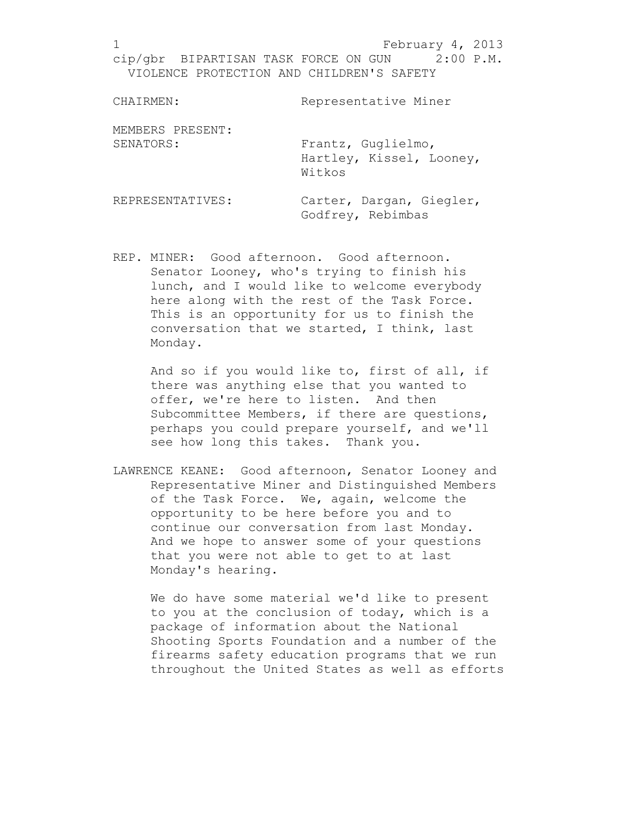CHAIRMEN: Representative Miner MEMBERS PRESENT: SENATORS: Frantz, Guglielmo, Hartley, Kissel, Looney, Witkos REPRESENTATIVES: Carter, Dargan, Giegler, Godfrey, Rebimbas

REP. MINER: Good afternoon. Good afternoon. Senator Looney, who's trying to finish his lunch, and I would like to welcome everybody here along with the rest of the Task Force. This is an opportunity for us to finish the conversation that we started, I think, last Monday.

> And so if you would like to, first of all, if there was anything else that you wanted to offer, we're here to listen. And then Subcommittee Members, if there are questions, perhaps you could prepare yourself, and we'll see how long this takes. Thank you.

LAWRENCE KEANE: Good afternoon, Senator Looney and Representative Miner and Distinguished Members of the Task Force. We, again, welcome the opportunity to be here before you and to continue our conversation from last Monday. And we hope to answer some of your questions that you were not able to get to at last Monday's hearing.

We do have some material we'd like to present to you at the conclusion of today, which is a package of information about the National Shooting Sports Foundation and a number of the firearms safety education programs that we run throughout the United States as well as efforts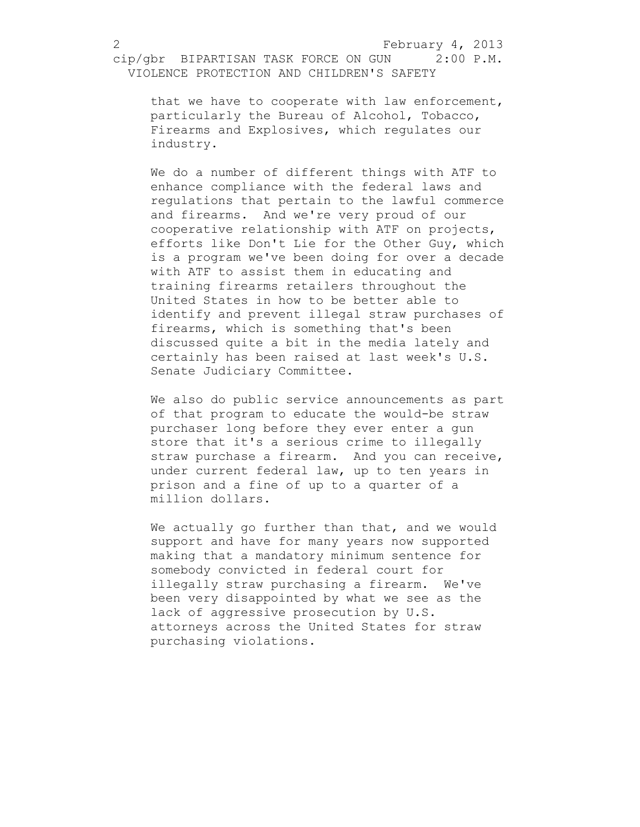that we have to cooperate with law enforcement, particularly the Bureau of Alcohol, Tobacco, Firearms and Explosives, which regulates our industry.

We do a number of different things with ATF to enhance compliance with the federal laws and regulations that pertain to the lawful commerce and firearms. And we're very proud of our cooperative relationship with ATF on projects, efforts like Don't Lie for the Other Guy, which is a program we've been doing for over a decade with ATF to assist them in educating and training firearms retailers throughout the United States in how to be better able to identify and prevent illegal straw purchases of firearms, which is something that's been discussed quite a bit in the media lately and certainly has been raised at last week's U.S. Senate Judiciary Committee.

We also do public service announcements as part of that program to educate the would-be straw purchaser long before they ever enter a gun store that it's a serious crime to illegally straw purchase a firearm. And you can receive, under current federal law, up to ten years in prison and a fine of up to a quarter of a million dollars.

We actually go further than that, and we would support and have for many years now supported making that a mandatory minimum sentence for somebody convicted in federal court for illegally straw purchasing a firearm. We've been very disappointed by what we see as the lack of aggressive prosecution by U.S. attorneys across the United States for straw purchasing violations.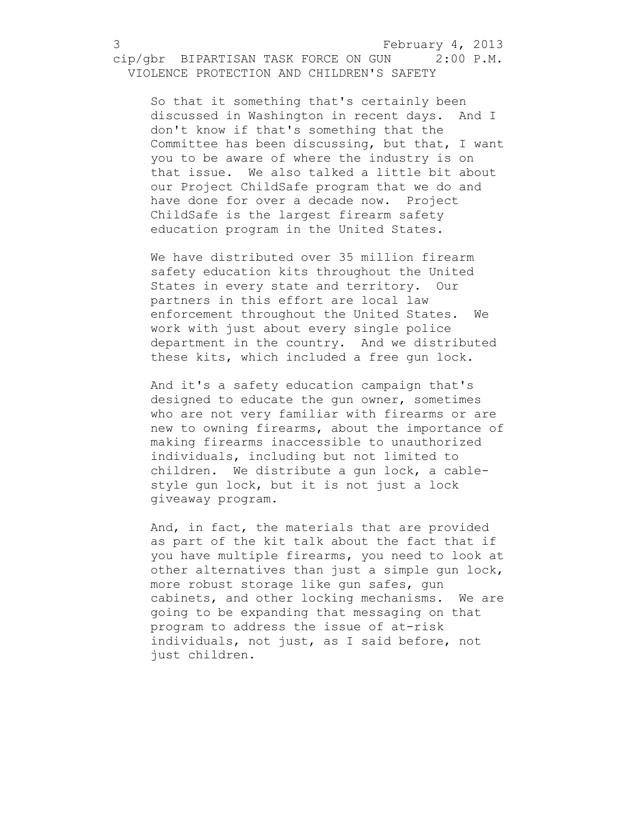So that it something that's certainly been discussed in Washington in recent days. And I don't know if that's something that the Committee has been discussing, but that, I want you to be aware of where the industry is on that issue. We also talked a little bit about our Project ChildSafe program that we do and have done for over a decade now. Project ChildSafe is the largest firearm safety education program in the United States.

We have distributed over 35 million firearm safety education kits throughout the United States in every state and territory. Our partners in this effort are local law enforcement throughout the United States. We work with just about every single police department in the country. And we distributed these kits, which included a free gun lock.

And it's a safety education campaign that's designed to educate the gun owner, sometimes who are not very familiar with firearms or are new to owning firearms, about the importance of making firearms inaccessible to unauthorized individuals, including but not limited to children. We distribute a gun lock, a cablestyle gun lock, but it is not just a lock giveaway program.

And, in fact, the materials that are provided as part of the kit talk about the fact that if you have multiple firearms, you need to look at other alternatives than just a simple gun lock, more robust storage like gun safes, gun cabinets, and other locking mechanisms. We are going to be expanding that messaging on that program to address the issue of at-risk individuals, not just, as I said before, not just children.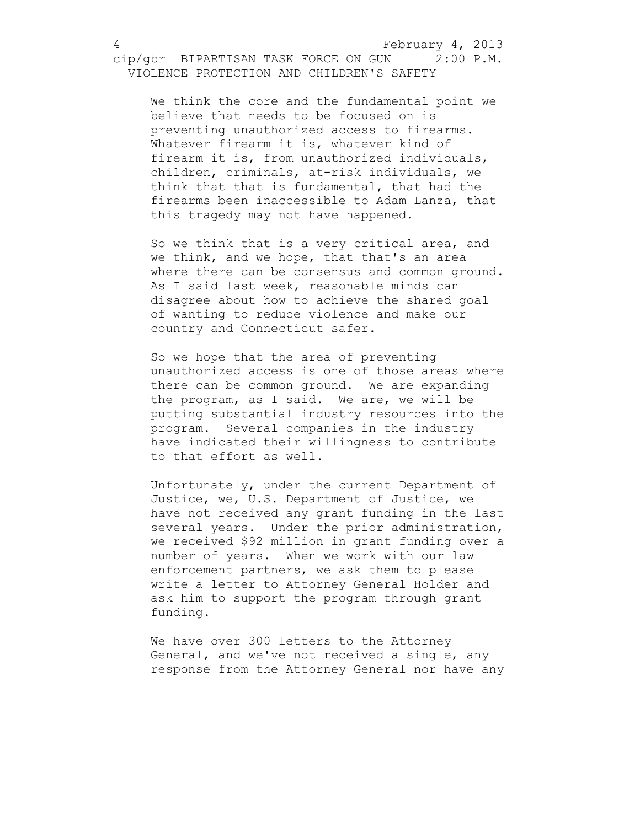We think the core and the fundamental point we believe that needs to be focused on is preventing unauthorized access to firearms. Whatever firearm it is, whatever kind of firearm it is, from unauthorized individuals, children, criminals, at-risk individuals, we think that that is fundamental, that had the firearms been inaccessible to Adam Lanza, that this tragedy may not have happened.

So we think that is a very critical area, and we think, and we hope, that that's an area where there can be consensus and common ground. As I said last week, reasonable minds can disagree about how to achieve the shared goal of wanting to reduce violence and make our country and Connecticut safer.

So we hope that the area of preventing unauthorized access is one of those areas where there can be common ground. We are expanding the program, as I said. We are, we will be putting substantial industry resources into the program. Several companies in the industry have indicated their willingness to contribute to that effort as well.

Unfortunately, under the current Department of Justice, we, U.S. Department of Justice, we have not received any grant funding in the last several years. Under the prior administration, we received \$92 million in grant funding over a number of years. When we work with our law enforcement partners, we ask them to please write a letter to Attorney General Holder and ask him to support the program through grant funding.

We have over 300 letters to the Attorney General, and we've not received a single, any response from the Attorney General nor have any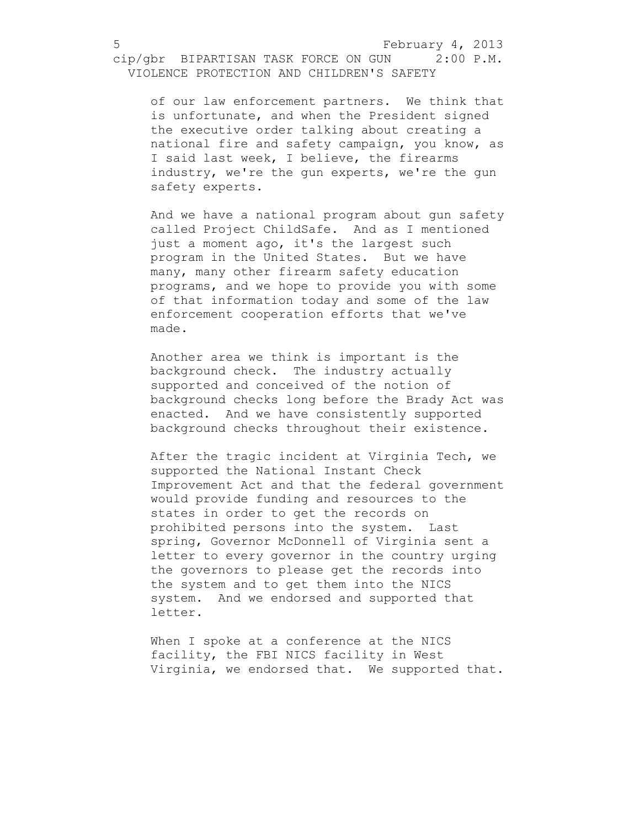of our law enforcement partners. We think that is unfortunate, and when the President signed the executive order talking about creating a national fire and safety campaign, you know, as I said last week, I believe, the firearms industry, we're the gun experts, we're the gun safety experts.

And we have a national program about gun safety called Project ChildSafe. And as I mentioned just a moment ago, it's the largest such program in the United States. But we have many, many other firearm safety education programs, and we hope to provide you with some of that information today and some of the law enforcement cooperation efforts that we've made.

Another area we think is important is the background check. The industry actually supported and conceived of the notion of background checks long before the Brady Act was enacted. And we have consistently supported background checks throughout their existence.

After the tragic incident at Virginia Tech, we supported the National Instant Check Improvement Act and that the federal government would provide funding and resources to the states in order to get the records on prohibited persons into the system. Last spring, Governor McDonnell of Virginia sent a letter to every governor in the country urging the governors to please get the records into the system and to get them into the NICS system. And we endorsed and supported that letter.

When I spoke at a conference at the NICS facility, the FBI NICS facility in West Virginia, we endorsed that. We supported that.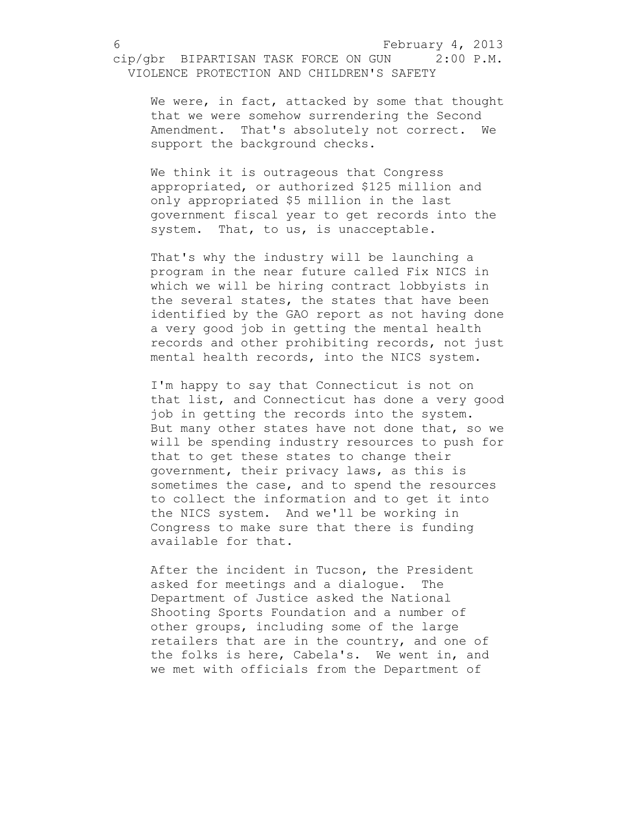We were, in fact, attacked by some that thought that we were somehow surrendering the Second Amendment. That's absolutely not correct. We support the background checks.

We think it is outrageous that Congress appropriated, or authorized \$125 million and only appropriated \$5 million in the last government fiscal year to get records into the system. That, to us, is unacceptable.

That's why the industry will be launching a program in the near future called Fix NICS in which we will be hiring contract lobbyists in the several states, the states that have been identified by the GAO report as not having done a very good job in getting the mental health records and other prohibiting records, not just mental health records, into the NICS system.

I'm happy to say that Connecticut is not on that list, and Connecticut has done a very good job in getting the records into the system. But many other states have not done that, so we will be spending industry resources to push for that to get these states to change their government, their privacy laws, as this is sometimes the case, and to spend the resources to collect the information and to get it into the NICS system. And we'll be working in Congress to make sure that there is funding available for that.

After the incident in Tucson, the President asked for meetings and a dialogue. The Department of Justice asked the National Shooting Sports Foundation and a number of other groups, including some of the large retailers that are in the country, and one of the folks is here, Cabela's. We went in, and we met with officials from the Department of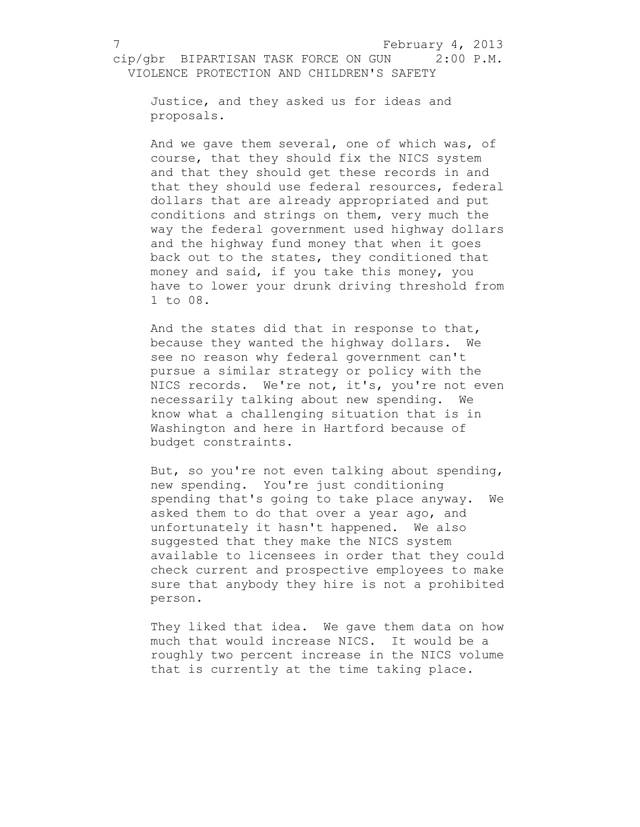Justice, and they asked us for ideas and proposals.

And we gave them several, one of which was, of course, that they should fix the NICS system and that they should get these records in and that they should use federal resources, federal dollars that are already appropriated and put conditions and strings on them, very much the way the federal government used highway dollars and the highway fund money that when it goes back out to the states, they conditioned that money and said, if you take this money, you have to lower your drunk driving threshold from 1 to 08.

And the states did that in response to that, because they wanted the highway dollars. We see no reason why federal government can't pursue a similar strategy or policy with the NICS records. We're not, it's, you're not even necessarily talking about new spending. We know what a challenging situation that is in Washington and here in Hartford because of budget constraints.

But, so you're not even talking about spending, new spending. You're just conditioning spending that's going to take place anyway. We asked them to do that over a year ago, and unfortunately it hasn't happened. We also suggested that they make the NICS system available to licensees in order that they could check current and prospective employees to make sure that anybody they hire is not a prohibited person.

They liked that idea. We gave them data on how much that would increase NICS. It would be a roughly two percent increase in the NICS volume that is currently at the time taking place.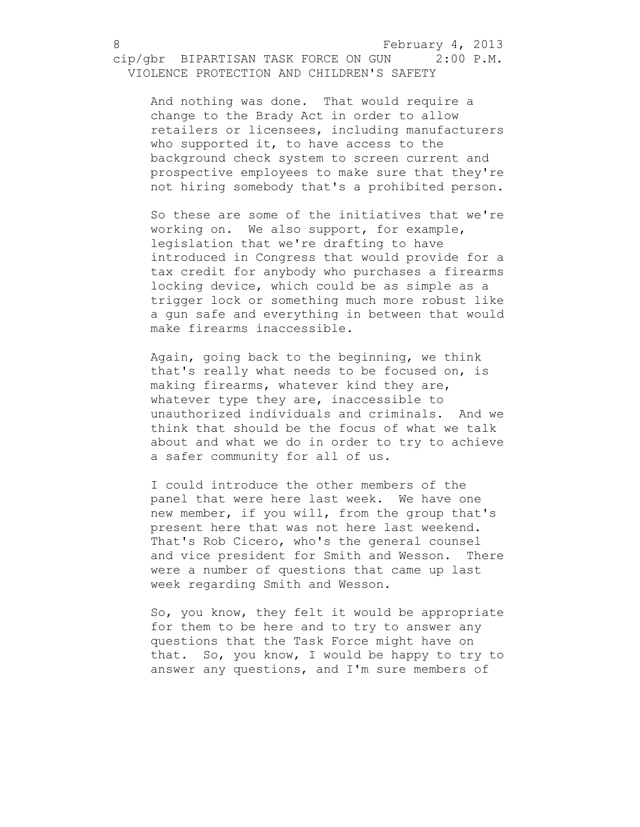And nothing was done. That would require a change to the Brady Act in order to allow retailers or licensees, including manufacturers who supported it, to have access to the background check system to screen current and prospective employees to make sure that they're not hiring somebody that's a prohibited person.

So these are some of the initiatives that we're working on. We also support, for example, legislation that we're drafting to have introduced in Congress that would provide for a tax credit for anybody who purchases a firearms locking device, which could be as simple as a trigger lock or something much more robust like a gun safe and everything in between that would make firearms inaccessible.

Again, going back to the beginning, we think that's really what needs to be focused on, is making firearms, whatever kind they are, whatever type they are, inaccessible to unauthorized individuals and criminals. And we think that should be the focus of what we talk about and what we do in order to try to achieve a safer community for all of us.

I could introduce the other members of the panel that were here last week. We have one new member, if you will, from the group that's present here that was not here last weekend. That's Rob Cicero, who's the general counsel and vice president for Smith and Wesson. There were a number of questions that came up last week regarding Smith and Wesson.

So, you know, they felt it would be appropriate for them to be here and to try to answer any questions that the Task Force might have on that. So, you know, I would be happy to try to answer any questions, and I'm sure members of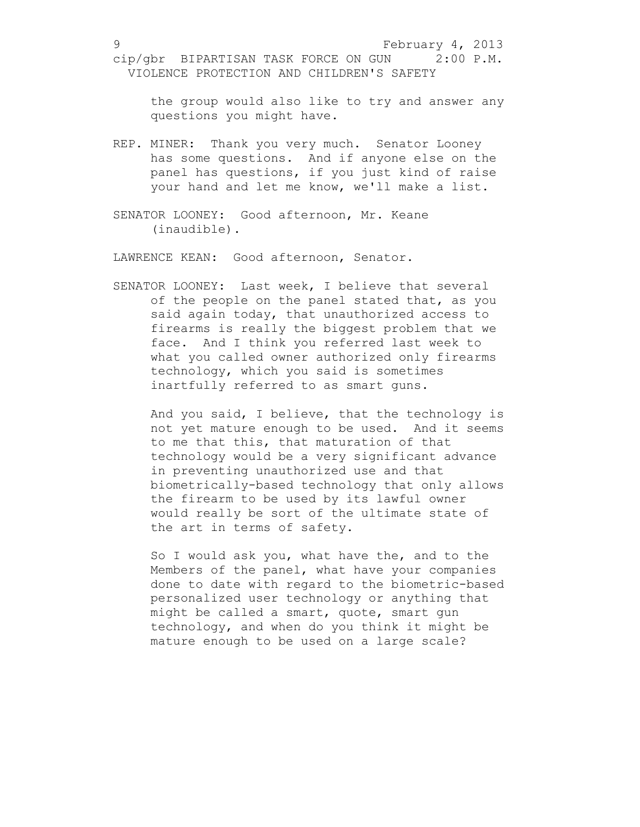the group would also like to try and answer any questions you might have.

- REP. MINER: Thank you very much. Senator Looney has some questions. And if anyone else on the panel has questions, if you just kind of raise your hand and let me know, we'll make a list.
- SENATOR LOONEY: Good afternoon, Mr. Keane (inaudible).

LAWRENCE KEAN: Good afternoon, Senator.

SENATOR LOONEY: Last week, I believe that several of the people on the panel stated that, as you said again today, that unauthorized access to firearms is really the biggest problem that we face. And I think you referred last week to what you called owner authorized only firearms technology, which you said is sometimes inartfully referred to as smart guns.

And you said, I believe, that the technology is not yet mature enough to be used. And it seems to me that this, that maturation of that technology would be a very significant advance in preventing unauthorized use and that biometrically-based technology that only allows the firearm to be used by its lawful owner would really be sort of the ultimate state of the art in terms of safety.

So I would ask you, what have the, and to the Members of the panel, what have your companies done to date with regard to the biometric-based personalized user technology or anything that might be called a smart, quote, smart gun technology, and when do you think it might be mature enough to be used on a large scale?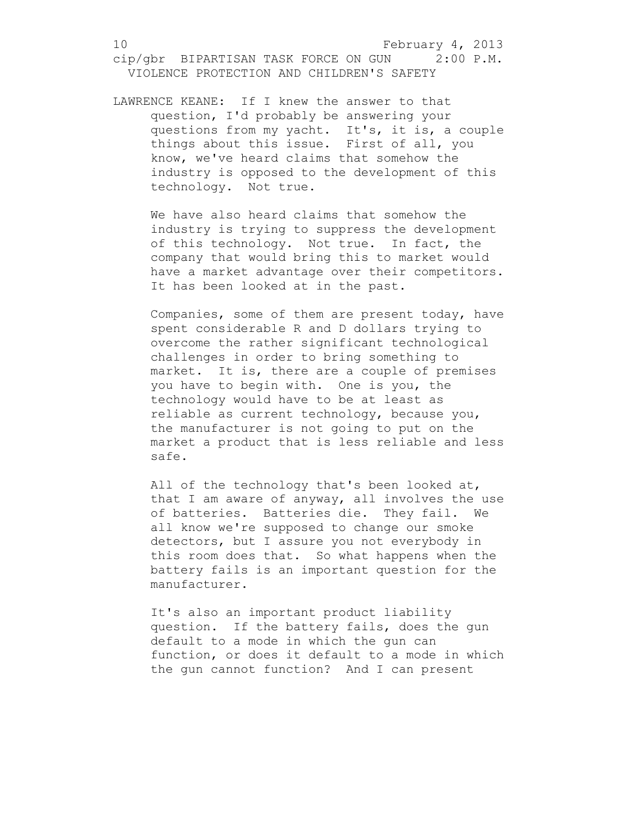LAWRENCE KEANE: If I knew the answer to that question, I'd probably be answering your questions from my yacht. It's, it is, a couple things about this issue. First of all, you know, we've heard claims that somehow the industry is opposed to the development of this technology. Not true.

We have also heard claims that somehow the industry is trying to suppress the development of this technology. Not true. In fact, the company that would bring this to market would have a market advantage over their competitors. It has been looked at in the past.

Companies, some of them are present today, have spent considerable R and D dollars trying to overcome the rather significant technological challenges in order to bring something to market. It is, there are a couple of premises you have to begin with. One is you, the technology would have to be at least as reliable as current technology, because you, the manufacturer is not going to put on the market a product that is less reliable and less safe.

All of the technology that's been looked at, that I am aware of anyway, all involves the use of batteries. Batteries die. They fail. We all know we're supposed to change our smoke detectors, but I assure you not everybody in this room does that. So what happens when the battery fails is an important question for the manufacturer.

It's also an important product liability question. If the battery fails, does the gun default to a mode in which the gun can function, or does it default to a mode in which the gun cannot function? And I can present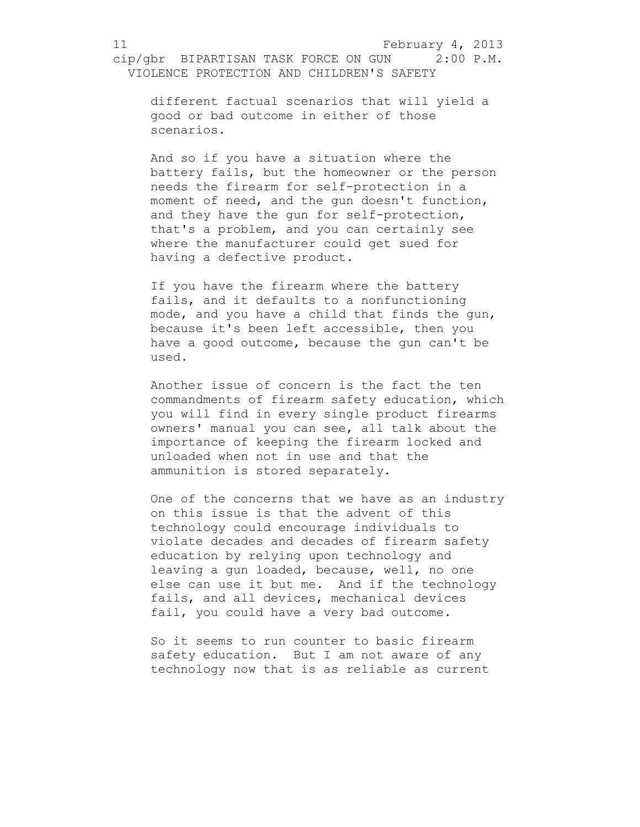different factual scenarios that will yield a good or bad outcome in either of those scenarios.

And so if you have a situation where the battery fails, but the homeowner or the person needs the firearm for self-protection in a moment of need, and the gun doesn't function, and they have the gun for self-protection, that's a problem, and you can certainly see where the manufacturer could get sued for having a defective product.

If you have the firearm where the battery fails, and it defaults to a nonfunctioning mode, and you have a child that finds the gun, because it's been left accessible, then you have a good outcome, because the gun can't be used.

Another issue of concern is the fact the ten commandments of firearm safety education, which you will find in every single product firearms owners' manual you can see, all talk about the importance of keeping the firearm locked and unloaded when not in use and that the ammunition is stored separately.

One of the concerns that we have as an industry on this issue is that the advent of this technology could encourage individuals to violate decades and decades of firearm safety education by relying upon technology and leaving a gun loaded, because, well, no one else can use it but me. And if the technology fails, and all devices, mechanical devices fail, you could have a very bad outcome.

So it seems to run counter to basic firearm safety education. But I am not aware of any technology now that is as reliable as current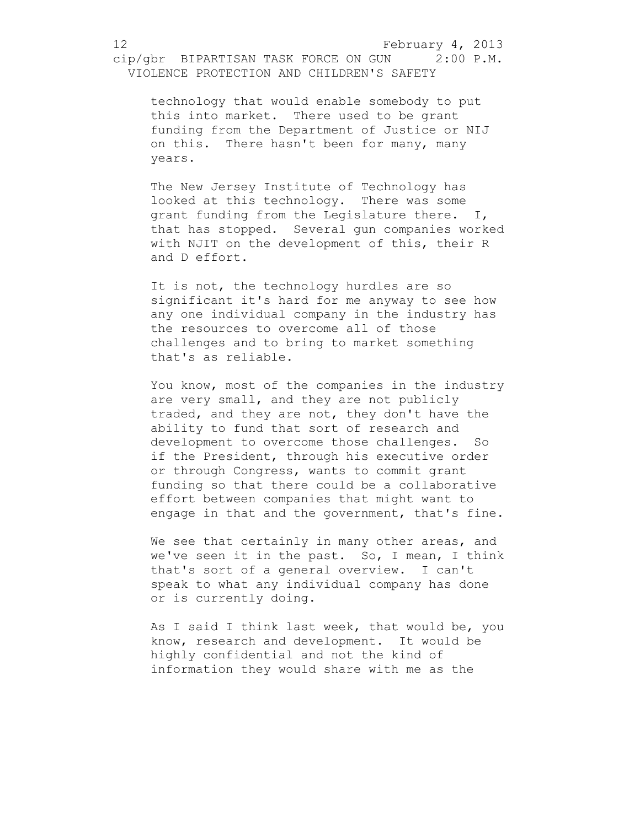technology that would enable somebody to put this into market. There used to be grant funding from the Department of Justice or NIJ on this. There hasn't been for many, many years.

The New Jersey Institute of Technology has looked at this technology. There was some grant funding from the Legislature there. I, that has stopped. Several gun companies worked with NJIT on the development of this, their R and D effort.

It is not, the technology hurdles are so significant it's hard for me anyway to see how any one individual company in the industry has the resources to overcome all of those challenges and to bring to market something that's as reliable.

You know, most of the companies in the industry are very small, and they are not publicly traded, and they are not, they don't have the ability to fund that sort of research and development to overcome those challenges. So if the President, through his executive order or through Congress, wants to commit grant funding so that there could be a collaborative effort between companies that might want to engage in that and the government, that's fine.

We see that certainly in many other areas, and we've seen it in the past. So, I mean, I think that's sort of a general overview. I can't speak to what any individual company has done or is currently doing.

As I said I think last week, that would be, you know, research and development. It would be highly confidential and not the kind of information they would share with me as the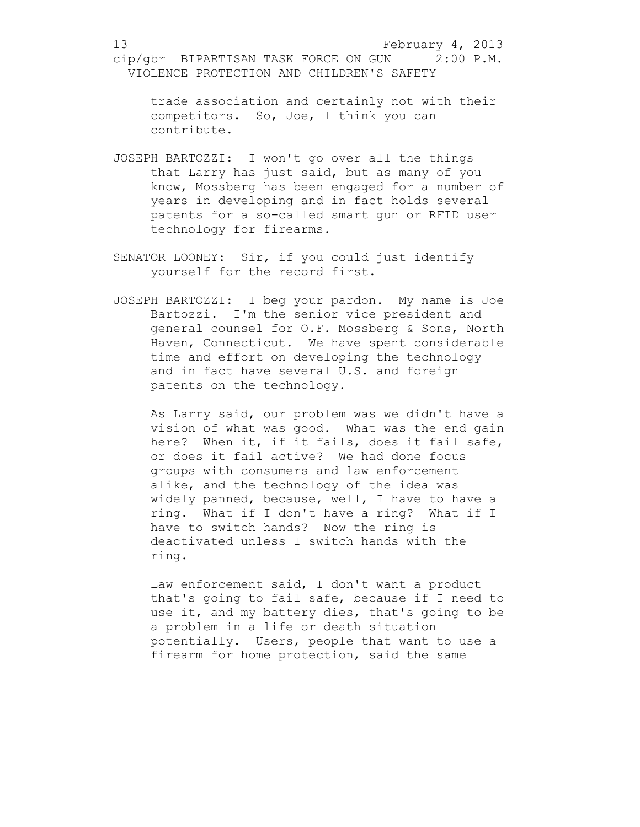trade association and certainly not with their competitors. So, Joe, I think you can contribute.

- JOSEPH BARTOZZI: I won't go over all the things that Larry has just said, but as many of you know, Mossberg has been engaged for a number of years in developing and in fact holds several patents for a so-called smart gun or RFID user technology for firearms.
- SENATOR LOONEY: Sir, if you could just identify yourself for the record first.
- JOSEPH BARTOZZI: I beg your pardon. My name is Joe Bartozzi. I'm the senior vice president and general counsel for O.F. Mossberg & Sons, North Haven, Connecticut. We have spent considerable time and effort on developing the technology and in fact have several U.S. and foreign patents on the technology.

As Larry said, our problem was we didn't have a vision of what was good. What was the end gain here? When it, if it fails, does it fail safe, or does it fail active? We had done focus groups with consumers and law enforcement alike, and the technology of the idea was widely panned, because, well, I have to have a ring. What if I don't have a ring? What if I have to switch hands? Now the ring is deactivated unless I switch hands with the ring.

Law enforcement said, I don't want a product that's going to fail safe, because if I need to use it, and my battery dies, that's going to be a problem in a life or death situation potentially. Users, people that want to use a firearm for home protection, said the same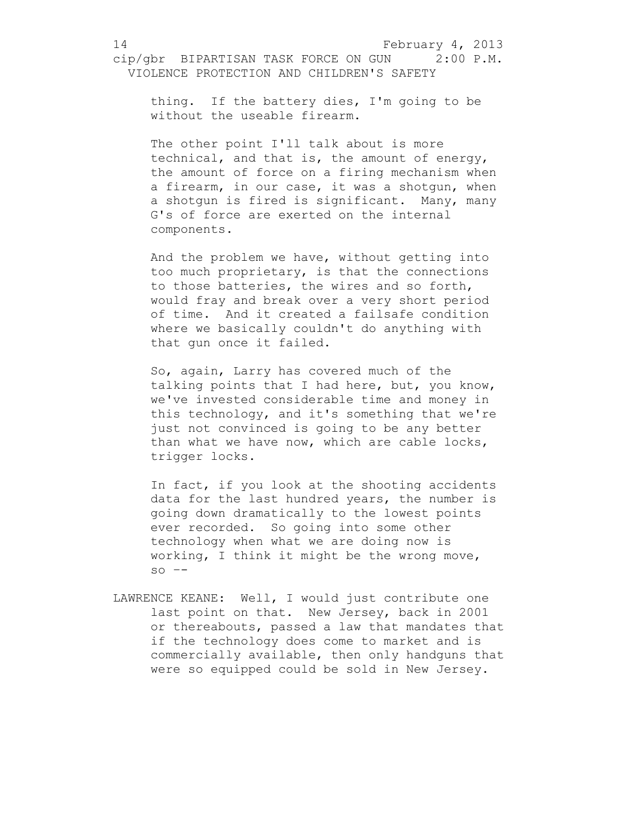VIOLENCE PROTECTION AND CHILDREN'S SAFETY

thing. If the battery dies, I'm going to be without the useable firearm.

The other point I'll talk about is more technical, and that is, the amount of energy, the amount of force on a firing mechanism when a firearm, in our case, it was a shotgun, when a shotgun is fired is significant. Many, many G's of force are exerted on the internal components.

And the problem we have, without getting into too much proprietary, is that the connections to those batteries, the wires and so forth, would fray and break over a very short period of time. And it created a failsafe condition where we basically couldn't do anything with that gun once it failed.

So, again, Larry has covered much of the talking points that I had here, but, you know, we've invested considerable time and money in this technology, and it's something that we're just not convinced is going to be any better than what we have now, which are cable locks, trigger locks.

In fact, if you look at the shooting accidents data for the last hundred years, the number is going down dramatically to the lowest points ever recorded. So going into some other technology when what we are doing now is working, I think it might be the wrong move,  $so$   $--$ 

LAWRENCE KEANE: Well, I would just contribute one last point on that. New Jersey, back in 2001 or thereabouts, passed a law that mandates that if the technology does come to market and is commercially available, then only handguns that were so equipped could be sold in New Jersey.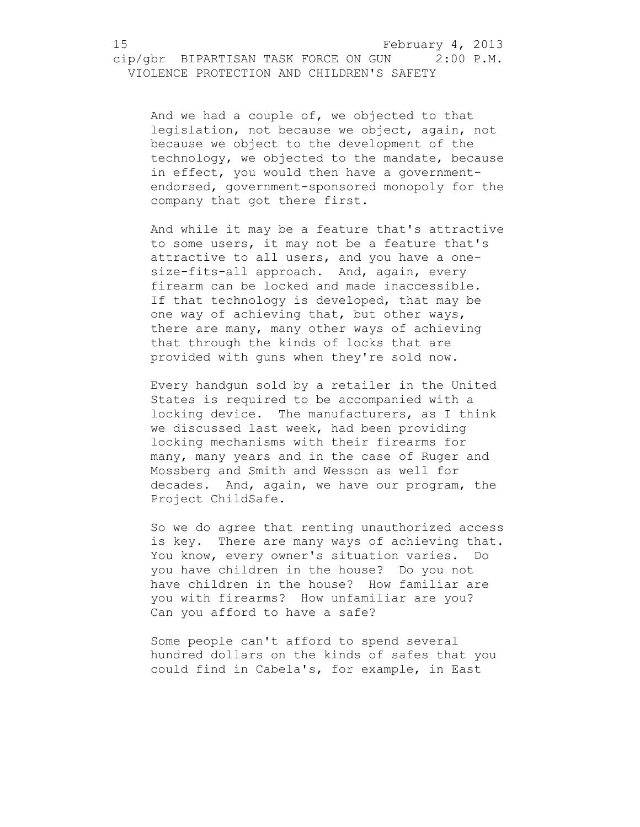## 15 February 4, 2013

## cip/gbr BIPARTISAN TASK FORCE ON GUN 2:00 P.M. VIOLENCE PROTECTION AND CHILDREN'S SAFETY

And we had a couple of, we objected to that legislation, not because we object, again, not because we object to the development of the technology, we objected to the mandate, because in effect, you would then have a governmentendorsed, government-sponsored monopoly for the company that got there first.

And while it may be a feature that's attractive to some users, it may not be a feature that's attractive to all users, and you have a onesize-fits-all approach. And, again, every firearm can be locked and made inaccessible. If that technology is developed, that may be one way of achieving that, but other ways, there are many, many other ways of achieving that through the kinds of locks that are provided with guns when they're sold now.

Every handgun sold by a retailer in the United States is required to be accompanied with a locking device. The manufacturers, as I think we discussed last week, had been providing locking mechanisms with their firearms for many, many years and in the case of Ruger and Mossberg and Smith and Wesson as well for decades. And, again, we have our program, the Project ChildSafe.

So we do agree that renting unauthorized access is key. There are many ways of achieving that. You know, every owner's situation varies. Do you have children in the house? Do you not have children in the house? How familiar are you with firearms? How unfamiliar are you? Can you afford to have a safe?

Some people can't afford to spend several hundred dollars on the kinds of safes that you could find in Cabela's, for example, in East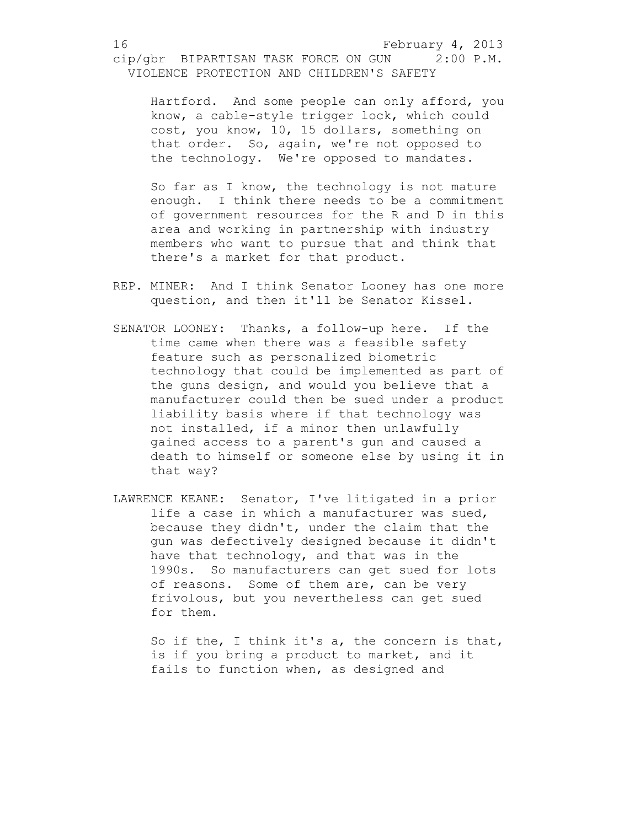Hartford. And some people can only afford, you know, a cable-style trigger lock, which could cost, you know, 10, 15 dollars, something on that order. So, again, we're not opposed to the technology. We're opposed to mandates.

So far as I know, the technology is not mature enough. I think there needs to be a commitment of government resources for the R and D in this area and working in partnership with industry members who want to pursue that and think that there's a market for that product.

- REP. MINER: And I think Senator Looney has one more question, and then it'll be Senator Kissel.
- SENATOR LOONEY: Thanks, a follow-up here. If the time came when there was a feasible safety feature such as personalized biometric technology that could be implemented as part of the guns design, and would you believe that a manufacturer could then be sued under a product liability basis where if that technology was not installed, if a minor then unlawfully gained access to a parent's gun and caused a death to himself or someone else by using it in that way?
- LAWRENCE KEANE: Senator, I've litigated in a prior life a case in which a manufacturer was sued, because they didn't, under the claim that the gun was defectively designed because it didn't have that technology, and that was in the 1990s. So manufacturers can get sued for lots of reasons. Some of them are, can be very frivolous, but you nevertheless can get sued for them.

So if the, I think it's a, the concern is that, is if you bring a product to market, and it fails to function when, as designed and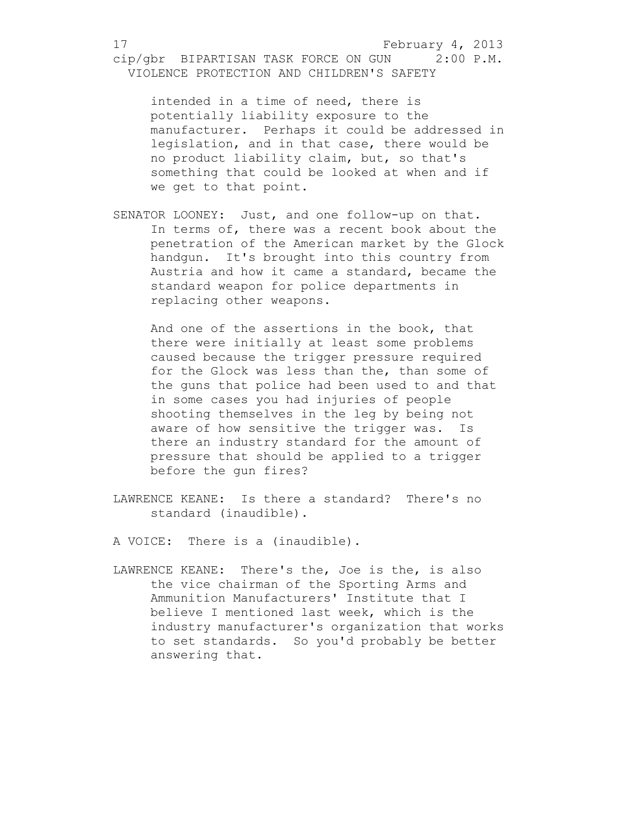intended in a time of need, there is potentially liability exposure to the manufacturer. Perhaps it could be addressed in legislation, and in that case, there would be no product liability claim, but, so that's something that could be looked at when and if we get to that point.

SENATOR LOONEY: Just, and one follow-up on that. In terms of, there was a recent book about the penetration of the American market by the Glock handgun. It's brought into this country from Austria and how it came a standard, became the standard weapon for police departments in replacing other weapons.

And one of the assertions in the book, that there were initially at least some problems caused because the trigger pressure required for the Glock was less than the, than some of the guns that police had been used to and that in some cases you had injuries of people shooting themselves in the leg by being not aware of how sensitive the trigger was. Is there an industry standard for the amount of pressure that should be applied to a trigger before the gun fires?

LAWRENCE KEANE: Is there a standard? There's no standard (inaudible).

A VOICE: There is a (inaudible).

LAWRENCE KEANE: There's the, Joe is the, is also the vice chairman of the Sporting Arms and Ammunition Manufacturers' Institute that I believe I mentioned last week, which is the industry manufacturer's organization that works to set standards. So you'd probably be better answering that.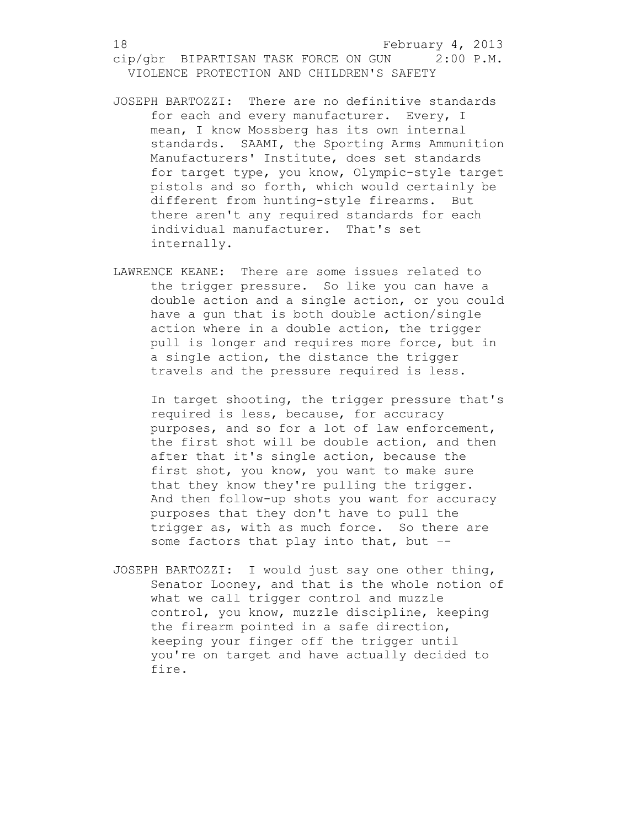- JOSEPH BARTOZZI: There are no definitive standards for each and every manufacturer. Every, I mean, I know Mossberg has its own internal standards. SAAMI, the Sporting Arms Ammunition Manufacturers' Institute, does set standards for target type, you know, Olympic-style target pistols and so forth, which would certainly be different from hunting-style firearms. But there aren't any required standards for each individual manufacturer. That's set internally.
- LAWRENCE KEANE: There are some issues related to the trigger pressure. So like you can have a double action and a single action, or you could have a gun that is both double action/single action where in a double action, the trigger pull is longer and requires more force, but in a single action, the distance the trigger travels and the pressure required is less.

In target shooting, the trigger pressure that's required is less, because, for accuracy purposes, and so for a lot of law enforcement, the first shot will be double action, and then after that it's single action, because the first shot, you know, you want to make sure that they know they're pulling the trigger. And then follow-up shots you want for accuracy purposes that they don't have to pull the trigger as, with as much force. So there are some factors that play into that, but --

JOSEPH BARTOZZI: I would just say one other thing, Senator Looney, and that is the whole notion of what we call trigger control and muzzle control, you know, muzzle discipline, keeping the firearm pointed in a safe direction, keeping your finger off the trigger until you're on target and have actually decided to fire.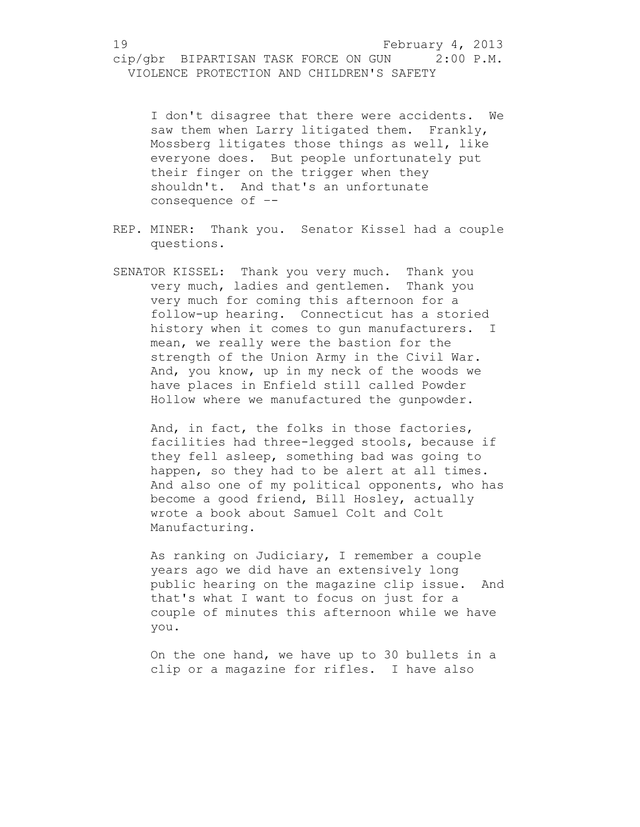I don't disagree that there were accidents. We saw them when Larry litigated them. Frankly, Mossberg litigates those things as well, like everyone does. But people unfortunately put their finger on the trigger when they shouldn't. And that's an unfortunate consequence of –-

- REP. MINER: Thank you. Senator Kissel had a couple questions.
- SENATOR KISSEL: Thank you very much. Thank you very much, ladies and gentlemen. Thank you very much for coming this afternoon for a follow-up hearing. Connecticut has a storied history when it comes to gun manufacturers. I mean, we really were the bastion for the strength of the Union Army in the Civil War. And, you know, up in my neck of the woods we have places in Enfield still called Powder Hollow where we manufactured the gunpowder.

And, in fact, the folks in those factories, facilities had three-legged stools, because if they fell asleep, something bad was going to happen, so they had to be alert at all times. And also one of my political opponents, who has become a good friend, Bill Hosley, actually wrote a book about Samuel Colt and Colt Manufacturing.

As ranking on Judiciary, I remember a couple years ago we did have an extensively long public hearing on the magazine clip issue. And that's what I want to focus on just for a couple of minutes this afternoon while we have you.

On the one hand, we have up to 30 bullets in a clip or a magazine for rifles. I have also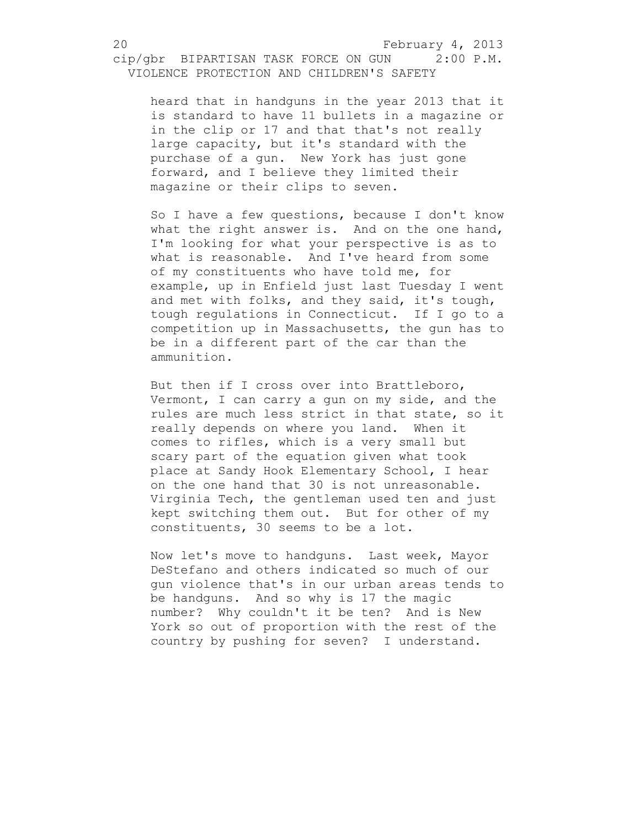heard that in handguns in the year 2013 that it is standard to have 11 bullets in a magazine or in the clip or 17 and that that's not really large capacity, but it's standard with the purchase of a gun. New York has just gone forward, and I believe they limited their magazine or their clips to seven.

So I have a few questions, because I don't know what the right answer is. And on the one hand, I'm looking for what your perspective is as to what is reasonable. And I've heard from some of my constituents who have told me, for example, up in Enfield just last Tuesday I went and met with folks, and they said, it's tough, tough regulations in Connecticut. If I go to a competition up in Massachusetts, the gun has to be in a different part of the car than the ammunition.

But then if I cross over into Brattleboro, Vermont, I can carry a gun on my side, and the rules are much less strict in that state, so it really depends on where you land. When it comes to rifles, which is a very small but scary part of the equation given what took place at Sandy Hook Elementary School, I hear on the one hand that 30 is not unreasonable. Virginia Tech, the gentleman used ten and just kept switching them out. But for other of my constituents, 30 seems to be a lot.

Now let's move to handguns. Last week, Mayor DeStefano and others indicated so much of our gun violence that's in our urban areas tends to be handguns. And so why is 17 the magic number? Why couldn't it be ten? And is New York so out of proportion with the rest of the country by pushing for seven? I understand.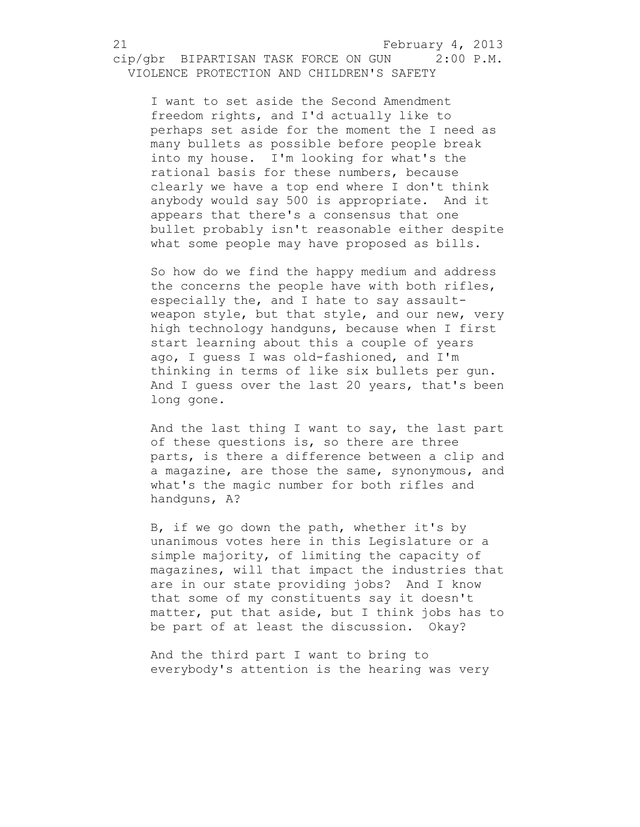I want to set aside the Second Amendment freedom rights, and I'd actually like to perhaps set aside for the moment the I need as many bullets as possible before people break into my house. I'm looking for what's the rational basis for these numbers, because clearly we have a top end where I don't think anybody would say 500 is appropriate. And it appears that there's a consensus that one bullet probably isn't reasonable either despite what some people may have proposed as bills.

So how do we find the happy medium and address the concerns the people have with both rifles, especially the, and I hate to say assaultweapon style, but that style, and our new, very high technology handguns, because when I first start learning about this a couple of years ago, I guess I was old-fashioned, and I'm thinking in terms of like six bullets per gun. And I guess over the last 20 years, that's been long gone.

And the last thing I want to say, the last part of these questions is, so there are three parts, is there a difference between a clip and a magazine, are those the same, synonymous, and what's the magic number for both rifles and handguns, A?

B, if we go down the path, whether it's by unanimous votes here in this Legislature or a simple majority, of limiting the capacity of magazines, will that impact the industries that are in our state providing jobs? And I know that some of my constituents say it doesn't matter, put that aside, but I think jobs has to be part of at least the discussion. Okay?

And the third part I want to bring to everybody's attention is the hearing was very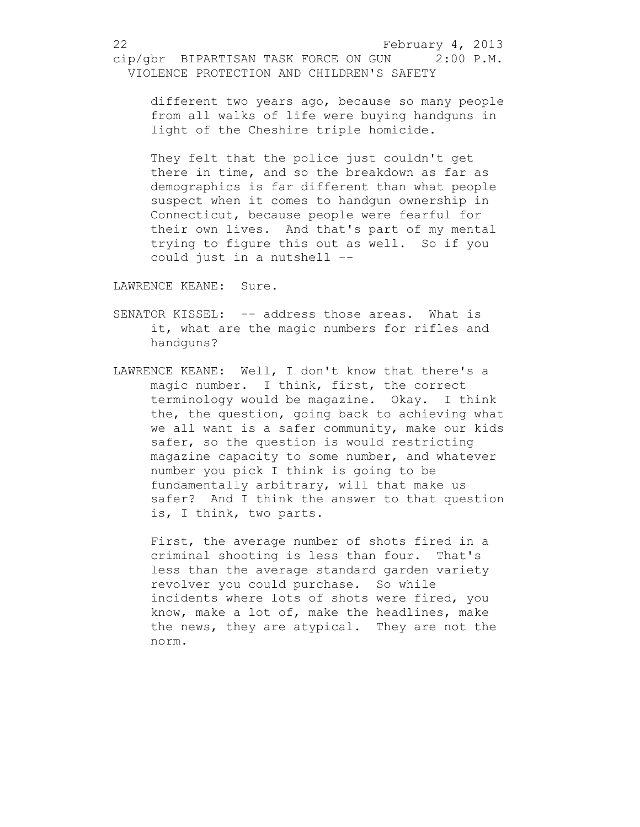different two years ago, because so many people from all walks of life were buying handguns in light of the Cheshire triple homicide.

They felt that the police just couldn't get there in time, and so the breakdown as far as demographics is far different than what people suspect when it comes to handgun ownership in Connecticut, because people were fearful for their own lives. And that's part of my mental trying to figure this out as well. So if you could just in a nutshell –-

LAWRENCE KEANE: Sure.

- SENATOR KISSEL: -- address those areas. What is it, what are the magic numbers for rifles and handguns?
- LAWRENCE KEANE: Well, I don't know that there's a magic number. I think, first, the correct terminology would be magazine. Okay. I think the, the question, going back to achieving what we all want is a safer community, make our kids safer, so the question is would restricting magazine capacity to some number, and whatever number you pick I think is going to be fundamentally arbitrary, will that make us safer? And I think the answer to that question is, I think, two parts.

First, the average number of shots fired in a criminal shooting is less than four. That's less than the average standard garden variety revolver you could purchase. So while incidents where lots of shots were fired, you know, make a lot of, make the headlines, make the news, they are atypical. They are not the norm.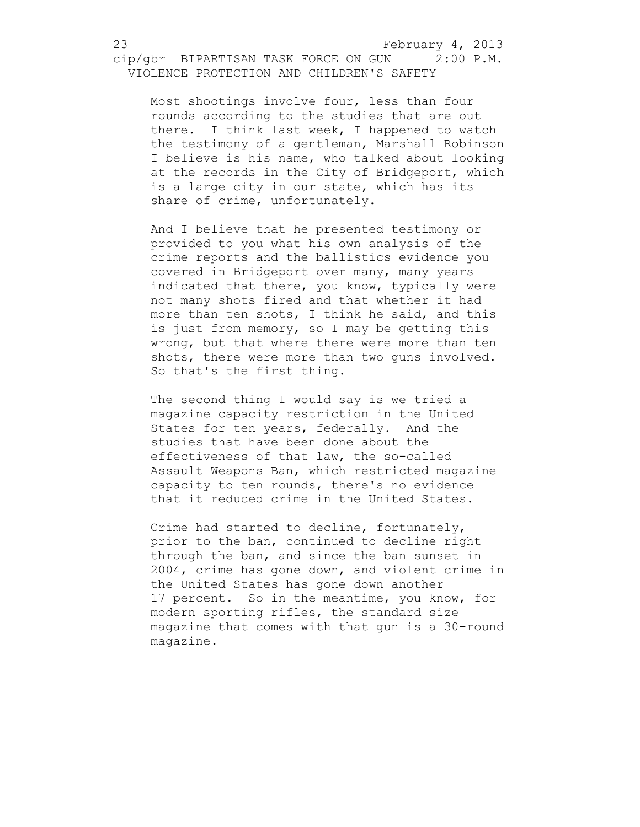Most shootings involve four, less than four rounds according to the studies that are out there. I think last week, I happened to watch the testimony of a gentleman, Marshall Robinson I believe is his name, who talked about looking at the records in the City of Bridgeport, which is a large city in our state, which has its share of crime, unfortunately.

And I believe that he presented testimony or provided to you what his own analysis of the crime reports and the ballistics evidence you covered in Bridgeport over many, many years indicated that there, you know, typically were not many shots fired and that whether it had more than ten shots, I think he said, and this is just from memory, so I may be getting this wrong, but that where there were more than ten shots, there were more than two guns involved. So that's the first thing.

The second thing I would say is we tried a magazine capacity restriction in the United States for ten years, federally. And the studies that have been done about the effectiveness of that law, the so-called Assault Weapons Ban, which restricted magazine capacity to ten rounds, there's no evidence that it reduced crime in the United States.

Crime had started to decline, fortunately, prior to the ban, continued to decline right through the ban, and since the ban sunset in 2004, crime has gone down, and violent crime in the United States has gone down another 17 percent. So in the meantime, you know, for modern sporting rifles, the standard size magazine that comes with that gun is a 30-round magazine.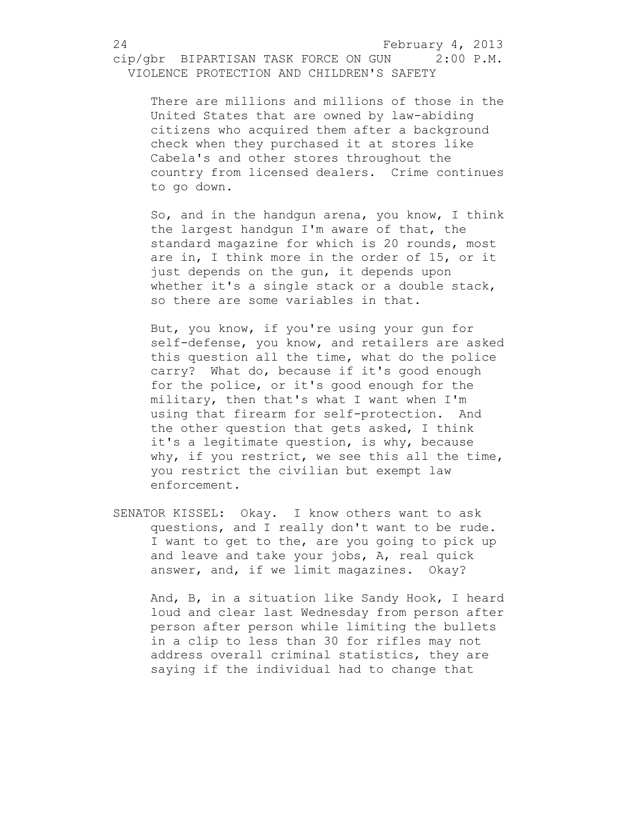There are millions and millions of those in the United States that are owned by law-abiding citizens who acquired them after a background check when they purchased it at stores like Cabela's and other stores throughout the country from licensed dealers. Crime continues to go down.

So, and in the handgun arena, you know, I think the largest handgun I'm aware of that, the standard magazine for which is 20 rounds, most are in, I think more in the order of 15, or it just depends on the gun, it depends upon whether it's a single stack or a double stack, so there are some variables in that.

But, you know, if you're using your gun for self-defense, you know, and retailers are asked this question all the time, what do the police carry? What do, because if it's good enough for the police, or it's good enough for the military, then that's what I want when I'm using that firearm for self-protection. And the other question that gets asked, I think it's a legitimate question, is why, because why, if you restrict, we see this all the time, you restrict the civilian but exempt law enforcement.

SENATOR KISSEL: Okay. I know others want to ask questions, and I really don't want to be rude. I want to get to the, are you going to pick up and leave and take your jobs, A, real quick answer, and, if we limit magazines. Okay?

And, B, in a situation like Sandy Hook, I heard loud and clear last Wednesday from person after person after person while limiting the bullets in a clip to less than 30 for rifles may not address overall criminal statistics, they are saying if the individual had to change that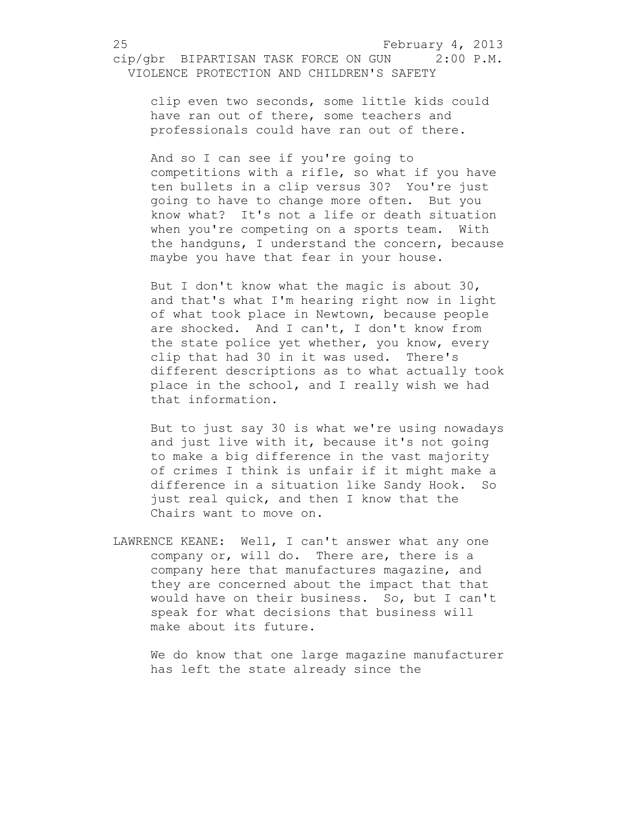clip even two seconds, some little kids could have ran out of there, some teachers and professionals could have ran out of there.

And so I can see if you're going to competitions with a rifle, so what if you have ten bullets in a clip versus 30? You're just going to have to change more often. But you know what? It's not a life or death situation when you're competing on a sports team. With the handguns, I understand the concern, because maybe you have that fear in your house.

But I don't know what the magic is about 30, and that's what I'm hearing right now in light of what took place in Newtown, because people are shocked. And I can't, I don't know from the state police yet whether, you know, every clip that had 30 in it was used. There's different descriptions as to what actually took place in the school, and I really wish we had that information.

But to just say 30 is what we're using nowadays and just live with it, because it's not going to make a big difference in the vast majority of crimes I think is unfair if it might make a difference in a situation like Sandy Hook. So just real quick, and then I know that the Chairs want to move on.

LAWRENCE KEANE: Well, I can't answer what any one company or, will do. There are, there is a company here that manufactures magazine, and they are concerned about the impact that that would have on their business. So, but I can't speak for what decisions that business will make about its future.

We do know that one large magazine manufacturer has left the state already since the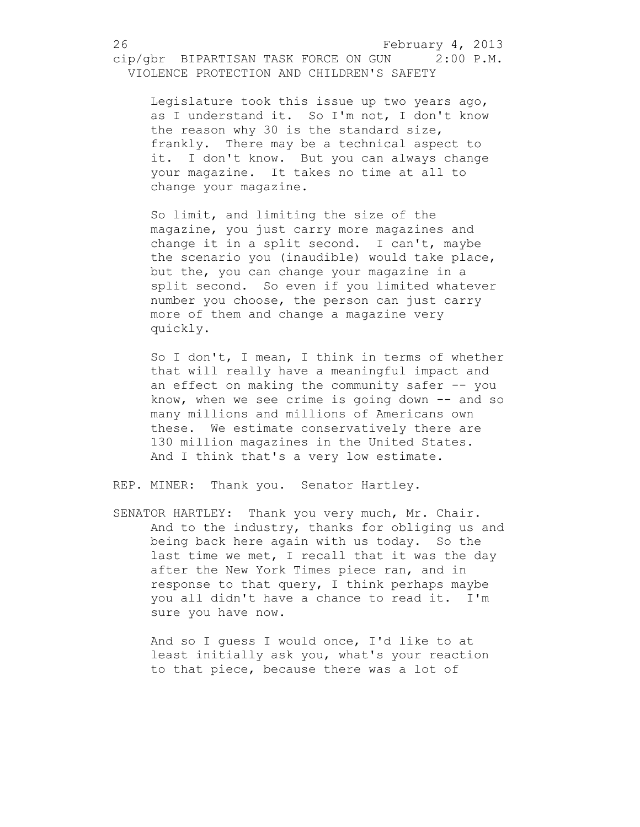Legislature took this issue up two years ago, as I understand it. So I'm not, I don't know the reason why 30 is the standard size, frankly. There may be a technical aspect to it. I don't know. But you can always change your magazine. It takes no time at all to change your magazine.

So limit, and limiting the size of the magazine, you just carry more magazines and change it in a split second. I can't, maybe the scenario you (inaudible) would take place, but the, you can change your magazine in a split second. So even if you limited whatever number you choose, the person can just carry more of them and change a magazine very quickly.

So I don't, I mean, I think in terms of whether that will really have a meaningful impact and an effect on making the community safer -- you know, when we see crime is going down  $--$  and so many millions and millions of Americans own these. We estimate conservatively there are 130 million magazines in the United States. And I think that's a very low estimate.

REP. MINER: Thank you. Senator Hartley.

SENATOR HARTLEY: Thank you very much, Mr. Chair. And to the industry, thanks for obliging us and being back here again with us today. So the last time we met, I recall that it was the day after the New York Times piece ran, and in response to that query, I think perhaps maybe you all didn't have a chance to read it. I'm sure you have now.

And so I guess I would once, I'd like to at least initially ask you, what's your reaction to that piece, because there was a lot of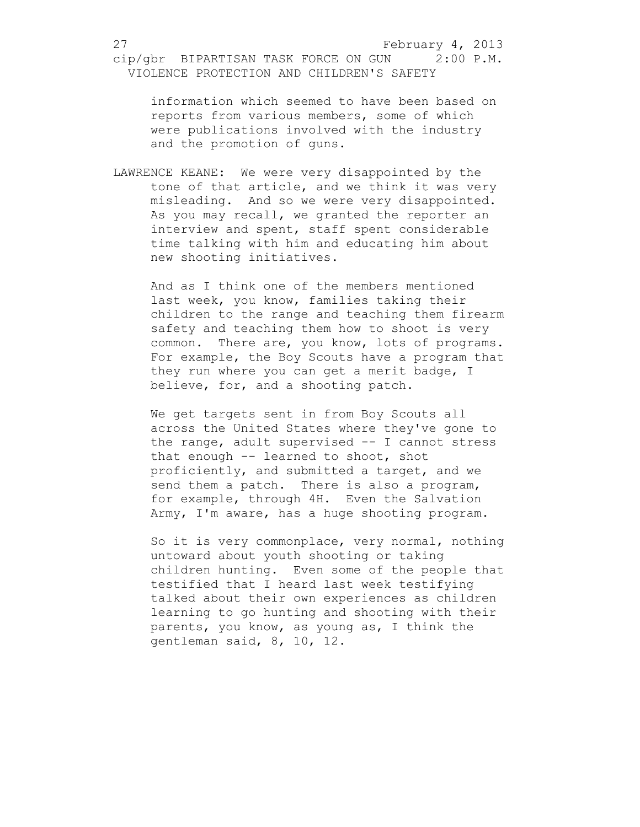information which seemed to have been based on reports from various members, some of which were publications involved with the industry and the promotion of guns.

LAWRENCE KEANE: We were very disappointed by the tone of that article, and we think it was very misleading. And so we were very disappointed. As you may recall, we granted the reporter an interview and spent, staff spent considerable time talking with him and educating him about new shooting initiatives.

And as I think one of the members mentioned last week, you know, families taking their children to the range and teaching them firearm safety and teaching them how to shoot is very common. There are, you know, lots of programs. For example, the Boy Scouts have a program that they run where you can get a merit badge, I believe, for, and a shooting patch.

We get targets sent in from Boy Scouts all across the United States where they've gone to the range, adult supervised -- I cannot stress that enough -- learned to shoot, shot proficiently, and submitted a target, and we send them a patch. There is also a program, for example, through 4H. Even the Salvation Army, I'm aware, has a huge shooting program.

So it is very commonplace, very normal, nothing untoward about youth shooting or taking children hunting. Even some of the people that testified that I heard last week testifying talked about their own experiences as children learning to go hunting and shooting with their parents, you know, as young as, I think the gentleman said, 8, 10, 12.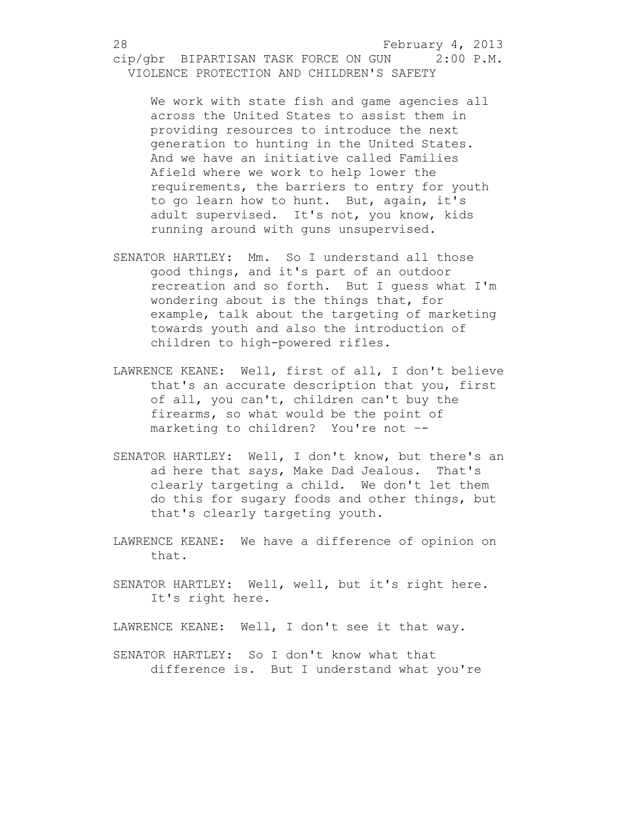We work with state fish and game agencies all across the United States to assist them in providing resources to introduce the next generation to hunting in the United States. And we have an initiative called Families Afield where we work to help lower the requirements, the barriers to entry for youth to go learn how to hunt. But, again, it's adult supervised. It's not, you know, kids running around with guns unsupervised.

- SENATOR HARTLEY: Mm. So I understand all those good things, and it's part of an outdoor recreation and so forth. But I guess what I'm wondering about is the things that, for example, talk about the targeting of marketing towards youth and also the introduction of children to high-powered rifles.
- LAWRENCE KEANE: Well, first of all, I don't believe that's an accurate description that you, first of all, you can't, children can't buy the firearms, so what would be the point of marketing to children? You're not –-
- SENATOR HARTLEY: Well, I don't know, but there's an ad here that says, Make Dad Jealous. That's clearly targeting a child. We don't let them do this for sugary foods and other things, but that's clearly targeting youth.
- LAWRENCE KEANE: We have a difference of opinion on that.
- SENATOR HARTLEY: Well, well, but it's right here. It's right here.

LAWRENCE KEANE: Well, I don't see it that way.

SENATOR HARTLEY: So I don't know what that difference is. But I understand what you're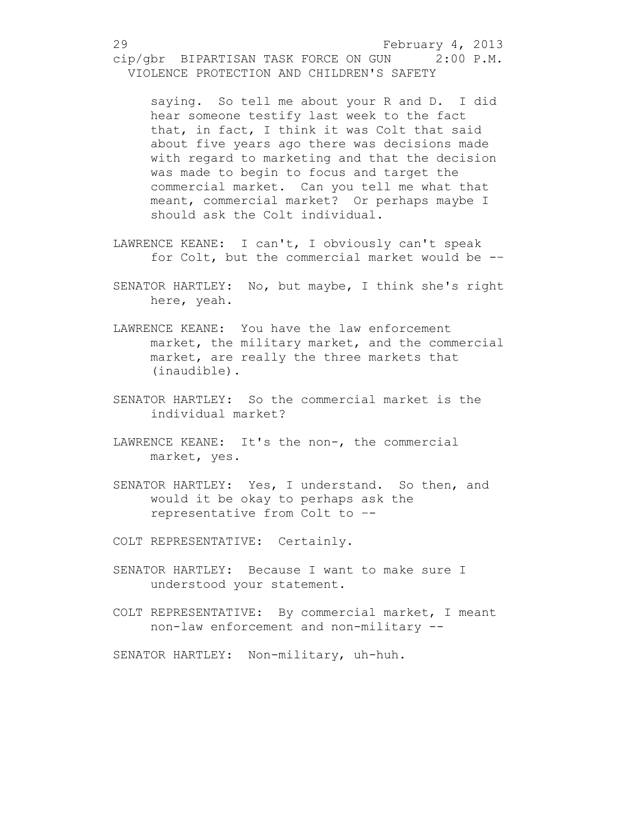saying. So tell me about your R and D. I did hear someone testify last week to the fact that, in fact, I think it was Colt that said about five years ago there was decisions made with regard to marketing and that the decision was made to begin to focus and target the commercial market. Can you tell me what that meant, commercial market? Or perhaps maybe I should ask the Colt individual.

- LAWRENCE KEANE: I can't, I obviously can't speak for Colt, but the commercial market would be -–
- SENATOR HARTLEY: No, but maybe, I think she's right here, yeah.
- LAWRENCE KEANE: You have the law enforcement market, the military market, and the commercial market, are really the three markets that (inaudible).
- SENATOR HARTLEY: So the commercial market is the individual market?
- LAWRENCE KEANE: It's the non-, the commercial market, yes.
- SENATOR HARTLEY: Yes, I understand. So then, and would it be okay to perhaps ask the representative from Colt to –-
- COLT REPRESENTATIVE: Certainly.
- SENATOR HARTLEY: Because I want to make sure I understood your statement.
- COLT REPRESENTATIVE: By commercial market, I meant non-law enforcement and non-military --

SENATOR HARTLEY: Non-military, uh-huh.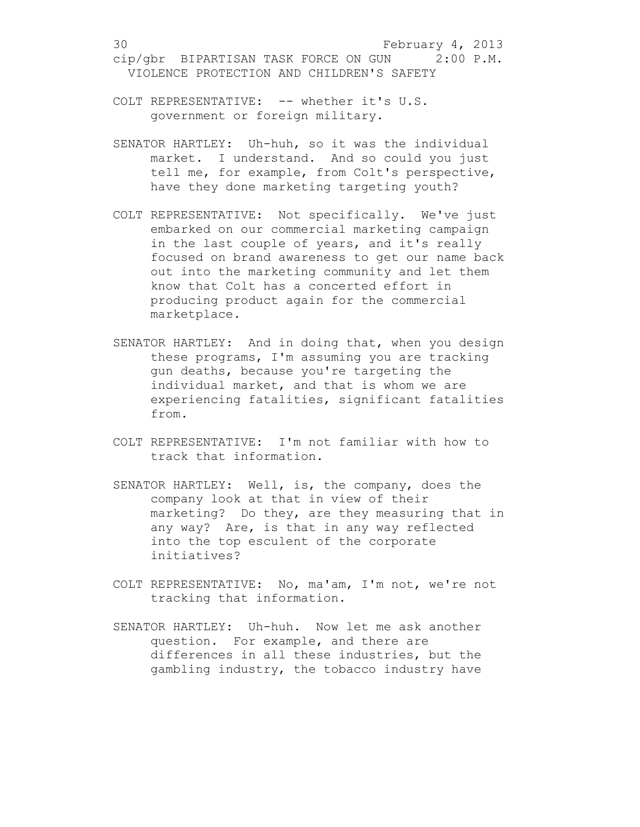- COLT REPRESENTATIVE: -- whether it's U.S. government or foreign military.
- SENATOR HARTLEY: Uh-huh, so it was the individual market. I understand. And so could you just tell me, for example, from Colt's perspective, have they done marketing targeting youth?
- COLT REPRESENTATIVE: Not specifically. We've just embarked on our commercial marketing campaign in the last couple of years, and it's really focused on brand awareness to get our name back out into the marketing community and let them know that Colt has a concerted effort in producing product again for the commercial marketplace.
- SENATOR HARTLEY: And in doing that, when you design these programs, I'm assuming you are tracking gun deaths, because you're targeting the individual market, and that is whom we are experiencing fatalities, significant fatalities from.
- COLT REPRESENTATIVE: I'm not familiar with how to track that information.
- SENATOR HARTLEY: Well, is, the company, does the company look at that in view of their marketing? Do they, are they measuring that in any way? Are, is that in any way reflected into the top esculent of the corporate initiatives?
- COLT REPRESENTATIVE: No, ma'am, I'm not, we're not tracking that information.
- SENATOR HARTLEY: Uh-huh. Now let me ask another question. For example, and there are differences in all these industries, but the gambling industry, the tobacco industry have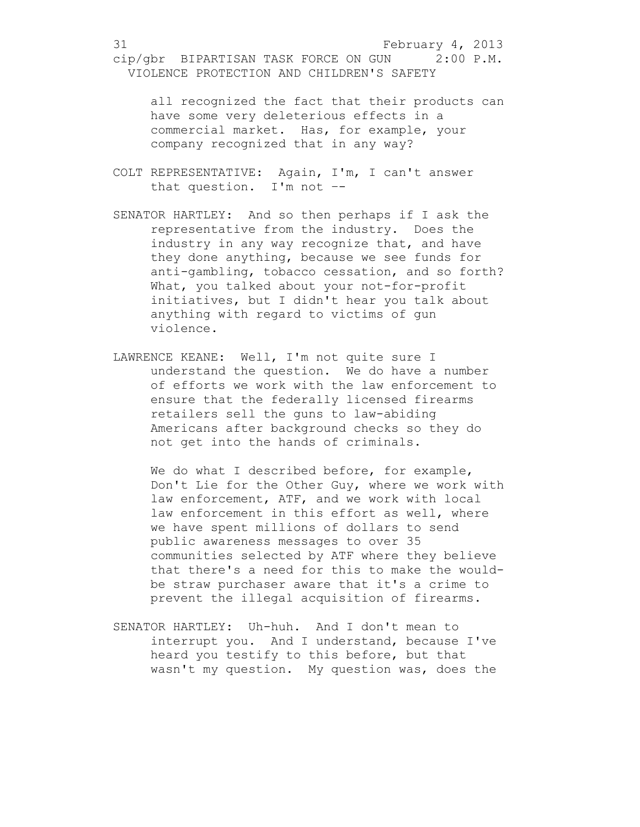all recognized the fact that their products can have some very deleterious effects in a commercial market. Has, for example, your company recognized that in any way?

- COLT REPRESENTATIVE: Again, I'm, I can't answer that question. I'm not –-
- SENATOR HARTLEY: And so then perhaps if I ask the representative from the industry. Does the industry in any way recognize that, and have they done anything, because we see funds for anti-gambling, tobacco cessation, and so forth? What, you talked about your not-for-profit initiatives, but I didn't hear you talk about anything with regard to victims of gun violence.
- LAWRENCE KEANE: Well, I'm not quite sure I understand the question. We do have a number of efforts we work with the law enforcement to ensure that the federally licensed firearms retailers sell the guns to law-abiding Americans after background checks so they do not get into the hands of criminals.

We do what I described before, for example, Don't Lie for the Other Guy, where we work with law enforcement, ATF, and we work with local law enforcement in this effort as well, where we have spent millions of dollars to send public awareness messages to over 35 communities selected by ATF where they believe that there's a need for this to make the wouldbe straw purchaser aware that it's a crime to prevent the illegal acquisition of firearms.

SENATOR HARTLEY: Uh-huh. And I don't mean to interrupt you. And I understand, because I've heard you testify to this before, but that wasn't my question. My question was, does the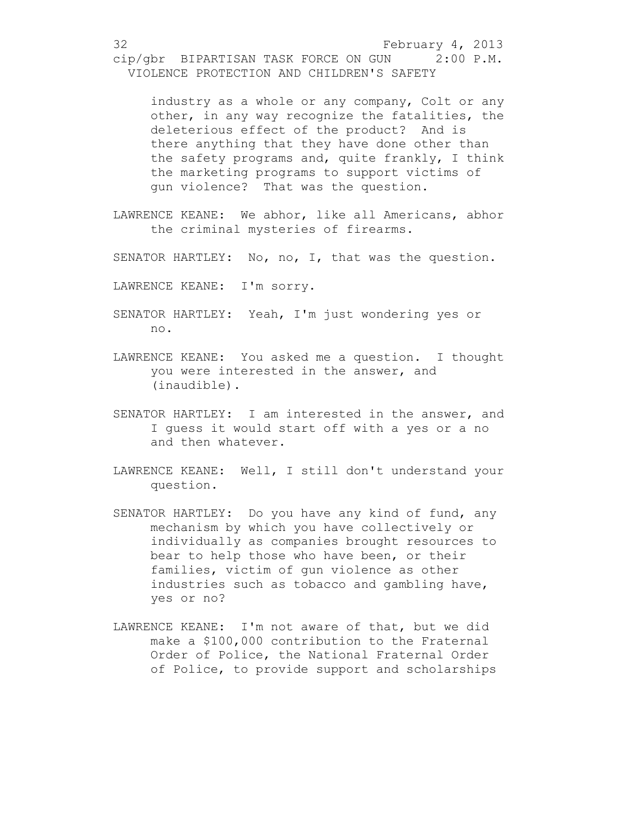industry as a whole or any company, Colt or any other, in any way recognize the fatalities, the deleterious effect of the product? And is there anything that they have done other than the safety programs and, quite frankly, I think the marketing programs to support victims of gun violence? That was the question.

- LAWRENCE KEANE: We abhor, like all Americans, abhor the criminal mysteries of firearms.
- SENATOR HARTLEY: No, no, I, that was the question.
- LAWRENCE KEANE: I'm sorry.
- SENATOR HARTLEY: Yeah, I'm just wondering yes or no.
- LAWRENCE KEANE: You asked me a question. I thought you were interested in the answer, and (inaudible).
- SENATOR HARTLEY: I am interested in the answer, and I guess it would start off with a yes or a no and then whatever.
- LAWRENCE KEANE: Well, I still don't understand your question.
- SENATOR HARTLEY: Do you have any kind of fund, any mechanism by which you have collectively or individually as companies brought resources to bear to help those who have been, or their families, victim of gun violence as other industries such as tobacco and gambling have, yes or no?
- LAWRENCE KEANE: I'm not aware of that, but we did make a \$100,000 contribution to the Fraternal Order of Police, the National Fraternal Order of Police, to provide support and scholarships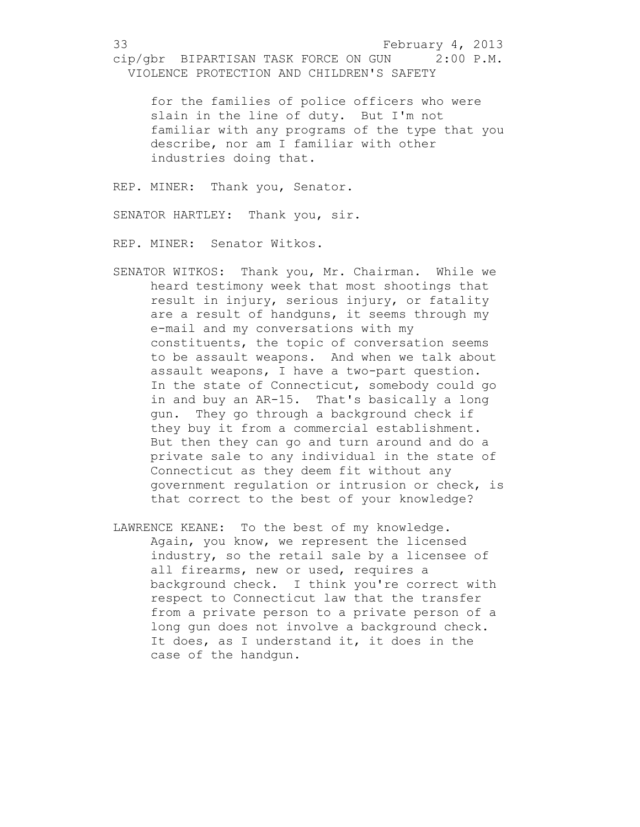for the families of police officers who were slain in the line of duty. But I'm not familiar with any programs of the type that you describe, nor am I familiar with other industries doing that.

REP. MINER: Thank you, Senator.

SENATOR HARTLEY: Thank you, sir.

REP. MINER: Senator Witkos.

- SENATOR WITKOS: Thank you, Mr. Chairman. While we heard testimony week that most shootings that result in injury, serious injury, or fatality are a result of handguns, it seems through my e-mail and my conversations with my constituents, the topic of conversation seems to be assault weapons. And when we talk about assault weapons, I have a two-part question. In the state of Connecticut, somebody could go in and buy an AR-15. That's basically a long gun. They go through a background check if they buy it from a commercial establishment. But then they can go and turn around and do a private sale to any individual in the state of Connecticut as they deem fit without any government regulation or intrusion or check, is that correct to the best of your knowledge?
- LAWRENCE KEANE: To the best of my knowledge. Again, you know, we represent the licensed industry, so the retail sale by a licensee of all firearms, new or used, requires a background check. I think you're correct with respect to Connecticut law that the transfer from a private person to a private person of a long gun does not involve a background check. It does, as I understand it, it does in the case of the handgun.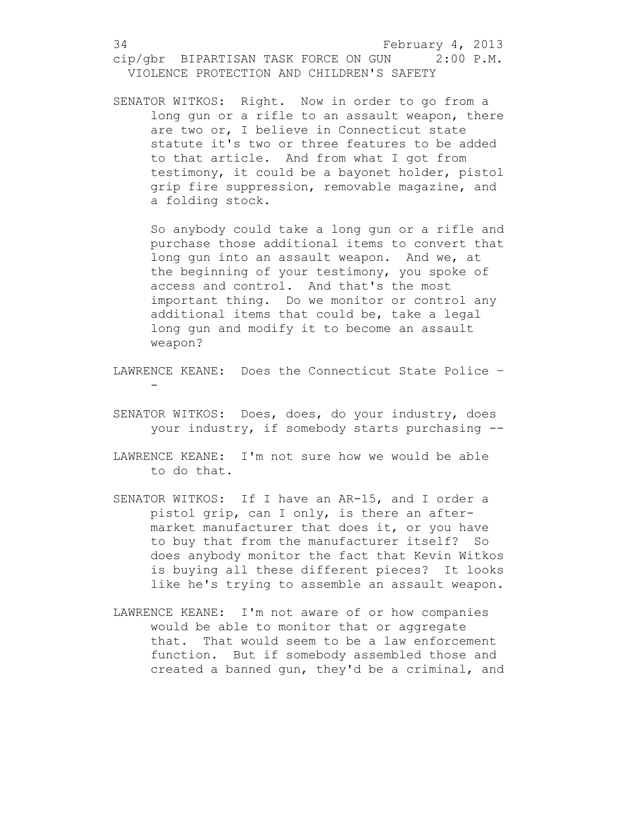SENATOR WITKOS: Right. Now in order to go from a long gun or a rifle to an assault weapon, there are two or, I believe in Connecticut state statute it's two or three features to be added to that article. And from what I got from testimony, it could be a bayonet holder, pistol grip fire suppression, removable magazine, and a folding stock.

So anybody could take a long gun or a rifle and purchase those additional items to convert that long gun into an assault weapon. And we, at the beginning of your testimony, you spoke of access and control. And that's the most important thing. Do we monitor or control any additional items that could be, take a legal long gun and modify it to become an assault weapon?

- LAWRENCE KEANE: Does the Connecticut State Police -
- SENATOR WITKOS: Does, does, do your industry, does your industry, if somebody starts purchasing --
- LAWRENCE KEANE: I'm not sure how we would be able to do that.
- SENATOR WITKOS: If I have an AR-15, and I order a pistol grip, can I only, is there an aftermarket manufacturer that does it, or you have to buy that from the manufacturer itself? So does anybody monitor the fact that Kevin Witkos is buying all these different pieces? It looks like he's trying to assemble an assault weapon.
- LAWRENCE KEANE: I'm not aware of or how companies would be able to monitor that or aggregate that. That would seem to be a law enforcement function. But if somebody assembled those and created a banned gun, they'd be a criminal, and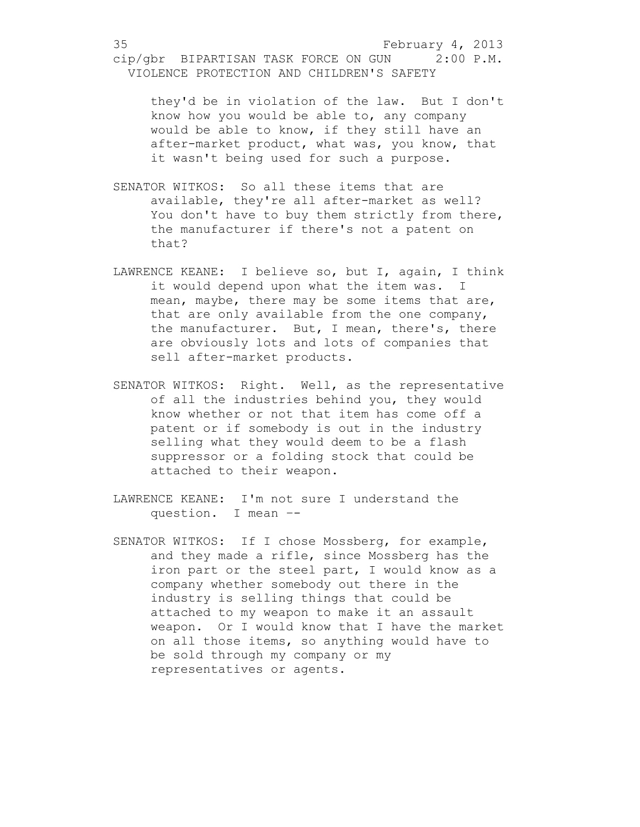they'd be in violation of the law. But I don't know how you would be able to, any company would be able to know, if they still have an after-market product, what was, you know, that it wasn't being used for such a purpose.

- SENATOR WITKOS: So all these items that are available, they're all after-market as well? You don't have to buy them strictly from there, the manufacturer if there's not a patent on that?
- LAWRENCE KEANE: I believe so, but I, again, I think it would depend upon what the item was. I mean, maybe, there may be some items that are, that are only available from the one company, the manufacturer. But, I mean, there's, there are obviously lots and lots of companies that sell after-market products.
- SENATOR WITKOS: Right. Well, as the representative of all the industries behind you, they would know whether or not that item has come off a patent or if somebody is out in the industry selling what they would deem to be a flash suppressor or a folding stock that could be attached to their weapon.
- LAWRENCE KEANE: I'm not sure I understand the question. I mean –-
- SENATOR WITKOS: If I chose Mossberg, for example, and they made a rifle, since Mossberg has the iron part or the steel part, I would know as a company whether somebody out there in the industry is selling things that could be attached to my weapon to make it an assault weapon. Or I would know that I have the market on all those items, so anything would have to be sold through my company or my representatives or agents.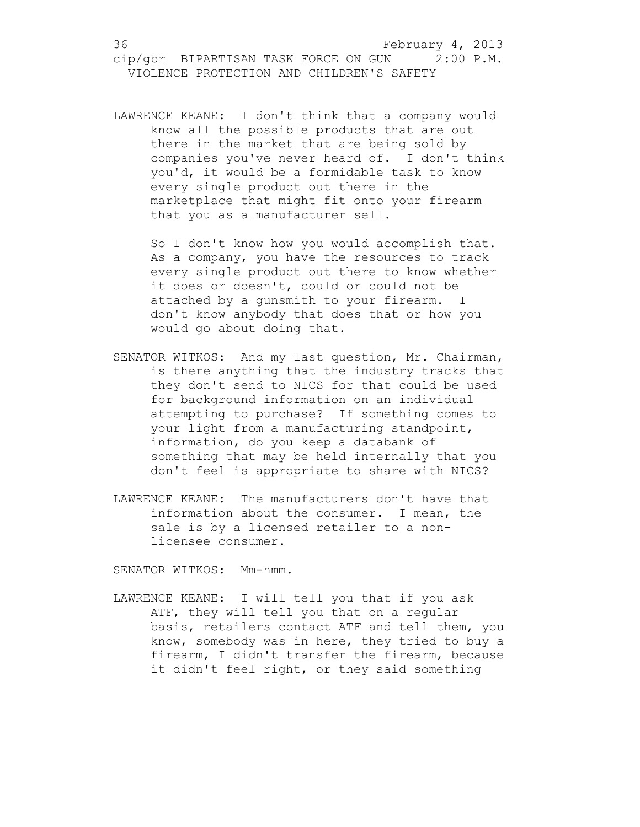LAWRENCE KEANE: I don't think that a company would know all the possible products that are out there in the market that are being sold by companies you've never heard of. I don't think you'd, it would be a formidable task to know every single product out there in the marketplace that might fit onto your firearm that you as a manufacturer sell.

So I don't know how you would accomplish that. As a company, you have the resources to track every single product out there to know whether it does or doesn't, could or could not be attached by a gunsmith to your firearm. I don't know anybody that does that or how you would go about doing that.

- SENATOR WITKOS: And my last question, Mr. Chairman, is there anything that the industry tracks that they don't send to NICS for that could be used for background information on an individual attempting to purchase? If something comes to your light from a manufacturing standpoint, information, do you keep a databank of something that may be held internally that you don't feel is appropriate to share with NICS?
- LAWRENCE KEANE: The manufacturers don't have that information about the consumer. I mean, the sale is by a licensed retailer to a nonlicensee consumer.

SENATOR WITKOS: Mm-hmm.

LAWRENCE KEANE: I will tell you that if you ask ATF, they will tell you that on a regular basis, retailers contact ATF and tell them, you know, somebody was in here, they tried to buy a firearm, I didn't transfer the firearm, because it didn't feel right, or they said something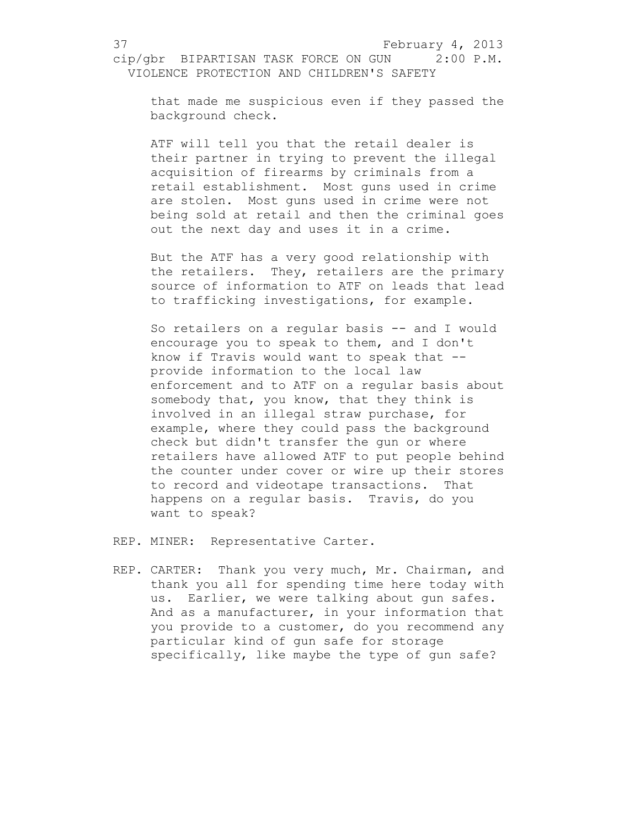that made me suspicious even if they passed the background check.

ATF will tell you that the retail dealer is their partner in trying to prevent the illegal acquisition of firearms by criminals from a retail establishment. Most guns used in crime are stolen. Most guns used in crime were not being sold at retail and then the criminal goes out the next day and uses it in a crime.

But the ATF has a very good relationship with the retailers. They, retailers are the primary source of information to ATF on leads that lead to trafficking investigations, for example.

So retailers on a regular basis -- and I would encourage you to speak to them, and I don't know if Travis would want to speak that - provide information to the local law enforcement and to ATF on a regular basis about somebody that, you know, that they think is involved in an illegal straw purchase, for example, where they could pass the background check but didn't transfer the gun or where retailers have allowed ATF to put people behind the counter under cover or wire up their stores to record and videotape transactions. That happens on a regular basis. Travis, do you want to speak?

REP. MINER: Representative Carter.

REP. CARTER: Thank you very much, Mr. Chairman, and thank you all for spending time here today with us. Earlier, we were talking about gun safes. And as a manufacturer, in your information that you provide to a customer, do you recommend any particular kind of gun safe for storage specifically, like maybe the type of gun safe?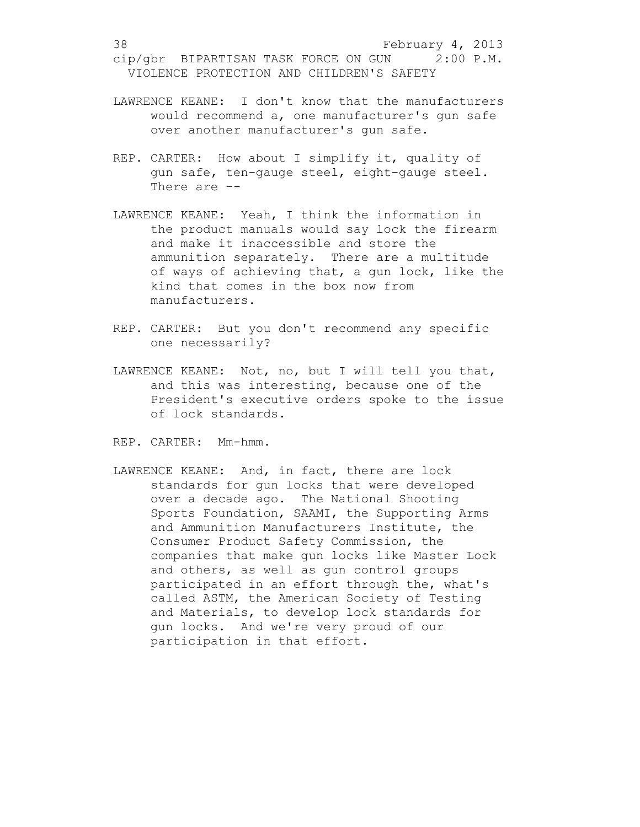- LAWRENCE KEANE: I don't know that the manufacturers would recommend a, one manufacturer's gun safe over another manufacturer's gun safe.
- REP. CARTER: How about I simplify it, quality of gun safe, ten-gauge steel, eight-gauge steel. There are –-
- LAWRENCE KEANE: Yeah, I think the information in the product manuals would say lock the firearm and make it inaccessible and store the ammunition separately. There are a multitude of ways of achieving that, a gun lock, like the kind that comes in the box now from manufacturers.
- REP. CARTER: But you don't recommend any specific one necessarily?
- LAWRENCE KEANE: Not, no, but I will tell you that, and this was interesting, because one of the President's executive orders spoke to the issue of lock standards.
- REP. CARTER: Mm-hmm.
- LAWRENCE KEANE: And, in fact, there are lock standards for gun locks that were developed over a decade ago. The National Shooting Sports Foundation, SAAMI, the Supporting Arms and Ammunition Manufacturers Institute, the Consumer Product Safety Commission, the companies that make gun locks like Master Lock and others, as well as gun control groups participated in an effort through the, what's called ASTM, the American Society of Testing and Materials, to develop lock standards for gun locks. And we're very proud of our participation in that effort.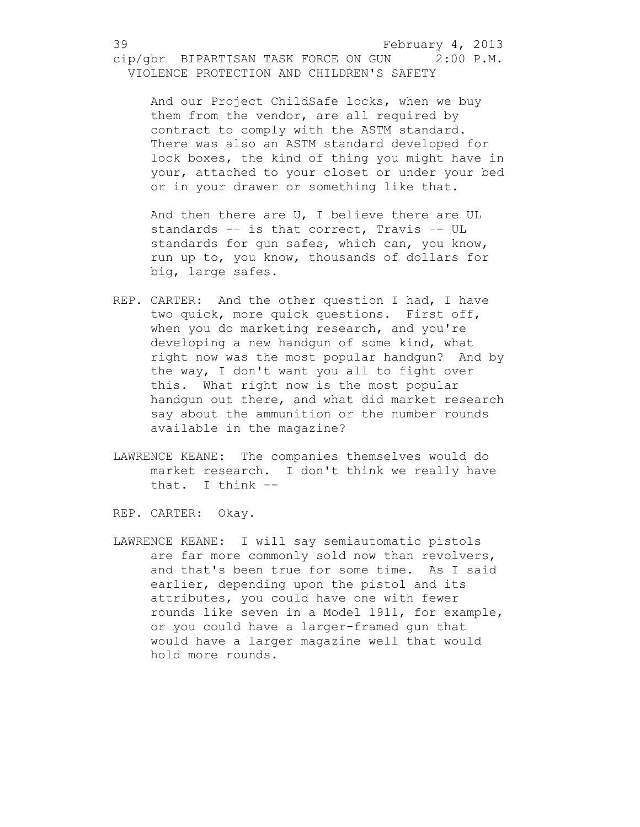And our Project ChildSafe locks, when we buy them from the vendor, are all required by contract to comply with the ASTM standard. There was also an ASTM standard developed for lock boxes, the kind of thing you might have in your, attached to your closet or under your bed or in your drawer or something like that.

And then there are U, I believe there are UL standards -– is that correct, Travis –- UL standards for gun safes, which can, you know, run up to, you know, thousands of dollars for big, large safes.

- REP. CARTER: And the other question I had, I have two quick, more quick questions. First off, when you do marketing research, and you're developing a new handgun of some kind, what right now was the most popular handgun? And by the way, I don't want you all to fight over this. What right now is the most popular handgun out there, and what did market research say about the ammunition or the number rounds available in the magazine?
- LAWRENCE KEANE: The companies themselves would do market research. I don't think we really have that. I think --

REP. CARTER: Okay.

LAWRENCE KEANE: I will say semiautomatic pistols are far more commonly sold now than revolvers, and that's been true for some time. As I said earlier, depending upon the pistol and its attributes, you could have one with fewer rounds like seven in a Model 1911, for example, or you could have a larger-framed gun that would have a larger magazine well that would hold more rounds.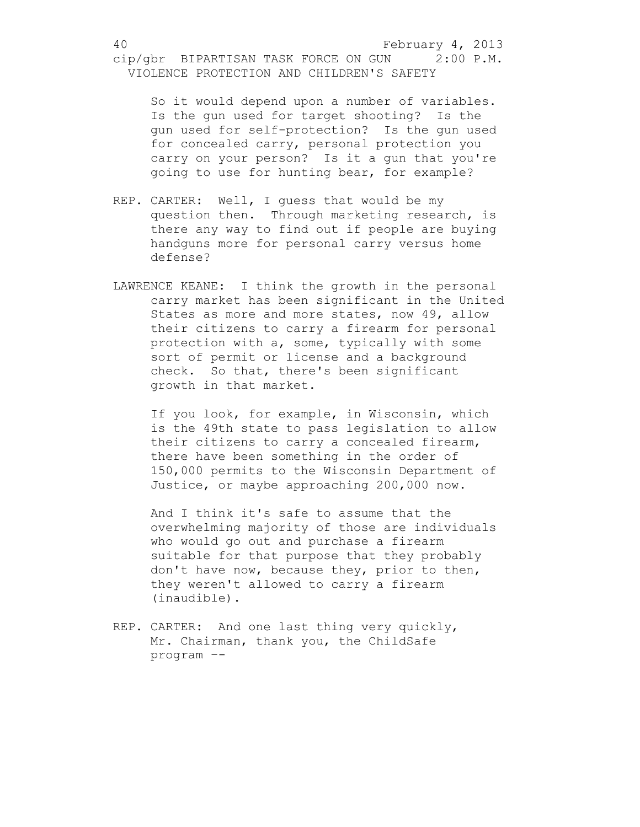So it would depend upon a number of variables. Is the gun used for target shooting? Is the gun used for self-protection? Is the gun used for concealed carry, personal protection you carry on your person? Is it a gun that you're going to use for hunting bear, for example?

- REP. CARTER: Well, I guess that would be my question then. Through marketing research, is there any way to find out if people are buying handguns more for personal carry versus home defense?
- LAWRENCE KEANE: I think the growth in the personal carry market has been significant in the United States as more and more states, now 49, allow their citizens to carry a firearm for personal protection with a, some, typically with some sort of permit or license and a background check. So that, there's been significant growth in that market.

If you look, for example, in Wisconsin, which is the 49th state to pass legislation to allow their citizens to carry a concealed firearm, there have been something in the order of 150,000 permits to the Wisconsin Department of Justice, or maybe approaching 200,000 now.

And I think it's safe to assume that the overwhelming majority of those are individuals who would go out and purchase a firearm suitable for that purpose that they probably don't have now, because they, prior to then, they weren't allowed to carry a firearm (inaudible).

REP. CARTER: And one last thing very quickly, Mr. Chairman, thank you, the ChildSafe program –-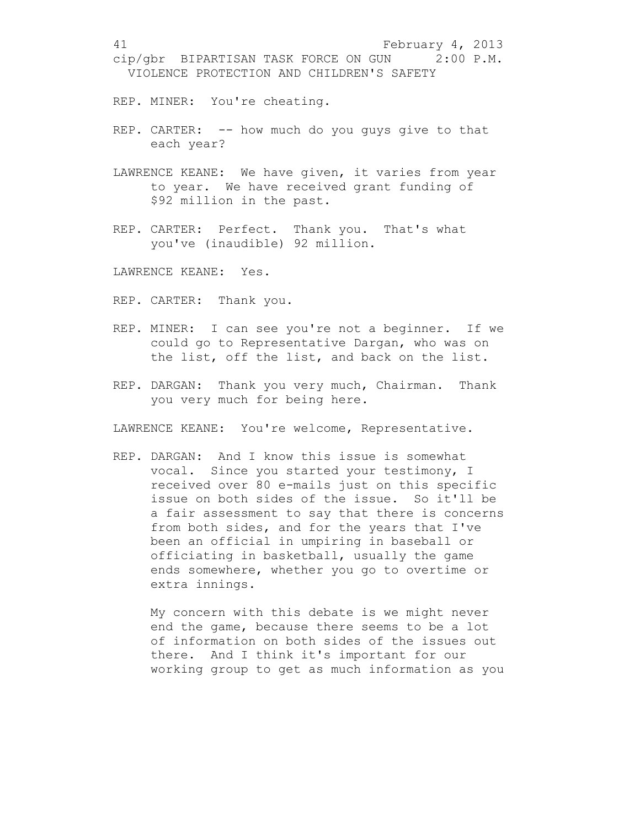REP. MINER: You're cheating.

- REP. CARTER: -- how much do you guys give to that each year?
- LAWRENCE KEANE: We have given, it varies from year to year. We have received grant funding of \$92 million in the past.
- REP. CARTER: Perfect. Thank you. That's what you've (inaudible) 92 million.

LAWRENCE KEANE: Yes.

- REP. CARTER: Thank you.
- REP. MINER: I can see you're not a beginner. If we could go to Representative Dargan, who was on the list, off the list, and back on the list.
- REP. DARGAN: Thank you very much, Chairman. Thank you very much for being here.

LAWRENCE KEANE: You're welcome, Representative.

REP. DARGAN: And I know this issue is somewhat vocal. Since you started your testimony, I received over 80 e-mails just on this specific issue on both sides of the issue. So it'll be a fair assessment to say that there is concerns from both sides, and for the years that I've been an official in umpiring in baseball or officiating in basketball, usually the game ends somewhere, whether you go to overtime or extra innings.

My concern with this debate is we might never end the game, because there seems to be a lot of information on both sides of the issues out there. And I think it's important for our working group to get as much information as you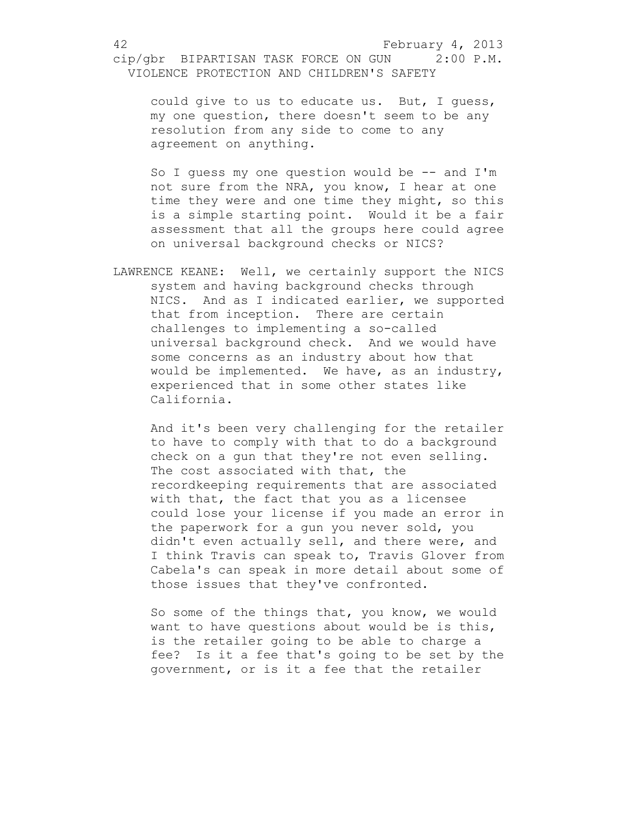could give to us to educate us. But, I guess, my one question, there doesn't seem to be any resolution from any side to come to any agreement on anything.

So I guess my one question would be -- and I'm not sure from the NRA, you know, I hear at one time they were and one time they might, so this is a simple starting point. Would it be a fair assessment that all the groups here could agree on universal background checks or NICS?

LAWRENCE KEANE: Well, we certainly support the NICS system and having background checks through NICS. And as I indicated earlier, we supported that from inception. There are certain challenges to implementing a so-called universal background check. And we would have some concerns as an industry about how that would be implemented. We have, as an industry, experienced that in some other states like California.

And it's been very challenging for the retailer to have to comply with that to do a background check on a gun that they're not even selling. The cost associated with that, the recordkeeping requirements that are associated with that, the fact that you as a licensee could lose your license if you made an error in the paperwork for a gun you never sold, you didn't even actually sell, and there were, and I think Travis can speak to, Travis Glover from Cabela's can speak in more detail about some of those issues that they've confronted.

So some of the things that, you know, we would want to have questions about would be is this, is the retailer going to be able to charge a fee? Is it a fee that's going to be set by the government, or is it a fee that the retailer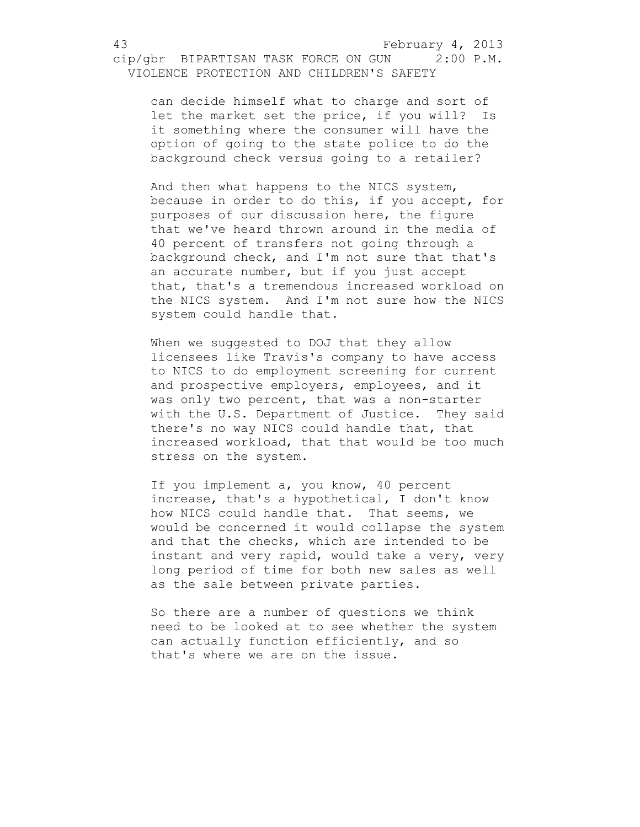can decide himself what to charge and sort of let the market set the price, if you will? Is it something where the consumer will have the option of going to the state police to do the background check versus going to a retailer?

And then what happens to the NICS system, because in order to do this, if you accept, for purposes of our discussion here, the figure that we've heard thrown around in the media of 40 percent of transfers not going through a background check, and I'm not sure that that's an accurate number, but if you just accept that, that's a tremendous increased workload on the NICS system. And I'm not sure how the NICS system could handle that.

When we suggested to DOJ that they allow licensees like Travis's company to have access to NICS to do employment screening for current and prospective employers, employees, and it was only two percent, that was a non-starter with the U.S. Department of Justice. They said there's no way NICS could handle that, that increased workload, that that would be too much stress on the system.

If you implement a, you know, 40 percent increase, that's a hypothetical, I don't know how NICS could handle that. That seems, we would be concerned it would collapse the system and that the checks, which are intended to be instant and very rapid, would take a very, very long period of time for both new sales as well as the sale between private parties.

So there are a number of questions we think need to be looked at to see whether the system can actually function efficiently, and so that's where we are on the issue.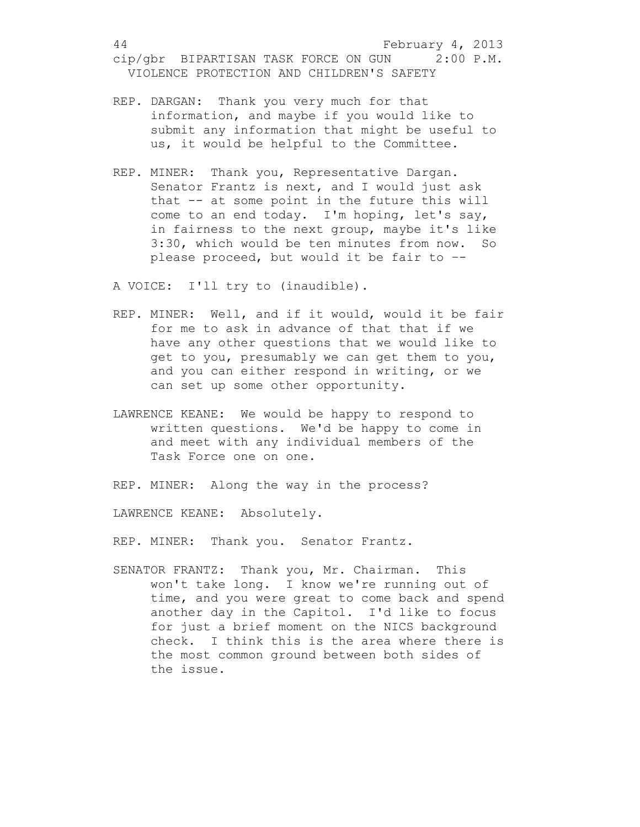- REP. DARGAN: Thank you very much for that information, and maybe if you would like to submit any information that might be useful to us, it would be helpful to the Committee.
- REP. MINER: Thank you, Representative Dargan. Senator Frantz is next, and I would just ask that -- at some point in the future this will come to an end today. I'm hoping, let's say, in fairness to the next group, maybe it's like 3:30, which would be ten minutes from now. So please proceed, but would it be fair to –-

A VOICE: I'll try to (inaudible).

- REP. MINER: Well, and if it would, would it be fair for me to ask in advance of that that if we have any other questions that we would like to get to you, presumably we can get them to you, and you can either respond in writing, or we can set up some other opportunity.
- LAWRENCE KEANE: We would be happy to respond to written questions. We'd be happy to come in and meet with any individual members of the Task Force one on one.

REP. MINER: Along the way in the process?

LAWRENCE KEANE: Absolutely.

REP. MINER: Thank you. Senator Frantz.

SENATOR FRANTZ: Thank you, Mr. Chairman. This won't take long. I know we're running out of time, and you were great to come back and spend another day in the Capitol. I'd like to focus for just a brief moment on the NICS background check. I think this is the area where there is the most common ground between both sides of the issue.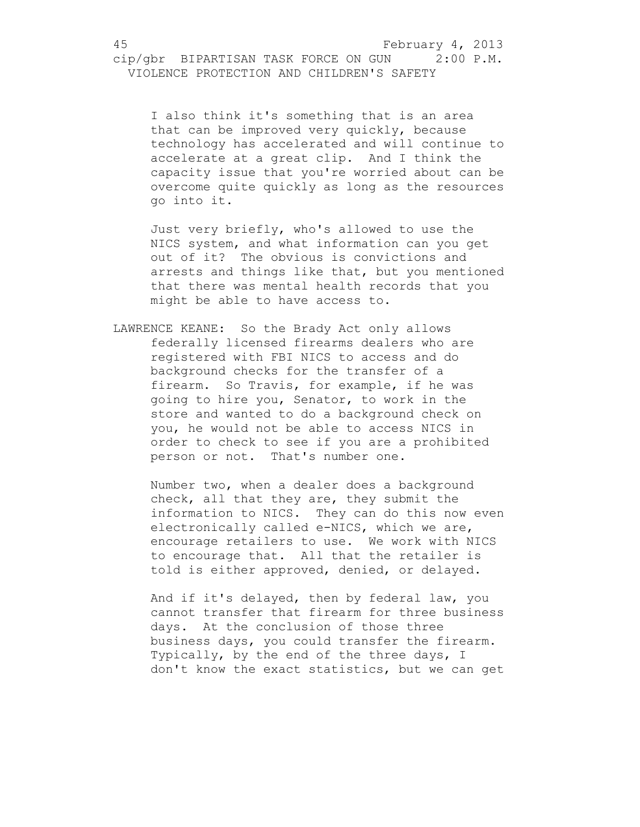I also think it's something that is an area that can be improved very quickly, because technology has accelerated and will continue to accelerate at a great clip. And I think the capacity issue that you're worried about can be overcome quite quickly as long as the resources go into it.

Just very briefly, who's allowed to use the NICS system, and what information can you get out of it? The obvious is convictions and arrests and things like that, but you mentioned that there was mental health records that you might be able to have access to.

LAWRENCE KEANE: So the Brady Act only allows federally licensed firearms dealers who are registered with FBI NICS to access and do background checks for the transfer of a firearm. So Travis, for example, if he was going to hire you, Senator, to work in the store and wanted to do a background check on you, he would not be able to access NICS in order to check to see if you are a prohibited person or not. That's number one.

Number two, when a dealer does a background check, all that they are, they submit the information to NICS. They can do this now even electronically called e-NICS, which we are, encourage retailers to use. We work with NICS to encourage that. All that the retailer is told is either approved, denied, or delayed.

And if it's delayed, then by federal law, you cannot transfer that firearm for three business days. At the conclusion of those three business days, you could transfer the firearm. Typically, by the end of the three days, I don't know the exact statistics, but we can get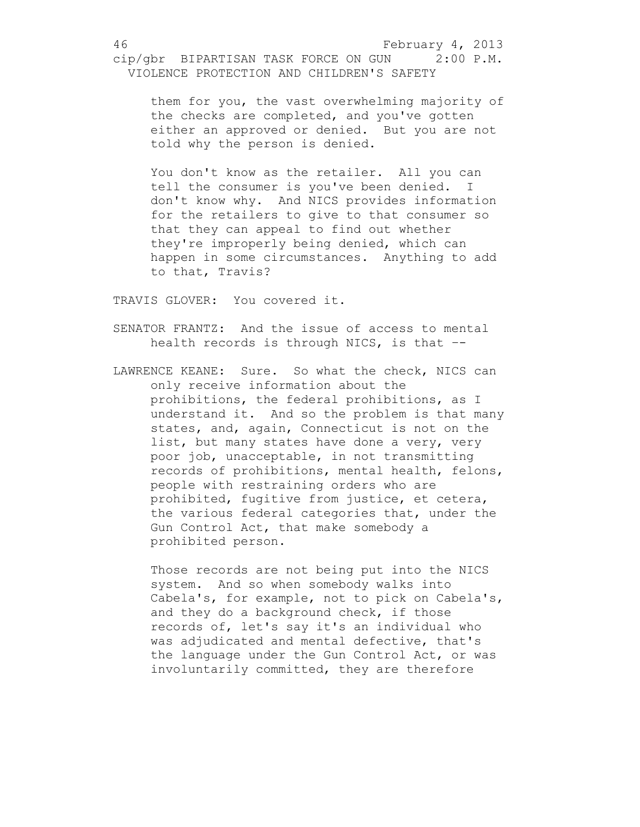them for you, the vast overwhelming majority of the checks are completed, and you've gotten either an approved or denied. But you are not told why the person is denied.

You don't know as the retailer. All you can tell the consumer is you've been denied. I don't know why. And NICS provides information for the retailers to give to that consumer so that they can appeal to find out whether they're improperly being denied, which can happen in some circumstances. Anything to add to that, Travis?

TRAVIS GLOVER: You covered it.

- SENATOR FRANTZ: And the issue of access to mental health records is through NICS, is that  $-$ -
- LAWRENCE KEANE: Sure. So what the check, NICS can only receive information about the prohibitions, the federal prohibitions, as I understand it. And so the problem is that many states, and, again, Connecticut is not on the list, but many states have done a very, very poor job, unacceptable, in not transmitting records of prohibitions, mental health, felons, people with restraining orders who are prohibited, fugitive from justice, et cetera, the various federal categories that, under the Gun Control Act, that make somebody a prohibited person.

Those records are not being put into the NICS system. And so when somebody walks into Cabela's, for example, not to pick on Cabela's, and they do a background check, if those records of, let's say it's an individual who was adjudicated and mental defective, that's the language under the Gun Control Act, or was involuntarily committed, they are therefore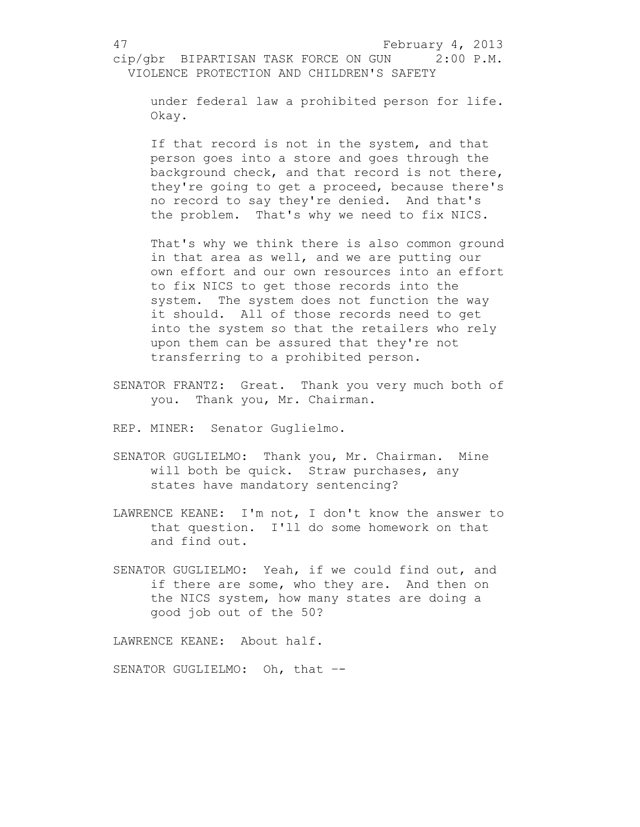under federal law a prohibited person for life. Okay.

If that record is not in the system, and that person goes into a store and goes through the background check, and that record is not there, they're going to get a proceed, because there's no record to say they're denied. And that's the problem. That's why we need to fix NICS.

That's why we think there is also common ground in that area as well, and we are putting our own effort and our own resources into an effort to fix NICS to get those records into the system. The system does not function the way it should. All of those records need to get into the system so that the retailers who rely upon them can be assured that they're not transferring to a prohibited person.

- SENATOR FRANTZ: Great. Thank you very much both of you. Thank you, Mr. Chairman.
- REP. MINER: Senator Guglielmo.
- SENATOR GUGLIELMO: Thank you, Mr. Chairman. Mine will both be quick. Straw purchases, any states have mandatory sentencing?
- LAWRENCE KEANE: I'm not, I don't know the answer to that question. I'll do some homework on that and find out.
- SENATOR GUGLIELMO: Yeah, if we could find out, and if there are some, who they are. And then on the NICS system, how many states are doing a good job out of the 50?

LAWRENCE KEANE: About half.

SENATOR GUGLIELMO: Oh, that --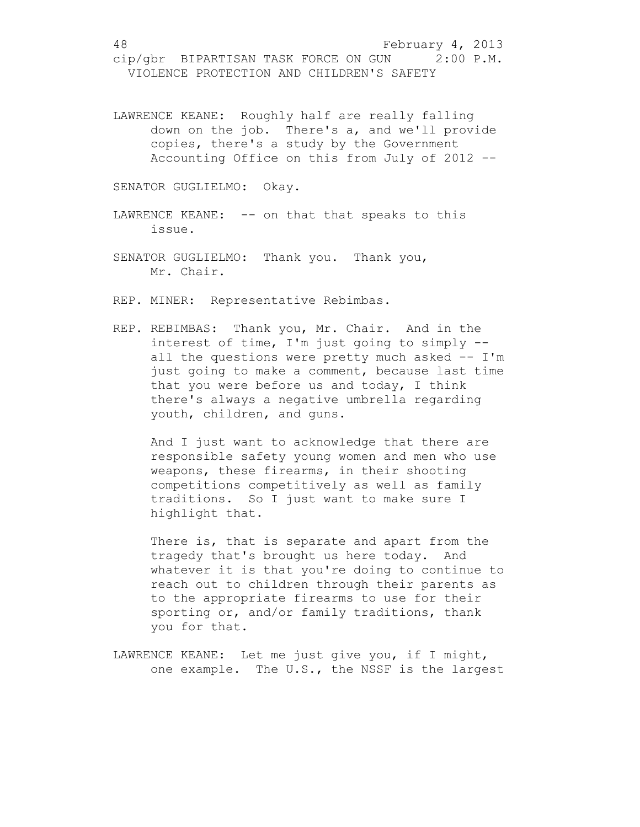LAWRENCE KEANE: Roughly half are really falling down on the job. There's a, and we'll provide copies, there's a study by the Government Accounting Office on this from July of 2012 --

SENATOR GUGLIELMO: Okay.

- LAWRENCE KEANE: -- on that that speaks to this issue.
- SENATOR GUGLIELMO: Thank you. Thank you, Mr. Chair.

REP. MINER: Representative Rebimbas.

REP. REBIMBAS: Thank you, Mr. Chair. And in the interest of time, I'm just going to simply - all the questions were pretty much asked -- I'm just going to make a comment, because last time that you were before us and today, I think there's always a negative umbrella regarding youth, children, and guns.

And I just want to acknowledge that there are responsible safety young women and men who use weapons, these firearms, in their shooting competitions competitively as well as family traditions. So I just want to make sure I highlight that.

There is, that is separate and apart from the tragedy that's brought us here today. And whatever it is that you're doing to continue to reach out to children through their parents as to the appropriate firearms to use for their sporting or, and/or family traditions, thank you for that.

LAWRENCE KEANE: Let me just give you, if I might, one example. The U.S., the NSSF is the largest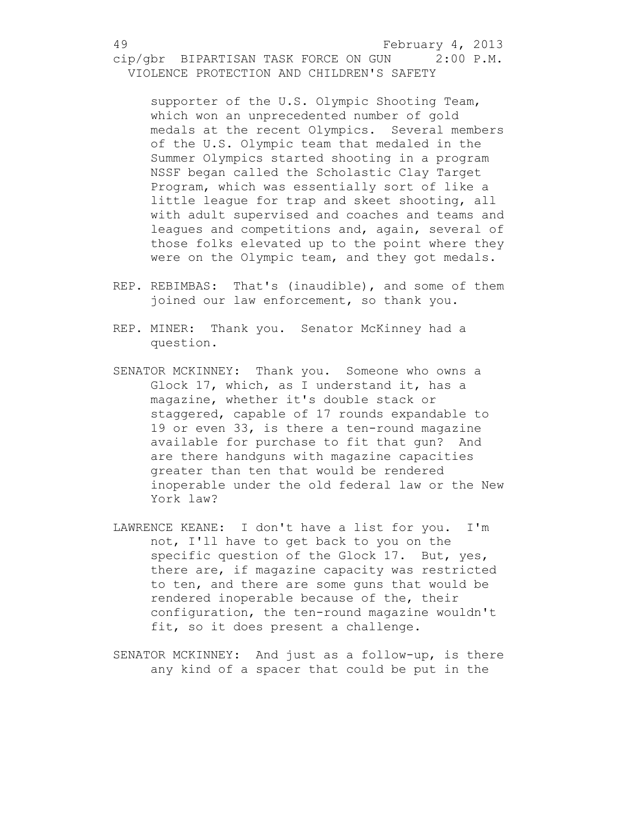supporter of the U.S. Olympic Shooting Team, which won an unprecedented number of gold medals at the recent Olympics. Several members of the U.S. Olympic team that medaled in the Summer Olympics started shooting in a program NSSF began called the Scholastic Clay Target Program, which was essentially sort of like a little league for trap and skeet shooting, all with adult supervised and coaches and teams and leagues and competitions and, again, several of those folks elevated up to the point where they were on the Olympic team, and they got medals.

- REP. REBIMBAS: That's (inaudible), and some of them joined our law enforcement, so thank you.
- REP. MINER: Thank you. Senator McKinney had a question.
- SENATOR MCKINNEY: Thank you. Someone who owns a Glock 17, which, as I understand it, has a magazine, whether it's double stack or staggered, capable of 17 rounds expandable to 19 or even 33, is there a ten-round magazine available for purchase to fit that gun? And are there handguns with magazine capacities greater than ten that would be rendered inoperable under the old federal law or the New York law?
- LAWRENCE KEANE: I don't have a list for you. I'm not, I'll have to get back to you on the specific question of the Glock 17. But, yes, there are, if magazine capacity was restricted to ten, and there are some guns that would be rendered inoperable because of the, their configuration, the ten-round magazine wouldn't fit, so it does present a challenge.
- SENATOR MCKINNEY: And just as a follow-up, is there any kind of a spacer that could be put in the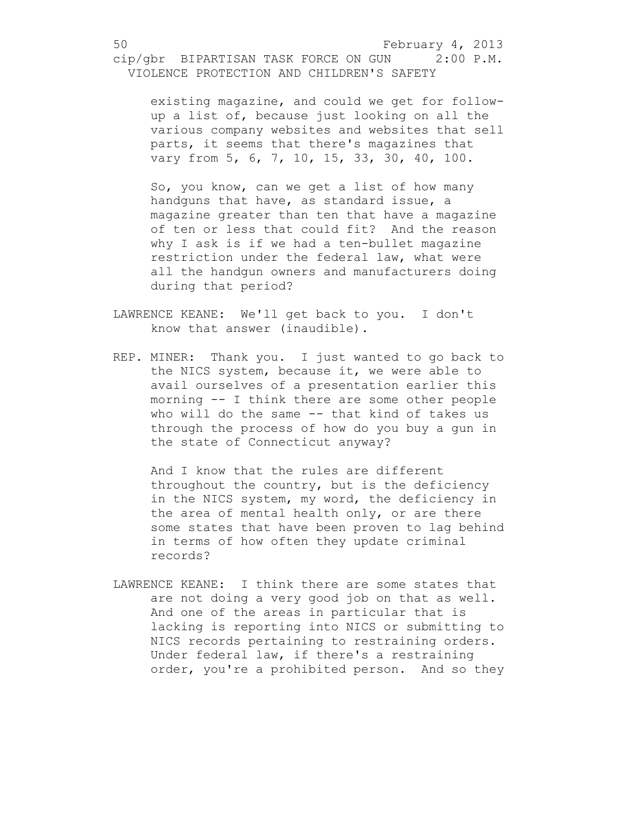existing magazine, and could we get for followup a list of, because just looking on all the various company websites and websites that sell parts, it seems that there's magazines that vary from 5, 6, 7, 10, 15, 33, 30, 40, 100.

So, you know, can we get a list of how many handguns that have, as standard issue, a magazine greater than ten that have a magazine of ten or less that could fit? And the reason why I ask is if we had a ten-bullet magazine restriction under the federal law, what were all the handgun owners and manufacturers doing during that period?

- LAWRENCE KEANE: We'll get back to you. I don't know that answer (inaudible).
- REP. MINER: Thank you. I just wanted to go back to the NICS system, because it, we were able to avail ourselves of a presentation earlier this morning -- I think there are some other people who will do the same -- that kind of takes us through the process of how do you buy a gun in the state of Connecticut anyway?

And I know that the rules are different throughout the country, but is the deficiency in the NICS system, my word, the deficiency in the area of mental health only, or are there some states that have been proven to lag behind in terms of how often they update criminal records?

LAWRENCE KEANE: I think there are some states that are not doing a very good job on that as well. And one of the areas in particular that is lacking is reporting into NICS or submitting to NICS records pertaining to restraining orders. Under federal law, if there's a restraining order, you're a prohibited person. And so they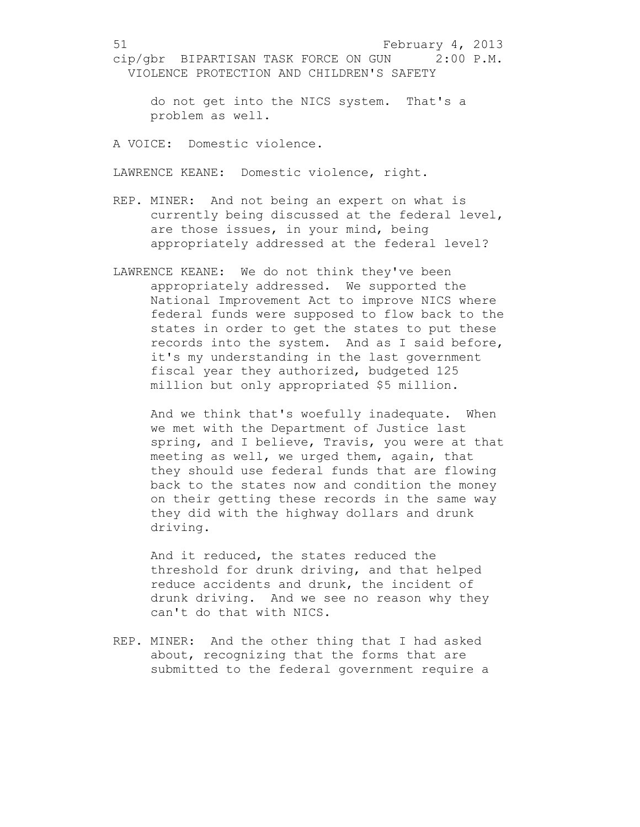do not get into the NICS system. That's a problem as well.

A VOICE: Domestic violence.

LAWRENCE KEANE: Domestic violence, right.

- REP. MINER: And not being an expert on what is currently being discussed at the federal level, are those issues, in your mind, being appropriately addressed at the federal level?
- LAWRENCE KEANE: We do not think they've been appropriately addressed. We supported the National Improvement Act to improve NICS where federal funds were supposed to flow back to the states in order to get the states to put these records into the system. And as I said before, it's my understanding in the last government fiscal year they authorized, budgeted 125 million but only appropriated \$5 million.

And we think that's woefully inadequate. When we met with the Department of Justice last spring, and I believe, Travis, you were at that meeting as well, we urged them, again, that they should use federal funds that are flowing back to the states now and condition the money on their getting these records in the same way they did with the highway dollars and drunk driving.

And it reduced, the states reduced the threshold for drunk driving, and that helped reduce accidents and drunk, the incident of drunk driving. And we see no reason why they can't do that with NICS.

REP. MINER: And the other thing that I had asked about, recognizing that the forms that are submitted to the federal government require a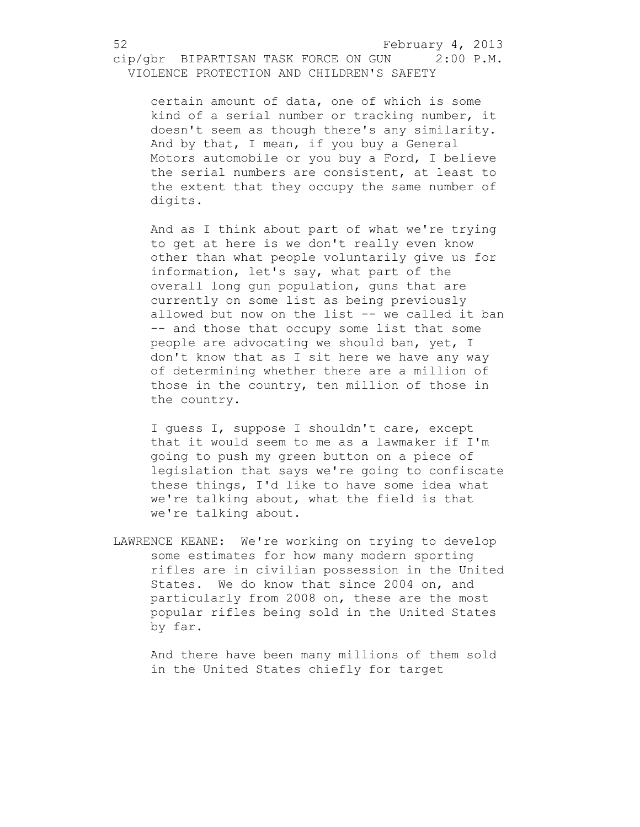certain amount of data, one of which is some kind of a serial number or tracking number, it doesn't seem as though there's any similarity. And by that, I mean, if you buy a General Motors automobile or you buy a Ford, I believe the serial numbers are consistent, at least to the extent that they occupy the same number of digits.

And as I think about part of what we're trying to get at here is we don't really even know other than what people voluntarily give us for information, let's say, what part of the overall long gun population, guns that are currently on some list as being previously allowed but now on the list -- we called it ban -- and those that occupy some list that some people are advocating we should ban, yet, I don't know that as I sit here we have any way of determining whether there are a million of those in the country, ten million of those in the country.

I guess I, suppose I shouldn't care, except that it would seem to me as a lawmaker if I'm going to push my green button on a piece of legislation that says we're going to confiscate these things, I'd like to have some idea what we're talking about, what the field is that we're talking about.

LAWRENCE KEANE: We're working on trying to develop some estimates for how many modern sporting rifles are in civilian possession in the United States. We do know that since 2004 on, and particularly from 2008 on, these are the most popular rifles being sold in the United States by far.

And there have been many millions of them sold in the United States chiefly for target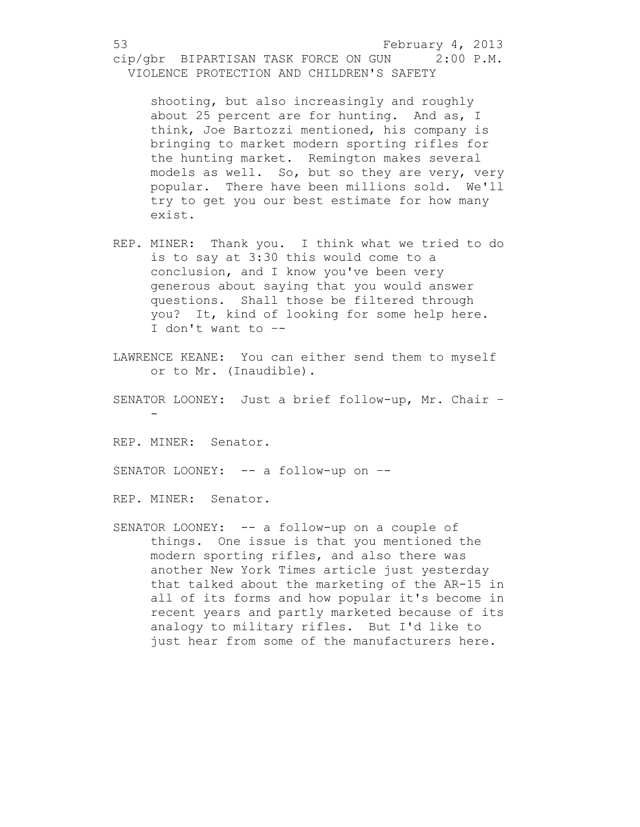shooting, but also increasingly and roughly about 25 percent are for hunting. And as, I think, Joe Bartozzi mentioned, his company is bringing to market modern sporting rifles for the hunting market. Remington makes several models as well. So, but so they are very, very popular. There have been millions sold. We'll try to get you our best estimate for how many exist.

- REP. MINER: Thank you. I think what we tried to do is to say at 3:30 this would come to a conclusion, and I know you've been very generous about saying that you would answer questions. Shall those be filtered through you? It, kind of looking for some help here. I don't want to –-
- LAWRENCE KEANE: You can either send them to myself or to Mr. (Inaudible).
- SENATOR LOONEY: Just a brief follow-up, Mr. Chair –

REP. MINER: Senator.

-

SENATOR LOONEY: -- a follow-up on --

REP. MINER: Senator.

SENATOR LOONEY: -- a follow-up on a couple of things. One issue is that you mentioned the modern sporting rifles, and also there was another New York Times article just yesterday that talked about the marketing of the AR-15 in all of its forms and how popular it's become in recent years and partly marketed because of its analogy to military rifles. But I'd like to just hear from some of the manufacturers here.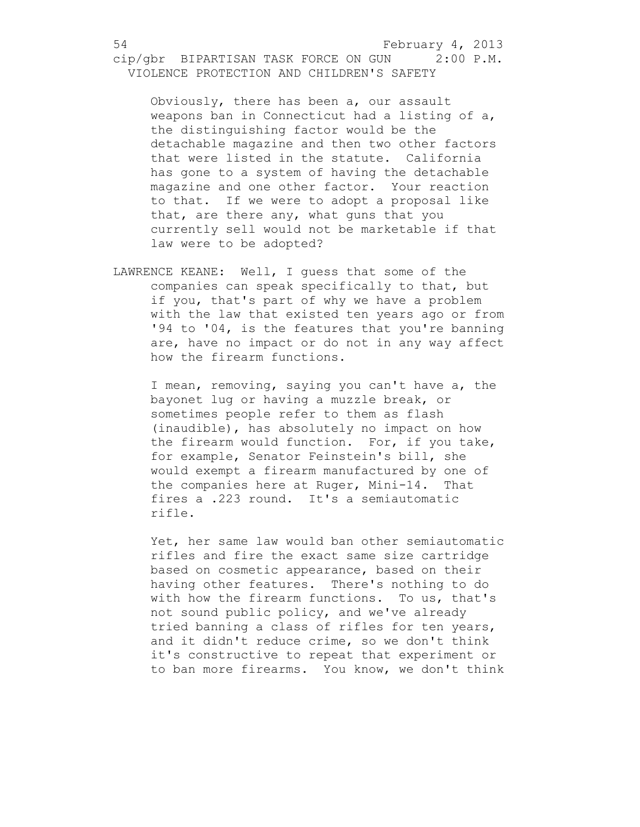Obviously, there has been a, our assault weapons ban in Connecticut had a listing of a, the distinguishing factor would be the detachable magazine and then two other factors that were listed in the statute. California has gone to a system of having the detachable magazine and one other factor. Your reaction to that. If we were to adopt a proposal like that, are there any, what guns that you currently sell would not be marketable if that law were to be adopted?

LAWRENCE KEANE: Well, I guess that some of the companies can speak specifically to that, but if you, that's part of why we have a problem with the law that existed ten years ago or from '94 to '04, is the features that you're banning are, have no impact or do not in any way affect how the firearm functions.

I mean, removing, saying you can't have a, the bayonet lug or having a muzzle break, or sometimes people refer to them as flash (inaudible), has absolutely no impact on how the firearm would function. For, if you take, for example, Senator Feinstein's bill, she would exempt a firearm manufactured by one of the companies here at Ruger, Mini-14. That fires a .223 round. It's a semiautomatic rifle.

Yet, her same law would ban other semiautomatic rifles and fire the exact same size cartridge based on cosmetic appearance, based on their having other features. There's nothing to do with how the firearm functions. To us, that's not sound public policy, and we've already tried banning a class of rifles for ten years, and it didn't reduce crime, so we don't think it's constructive to repeat that experiment or to ban more firearms. You know, we don't think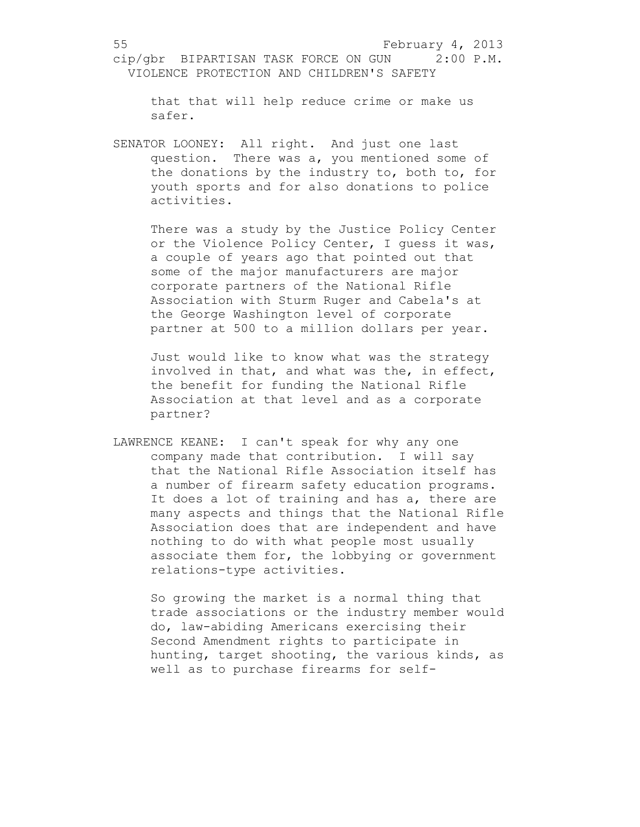that that will help reduce crime or make us safer.

SENATOR LOONEY: All right. And just one last question. There was a, you mentioned some of the donations by the industry to, both to, for youth sports and for also donations to police activities.

There was a study by the Justice Policy Center or the Violence Policy Center, I guess it was, a couple of years ago that pointed out that some of the major manufacturers are major corporate partners of the National Rifle Association with Sturm Ruger and Cabela's at the George Washington level of corporate partner at 500 to a million dollars per year.

Just would like to know what was the strategy involved in that, and what was the, in effect, the benefit for funding the National Rifle Association at that level and as a corporate partner?

LAWRENCE KEANE: I can't speak for why any one company made that contribution. I will say that the National Rifle Association itself has a number of firearm safety education programs. It does a lot of training and has a, there are many aspects and things that the National Rifle Association does that are independent and have nothing to do with what people most usually associate them for, the lobbying or government relations-type activities.

So growing the market is a normal thing that trade associations or the industry member would do, law-abiding Americans exercising their Second Amendment rights to participate in hunting, target shooting, the various kinds, as well as to purchase firearms for self-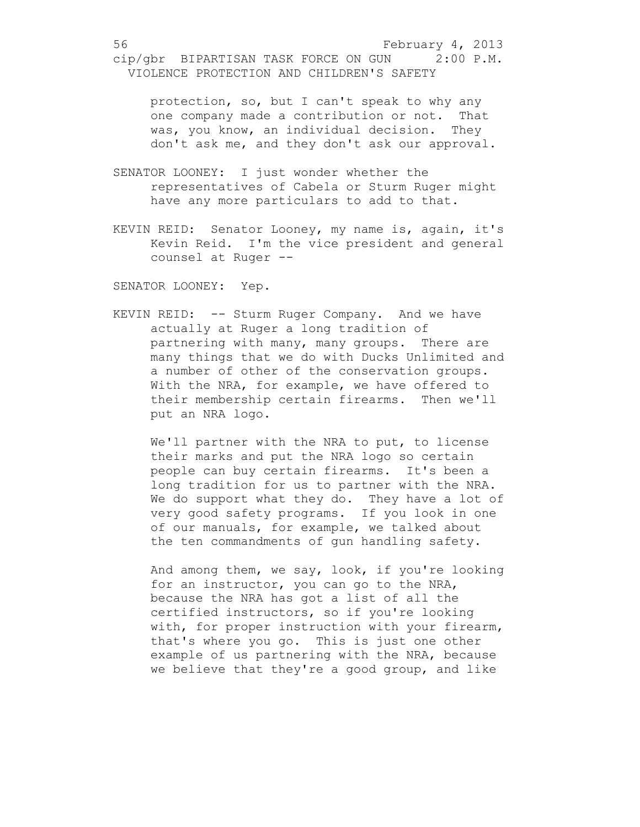protection, so, but I can't speak to why any one company made a contribution or not. That was, you know, an individual decision. They don't ask me, and they don't ask our approval.

- SENATOR LOONEY: I just wonder whether the representatives of Cabela or Sturm Ruger might have any more particulars to add to that.
- KEVIN REID: Senator Looney, my name is, again, it's Kevin Reid. I'm the vice president and general counsel at Ruger --

SENATOR LOONEY: Yep.

KEVIN REID: -- Sturm Ruger Company. And we have actually at Ruger a long tradition of partnering with many, many groups. There are many things that we do with Ducks Unlimited and a number of other of the conservation groups. With the NRA, for example, we have offered to their membership certain firearms. Then we'll put an NRA logo.

We'll partner with the NRA to put, to license their marks and put the NRA logo so certain people can buy certain firearms. It's been a long tradition for us to partner with the NRA. We do support what they do. They have a lot of very good safety programs. If you look in one of our manuals, for example, we talked about the ten commandments of gun handling safety.

And among them, we say, look, if you're looking for an instructor, you can go to the NRA, because the NRA has got a list of all the certified instructors, so if you're looking with, for proper instruction with your firearm, that's where you go. This is just one other example of us partnering with the NRA, because we believe that they're a good group, and like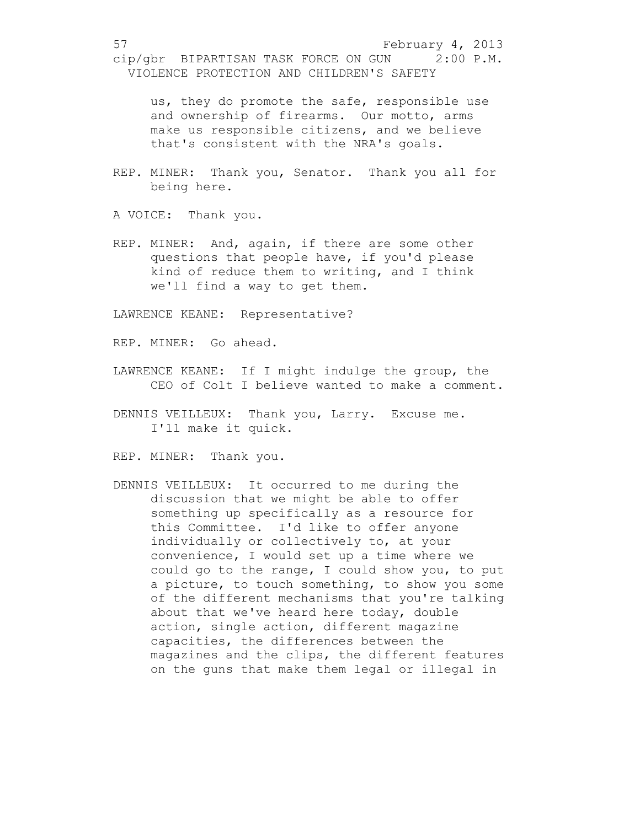us, they do promote the safe, responsible use and ownership of firearms. Our motto, arms make us responsible citizens, and we believe that's consistent with the NRA's goals.

REP. MINER: Thank you, Senator. Thank you all for being here.

A VOICE: Thank you.

REP. MINER: And, again, if there are some other questions that people have, if you'd please kind of reduce them to writing, and I think we'll find a way to get them.

LAWRENCE KEANE: Representative?

REP. MINER: Go ahead.

- LAWRENCE KEANE: If I might indulge the group, the CEO of Colt I believe wanted to make a comment.
- DENNIS VEILLEUX: Thank you, Larry. Excuse me. I'll make it quick.

REP. MINER: Thank you.

DENNIS VEILLEUX: It occurred to me during the discussion that we might be able to offer something up specifically as a resource for this Committee. I'd like to offer anyone individually or collectively to, at your convenience, I would set up a time where we could go to the range, I could show you, to put a picture, to touch something, to show you some of the different mechanisms that you're talking about that we've heard here today, double action, single action, different magazine capacities, the differences between the magazines and the clips, the different features on the guns that make them legal or illegal in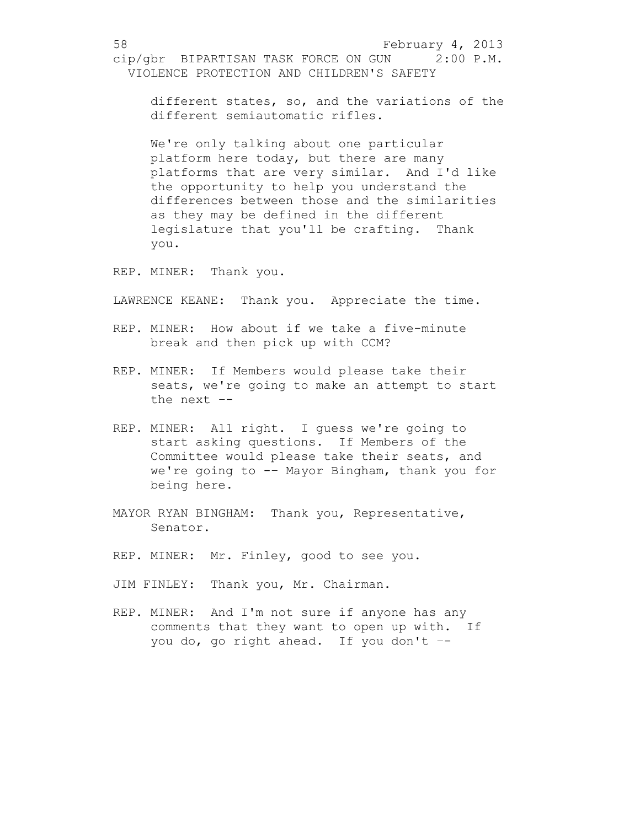different states, so, and the variations of the different semiautomatic rifles.

We're only talking about one particular platform here today, but there are many platforms that are very similar. And I'd like the opportunity to help you understand the differences between those and the similarities as they may be defined in the different legislature that you'll be crafting. Thank you.

REP. MINER: Thank you.

LAWRENCE KEANE: Thank you. Appreciate the time.

- REP. MINER: How about if we take a five-minute break and then pick up with CCM?
- REP. MINER: If Members would please take their seats, we're going to make an attempt to start the next –-
- REP. MINER: All right. I guess we're going to start asking questions. If Members of the Committee would please take their seats, and we're going to -– Mayor Bingham, thank you for being here.
- MAYOR RYAN BINGHAM: Thank you, Representative, Senator.
- REP. MINER: Mr. Finley, good to see you.
- JIM FINLEY: Thank you, Mr. Chairman.
- REP. MINER: And I'm not sure if anyone has any comments that they want to open up with. If you do, go right ahead. If you don't –-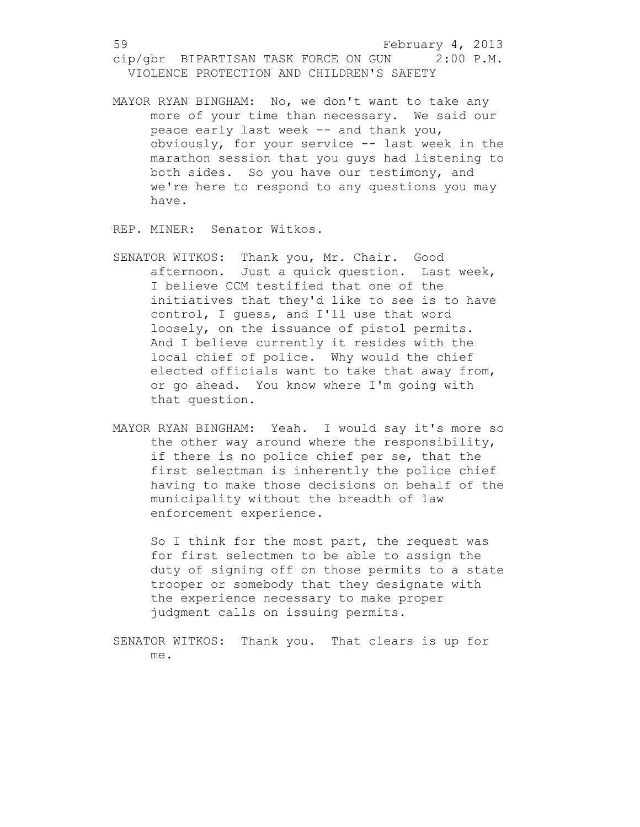MAYOR RYAN BINGHAM: No, we don't want to take any more of your time than necessary. We said our peace early last week -- and thank you, obviously, for your service -- last week in the marathon session that you guys had listening to both sides. So you have our testimony, and we're here to respond to any questions you may have.

REP. MINER: Senator Witkos.

- SENATOR WITKOS: Thank you, Mr. Chair. Good afternoon. Just a quick question. Last week, I believe CCM testified that one of the initiatives that they'd like to see is to have control, I guess, and I'll use that word loosely, on the issuance of pistol permits. And I believe currently it resides with the local chief of police. Why would the chief elected officials want to take that away from, or go ahead. You know where I'm going with that question.
- MAYOR RYAN BINGHAM: Yeah. I would say it's more so the other way around where the responsibility, if there is no police chief per se, that the first selectman is inherently the police chief having to make those decisions on behalf of the municipality without the breadth of law enforcement experience.

So I think for the most part, the request was for first selectmen to be able to assign the duty of signing off on those permits to a state trooper or somebody that they designate with the experience necessary to make proper judgment calls on issuing permits.

SENATOR WITKOS: Thank you. That clears is up for me.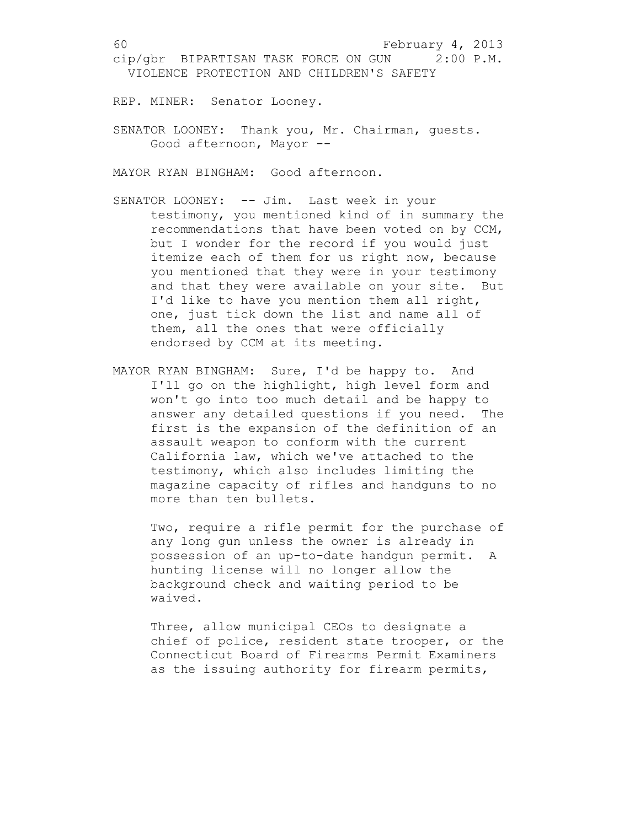REP. MINER: Senator Looney.

SENATOR LOONEY: Thank you, Mr. Chairman, guests. Good afternoon, Mayor --

MAYOR RYAN BINGHAM: Good afternoon.

- SENATOR LOONEY: -- Jim. Last week in your testimony, you mentioned kind of in summary the recommendations that have been voted on by CCM, but I wonder for the record if you would just itemize each of them for us right now, because you mentioned that they were in your testimony and that they were available on your site. But I'd like to have you mention them all right, one, just tick down the list and name all of them, all the ones that were officially endorsed by CCM at its meeting.
- MAYOR RYAN BINGHAM: Sure, I'd be happy to. And I'll go on the highlight, high level form and won't go into too much detail and be happy to answer any detailed questions if you need. The first is the expansion of the definition of an assault weapon to conform with the current California law, which we've attached to the testimony, which also includes limiting the magazine capacity of rifles and handguns to no more than ten bullets.

Two, require a rifle permit for the purchase of any long gun unless the owner is already in possession of an up-to-date handgun permit. A hunting license will no longer allow the background check and waiting period to be waived.

Three, allow municipal CEOs to designate a chief of police, resident state trooper, or the Connecticut Board of Firearms Permit Examiners as the issuing authority for firearm permits,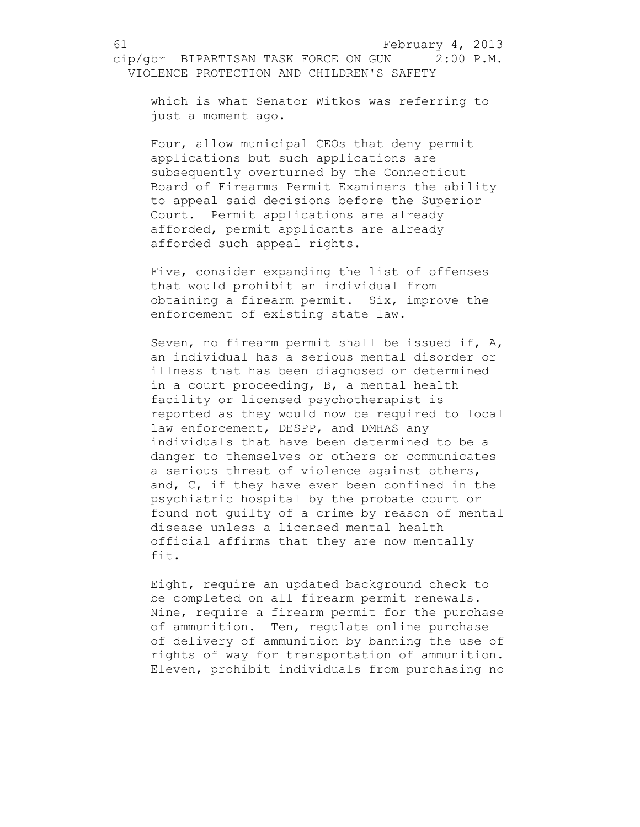which is what Senator Witkos was referring to just a moment ago.

Four, allow municipal CEOs that deny permit applications but such applications are subsequently overturned by the Connecticut Board of Firearms Permit Examiners the ability to appeal said decisions before the Superior Court. Permit applications are already afforded, permit applicants are already afforded such appeal rights.

Five, consider expanding the list of offenses that would prohibit an individual from obtaining a firearm permit. Six, improve the enforcement of existing state law.

Seven, no firearm permit shall be issued if, A, an individual has a serious mental disorder or illness that has been diagnosed or determined in a court proceeding, B, a mental health facility or licensed psychotherapist is reported as they would now be required to local law enforcement, DESPP, and DMHAS any individuals that have been determined to be a danger to themselves or others or communicates a serious threat of violence against others, and, C, if they have ever been confined in the psychiatric hospital by the probate court or found not guilty of a crime by reason of mental disease unless a licensed mental health official affirms that they are now mentally fit.

Eight, require an updated background check to be completed on all firearm permit renewals. Nine, require a firearm permit for the purchase of ammunition. Ten, regulate online purchase of delivery of ammunition by banning the use of rights of way for transportation of ammunition. Eleven, prohibit individuals from purchasing no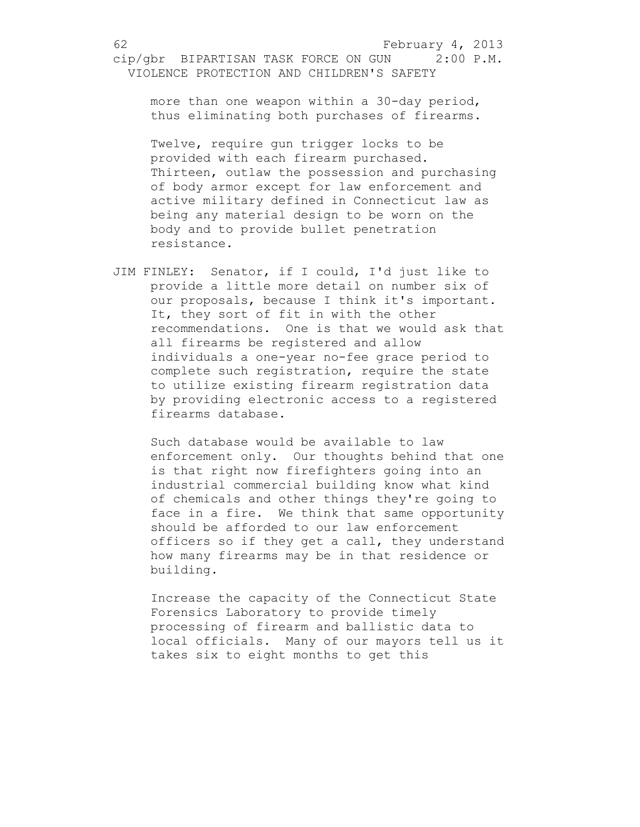more than one weapon within a 30-day period, thus eliminating both purchases of firearms.

Twelve, require gun trigger locks to be provided with each firearm purchased. Thirteen, outlaw the possession and purchasing of body armor except for law enforcement and active military defined in Connecticut law as being any material design to be worn on the body and to provide bullet penetration resistance.

JIM FINLEY: Senator, if I could, I'd just like to provide a little more detail on number six of our proposals, because I think it's important. It, they sort of fit in with the other recommendations. One is that we would ask that all firearms be registered and allow individuals a one-year no-fee grace period to complete such registration, require the state to utilize existing firearm registration data by providing electronic access to a registered firearms database.

Such database would be available to law enforcement only. Our thoughts behind that one is that right now firefighters going into an industrial commercial building know what kind of chemicals and other things they're going to face in a fire. We think that same opportunity should be afforded to our law enforcement officers so if they get a call, they understand how many firearms may be in that residence or building.

Increase the capacity of the Connecticut State Forensics Laboratory to provide timely processing of firearm and ballistic data to local officials. Many of our mayors tell us it takes six to eight months to get this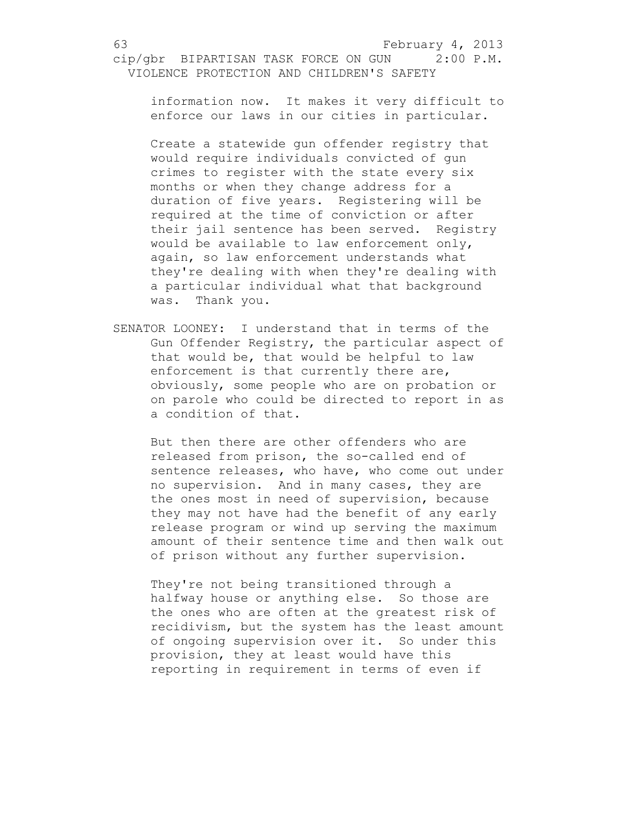information now. It makes it very difficult to enforce our laws in our cities in particular.

Create a statewide gun offender registry that would require individuals convicted of gun crimes to register with the state every six months or when they change address for a duration of five years. Registering will be required at the time of conviction or after their jail sentence has been served. Registry would be available to law enforcement only, again, so law enforcement understands what they're dealing with when they're dealing with a particular individual what that background was. Thank you.

SENATOR LOONEY: I understand that in terms of the Gun Offender Registry, the particular aspect of that would be, that would be helpful to law enforcement is that currently there are, obviously, some people who are on probation or on parole who could be directed to report in as a condition of that.

But then there are other offenders who are released from prison, the so-called end of sentence releases, who have, who come out under no supervision. And in many cases, they are the ones most in need of supervision, because they may not have had the benefit of any early release program or wind up serving the maximum amount of their sentence time and then walk out of prison without any further supervision.

They're not being transitioned through a halfway house or anything else. So those are the ones who are often at the greatest risk of recidivism, but the system has the least amount of ongoing supervision over it. So under this provision, they at least would have this reporting in requirement in terms of even if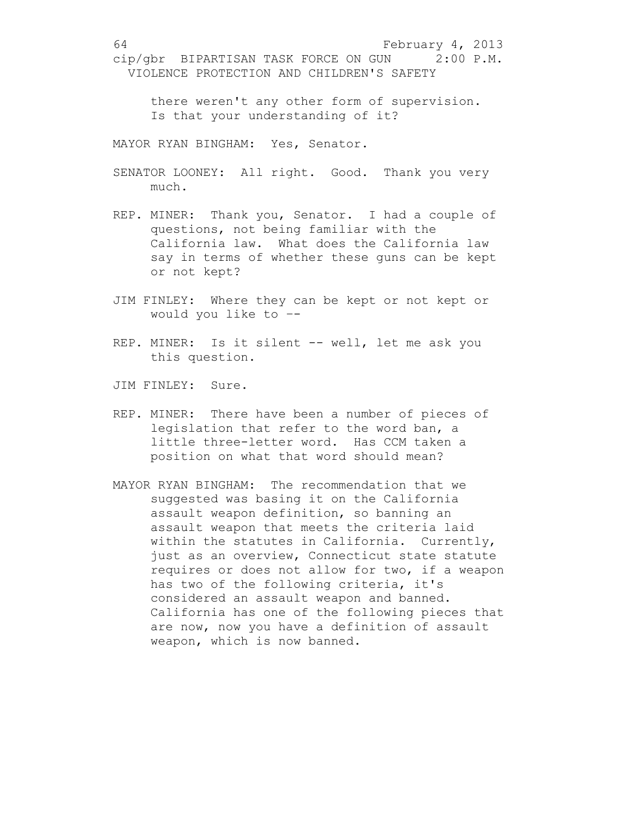there weren't any other form of supervision. Is that your understanding of it?

MAYOR RYAN BINGHAM: Yes, Senator.

- SENATOR LOONEY: All right. Good. Thank you very much.
- REP. MINER: Thank you, Senator. I had a couple of questions, not being familiar with the California law. What does the California law say in terms of whether these guns can be kept or not kept?
- JIM FINLEY: Where they can be kept or not kept or would you like to –-
- REP. MINER: Is it silent -- well, let me ask you this question.
- JIM FINLEY: Sure.
- REP. MINER: There have been a number of pieces of legislation that refer to the word ban, a little three-letter word. Has CCM taken a position on what that word should mean?
- MAYOR RYAN BINGHAM: The recommendation that we suggested was basing it on the California assault weapon definition, so banning an assault weapon that meets the criteria laid within the statutes in California. Currently, just as an overview, Connecticut state statute requires or does not allow for two, if a weapon has two of the following criteria, it's considered an assault weapon and banned. California has one of the following pieces that are now, now you have a definition of assault weapon, which is now banned.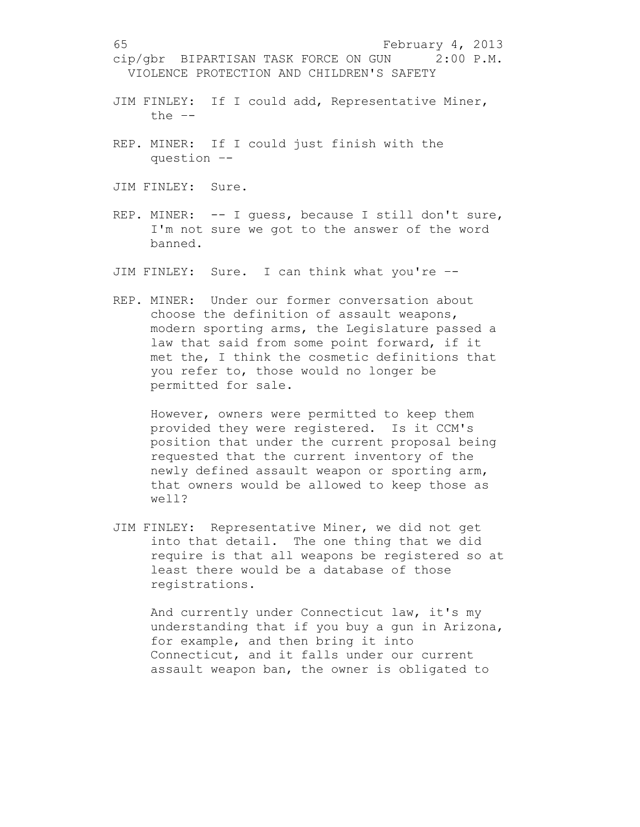- JIM FINLEY: If I could add, Representative Miner, the –-
- REP. MINER: If I could just finish with the question –-
- JIM FINLEY: Sure.
- REP. MINER: -- I guess, because I still don't sure, I'm not sure we got to the answer of the word banned.
- JIM FINLEY: Sure. I can think what you're –-
- REP. MINER: Under our former conversation about choose the definition of assault weapons, modern sporting arms, the Legislature passed a law that said from some point forward, if it met the, I think the cosmetic definitions that you refer to, those would no longer be permitted for sale.

However, owners were permitted to keep them provided they were registered. Is it CCM's position that under the current proposal being requested that the current inventory of the newly defined assault weapon or sporting arm, that owners would be allowed to keep those as well?

JIM FINLEY: Representative Miner, we did not get into that detail. The one thing that we did require is that all weapons be registered so at least there would be a database of those registrations.

And currently under Connecticut law, it's my understanding that if you buy a gun in Arizona, for example, and then bring it into Connecticut, and it falls under our current assault weapon ban, the owner is obligated to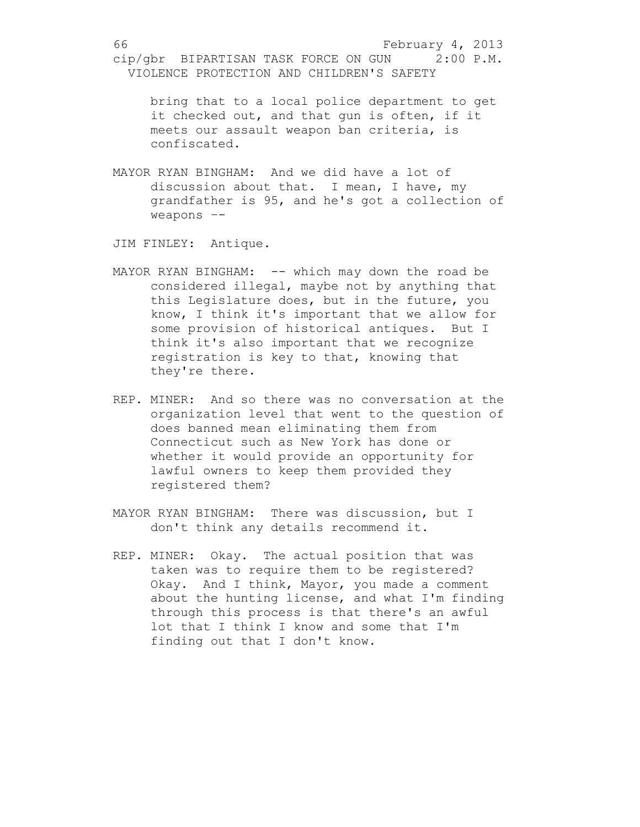bring that to a local police department to get it checked out, and that gun is often, if it meets our assault weapon ban criteria, is confiscated.

MAYOR RYAN BINGHAM: And we did have a lot of discussion about that. I mean, I have, my grandfather is 95, and he's got a collection of weapons –-

JIM FINLEY: Antique.

- MAYOR RYAN BINGHAM: -- which may down the road be considered illegal, maybe not by anything that this Legislature does, but in the future, you know, I think it's important that we allow for some provision of historical antiques. But I think it's also important that we recognize registration is key to that, knowing that they're there.
- REP. MINER: And so there was no conversation at the organization level that went to the question of does banned mean eliminating them from Connecticut such as New York has done or whether it would provide an opportunity for lawful owners to keep them provided they registered them?
- MAYOR RYAN BINGHAM: There was discussion, but I don't think any details recommend it.
- REP. MINER: Okay. The actual position that was taken was to require them to be registered? Okay. And I think, Mayor, you made a comment about the hunting license, and what I'm finding through this process is that there's an awful lot that I think I know and some that I'm finding out that I don't know.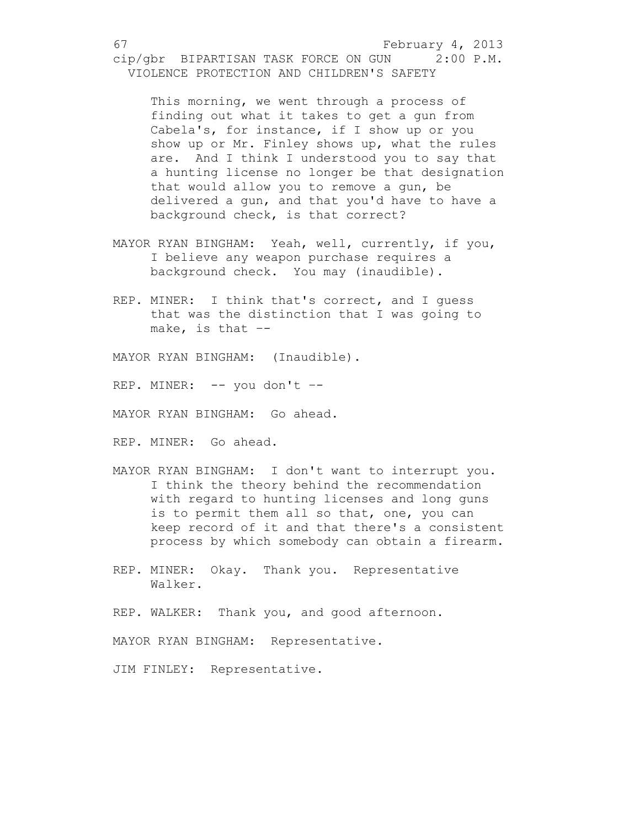This morning, we went through a process of finding out what it takes to get a gun from Cabela's, for instance, if I show up or you show up or Mr. Finley shows up, what the rules are. And I think I understood you to say that a hunting license no longer be that designation that would allow you to remove a gun, be delivered a gun, and that you'd have to have a background check, is that correct?

- MAYOR RYAN BINGHAM: Yeah, well, currently, if you, I believe any weapon purchase requires a background check. You may (inaudible).
- REP. MINER: I think that's correct, and I quess that was the distinction that I was going to make, is that  $-$

MAYOR RYAN BINGHAM: (Inaudible).

REP. MINER: -- you don't –-

MAYOR RYAN BINGHAM: Go ahead.

REP. MINER: Go ahead.

- MAYOR RYAN BINGHAM: I don't want to interrupt you. I think the theory behind the recommendation with regard to hunting licenses and long guns is to permit them all so that, one, you can keep record of it and that there's a consistent process by which somebody can obtain a firearm.
- REP. MINER: Okay. Thank you. Representative Walker.

REP. WALKER: Thank you, and good afternoon.

MAYOR RYAN BINGHAM: Representative.

JIM FINLEY: Representative.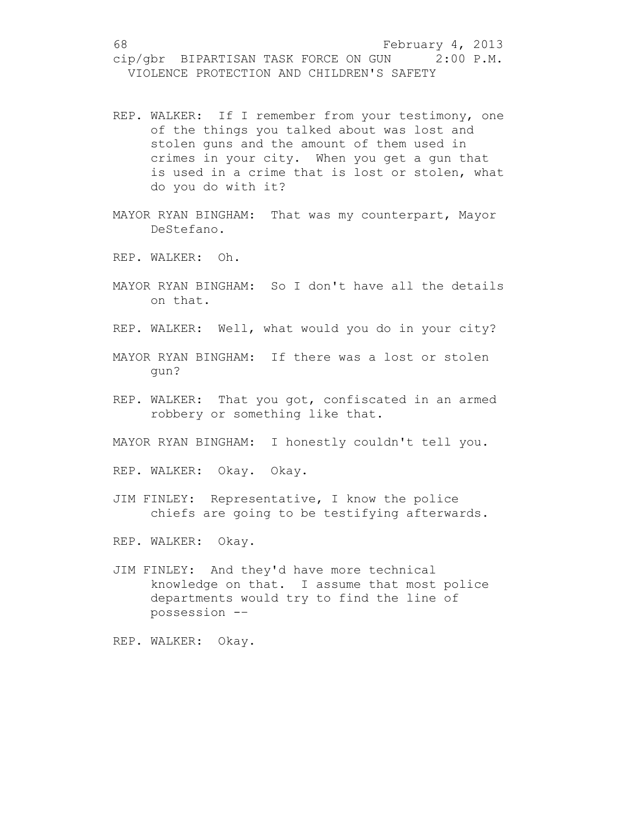- REP. WALKER: If I remember from your testimony, one of the things you talked about was lost and stolen guns and the amount of them used in crimes in your city. When you get a gun that is used in a crime that is lost or stolen, what do you do with it?
- MAYOR RYAN BINGHAM: That was my counterpart, Mayor DeStefano.
- REP. WALKER: Oh.
- MAYOR RYAN BINGHAM: So I don't have all the details on that.
- REP. WALKER: Well, what would you do in your city?
- MAYOR RYAN BINGHAM: If there was a lost or stolen gun?
- REP. WALKER: That you got, confiscated in an armed robbery or something like that.
- MAYOR RYAN BINGHAM: I honestly couldn't tell you.
- REP. WALKER: Okay. Okay.
- JIM FINLEY: Representative, I know the police chiefs are going to be testifying afterwards.
- REP. WALKER: Okay.
- JIM FINLEY: And they'd have more technical knowledge on that. I assume that most police departments would try to find the line of possession -–
- REP. WALKER: Okay.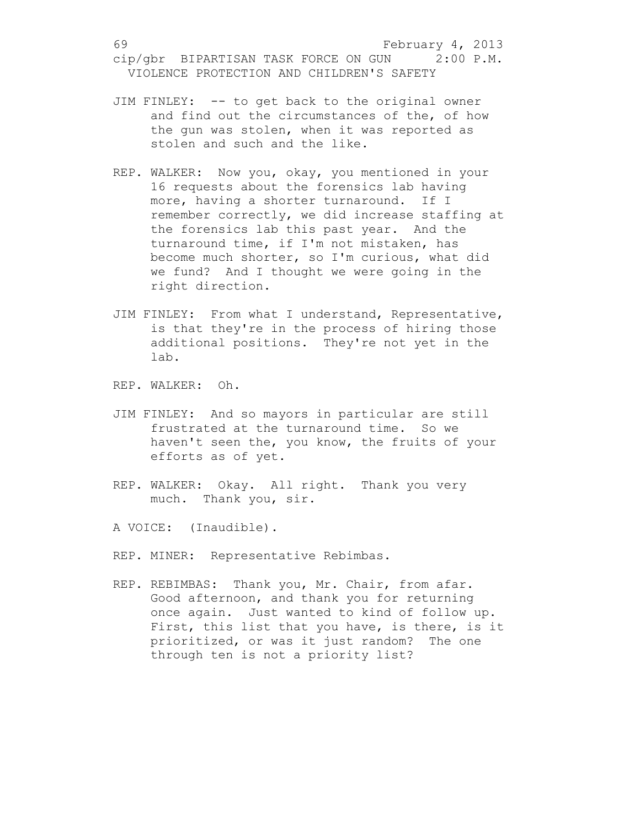- JIM FINLEY: -- to get back to the original owner and find out the circumstances of the, of how the gun was stolen, when it was reported as stolen and such and the like.
- REP. WALKER: Now you, okay, you mentioned in your 16 requests about the forensics lab having more, having a shorter turnaround. If I remember correctly, we did increase staffing at the forensics lab this past year. And the turnaround time, if I'm not mistaken, has become much shorter, so I'm curious, what did we fund? And I thought we were going in the right direction.
- JIM FINLEY: From what I understand, Representative, is that they're in the process of hiring those additional positions. They're not yet in the lab.

REP. WALKER: Oh.

- JIM FINLEY: And so mayors in particular are still frustrated at the turnaround time. So we haven't seen the, you know, the fruits of your efforts as of yet.
- REP. WALKER: Okay. All right. Thank you very much. Thank you, sir.
- A VOICE: (Inaudible).
- REP. MINER: Representative Rebimbas.
- REP. REBIMBAS: Thank you, Mr. Chair, from afar. Good afternoon, and thank you for returning once again. Just wanted to kind of follow up. First, this list that you have, is there, is it prioritized, or was it just random? The one through ten is not a priority list?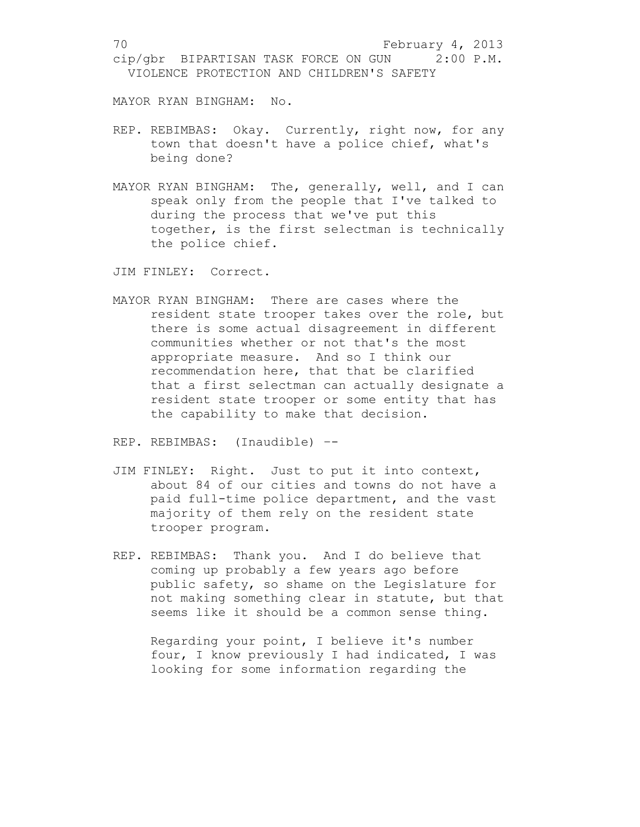MAYOR RYAN BINGHAM: No.

- REP. REBIMBAS: Okay. Currently, right now, for any town that doesn't have a police chief, what's being done?
- MAYOR RYAN BINGHAM: The, generally, well, and I can speak only from the people that I've talked to during the process that we've put this together, is the first selectman is technically the police chief.

JIM FINLEY: Correct.

MAYOR RYAN BINGHAM: There are cases where the resident state trooper takes over the role, but there is some actual disagreement in different communities whether or not that's the most appropriate measure. And so I think our recommendation here, that that be clarified that a first selectman can actually designate a resident state trooper or some entity that has the capability to make that decision.

REP. REBIMBAS: (Inaudible) –-

- JIM FINLEY: Right. Just to put it into context, about 84 of our cities and towns do not have a paid full-time police department, and the vast majority of them rely on the resident state trooper program.
- REP. REBIMBAS: Thank you. And I do believe that coming up probably a few years ago before public safety, so shame on the Legislature for not making something clear in statute, but that seems like it should be a common sense thing.

Regarding your point, I believe it's number four, I know previously I had indicated, I was looking for some information regarding the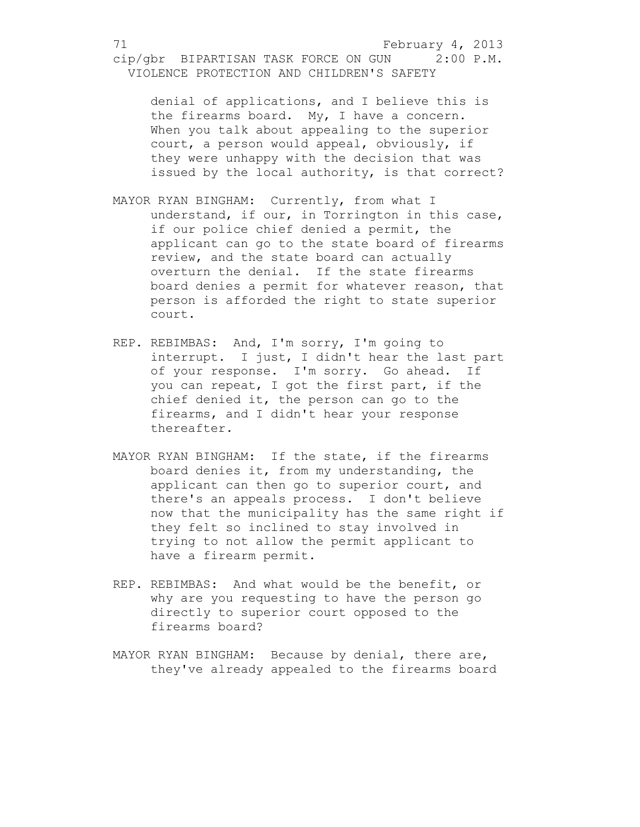denial of applications, and I believe this is the firearms board. My, I have a concern. When you talk about appealing to the superior court, a person would appeal, obviously, if they were unhappy with the decision that was issued by the local authority, is that correct?

- MAYOR RYAN BINGHAM: Currently, from what I understand, if our, in Torrington in this case, if our police chief denied a permit, the applicant can go to the state board of firearms review, and the state board can actually overturn the denial. If the state firearms board denies a permit for whatever reason, that person is afforded the right to state superior court.
- REP. REBIMBAS: And, I'm sorry, I'm going to interrupt. I just, I didn't hear the last part of your response. I'm sorry. Go ahead. If you can repeat, I got the first part, if the chief denied it, the person can go to the firearms, and I didn't hear your response thereafter.
- MAYOR RYAN BINGHAM: If the state, if the firearms board denies it, from my understanding, the applicant can then go to superior court, and there's an appeals process. I don't believe now that the municipality has the same right if they felt so inclined to stay involved in trying to not allow the permit applicant to have a firearm permit.
- REP. REBIMBAS: And what would be the benefit, or why are you requesting to have the person go directly to superior court opposed to the firearms board?
- MAYOR RYAN BINGHAM: Because by denial, there are, they've already appealed to the firearms board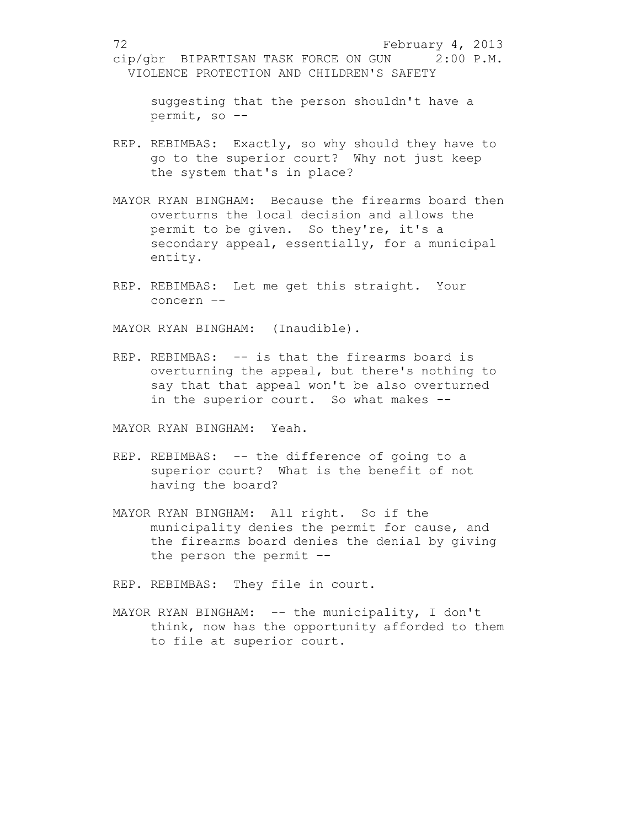suggesting that the person shouldn't have a permit, so –-

- REP. REBIMBAS: Exactly, so why should they have to go to the superior court? Why not just keep the system that's in place?
- MAYOR RYAN BINGHAM: Because the firearms board then overturns the local decision and allows the permit to be given. So they're, it's a secondary appeal, essentially, for a municipal entity.
- REP. REBIMBAS: Let me get this straight. Your concern –-

MAYOR RYAN BINGHAM: (Inaudible).

REP. REBIMBAS: -- is that the firearms board is overturning the appeal, but there's nothing to say that that appeal won't be also overturned in the superior court. So what makes --

MAYOR RYAN BINGHAM: Yeah.

- REP. REBIMBAS: -- the difference of going to a superior court? What is the benefit of not having the board?
- MAYOR RYAN BINGHAM: All right. So if the municipality denies the permit for cause, and the firearms board denies the denial by giving the person the permit –-

REP. REBIMBAS: They file in court.

MAYOR RYAN BINGHAM: -- the municipality, I don't think, now has the opportunity afforded to them to file at superior court.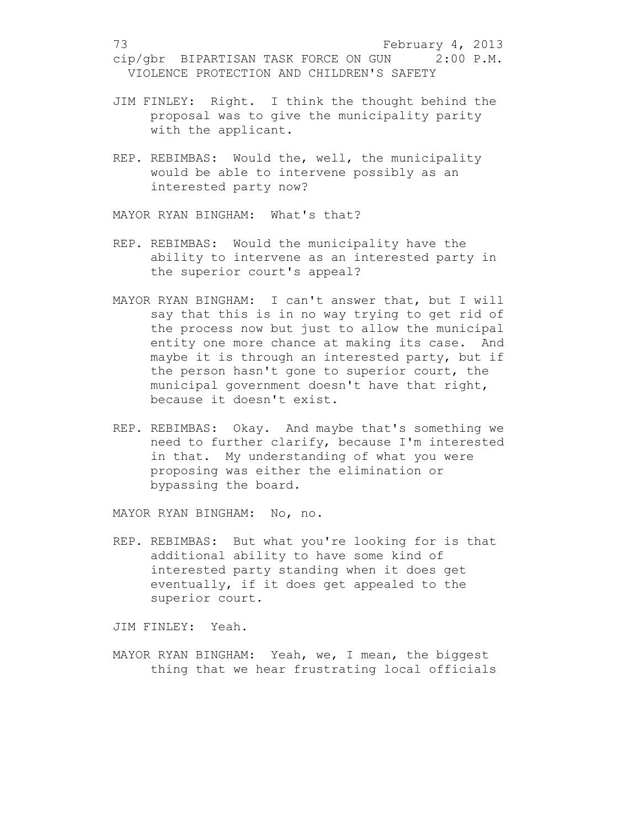- JIM FINLEY: Right. I think the thought behind the proposal was to give the municipality parity with the applicant.
- REP. REBIMBAS: Would the, well, the municipality would be able to intervene possibly as an interested party now?

MAYOR RYAN BINGHAM: What's that?

- REP. REBIMBAS: Would the municipality have the ability to intervene as an interested party in the superior court's appeal?
- MAYOR RYAN BINGHAM: I can't answer that, but I will say that this is in no way trying to get rid of the process now but just to allow the municipal entity one more chance at making its case. And maybe it is through an interested party, but if the person hasn't gone to superior court, the municipal government doesn't have that right, because it doesn't exist.
- REP. REBIMBAS: Okay. And maybe that's something we need to further clarify, because I'm interested in that. My understanding of what you were proposing was either the elimination or bypassing the board.

MAYOR RYAN BINGHAM: No, no.

REP. REBIMBAS: But what you're looking for is that additional ability to have some kind of interested party standing when it does get eventually, if it does get appealed to the superior court.

JIM FINLEY: Yeah.

MAYOR RYAN BINGHAM: Yeah, we, I mean, the biggest thing that we hear frustrating local officials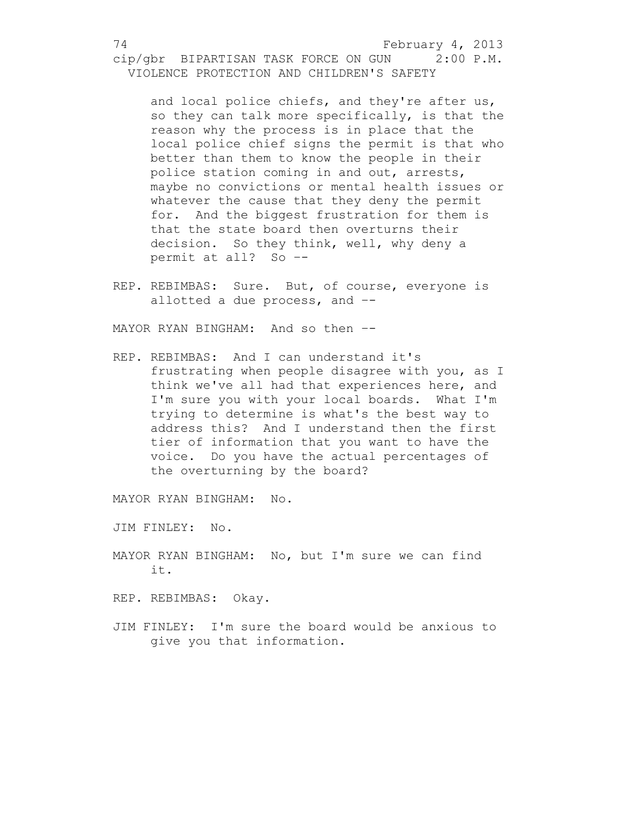and local police chiefs, and they're after us, so they can talk more specifically, is that the reason why the process is in place that the local police chief signs the permit is that who better than them to know the people in their police station coming in and out, arrests, maybe no convictions or mental health issues or whatever the cause that they deny the permit for. And the biggest frustration for them is that the state board then overturns their decision. So they think, well, why deny a permit at all? So –-

REP. REBIMBAS: Sure. But, of course, everyone is allotted a due process, and –-

MAYOR RYAN BINGHAM: And so then --

REP. REBIMBAS: And I can understand it's frustrating when people disagree with you, as I think we've all had that experiences here, and I'm sure you with your local boards. What I'm trying to determine is what's the best way to address this? And I understand then the first tier of information that you want to have the voice. Do you have the actual percentages of the overturning by the board?

MAYOR RYAN BINGHAM: No.

JIM FINLEY: No.

MAYOR RYAN BINGHAM: No, but I'm sure we can find it.

REP. REBIMBAS: Okay.

JIM FINLEY: I'm sure the board would be anxious to give you that information.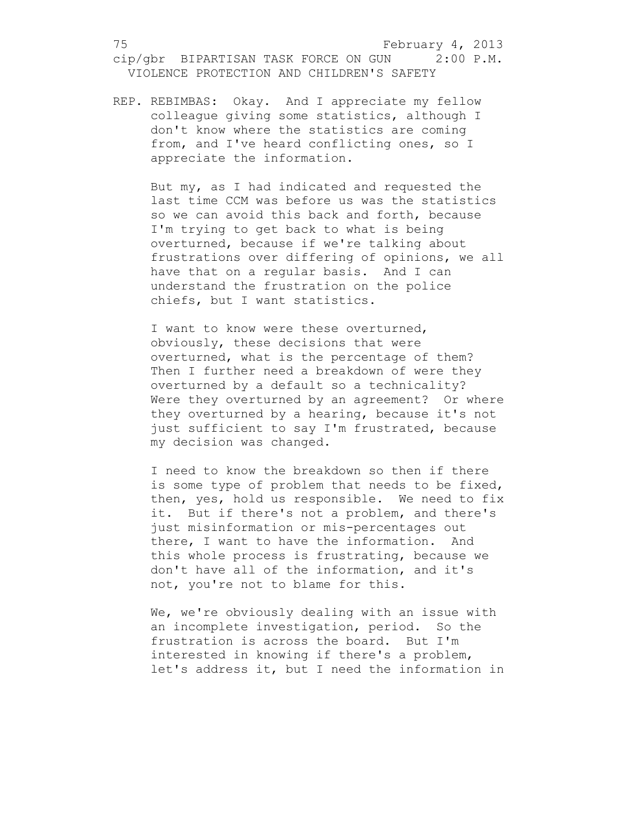REP. REBIMBAS: Okay. And I appreciate my fellow colleague giving some statistics, although I don't know where the statistics are coming from, and I've heard conflicting ones, so I appreciate the information.

> But my, as I had indicated and requested the last time CCM was before us was the statistics so we can avoid this back and forth, because I'm trying to get back to what is being overturned, because if we're talking about frustrations over differing of opinions, we all have that on a regular basis. And I can understand the frustration on the police chiefs, but I want statistics.

> I want to know were these overturned, obviously, these decisions that were overturned, what is the percentage of them? Then I further need a breakdown of were they overturned by a default so a technicality? Were they overturned by an agreement? Or where they overturned by a hearing, because it's not just sufficient to say I'm frustrated, because my decision was changed.

> I need to know the breakdown so then if there is some type of problem that needs to be fixed, then, yes, hold us responsible. We need to fix it. But if there's not a problem, and there's just misinformation or mis-percentages out there, I want to have the information. And this whole process is frustrating, because we don't have all of the information, and it's not, you're not to blame for this.

> We, we're obviously dealing with an issue with an incomplete investigation, period. So the frustration is across the board. But I'm interested in knowing if there's a problem, let's address it, but I need the information in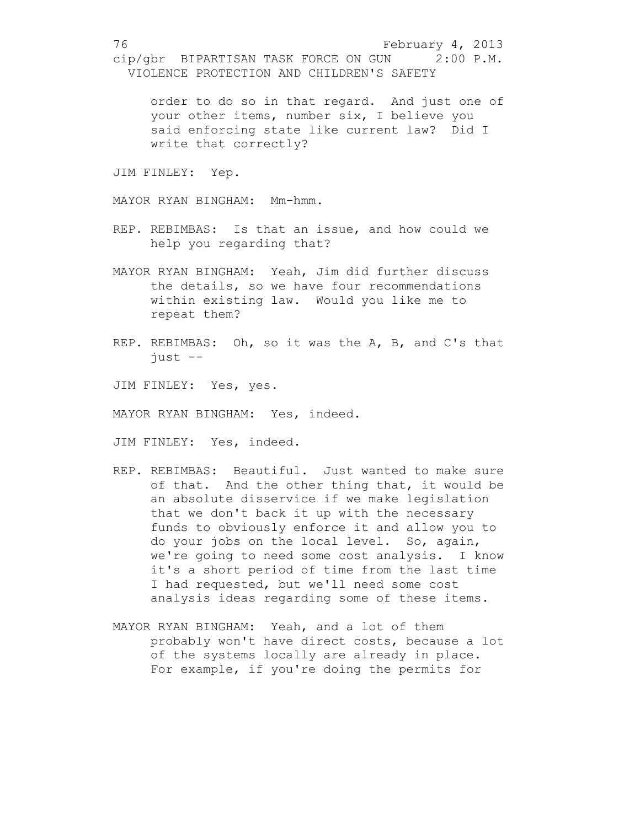order to do so in that regard. And just one of your other items, number six, I believe you said enforcing state like current law? Did I write that correctly?

JIM FINLEY: Yep.

MAYOR RYAN BINGHAM: Mm-hmm.

- REP. REBIMBAS: Is that an issue, and how could we help you regarding that?
- MAYOR RYAN BINGHAM: Yeah, Jim did further discuss the details, so we have four recommendations within existing law. Would you like me to repeat them?
- REP. REBIMBAS: Oh, so it was the A, B, and C's that just --
- JIM FINLEY: Yes, yes.
- MAYOR RYAN BINGHAM: Yes, indeed.

JIM FINLEY: Yes, indeed.

- REP. REBIMBAS: Beautiful. Just wanted to make sure of that. And the other thing that, it would be an absolute disservice if we make legislation that we don't back it up with the necessary funds to obviously enforce it and allow you to do your jobs on the local level. So, again, we're going to need some cost analysis. I know it's a short period of time from the last time I had requested, but we'll need some cost analysis ideas regarding some of these items.
- MAYOR RYAN BINGHAM: Yeah, and a lot of them probably won't have direct costs, because a lot of the systems locally are already in place. For example, if you're doing the permits for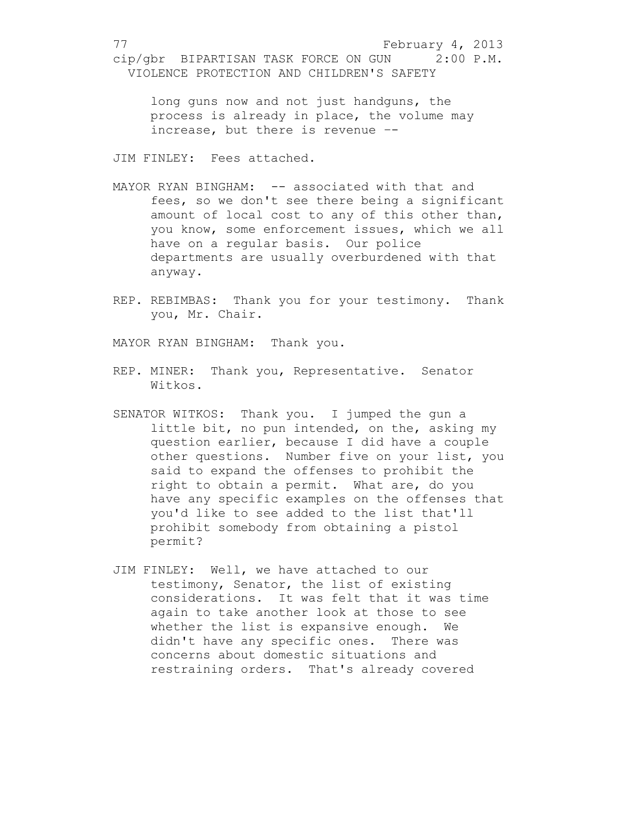long guns now and not just handguns, the process is already in place, the volume may increase, but there is revenue –-

JIM FINLEY: Fees attached.

- MAYOR RYAN BINGHAM: -- associated with that and fees, so we don't see there being a significant amount of local cost to any of this other than, you know, some enforcement issues, which we all have on a regular basis. Our police departments are usually overburdened with that anyway.
- REP. REBIMBAS: Thank you for your testimony. Thank you, Mr. Chair.

MAYOR RYAN BINGHAM: Thank you.

- REP. MINER: Thank you, Representative. Senator Witkos.
- SENATOR WITKOS: Thank you. I jumped the gun a little bit, no pun intended, on the, asking my question earlier, because I did have a couple other questions. Number five on your list, you said to expand the offenses to prohibit the right to obtain a permit. What are, do you have any specific examples on the offenses that you'd like to see added to the list that'll prohibit somebody from obtaining a pistol permit?
- JIM FINLEY: Well, we have attached to our testimony, Senator, the list of existing considerations. It was felt that it was time again to take another look at those to see whether the list is expansive enough. We didn't have any specific ones. There was concerns about domestic situations and restraining orders. That's already covered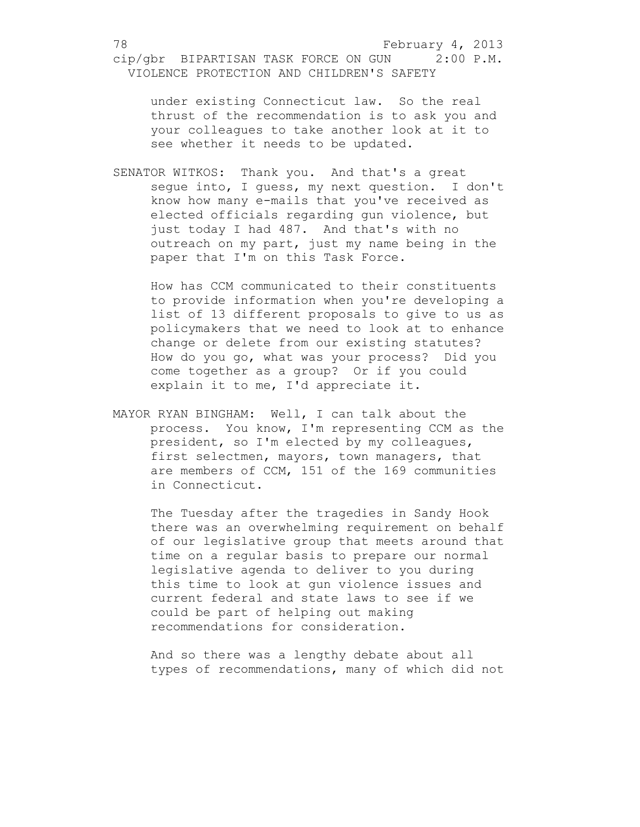under existing Connecticut law. So the real thrust of the recommendation is to ask you and your colleagues to take another look at it to see whether it needs to be updated.

SENATOR WITKOS: Thank you. And that's a great segue into, I guess, my next question. I don't know how many e-mails that you've received as elected officials regarding gun violence, but just today I had 487. And that's with no outreach on my part, just my name being in the paper that I'm on this Task Force.

How has CCM communicated to their constituents to provide information when you're developing a list of 13 different proposals to give to us as policymakers that we need to look at to enhance change or delete from our existing statutes? How do you go, what was your process? Did you come together as a group? Or if you could explain it to me, I'd appreciate it.

MAYOR RYAN BINGHAM: Well, I can talk about the process. You know, I'm representing CCM as the president, so I'm elected by my colleagues, first selectmen, mayors, town managers, that are members of CCM, 151 of the 169 communities in Connecticut.

The Tuesday after the tragedies in Sandy Hook there was an overwhelming requirement on behalf of our legislative group that meets around that time on a regular basis to prepare our normal legislative agenda to deliver to you during this time to look at gun violence issues and current federal and state laws to see if we could be part of helping out making recommendations for consideration.

And so there was a lengthy debate about all types of recommendations, many of which did not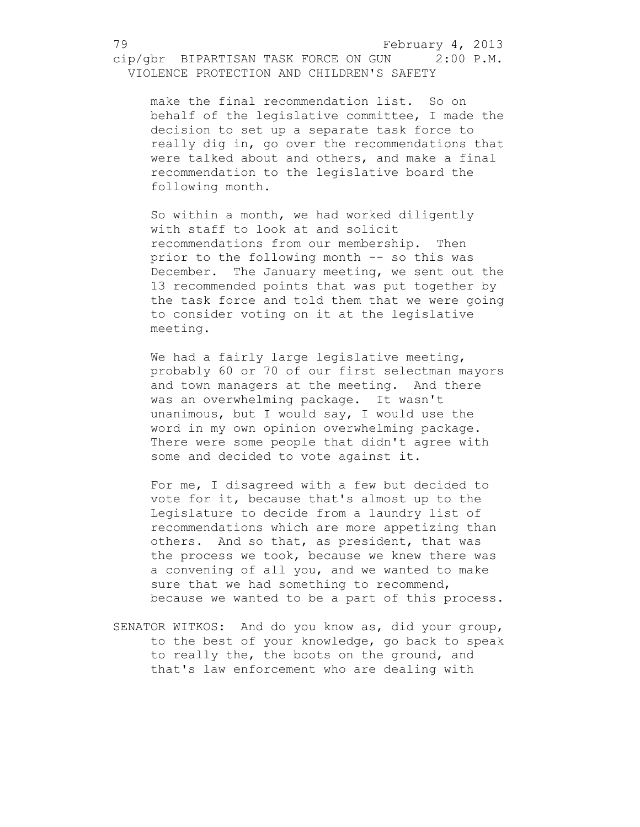make the final recommendation list. So on behalf of the legislative committee, I made the decision to set up a separate task force to really dig in, go over the recommendations that were talked about and others, and make a final recommendation to the legislative board the following month.

So within a month, we had worked diligently with staff to look at and solicit recommendations from our membership. Then prior to the following month -- so this was December. The January meeting, we sent out the 13 recommended points that was put together by the task force and told them that we were going to consider voting on it at the legislative meeting.

We had a fairly large legislative meeting, probably 60 or 70 of our first selectman mayors and town managers at the meeting. And there was an overwhelming package. It wasn't unanimous, but I would say, I would use the word in my own opinion overwhelming package. There were some people that didn't agree with some and decided to vote against it.

For me, I disagreed with a few but decided to vote for it, because that's almost up to the Legislature to decide from a laundry list of recommendations which are more appetizing than others. And so that, as president, that was the process we took, because we knew there was a convening of all you, and we wanted to make sure that we had something to recommend, because we wanted to be a part of this process.

SENATOR WITKOS: And do you know as, did your group, to the best of your knowledge, go back to speak to really the, the boots on the ground, and that's law enforcement who are dealing with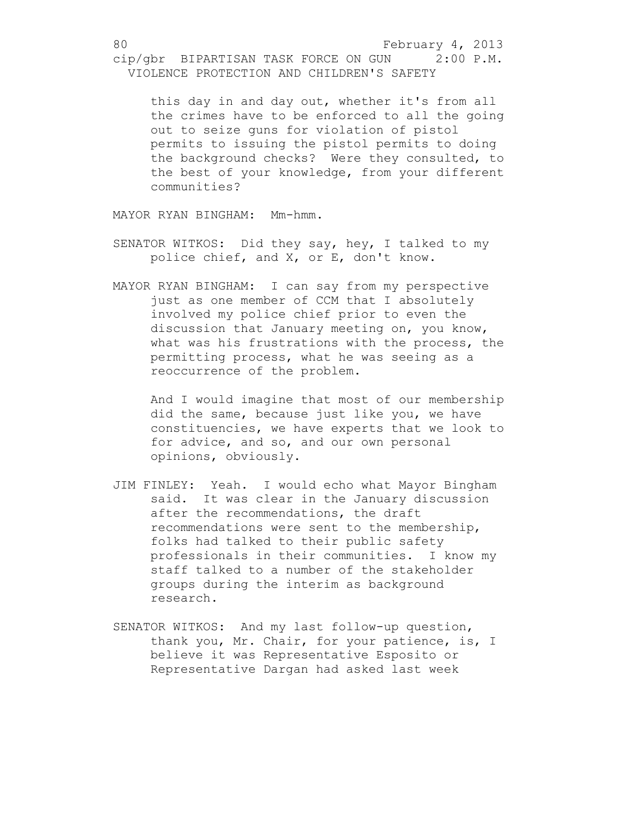this day in and day out, whether it's from all the crimes have to be enforced to all the going out to seize guns for violation of pistol permits to issuing the pistol permits to doing the background checks? Were they consulted, to the best of your knowledge, from your different communities?

MAYOR RYAN BINGHAM: Mm-hmm.

- SENATOR WITKOS: Did they say, hey, I talked to my police chief, and X, or E, don't know.
- MAYOR RYAN BINGHAM: I can say from my perspective just as one member of CCM that I absolutely involved my police chief prior to even the discussion that January meeting on, you know, what was his frustrations with the process, the permitting process, what he was seeing as a reoccurrence of the problem.

And I would imagine that most of our membership did the same, because just like you, we have constituencies, we have experts that we look to for advice, and so, and our own personal opinions, obviously.

- JIM FINLEY: Yeah. I would echo what Mayor Bingham said. It was clear in the January discussion after the recommendations, the draft recommendations were sent to the membership, folks had talked to their public safety professionals in their communities. I know my staff talked to a number of the stakeholder groups during the interim as background research.
- SENATOR WITKOS: And my last follow-up question, thank you, Mr. Chair, for your patience, is, I believe it was Representative Esposito or Representative Dargan had asked last week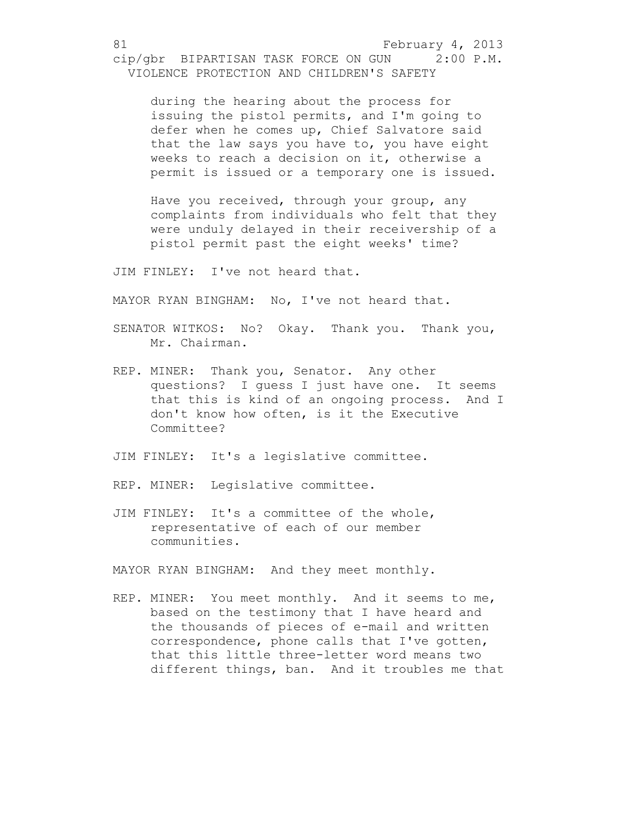during the hearing about the process for issuing the pistol permits, and I'm going to defer when he comes up, Chief Salvatore said that the law says you have to, you have eight weeks to reach a decision on it, otherwise a permit is issued or a temporary one is issued.

Have you received, through your group, any complaints from individuals who felt that they were unduly delayed in their receivership of a pistol permit past the eight weeks' time?

JIM FINLEY: I've not heard that.

MAYOR RYAN BINGHAM: No, I've not heard that.

- SENATOR WITKOS: No? Okay. Thank you. Thank you, Mr. Chairman.
- REP. MINER: Thank you, Senator. Any other questions? I guess I just have one. It seems that this is kind of an ongoing process. And I don't know how often, is it the Executive Committee?
- JIM FINLEY: It's a legislative committee.
- REP. MINER: Legislative committee.
- JIM FINLEY: It's a committee of the whole, representative of each of our member communities.

MAYOR RYAN BINGHAM: And they meet monthly.

REP. MINER: You meet monthly. And it seems to me, based on the testimony that I have heard and the thousands of pieces of e-mail and written correspondence, phone calls that I've gotten, that this little three-letter word means two different things, ban. And it troubles me that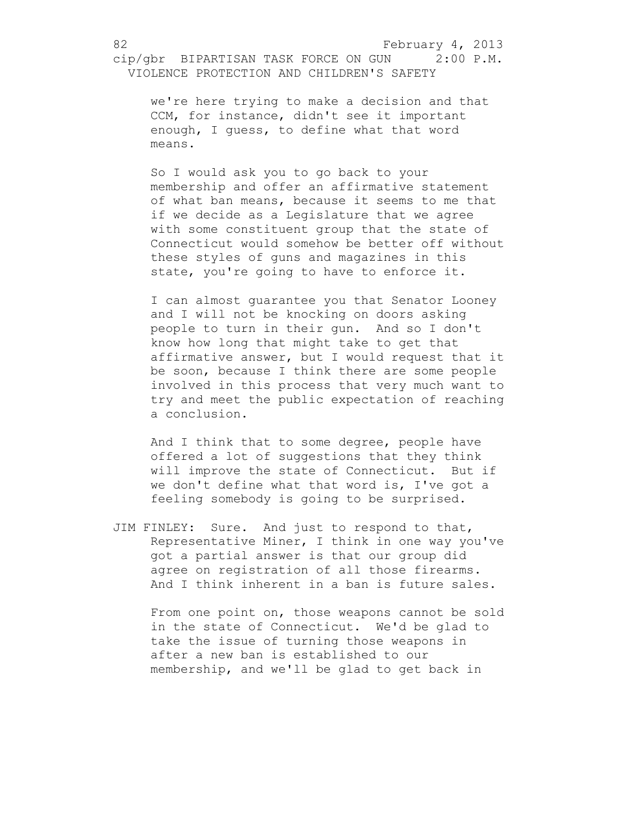we're here trying to make a decision and that CCM, for instance, didn't see it important enough, I guess, to define what that word means.

So I would ask you to go back to your membership and offer an affirmative statement of what ban means, because it seems to me that if we decide as a Legislature that we agree with some constituent group that the state of Connecticut would somehow be better off without these styles of guns and magazines in this state, you're going to have to enforce it.

I can almost guarantee you that Senator Looney and I will not be knocking on doors asking people to turn in their gun. And so I don't know how long that might take to get that affirmative answer, but I would request that it be soon, because I think there are some people involved in this process that very much want to try and meet the public expectation of reaching a conclusion.

And I think that to some degree, people have offered a lot of suggestions that they think will improve the state of Connecticut. But if we don't define what that word is, I've got a feeling somebody is going to be surprised.

JIM FINLEY: Sure. And just to respond to that, Representative Miner, I think in one way you've got a partial answer is that our group did agree on registration of all those firearms. And I think inherent in a ban is future sales.

From one point on, those weapons cannot be sold in the state of Connecticut. We'd be glad to take the issue of turning those weapons in after a new ban is established to our membership, and we'll be glad to get back in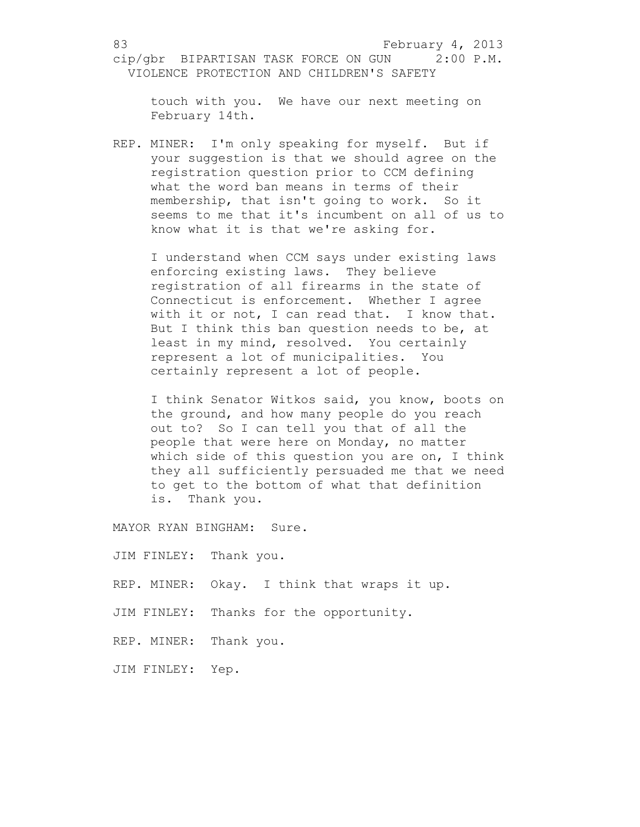touch with you. We have our next meeting on February 14th.

REP. MINER: I'm only speaking for myself. But if your suggestion is that we should agree on the registration question prior to CCM defining what the word ban means in terms of their membership, that isn't going to work. So it seems to me that it's incumbent on all of us to know what it is that we're asking for.

I understand when CCM says under existing laws enforcing existing laws. They believe registration of all firearms in the state of Connecticut is enforcement. Whether I agree with it or not, I can read that. I know that. But I think this ban question needs to be, at least in my mind, resolved. You certainly represent a lot of municipalities. You certainly represent a lot of people.

I think Senator Witkos said, you know, boots on the ground, and how many people do you reach out to? So I can tell you that of all the people that were here on Monday, no matter which side of this question you are on, I think they all sufficiently persuaded me that we need to get to the bottom of what that definition is. Thank you.

MAYOR RYAN BINGHAM: Sure.

JIM FINLEY: Thank you.

REP. MINER: Okay. I think that wraps it up.

JIM FINLEY: Thanks for the opportunity.

REP. MINER: Thank you.

JIM FINLEY: Yep.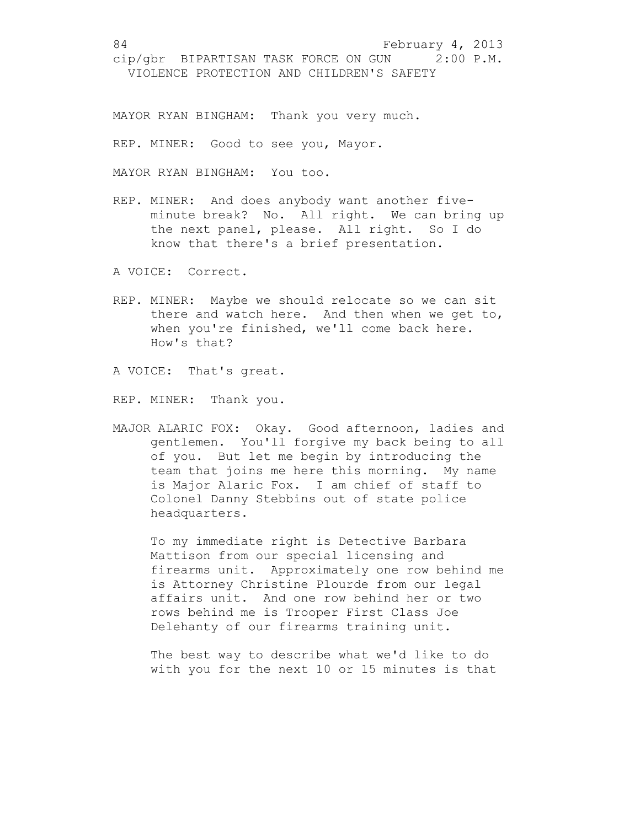MAYOR RYAN BINGHAM: Thank you very much.

REP. MINER: Good to see you, Mayor.

MAYOR RYAN BINGHAM: You too.

REP. MINER: And does anybody want another fiveminute break? No. All right. We can bring up the next panel, please. All right. So I do know that there's a brief presentation.

A VOICE: Correct.

REP. MINER: Maybe we should relocate so we can sit there and watch here. And then when we get to, when you're finished, we'll come back here. How's that?

A VOICE: That's great.

REP. MINER: Thank you.

MAJOR ALARIC FOX: Okay. Good afternoon, ladies and gentlemen. You'll forgive my back being to all of you. But let me begin by introducing the team that joins me here this morning. My name is Major Alaric Fox. I am chief of staff to Colonel Danny Stebbins out of state police headquarters.

To my immediate right is Detective Barbara Mattison from our special licensing and firearms unit. Approximately one row behind me is Attorney Christine Plourde from our legal affairs unit. And one row behind her or two rows behind me is Trooper First Class Joe Delehanty of our firearms training unit.

The best way to describe what we'd like to do with you for the next 10 or 15 minutes is that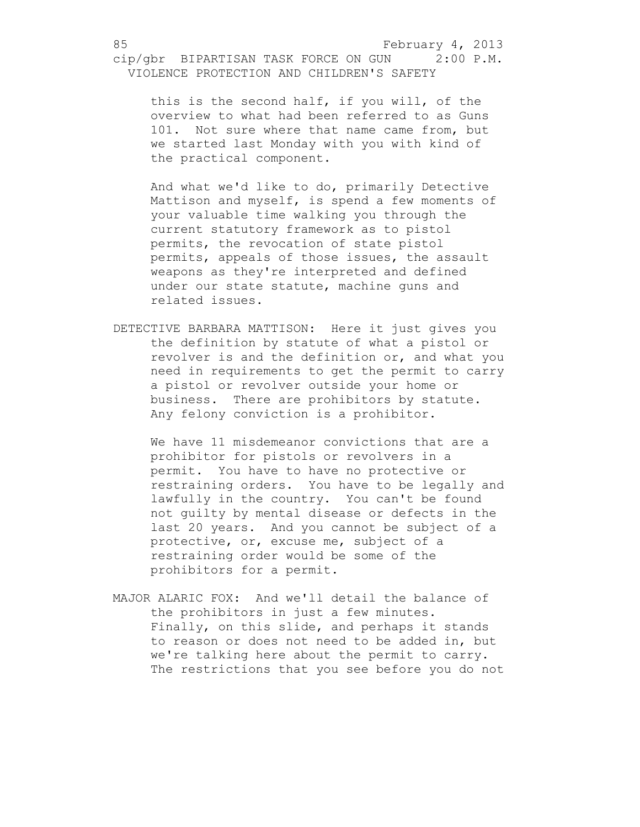this is the second half, if you will, of the overview to what had been referred to as Guns 101. Not sure where that name came from, but we started last Monday with you with kind of the practical component.

And what we'd like to do, primarily Detective Mattison and myself, is spend a few moments of your valuable time walking you through the current statutory framework as to pistol permits, the revocation of state pistol permits, appeals of those issues, the assault weapons as they're interpreted and defined under our state statute, machine guns and related issues.

DETECTIVE BARBARA MATTISON: Here it just gives you the definition by statute of what a pistol or revolver is and the definition or, and what you need in requirements to get the permit to carry a pistol or revolver outside your home or business. There are prohibitors by statute. Any felony conviction is a prohibitor.

We have 11 misdemeanor convictions that are a prohibitor for pistols or revolvers in a permit. You have to have no protective or restraining orders. You have to be legally and lawfully in the country. You can't be found not guilty by mental disease or defects in the last 20 years. And you cannot be subject of a protective, or, excuse me, subject of a restraining order would be some of the prohibitors for a permit.

MAJOR ALARIC FOX: And we'll detail the balance of the prohibitors in just a few minutes. Finally, on this slide, and perhaps it stands to reason or does not need to be added in, but we're talking here about the permit to carry. The restrictions that you see before you do not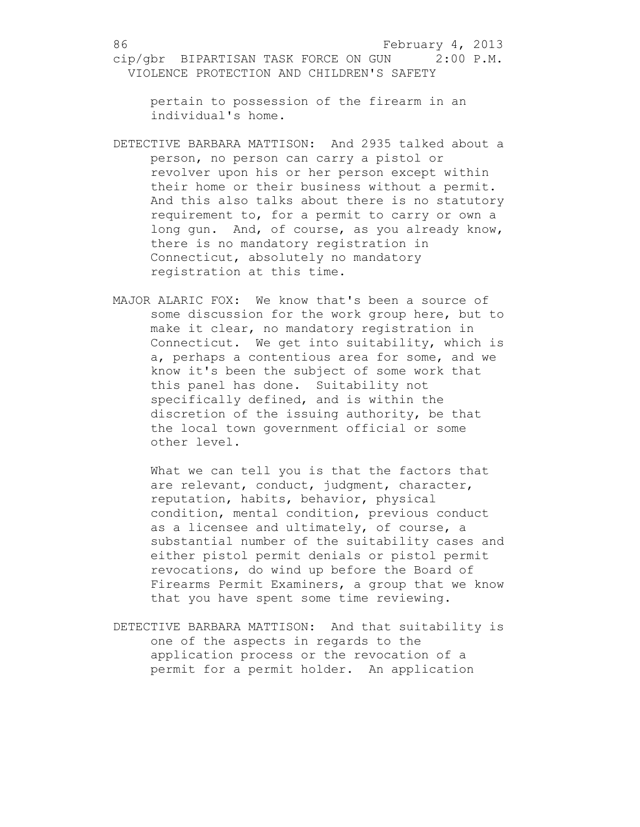pertain to possession of the firearm in an individual's home.

- DETECTIVE BARBARA MATTISON: And 2935 talked about a person, no person can carry a pistol or revolver upon his or her person except within their home or their business without a permit. And this also talks about there is no statutory requirement to, for a permit to carry or own a long gun. And, of course, as you already know, there is no mandatory registration in Connecticut, absolutely no mandatory registration at this time.
- MAJOR ALARIC FOX: We know that's been a source of some discussion for the work group here, but to make it clear, no mandatory registration in Connecticut. We get into suitability, which is a, perhaps a contentious area for some, and we know it's been the subject of some work that this panel has done. Suitability not specifically defined, and is within the discretion of the issuing authority, be that the local town government official or some other level.

What we can tell you is that the factors that are relevant, conduct, judgment, character, reputation, habits, behavior, physical condition, mental condition, previous conduct as a licensee and ultimately, of course, a substantial number of the suitability cases and either pistol permit denials or pistol permit revocations, do wind up before the Board of Firearms Permit Examiners, a group that we know that you have spent some time reviewing.

DETECTIVE BARBARA MATTISON: And that suitability is one of the aspects in regards to the application process or the revocation of a permit for a permit holder. An application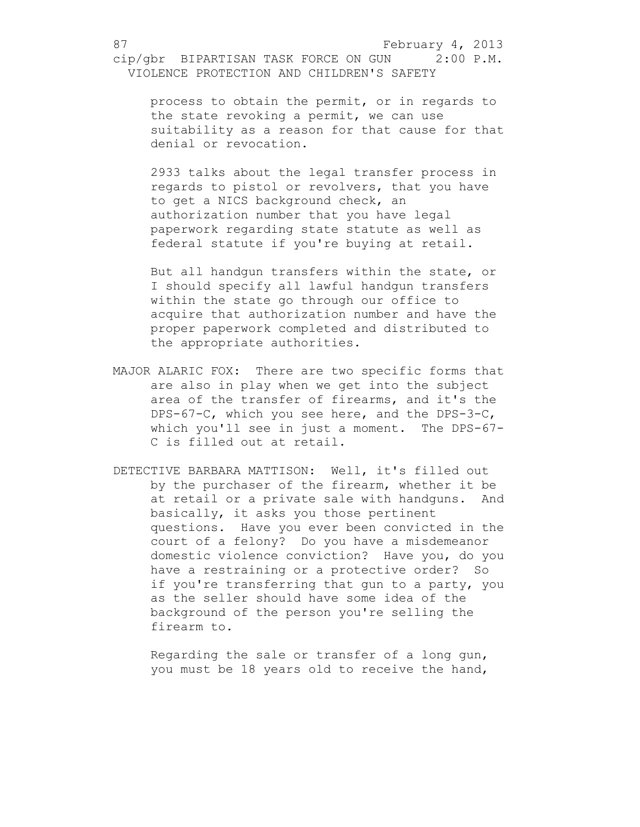process to obtain the permit, or in regards to the state revoking a permit, we can use suitability as a reason for that cause for that denial or revocation.

2933 talks about the legal transfer process in regards to pistol or revolvers, that you have to get a NICS background check, an authorization number that you have legal paperwork regarding state statute as well as federal statute if you're buying at retail.

But all handgun transfers within the state, or I should specify all lawful handgun transfers within the state go through our office to acquire that authorization number and have the proper paperwork completed and distributed to the appropriate authorities.

- MAJOR ALARIC FOX: There are two specific forms that are also in play when we get into the subject area of the transfer of firearms, and it's the DPS-67-C, which you see here, and the DPS-3-C, which you'll see in just a moment. The DPS-67- C is filled out at retail.
- DETECTIVE BARBARA MATTISON: Well, it's filled out by the purchaser of the firearm, whether it be at retail or a private sale with handguns. And basically, it asks you those pertinent questions. Have you ever been convicted in the court of a felony? Do you have a misdemeanor domestic violence conviction? Have you, do you have a restraining or a protective order? So if you're transferring that gun to a party, you as the seller should have some idea of the background of the person you're selling the firearm to.

Regarding the sale or transfer of a long gun, you must be 18 years old to receive the hand,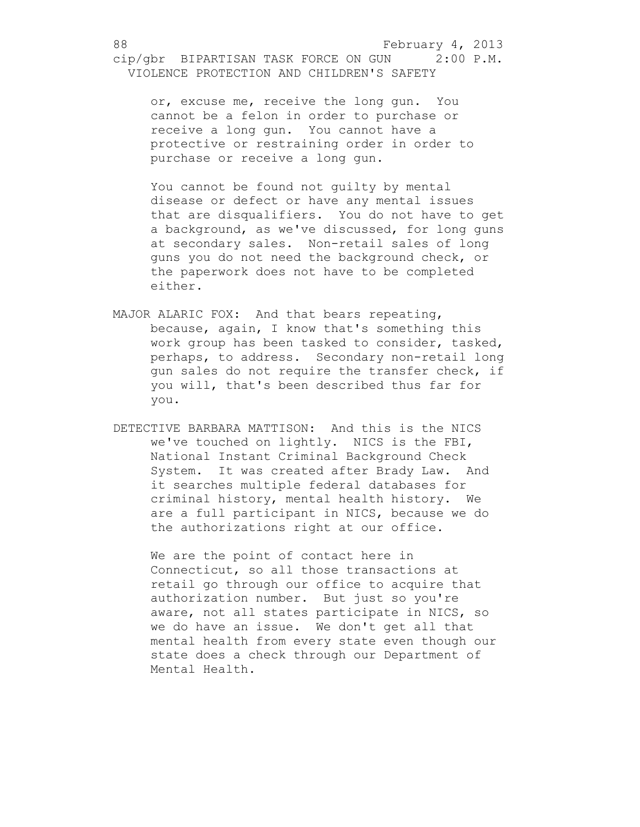or, excuse me, receive the long gun. You cannot be a felon in order to purchase or receive a long gun. You cannot have a protective or restraining order in order to purchase or receive a long gun.

You cannot be found not guilty by mental disease or defect or have any mental issues that are disqualifiers. You do not have to get a background, as we've discussed, for long guns at secondary sales. Non-retail sales of long guns you do not need the background check, or the paperwork does not have to be completed either.

- MAJOR ALARIC FOX: And that bears repeating, because, again, I know that's something this work group has been tasked to consider, tasked, perhaps, to address. Secondary non-retail long gun sales do not require the transfer check, if you will, that's been described thus far for you.
- DETECTIVE BARBARA MATTISON: And this is the NICS we've touched on lightly. NICS is the FBI, National Instant Criminal Background Check System. It was created after Brady Law. And it searches multiple federal databases for criminal history, mental health history. We are a full participant in NICS, because we do the authorizations right at our office.

We are the point of contact here in Connecticut, so all those transactions at retail go through our office to acquire that authorization number. But just so you're aware, not all states participate in NICS, so we do have an issue. We don't get all that mental health from every state even though our state does a check through our Department of Mental Health.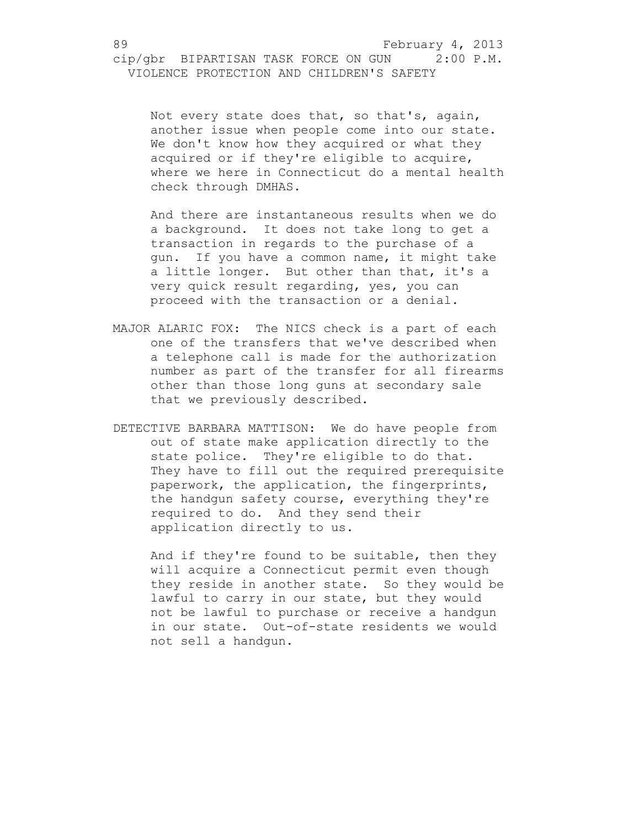Not every state does that, so that's, again, another issue when people come into our state. We don't know how they acquired or what they acquired or if they're eligible to acquire, where we here in Connecticut do a mental health check through DMHAS.

And there are instantaneous results when we do a background. It does not take long to get a transaction in regards to the purchase of a gun. If you have a common name, it might take a little longer. But other than that, it's a very quick result regarding, yes, you can proceed with the transaction or a denial.

- MAJOR ALARIC FOX: The NICS check is a part of each one of the transfers that we've described when a telephone call is made for the authorization number as part of the transfer for all firearms other than those long guns at secondary sale that we previously described.
- DETECTIVE BARBARA MATTISON: We do have people from out of state make application directly to the state police. They're eligible to do that. They have to fill out the required prerequisite paperwork, the application, the fingerprints, the handgun safety course, everything they're required to do. And they send their application directly to us.

And if they're found to be suitable, then they will acquire a Connecticut permit even though they reside in another state. So they would be lawful to carry in our state, but they would not be lawful to purchase or receive a handgun in our state. Out-of-state residents we would not sell a handgun.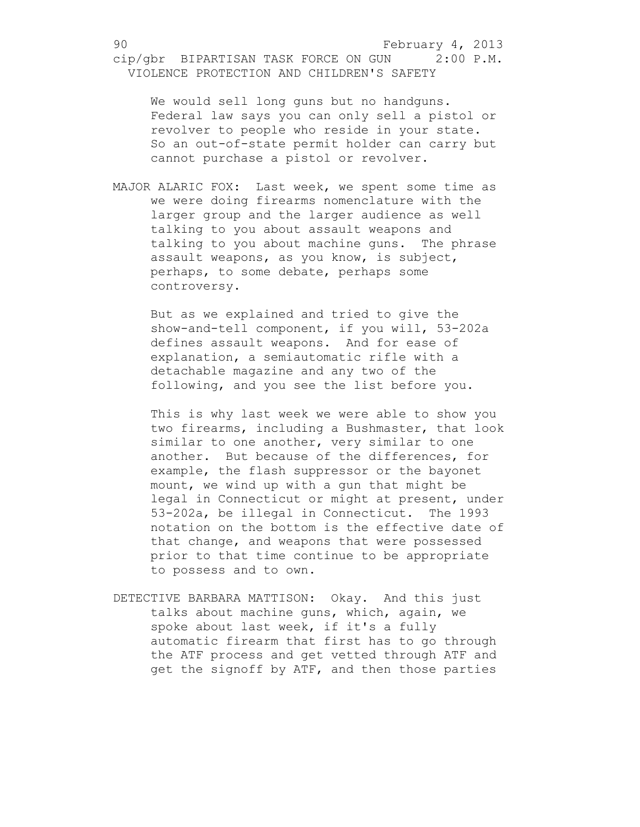We would sell long guns but no handguns. Federal law says you can only sell a pistol or revolver to people who reside in your state. So an out-of-state permit holder can carry but cannot purchase a pistol or revolver.

MAJOR ALARIC FOX: Last week, we spent some time as we were doing firearms nomenclature with the larger group and the larger audience as well talking to you about assault weapons and talking to you about machine guns. The phrase assault weapons, as you know, is subject, perhaps, to some debate, perhaps some controversy.

But as we explained and tried to give the show-and-tell component, if you will, 53-202a defines assault weapons. And for ease of explanation, a semiautomatic rifle with a detachable magazine and any two of the following, and you see the list before you.

This is why last week we were able to show you two firearms, including a Bushmaster, that look similar to one another, very similar to one another. But because of the differences, for example, the flash suppressor or the bayonet mount, we wind up with a gun that might be legal in Connecticut or might at present, under 53-202a, be illegal in Connecticut. The 1993 notation on the bottom is the effective date of that change, and weapons that were possessed prior to that time continue to be appropriate to possess and to own.

DETECTIVE BARBARA MATTISON: Okay. And this just talks about machine guns, which, again, we spoke about last week, if it's a fully automatic firearm that first has to go through the ATF process and get vetted through ATF and get the signoff by ATF, and then those parties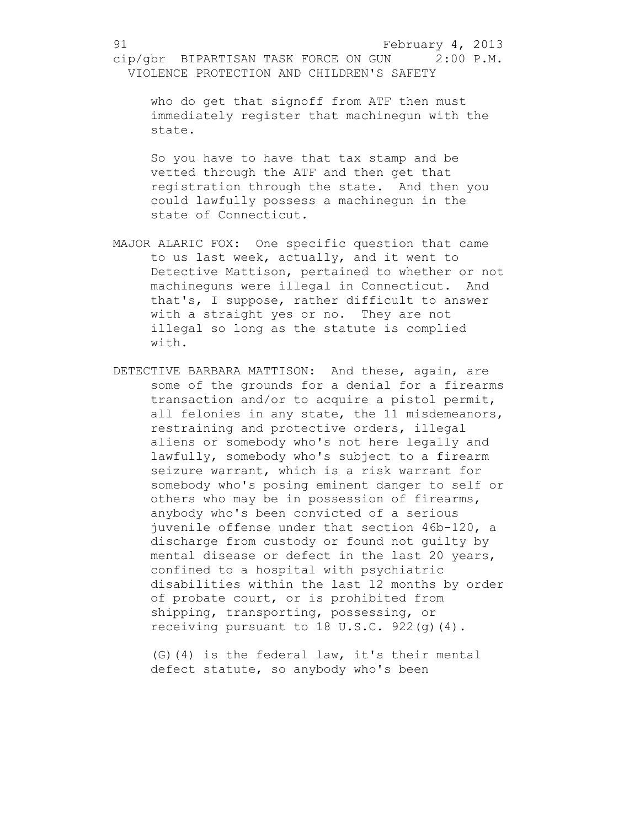who do get that signoff from ATF then must immediately register that machinegun with the state.

So you have to have that tax stamp and be vetted through the ATF and then get that registration through the state. And then you could lawfully possess a machinegun in the state of Connecticut.

- MAJOR ALARIC FOX: One specific question that came to us last week, actually, and it went to Detective Mattison, pertained to whether or not machineguns were illegal in Connecticut. And that's, I suppose, rather difficult to answer with a straight yes or no. They are not illegal so long as the statute is complied with.
- DETECTIVE BARBARA MATTISON: And these, again, are some of the grounds for a denial for a firearms transaction and/or to acquire a pistol permit, all felonies in any state, the 11 misdemeanors, restraining and protective orders, illegal aliens or somebody who's not here legally and lawfully, somebody who's subject to a firearm seizure warrant, which is a risk warrant for somebody who's posing eminent danger to self or others who may be in possession of firearms, anybody who's been convicted of a serious juvenile offense under that section 46b-120, a discharge from custody or found not guilty by mental disease or defect in the last 20 years, confined to a hospital with psychiatric disabilities within the last 12 months by order of probate court, or is prohibited from shipping, transporting, possessing, or receiving pursuant to 18 U.S.C. 922(g)(4).

(G)(4) is the federal law, it's their mental defect statute, so anybody who's been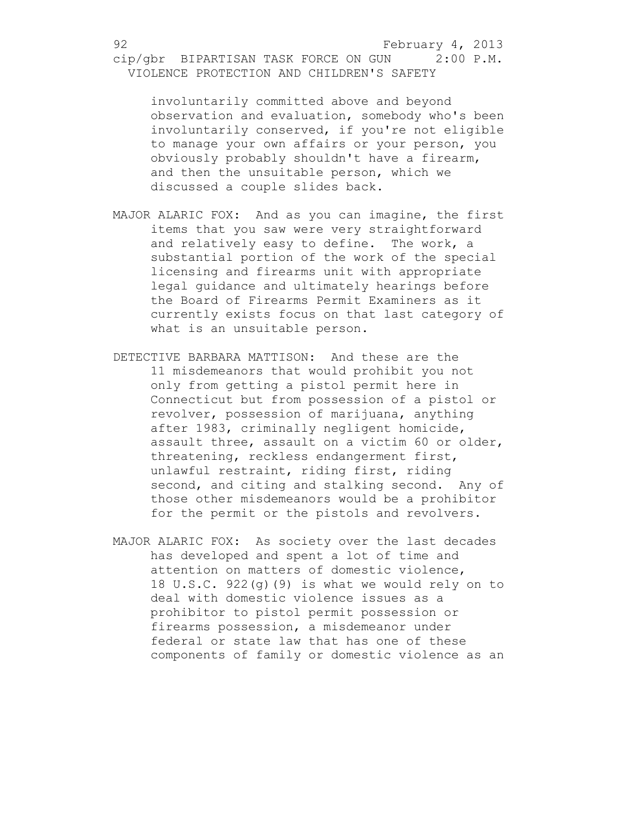involuntarily committed above and beyond observation and evaluation, somebody who's been involuntarily conserved, if you're not eligible to manage your own affairs or your person, you obviously probably shouldn't have a firearm, and then the unsuitable person, which we discussed a couple slides back.

- MAJOR ALARIC FOX: And as you can imagine, the first items that you saw were very straightforward and relatively easy to define. The work, a substantial portion of the work of the special licensing and firearms unit with appropriate legal guidance and ultimately hearings before the Board of Firearms Permit Examiners as it currently exists focus on that last category of what is an unsuitable person.
- DETECTIVE BARBARA MATTISON: And these are the 11 misdemeanors that would prohibit you not only from getting a pistol permit here in Connecticut but from possession of a pistol or revolver, possession of marijuana, anything after 1983, criminally negligent homicide, assault three, assault on a victim 60 or older, threatening, reckless endangerment first, unlawful restraint, riding first, riding second, and citing and stalking second. Any of those other misdemeanors would be a prohibitor for the permit or the pistols and revolvers.
- MAJOR ALARIC FOX: As society over the last decades has developed and spent a lot of time and attention on matters of domestic violence, 18 U.S.C. 922(g)(9) is what we would rely on to deal with domestic violence issues as a prohibitor to pistol permit possession or firearms possession, a misdemeanor under federal or state law that has one of these components of family or domestic violence as an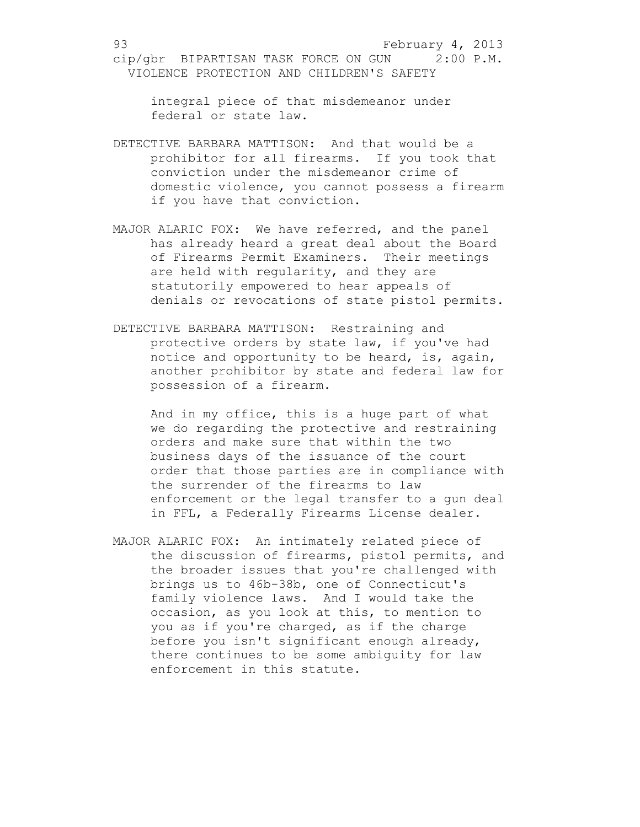integral piece of that misdemeanor under federal or state law.

- DETECTIVE BARBARA MATTISON: And that would be a prohibitor for all firearms. If you took that conviction under the misdemeanor crime of domestic violence, you cannot possess a firearm if you have that conviction.
- MAJOR ALARIC FOX: We have referred, and the panel has already heard a great deal about the Board of Firearms Permit Examiners. Their meetings are held with regularity, and they are statutorily empowered to hear appeals of denials or revocations of state pistol permits.
- DETECTIVE BARBARA MATTISON: Restraining and protective orders by state law, if you've had notice and opportunity to be heard, is, again, another prohibitor by state and federal law for possession of a firearm.

And in my office, this is a huge part of what we do regarding the protective and restraining orders and make sure that within the two business days of the issuance of the court order that those parties are in compliance with the surrender of the firearms to law enforcement or the legal transfer to a gun deal in FFL, a Federally Firearms License dealer.

MAJOR ALARIC FOX: An intimately related piece of the discussion of firearms, pistol permits, and the broader issues that you're challenged with brings us to 46b-38b, one of Connecticut's family violence laws. And I would take the occasion, as you look at this, to mention to you as if you're charged, as if the charge before you isn't significant enough already, there continues to be some ambiguity for law enforcement in this statute.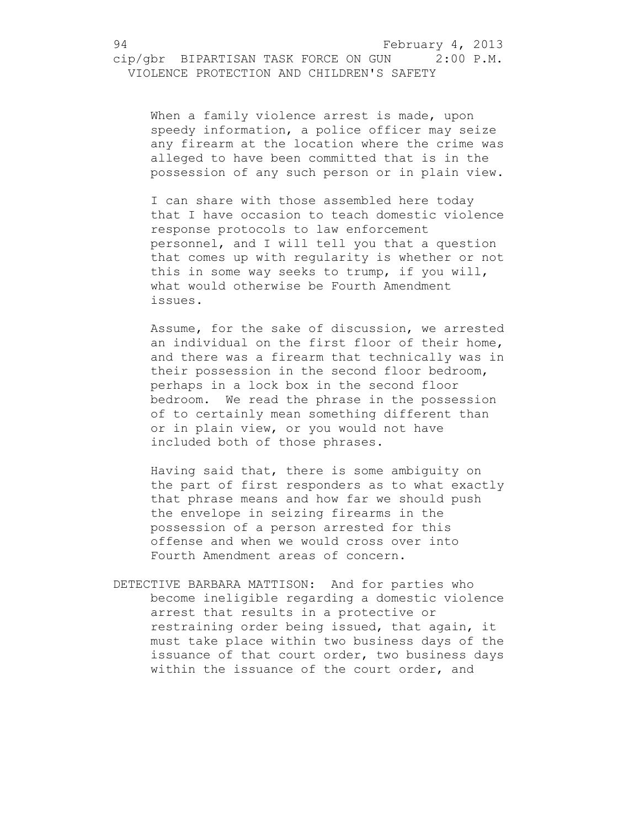94 February 4, 2013

cip/gbr BIPARTISAN TASK FORCE ON GUN 2:00 P.M. VIOLENCE PROTECTION AND CHILDREN'S SAFETY

When a family violence arrest is made, upon speedy information, a police officer may seize any firearm at the location where the crime was alleged to have been committed that is in the possession of any such person or in plain view.

I can share with those assembled here today that I have occasion to teach domestic violence response protocols to law enforcement personnel, and I will tell you that a question that comes up with regularity is whether or not this in some way seeks to trump, if you will, what would otherwise be Fourth Amendment issues.

Assume, for the sake of discussion, we arrested an individual on the first floor of their home, and there was a firearm that technically was in their possession in the second floor bedroom, perhaps in a lock box in the second floor bedroom. We read the phrase in the possession of to certainly mean something different than or in plain view, or you would not have included both of those phrases.

Having said that, there is some ambiguity on the part of first responders as to what exactly that phrase means and how far we should push the envelope in seizing firearms in the possession of a person arrested for this offense and when we would cross over into Fourth Amendment areas of concern.

DETECTIVE BARBARA MATTISON: And for parties who become ineligible regarding a domestic violence arrest that results in a protective or restraining order being issued, that again, it must take place within two business days of the issuance of that court order, two business days within the issuance of the court order, and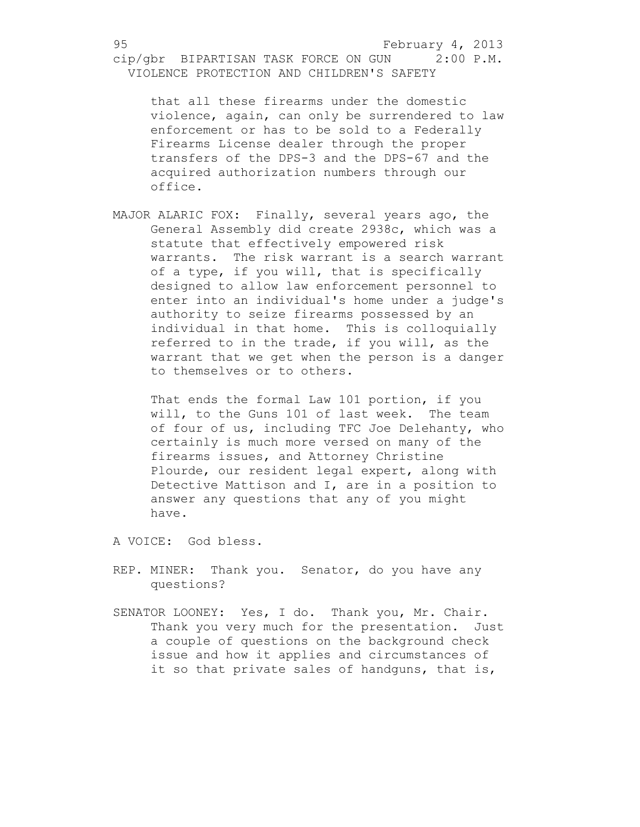that all these firearms under the domestic violence, again, can only be surrendered to law enforcement or has to be sold to a Federally Firearms License dealer through the proper transfers of the DPS-3 and the DPS-67 and the acquired authorization numbers through our office.

MAJOR ALARIC FOX: Finally, several years ago, the General Assembly did create 2938c, which was a statute that effectively empowered risk warrants. The risk warrant is a search warrant of a type, if you will, that is specifically designed to allow law enforcement personnel to enter into an individual's home under a judge's authority to seize firearms possessed by an individual in that home. This is colloquially referred to in the trade, if you will, as the warrant that we get when the person is a danger to themselves or to others.

That ends the formal Law 101 portion, if you will, to the Guns 101 of last week. The team of four of us, including TFC Joe Delehanty, who certainly is much more versed on many of the firearms issues, and Attorney Christine Plourde, our resident legal expert, along with Detective Mattison and I, are in a position to answer any questions that any of you might have.

A VOICE: God bless.

- REP. MINER: Thank you. Senator, do you have any questions?
- SENATOR LOONEY: Yes, I do. Thank you, Mr. Chair. Thank you very much for the presentation. Just a couple of questions on the background check issue and how it applies and circumstances of it so that private sales of handquns, that is,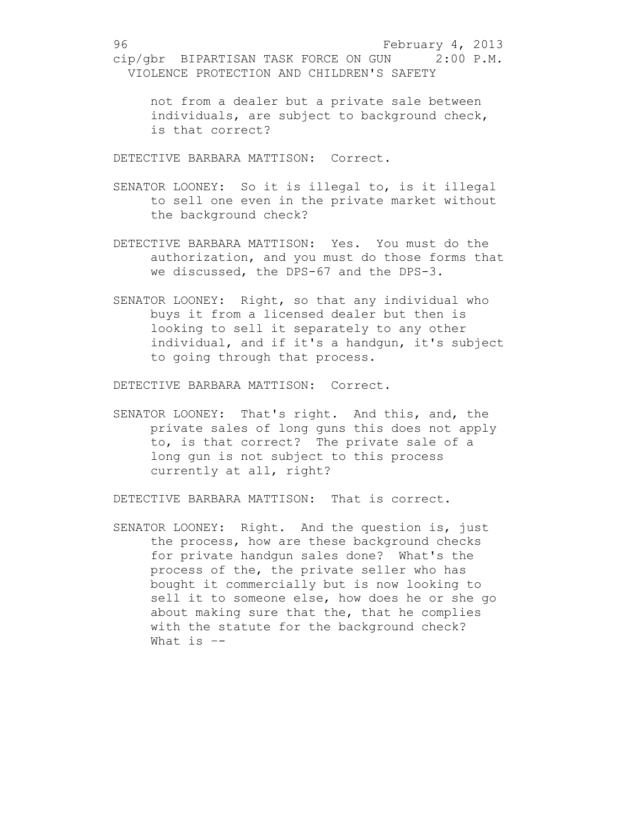not from a dealer but a private sale between individuals, are subject to background check, is that correct?

DETECTIVE BARBARA MATTISON: Correct.

- SENATOR LOONEY: So it is illegal to, is it illegal to sell one even in the private market without the background check?
- DETECTIVE BARBARA MATTISON: Yes. You must do the authorization, and you must do those forms that we discussed, the DPS-67 and the DPS-3.
- SENATOR LOONEY: Right, so that any individual who buys it from a licensed dealer but then is looking to sell it separately to any other individual, and if it's a handgun, it's subject to going through that process.

DETECTIVE BARBARA MATTISON: Correct.

SENATOR LOONEY: That's right. And this, and, the private sales of long guns this does not apply to, is that correct? The private sale of a long gun is not subject to this process currently at all, right?

DETECTIVE BARBARA MATTISON: That is correct.

SENATOR LOONEY: Right. And the question is, just the process, how are these background checks for private handgun sales done? What's the process of the, the private seller who has bought it commercially but is now looking to sell it to someone else, how does he or she go about making sure that the, that he complies with the statute for the background check? What is –-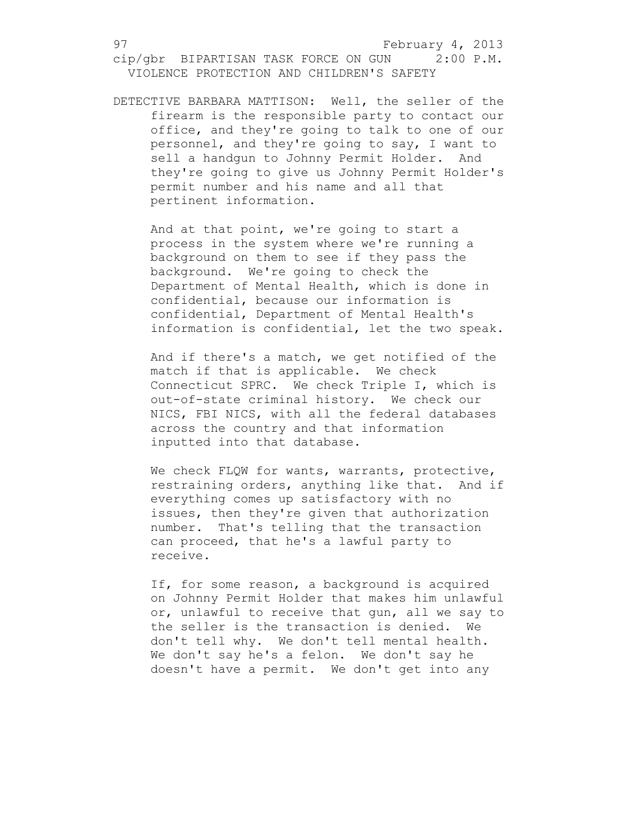DETECTIVE BARBARA MATTISON: Well, the seller of the firearm is the responsible party to contact our office, and they're going to talk to one of our personnel, and they're going to say, I want to sell a handgun to Johnny Permit Holder. And they're going to give us Johnny Permit Holder's permit number and his name and all that pertinent information.

And at that point, we're going to start a process in the system where we're running a background on them to see if they pass the background. We're going to check the Department of Mental Health, which is done in confidential, because our information is confidential, Department of Mental Health's information is confidential, let the two speak.

And if there's a match, we get notified of the match if that is applicable. We check Connecticut SPRC. We check Triple I, which is out-of-state criminal history. We check our NICS, FBI NICS, with all the federal databases across the country and that information inputted into that database.

We check FLQW for wants, warrants, protective, restraining orders, anything like that. And if everything comes up satisfactory with no issues, then they're given that authorization number. That's telling that the transaction can proceed, that he's a lawful party to receive.

If, for some reason, a background is acquired on Johnny Permit Holder that makes him unlawful or, unlawful to receive that gun, all we say to the seller is the transaction is denied. We don't tell why. We don't tell mental health. We don't say he's a felon. We don't say he doesn't have a permit. We don't get into any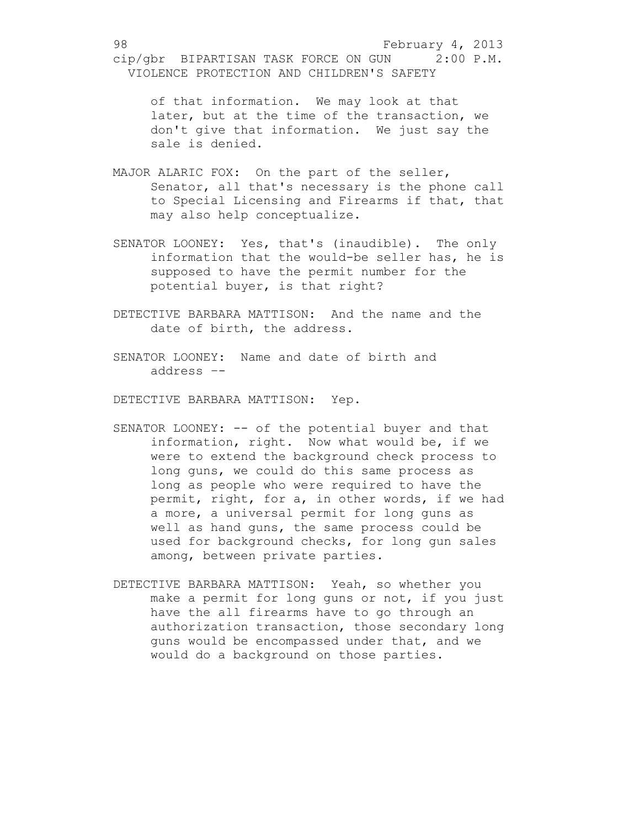of that information. We may look at that later, but at the time of the transaction, we don't give that information. We just say the sale is denied.

- MAJOR ALARIC FOX: On the part of the seller, Senator, all that's necessary is the phone call to Special Licensing and Firearms if that, that may also help conceptualize.
- SENATOR LOONEY: Yes, that's (inaudible). The only information that the would-be seller has, he is supposed to have the permit number for the potential buyer, is that right?
- DETECTIVE BARBARA MATTISON: And the name and the date of birth, the address.
- SENATOR LOONEY: Name and date of birth and address –-
- DETECTIVE BARBARA MATTISON: Yep.
- SENATOR LOONEY: -- of the potential buyer and that information, right. Now what would be, if we were to extend the background check process to long guns, we could do this same process as long as people who were required to have the permit, right, for a, in other words, if we had a more, a universal permit for long guns as well as hand guns, the same process could be used for background checks, for long gun sales among, between private parties.
- DETECTIVE BARBARA MATTISON: Yeah, so whether you make a permit for long guns or not, if you just have the all firearms have to go through an authorization transaction, those secondary long guns would be encompassed under that, and we would do a background on those parties.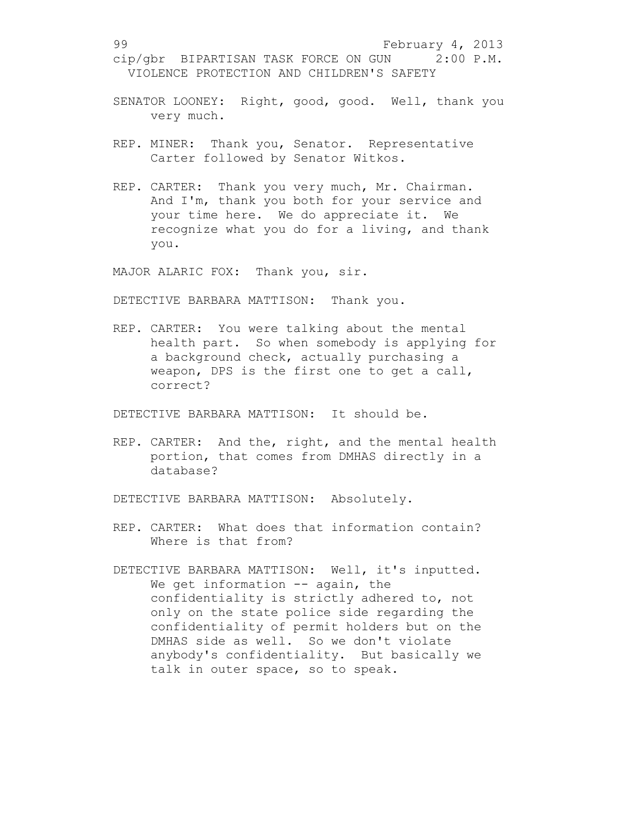- SENATOR LOONEY: Right, good, good. Well, thank you very much.
- REP. MINER: Thank you, Senator. Representative Carter followed by Senator Witkos.
- REP. CARTER: Thank you very much, Mr. Chairman. And I'm, thank you both for your service and your time here. We do appreciate it. We recognize what you do for a living, and thank you.

MAJOR ALARIC FOX: Thank you, sir.

DETECTIVE BARBARA MATTISON: Thank you.

REP. CARTER: You were talking about the mental health part. So when somebody is applying for a background check, actually purchasing a weapon, DPS is the first one to get a call, correct?

DETECTIVE BARBARA MATTISON: It should be.

REP. CARTER: And the, right, and the mental health portion, that comes from DMHAS directly in a database?

DETECTIVE BARBARA MATTISON: Absolutely.

- REP. CARTER: What does that information contain? Where is that from?
- DETECTIVE BARBARA MATTISON: Well, it's inputted. We get information -- again, the confidentiality is strictly adhered to, not only on the state police side regarding the confidentiality of permit holders but on the DMHAS side as well. So we don't violate anybody's confidentiality. But basically we talk in outer space, so to speak.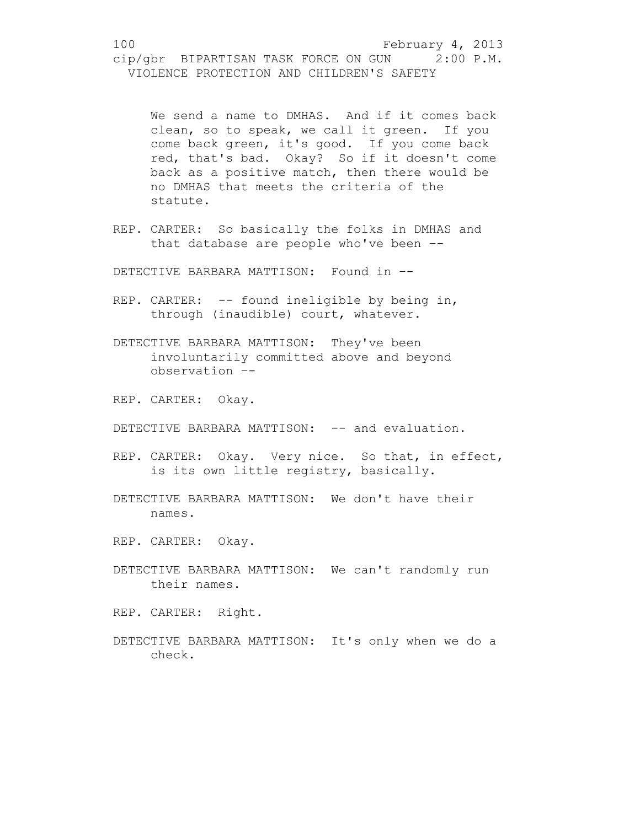We send a name to DMHAS. And if it comes back clean, so to speak, we call it green. If you come back green, it's good. If you come back red, that's bad. Okay? So if it doesn't come back as a positive match, then there would be no DMHAS that meets the criteria of the statute.

REP. CARTER: So basically the folks in DMHAS and that database are people who've been –-

DETECTIVE BARBARA MATTISON: Found in –-

- REP. CARTER: -- found ineligible by being in, through (inaudible) court, whatever.
- DETECTIVE BARBARA MATTISON: They've been involuntarily committed above and beyond observation –-
- REP. CARTER: Okay.
- DETECTIVE BARBARA MATTISON: -- and evaluation.
- REP. CARTER: Okay. Very nice. So that, in effect, is its own little registry, basically.
- DETECTIVE BARBARA MATTISON: We don't have their names.
- REP. CARTER: Okay.
- DETECTIVE BARBARA MATTISON: We can't randomly run their names.

REP. CARTER: Right.

DETECTIVE BARBARA MATTISON: It's only when we do a check.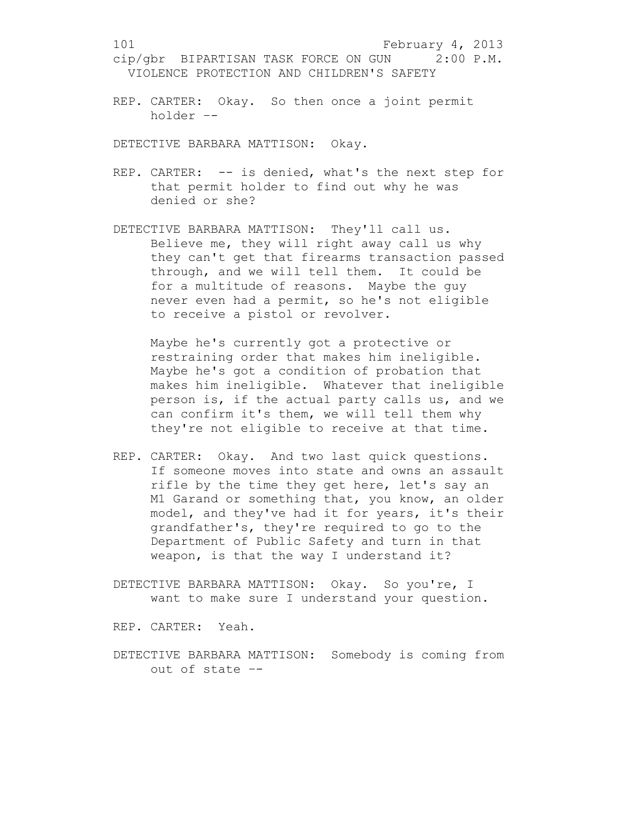REP. CARTER: Okay. So then once a joint permit holder –-

DETECTIVE BARBARA MATTISON: Okay.

- REP. CARTER: -- is denied, what's the next step for that permit holder to find out why he was denied or she?
- DETECTIVE BARBARA MATTISON: They'll call us. Believe me, they will right away call us why they can't get that firearms transaction passed through, and we will tell them. It could be for a multitude of reasons. Maybe the guy never even had a permit, so he's not eligible to receive a pistol or revolver.

Maybe he's currently got a protective or restraining order that makes him ineligible. Maybe he's got a condition of probation that makes him ineligible. Whatever that ineligible person is, if the actual party calls us, and we can confirm it's them, we will tell them why they're not eligible to receive at that time.

- REP. CARTER: Okay. And two last quick questions. If someone moves into state and owns an assault rifle by the time they get here, let's say an M1 Garand or something that, you know, an older model, and they've had it for years, it's their grandfather's, they're required to go to the Department of Public Safety and turn in that weapon, is that the way I understand it?
- DETECTIVE BARBARA MATTISON: Okay. So you're, I want to make sure I understand your question.

REP. CARTER: Yeah.

DETECTIVE BARBARA MATTISON: Somebody is coming from out of state –-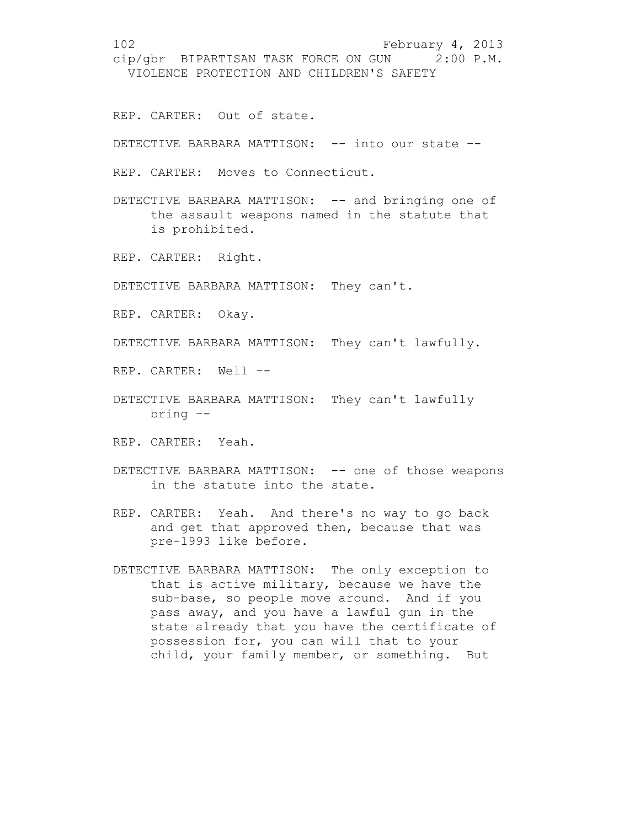REP. CARTER: Out of state.

DETECTIVE BARBARA MATTISON: -- into our state --

REP. CARTER: Moves to Connecticut.

DETECTIVE BARBARA MATTISON: -- and bringing one of the assault weapons named in the statute that is prohibited.

REP. CARTER: Right.

DETECTIVE BARBARA MATTISON: They can't.

REP. CARTER: Okay.

DETECTIVE BARBARA MATTISON: They can't lawfully.

REP. CARTER: Well –-

- DETECTIVE BARBARA MATTISON: They can't lawfully bring –-
- REP. CARTER: Yeah.
- DETECTIVE BARBARA MATTISON: -- one of those weapons in the statute into the state.
- REP. CARTER: Yeah. And there's no way to go back and get that approved then, because that was pre-1993 like before.
- DETECTIVE BARBARA MATTISON: The only exception to that is active military, because we have the sub-base, so people move around. And if you pass away, and you have a lawful gun in the state already that you have the certificate of possession for, you can will that to your child, your family member, or something. But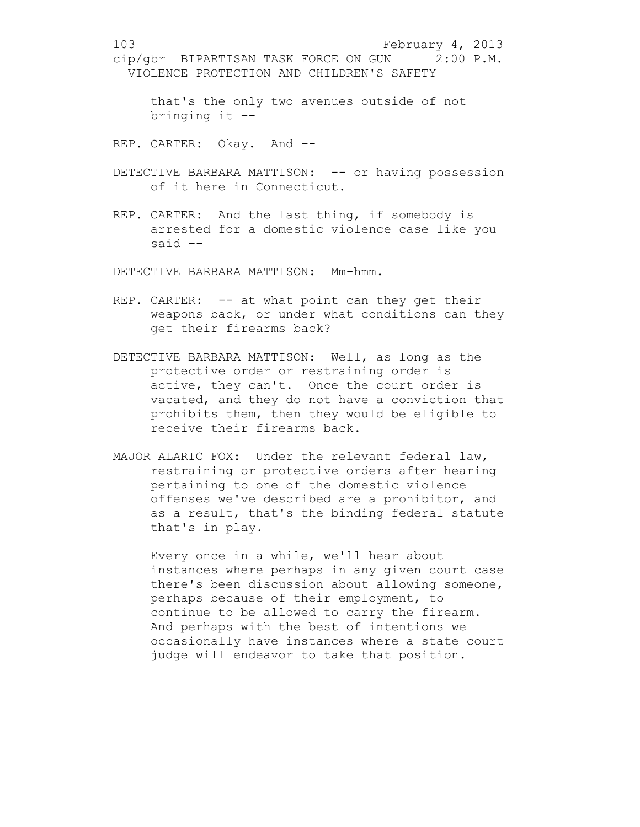that's the only two avenues outside of not bringing it –-

REP. CARTER: Okay. And –-

- DETECTIVE BARBARA MATTISON: -- or having possession of it here in Connecticut.
- REP. CARTER: And the last thing, if somebody is arrested for a domestic violence case like you said –-

DETECTIVE BARBARA MATTISON: Mm-hmm.

- REP. CARTER: -- at what point can they get their weapons back, or under what conditions can they get their firearms back?
- DETECTIVE BARBARA MATTISON: Well, as long as the protective order or restraining order is active, they can't. Once the court order is vacated, and they do not have a conviction that prohibits them, then they would be eligible to receive their firearms back.
- MAJOR ALARIC FOX: Under the relevant federal law, restraining or protective orders after hearing pertaining to one of the domestic violence offenses we've described are a prohibitor, and as a result, that's the binding federal statute that's in play.

Every once in a while, we'll hear about instances where perhaps in any given court case there's been discussion about allowing someone, perhaps because of their employment, to continue to be allowed to carry the firearm. And perhaps with the best of intentions we occasionally have instances where a state court judge will endeavor to take that position.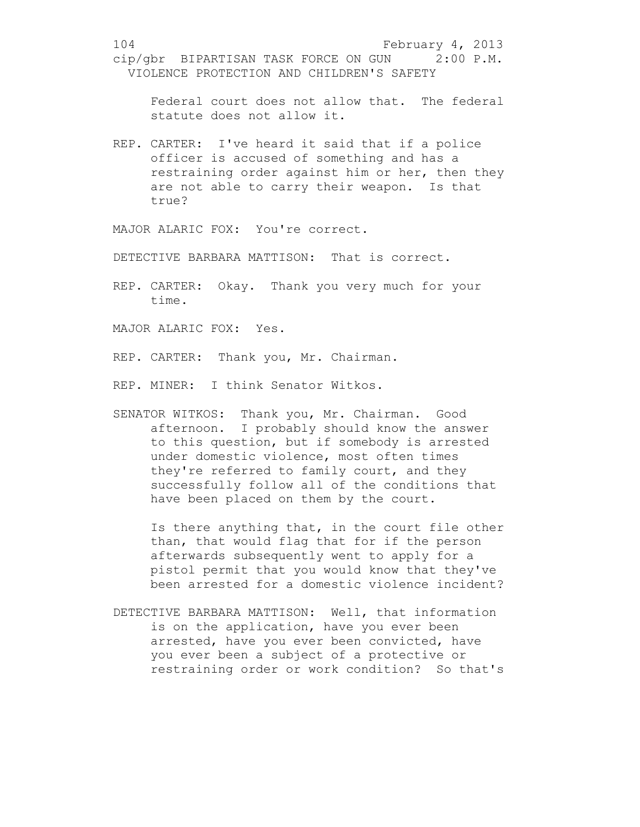Federal court does not allow that. The federal statute does not allow it.

REP. CARTER: I've heard it said that if a police officer is accused of something and has a restraining order against him or her, then they are not able to carry their weapon. Is that true?

MAJOR ALARIC FOX: You're correct.

DETECTIVE BARBARA MATTISON: That is correct.

REP. CARTER: Okay. Thank you very much for your time.

MAJOR ALARIC FOX: Yes.

REP. CARTER: Thank you, Mr. Chairman.

REP. MINER: I think Senator Witkos.

SENATOR WITKOS: Thank you, Mr. Chairman. Good afternoon. I probably should know the answer to this question, but if somebody is arrested under domestic violence, most often times they're referred to family court, and they successfully follow all of the conditions that have been placed on them by the court.

Is there anything that, in the court file other than, that would flag that for if the person afterwards subsequently went to apply for a pistol permit that you would know that they've been arrested for a domestic violence incident?

DETECTIVE BARBARA MATTISON: Well, that information is on the application, have you ever been arrested, have you ever been convicted, have you ever been a subject of a protective or restraining order or work condition? So that's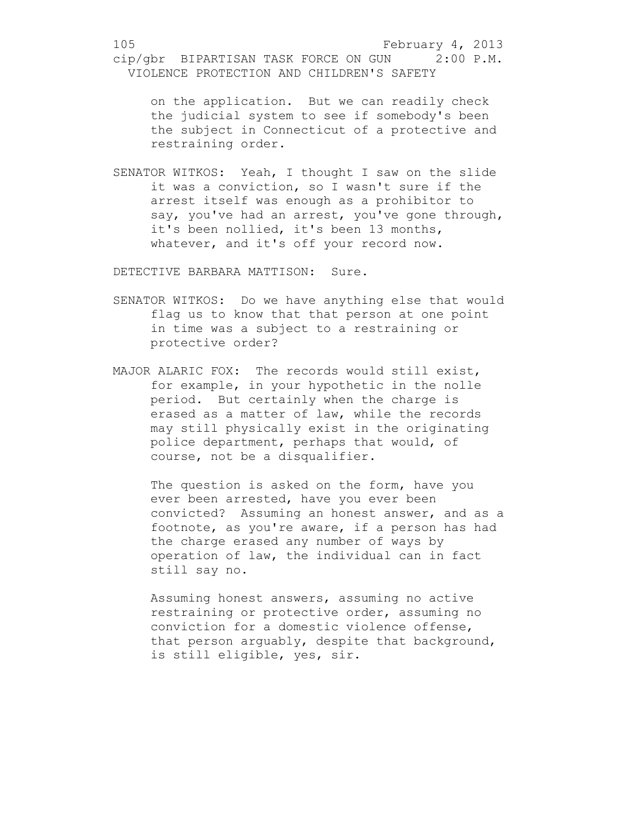on the application. But we can readily check the judicial system to see if somebody's been the subject in Connecticut of a protective and restraining order.

SENATOR WITKOS: Yeah, I thought I saw on the slide it was a conviction, so I wasn't sure if the arrest itself was enough as a prohibitor to say, you've had an arrest, you've gone through, it's been nollied, it's been 13 months, whatever, and it's off your record now.

DETECTIVE BARBARA MATTISON: Sure.

- SENATOR WITKOS: Do we have anything else that would flag us to know that that person at one point in time was a subject to a restraining or protective order?
- MAJOR ALARIC FOX: The records would still exist, for example, in your hypothetic in the nolle period. But certainly when the charge is erased as a matter of law, while the records may still physically exist in the originating police department, perhaps that would, of course, not be a disqualifier.

The question is asked on the form, have you ever been arrested, have you ever been convicted? Assuming an honest answer, and as a footnote, as you're aware, if a person has had the charge erased any number of ways by operation of law, the individual can in fact still say no.

Assuming honest answers, assuming no active restraining or protective order, assuming no conviction for a domestic violence offense, that person arguably, despite that background, is still eligible, yes, sir.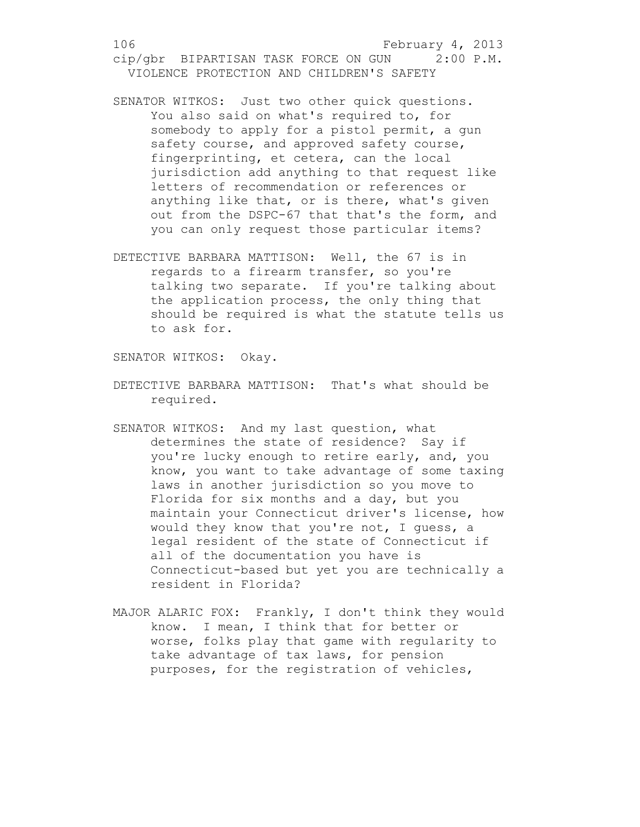- SENATOR WITKOS: Just two other quick questions. You also said on what's required to, for somebody to apply for a pistol permit, a gun safety course, and approved safety course, fingerprinting, et cetera, can the local jurisdiction add anything to that request like letters of recommendation or references or anything like that, or is there, what's given out from the DSPC-67 that that's the form, and you can only request those particular items?
- DETECTIVE BARBARA MATTISON: Well, the 67 is in regards to a firearm transfer, so you're talking two separate. If you're talking about the application process, the only thing that should be required is what the statute tells us to ask for.

SENATOR WITKOS: Okay.

- DETECTIVE BARBARA MATTISON: That's what should be required.
- SENATOR WITKOS: And my last question, what determines the state of residence? Say if you're lucky enough to retire early, and, you know, you want to take advantage of some taxing laws in another jurisdiction so you move to Florida for six months and a day, but you maintain your Connecticut driver's license, how would they know that you're not, I guess, a legal resident of the state of Connecticut if all of the documentation you have is Connecticut-based but yet you are technically a resident in Florida?
- MAJOR ALARIC FOX: Frankly, I don't think they would know. I mean, I think that for better or worse, folks play that game with regularity to take advantage of tax laws, for pension purposes, for the registration of vehicles,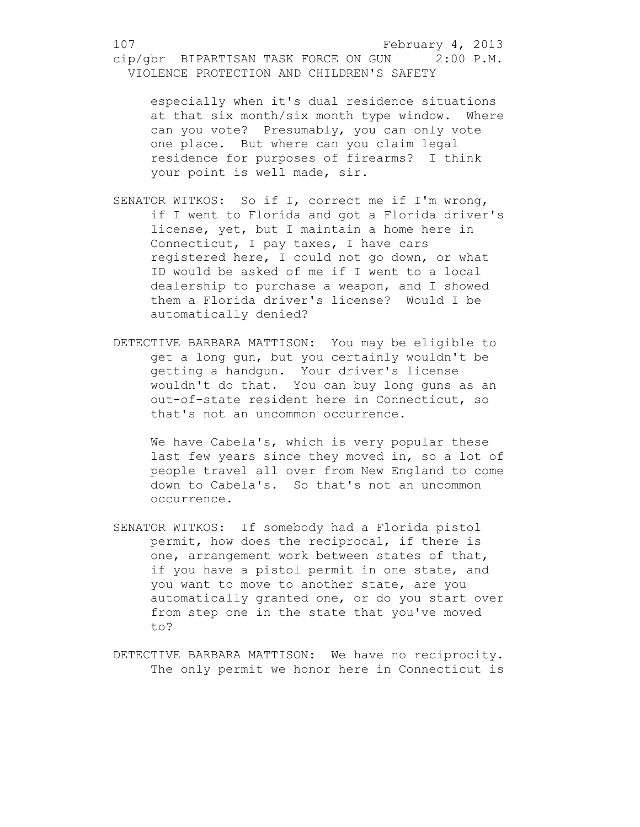especially when it's dual residence situations at that six month/six month type window. Where can you vote? Presumably, you can only vote one place. But where can you claim legal residence for purposes of firearms? I think your point is well made, sir.

- SENATOR WITKOS: So if I, correct me if I'm wrong, if I went to Florida and got a Florida driver's license, yet, but I maintain a home here in Connecticut, I pay taxes, I have cars registered here, I could not go down, or what ID would be asked of me if I went to a local dealership to purchase a weapon, and I showed them a Florida driver's license? Would I be automatically denied?
- DETECTIVE BARBARA MATTISON: You may be eligible to get a long gun, but you certainly wouldn't be getting a handgun. Your driver's license wouldn't do that. You can buy long guns as an out-of-state resident here in Connecticut, so that's not an uncommon occurrence.

We have Cabela's, which is very popular these last few years since they moved in, so a lot of people travel all over from New England to come down to Cabela's. So that's not an uncommon occurrence.

- SENATOR WITKOS: If somebody had a Florida pistol permit, how does the reciprocal, if there is one, arrangement work between states of that, if you have a pistol permit in one state, and you want to move to another state, are you automatically granted one, or do you start over from step one in the state that you've moved to?
- DETECTIVE BARBARA MATTISON: We have no reciprocity. The only permit we honor here in Connecticut is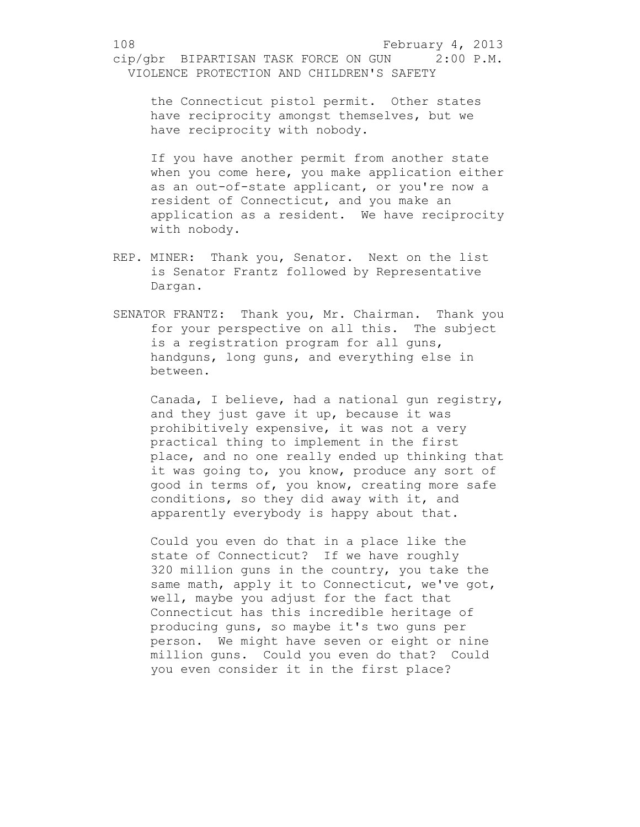the Connecticut pistol permit. Other states have reciprocity amongst themselves, but we have reciprocity with nobody.

If you have another permit from another state when you come here, you make application either as an out-of-state applicant, or you're now a resident of Connecticut, and you make an application as a resident. We have reciprocity with nobody.

- REP. MINER: Thank you, Senator. Next on the list is Senator Frantz followed by Representative Dargan.
- SENATOR FRANTZ: Thank you, Mr. Chairman. Thank you for your perspective on all this. The subject is a registration program for all guns, handguns, long guns, and everything else in between.

Canada, I believe, had a national gun registry, and they just gave it up, because it was prohibitively expensive, it was not a very practical thing to implement in the first place, and no one really ended up thinking that it was going to, you know, produce any sort of good in terms of, you know, creating more safe conditions, so they did away with it, and apparently everybody is happy about that.

Could you even do that in a place like the state of Connecticut? If we have roughly 320 million guns in the country, you take the same math, apply it to Connecticut, we've got, well, maybe you adjust for the fact that Connecticut has this incredible heritage of producing guns, so maybe it's two guns per person. We might have seven or eight or nine million guns. Could you even do that? Could you even consider it in the first place?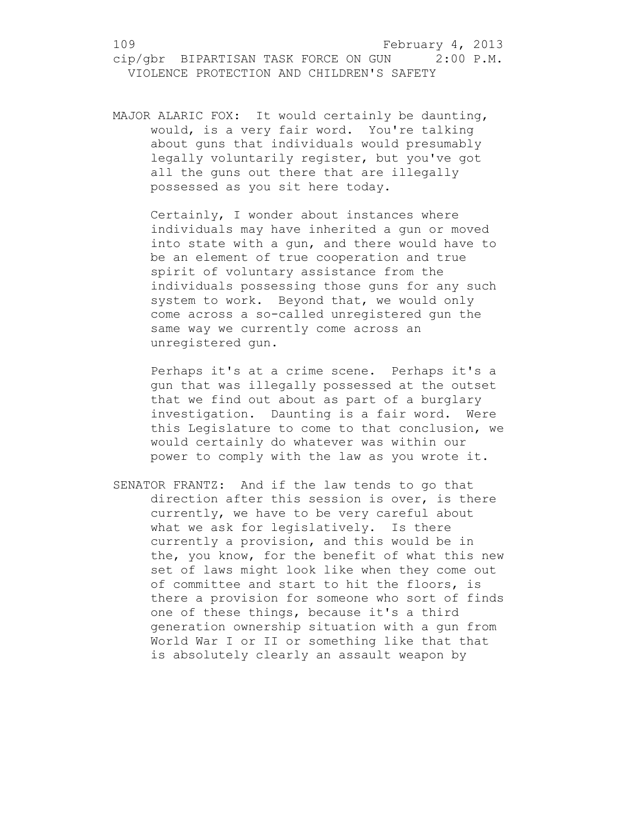MAJOR ALARIC FOX: It would certainly be daunting, would, is a very fair word. You're talking about guns that individuals would presumably legally voluntarily register, but you've got all the guns out there that are illegally possessed as you sit here today.

Certainly, I wonder about instances where individuals may have inherited a gun or moved into state with a gun, and there would have to be an element of true cooperation and true spirit of voluntary assistance from the individuals possessing those guns for any such system to work. Beyond that, we would only come across a so-called unregistered gun the same way we currently come across an unregistered gun.

Perhaps it's at a crime scene. Perhaps it's a gun that was illegally possessed at the outset that we find out about as part of a burglary investigation. Daunting is a fair word. Were this Legislature to come to that conclusion, we would certainly do whatever was within our power to comply with the law as you wrote it.

SENATOR FRANTZ: And if the law tends to go that direction after this session is over, is there currently, we have to be very careful about what we ask for legislatively. Is there currently a provision, and this would be in the, you know, for the benefit of what this new set of laws might look like when they come out of committee and start to hit the floors, is there a provision for someone who sort of finds one of these things, because it's a third generation ownership situation with a gun from World War I or II or something like that that is absolutely clearly an assault weapon by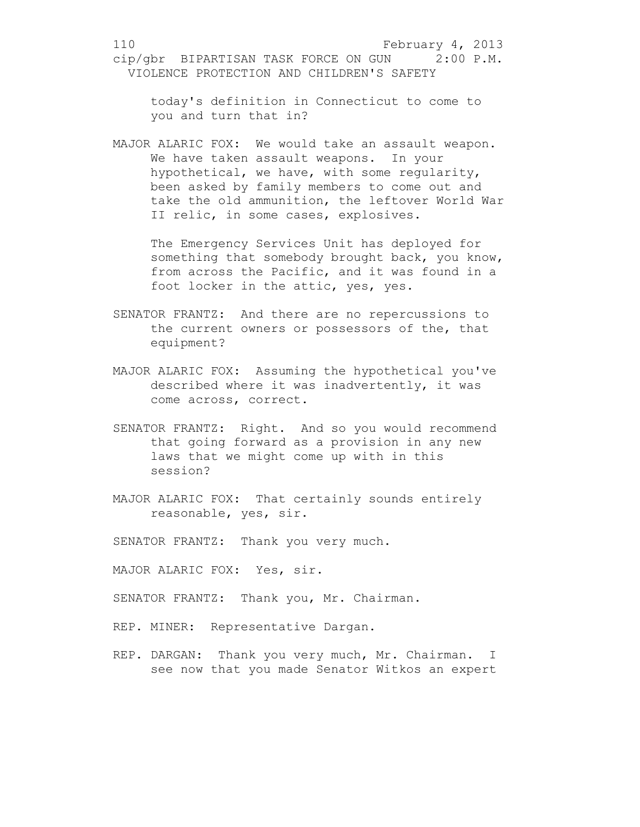today's definition in Connecticut to come to you and turn that in?

MAJOR ALARIC FOX: We would take an assault weapon. We have taken assault weapons. In your hypothetical, we have, with some regularity, been asked by family members to come out and take the old ammunition, the leftover World War II relic, in some cases, explosives.

The Emergency Services Unit has deployed for something that somebody brought back, you know, from across the Pacific, and it was found in a foot locker in the attic, yes, yes.

- SENATOR FRANTZ: And there are no repercussions to the current owners or possessors of the, that equipment?
- MAJOR ALARIC FOX: Assuming the hypothetical you've described where it was inadvertently, it was come across, correct.
- SENATOR FRANTZ: Right. And so you would recommend that going forward as a provision in any new laws that we might come up with in this session?
- MAJOR ALARIC FOX: That certainly sounds entirely reasonable, yes, sir.
- SENATOR FRANTZ: Thank you very much.
- MAJOR ALARIC FOX: Yes, sir.
- SENATOR FRANTZ: Thank you, Mr. Chairman.
- REP. MINER: Representative Dargan.
- REP. DARGAN: Thank you very much, Mr. Chairman. I see now that you made Senator Witkos an expert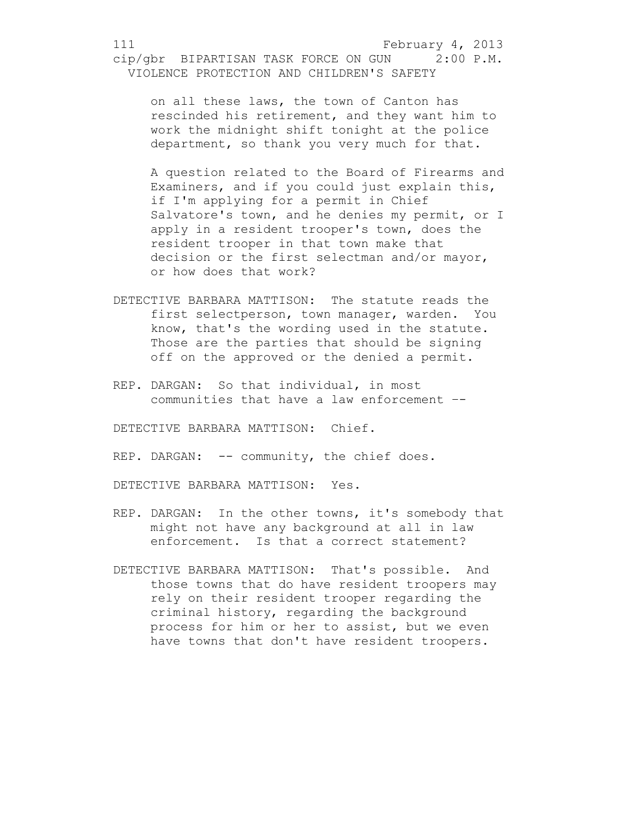on all these laws, the town of Canton has rescinded his retirement, and they want him to work the midnight shift tonight at the police department, so thank you very much for that.

A question related to the Board of Firearms and Examiners, and if you could just explain this, if I'm applying for a permit in Chief Salvatore's town, and he denies my permit, or I apply in a resident trooper's town, does the resident trooper in that town make that decision or the first selectman and/or mayor, or how does that work?

- DETECTIVE BARBARA MATTISON: The statute reads the first selectperson, town manager, warden. You know, that's the wording used in the statute. Those are the parties that should be signing off on the approved or the denied a permit.
- REP. DARGAN: So that individual, in most communities that have a law enforcement –-

DETECTIVE BARBARA MATTISON: Chief.

REP. DARGAN: -- community, the chief does.

DETECTIVE BARBARA MATTISON: Yes.

- REP. DARGAN: In the other towns, it's somebody that might not have any background at all in law enforcement. Is that a correct statement?
- DETECTIVE BARBARA MATTISON: That's possible. And those towns that do have resident troopers may rely on their resident trooper regarding the criminal history, regarding the background process for him or her to assist, but we even have towns that don't have resident troopers.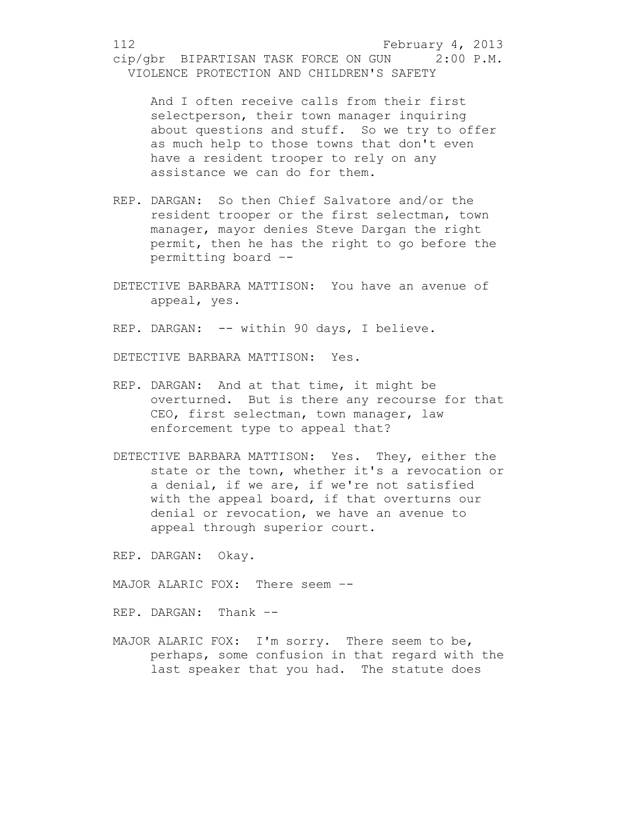And I often receive calls from their first selectperson, their town manager inquiring about questions and stuff. So we try to offer as much help to those towns that don't even have a resident trooper to rely on any assistance we can do for them.

- REP. DARGAN: So then Chief Salvatore and/or the resident trooper or the first selectman, town manager, mayor denies Steve Dargan the right permit, then he has the right to go before the permitting board –-
- DETECTIVE BARBARA MATTISON: You have an avenue of appeal, yes.

REP. DARGAN: -- within 90 days, I believe.

DETECTIVE BARBARA MATTISON: Yes.

- REP. DARGAN: And at that time, it might be overturned. But is there any recourse for that CEO, first selectman, town manager, law enforcement type to appeal that?
- DETECTIVE BARBARA MATTISON: Yes. They, either the state or the town, whether it's a revocation or a denial, if we are, if we're not satisfied with the appeal board, if that overturns our denial or revocation, we have an avenue to appeal through superior court.

REP. DARGAN: Okay.

MAJOR ALARIC FOX: There seem --

REP. DARGAN: Thank –-

MAJOR ALARIC FOX: I'm sorry. There seem to be, perhaps, some confusion in that regard with the last speaker that you had. The statute does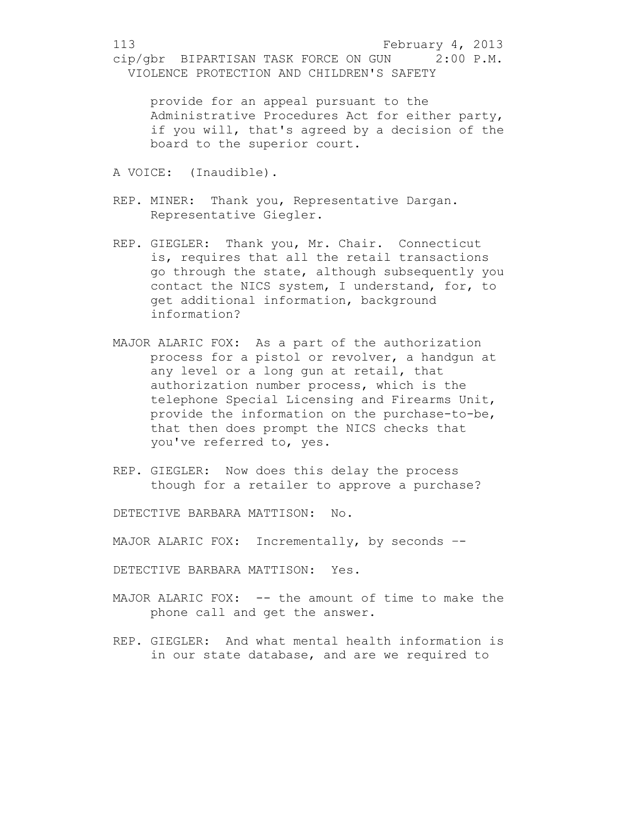provide for an appeal pursuant to the Administrative Procedures Act for either party, if you will, that's agreed by a decision of the board to the superior court.

- A VOICE: (Inaudible).
- REP. MINER: Thank you, Representative Dargan. Representative Giegler.
- REP. GIEGLER: Thank you, Mr. Chair. Connecticut is, requires that all the retail transactions go through the state, although subsequently you contact the NICS system, I understand, for, to get additional information, background information?
- MAJOR ALARIC FOX: As a part of the authorization process for a pistol or revolver, a handgun at any level or a long gun at retail, that authorization number process, which is the telephone Special Licensing and Firearms Unit, provide the information on the purchase-to-be, that then does prompt the NICS checks that you've referred to, yes.
- REP. GIEGLER: Now does this delay the process though for a retailer to approve a purchase?

DETECTIVE BARBARA MATTISON: No.

MAJOR ALARIC FOX: Incrementally, by seconds --

DETECTIVE BARBARA MATTISON: Yes.

- MAJOR ALARIC FOX: -- the amount of time to make the phone call and get the answer.
- REP. GIEGLER: And what mental health information is in our state database, and are we required to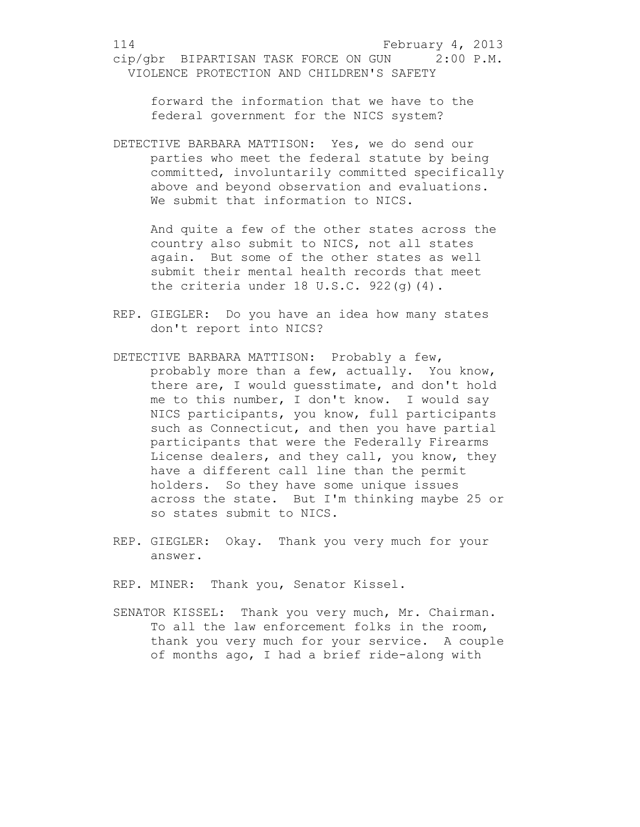forward the information that we have to the federal government for the NICS system?

DETECTIVE BARBARA MATTISON: Yes, we do send our parties who meet the federal statute by being committed, involuntarily committed specifically above and beyond observation and evaluations. We submit that information to NICS.

And quite a few of the other states across the country also submit to NICS, not all states again. But some of the other states as well submit their mental health records that meet the criteria under 18 U.S.C. 922(g)(4).

- REP. GIEGLER: Do you have an idea how many states don't report into NICS?
- DETECTIVE BARBARA MATTISON: Probably a few, probably more than a few, actually. You know, there are, I would guesstimate, and don't hold me to this number, I don't know. I would say NICS participants, you know, full participants such as Connecticut, and then you have partial participants that were the Federally Firearms License dealers, and they call, you know, they have a different call line than the permit holders. So they have some unique issues across the state. But I'm thinking maybe 25 or so states submit to NICS.
- REP. GIEGLER: Okay. Thank you very much for your answer.

REP. MINER: Thank you, Senator Kissel.

SENATOR KISSEL: Thank you very much, Mr. Chairman. To all the law enforcement folks in the room, thank you very much for your service. A couple of months ago, I had a brief ride-along with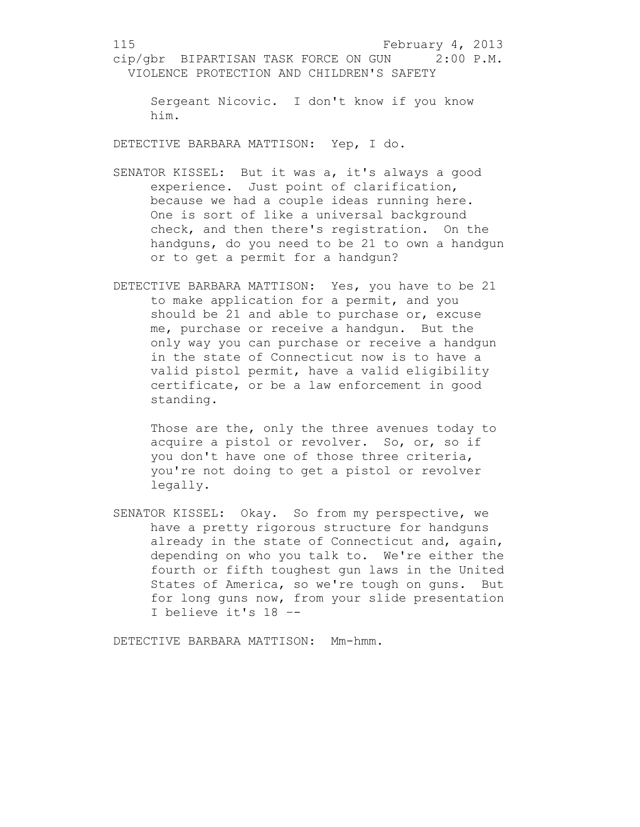Sergeant Nicovic. I don't know if you know him.

DETECTIVE BARBARA MATTISON: Yep, I do.

- SENATOR KISSEL: But it was a, it's always a good experience. Just point of clarification, because we had a couple ideas running here. One is sort of like a universal background check, and then there's registration. On the handguns, do you need to be 21 to own a handgun or to get a permit for a handgun?
- DETECTIVE BARBARA MATTISON: Yes, you have to be 21 to make application for a permit, and you should be 21 and able to purchase or, excuse me, purchase or receive a handgun. But the only way you can purchase or receive a handgun in the state of Connecticut now is to have a valid pistol permit, have a valid eligibility certificate, or be a law enforcement in good standing.

Those are the, only the three avenues today to acquire a pistol or revolver. So, or, so if you don't have one of those three criteria, you're not doing to get a pistol or revolver legally.

SENATOR KISSEL: Okay. So from my perspective, we have a pretty rigorous structure for handguns already in the state of Connecticut and, again, depending on who you talk to. We're either the fourth or fifth toughest gun laws in the United States of America, so we're tough on guns. But for long guns now, from your slide presentation I believe it's 18 –-

DETECTIVE BARBARA MATTISON: Mm-hmm.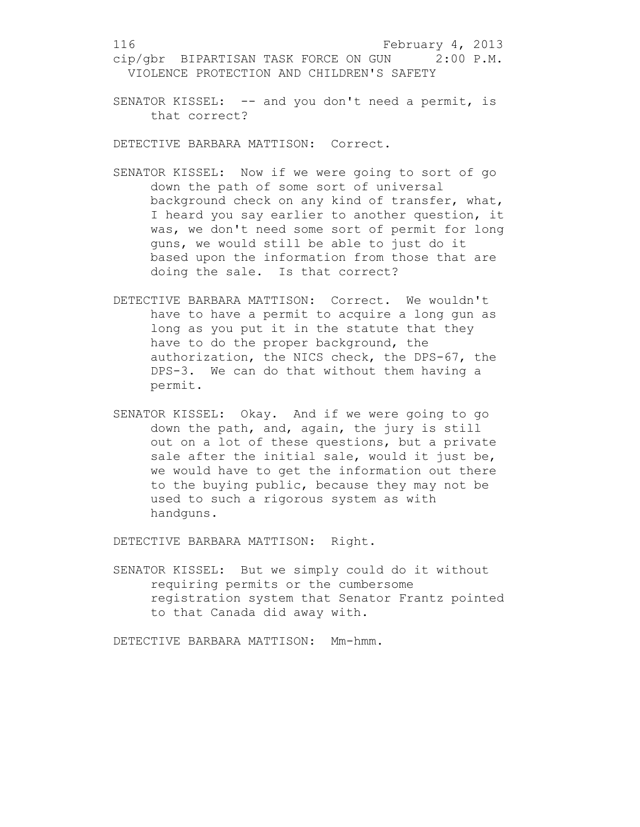SENATOR KISSEL: -- and you don't need a permit, is that correct?

DETECTIVE BARBARA MATTISON: Correct.

- SENATOR KISSEL: Now if we were going to sort of go down the path of some sort of universal background check on any kind of transfer, what, I heard you say earlier to another question, it was, we don't need some sort of permit for long guns, we would still be able to just do it based upon the information from those that are doing the sale. Is that correct?
- DETECTIVE BARBARA MATTISON: Correct. We wouldn't have to have a permit to acquire a long gun as long as you put it in the statute that they have to do the proper background, the authorization, the NICS check, the DPS-67, the DPS-3. We can do that without them having a permit.
- SENATOR KISSEL: Okay. And if we were going to go down the path, and, again, the jury is still out on a lot of these questions, but a private sale after the initial sale, would it just be, we would have to get the information out there to the buying public, because they may not be used to such a rigorous system as with handguns.

DETECTIVE BARBARA MATTISON: Right.

SENATOR KISSEL: But we simply could do it without requiring permits or the cumbersome registration system that Senator Frantz pointed to that Canada did away with.

DETECTIVE BARBARA MATTISON: Mm-hmm.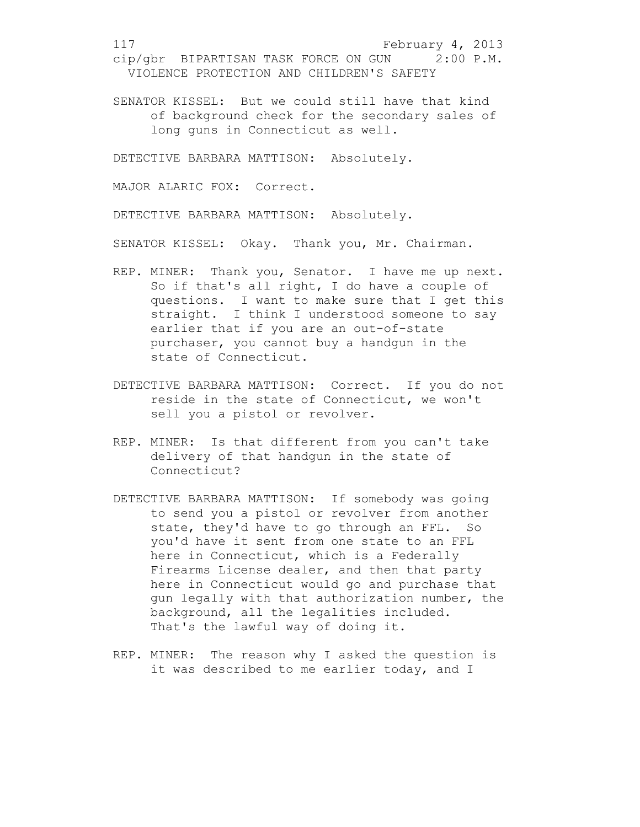SENATOR KISSEL: But we could still have that kind of background check for the secondary sales of long guns in Connecticut as well.

DETECTIVE BARBARA MATTISON: Absolutely.

MAJOR ALARIC FOX: Correct.

DETECTIVE BARBARA MATTISON: Absolutely.

SENATOR KISSEL: Okay. Thank you, Mr. Chairman.

- REP. MINER: Thank you, Senator. I have me up next. So if that's all right, I do have a couple of questions. I want to make sure that I get this straight. I think I understood someone to say earlier that if you are an out-of-state purchaser, you cannot buy a handgun in the state of Connecticut.
- DETECTIVE BARBARA MATTISON: Correct. If you do not reside in the state of Connecticut, we won't sell you a pistol or revolver.
- REP. MINER: Is that different from you can't take delivery of that handgun in the state of Connecticut?
- DETECTIVE BARBARA MATTISON: If somebody was going to send you a pistol or revolver from another state, they'd have to go through an FFL. So you'd have it sent from one state to an FFL here in Connecticut, which is a Federally Firearms License dealer, and then that party here in Connecticut would go and purchase that gun legally with that authorization number, the background, all the legalities included. That's the lawful way of doing it.
- REP. MINER: The reason why I asked the question is it was described to me earlier today, and I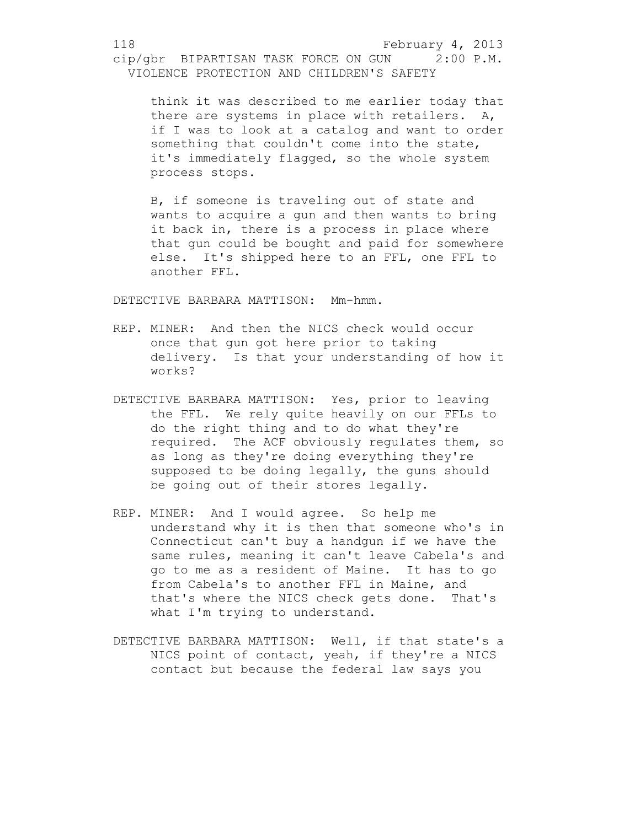think it was described to me earlier today that there are systems in place with retailers. A, if I was to look at a catalog and want to order something that couldn't come into the state, it's immediately flagged, so the whole system process stops.

B, if someone is traveling out of state and wants to acquire a gun and then wants to bring it back in, there is a process in place where that gun could be bought and paid for somewhere else. It's shipped here to an FFL, one FFL to another FFL.

DETECTIVE BARBARA MATTISON: Mm-hmm.

- REP. MINER: And then the NICS check would occur once that gun got here prior to taking delivery. Is that your understanding of how it works?
- DETECTIVE BARBARA MATTISON: Yes, prior to leaving the FFL. We rely quite heavily on our FFLs to do the right thing and to do what they're required. The ACF obviously regulates them, so as long as they're doing everything they're supposed to be doing legally, the guns should be going out of their stores legally.
- REP. MINER: And I would agree. So help me understand why it is then that someone who's in Connecticut can't buy a handgun if we have the same rules, meaning it can't leave Cabela's and go to me as a resident of Maine. It has to go from Cabela's to another FFL in Maine, and that's where the NICS check gets done. That's what I'm trying to understand.
- DETECTIVE BARBARA MATTISON: Well, if that state's a NICS point of contact, yeah, if they're a NICS contact but because the federal law says you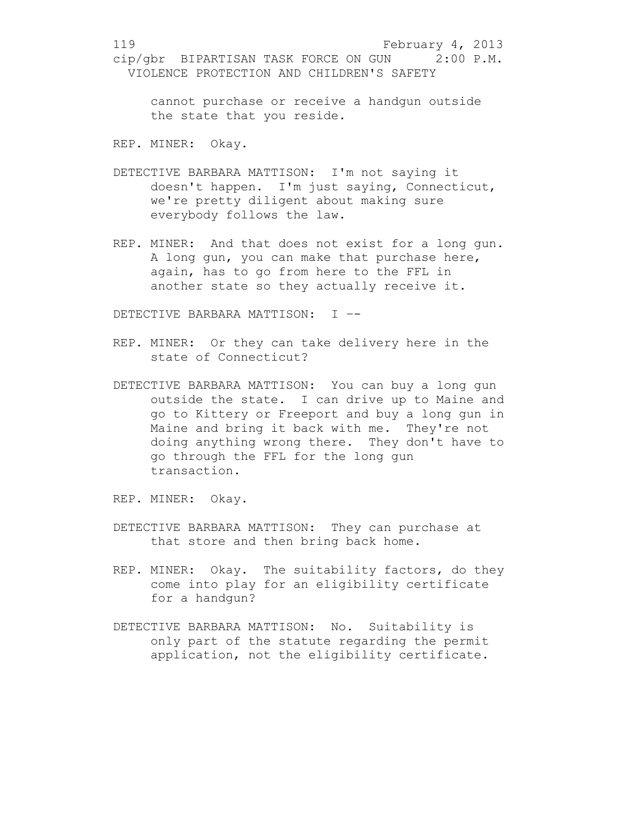cannot purchase or receive a handgun outside the state that you reside.

REP. MINER: Okay.

- DETECTIVE BARBARA MATTISON: I'm not saying it doesn't happen. I'm just saying, Connecticut, we're pretty diligent about making sure everybody follows the law.
- REP. MINER: And that does not exist for a long gun. A long gun, you can make that purchase here, again, has to go from here to the FFL in another state so they actually receive it.

DETECTIVE BARBARA MATTISON: I –-

- REP. MINER: Or they can take delivery here in the state of Connecticut?
- DETECTIVE BARBARA MATTISON: You can buy a long gun outside the state. I can drive up to Maine and go to Kittery or Freeport and buy a long gun in Maine and bring it back with me. They're not doing anything wrong there. They don't have to go through the FFL for the long gun transaction.

REP. MINER: Okay.

- DETECTIVE BARBARA MATTISON: They can purchase at that store and then bring back home.
- REP. MINER: Okay. The suitability factors, do they come into play for an eligibility certificate for a handgun?
- DETECTIVE BARBARA MATTISON: No. Suitability is only part of the statute regarding the permit application, not the eligibility certificate.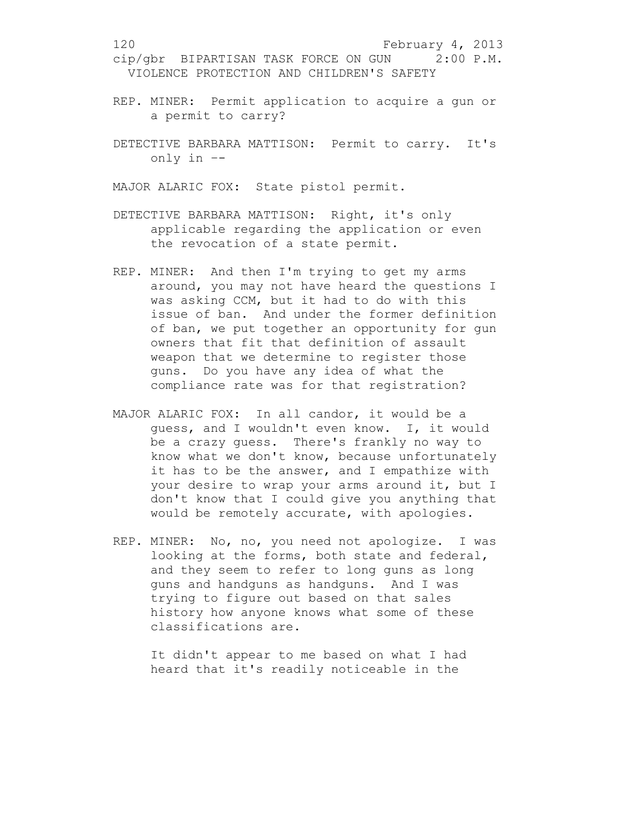- REP. MINER: Permit application to acquire a gun or a permit to carry?
- DETECTIVE BARBARA MATTISON: Permit to carry. It's only in –-

MAJOR ALARIC FOX: State pistol permit.

- DETECTIVE BARBARA MATTISON: Right, it's only applicable regarding the application or even the revocation of a state permit.
- REP. MINER: And then I'm trying to get my arms around, you may not have heard the questions I was asking CCM, but it had to do with this issue of ban. And under the former definition of ban, we put together an opportunity for gun owners that fit that definition of assault weapon that we determine to register those guns. Do you have any idea of what the compliance rate was for that registration?
- MAJOR ALARIC FOX: In all candor, it would be a guess, and I wouldn't even know. I, it would be a crazy guess. There's frankly no way to know what we don't know, because unfortunately it has to be the answer, and I empathize with your desire to wrap your arms around it, but I don't know that I could give you anything that would be remotely accurate, with apologies.
- REP. MINER: No, no, you need not apologize. I was looking at the forms, both state and federal, and they seem to refer to long guns as long guns and handguns as handguns. And I was trying to figure out based on that sales history how anyone knows what some of these classifications are.

It didn't appear to me based on what I had heard that it's readily noticeable in the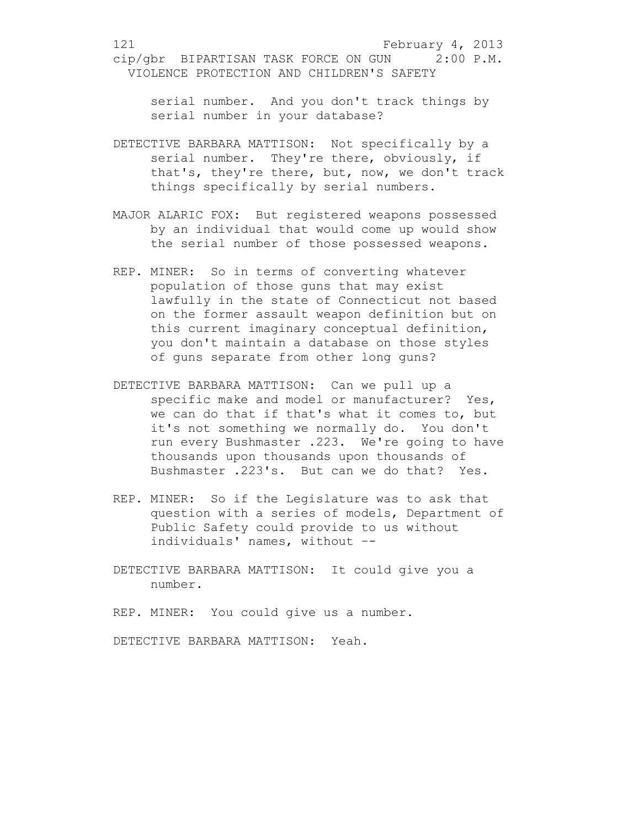serial number. And you don't track things by serial number in your database?

- DETECTIVE BARBARA MATTISON: Not specifically by a serial number. They're there, obviously, if that's, they're there, but, now, we don't track things specifically by serial numbers.
- MAJOR ALARIC FOX: But registered weapons possessed by an individual that would come up would show the serial number of those possessed weapons.
- REP. MINER: So in terms of converting whatever population of those guns that may exist lawfully in the state of Connecticut not based on the former assault weapon definition but on this current imaginary conceptual definition, you don't maintain a database on those styles of guns separate from other long guns?
- DETECTIVE BARBARA MATTISON: Can we pull up a specific make and model or manufacturer? Yes, we can do that if that's what it comes to, but it's not something we normally do. You don't run every Bushmaster .223. We're going to have thousands upon thousands upon thousands of Bushmaster .223's. But can we do that? Yes.
- REP. MINER: So if the Legislature was to ask that question with a series of models, Department of Public Safety could provide to us without individuals' names, without –-
- DETECTIVE BARBARA MATTISON: It could give you a number.

REP. MINER: You could give us a number.

DETECTIVE BARBARA MATTISON: Yeah.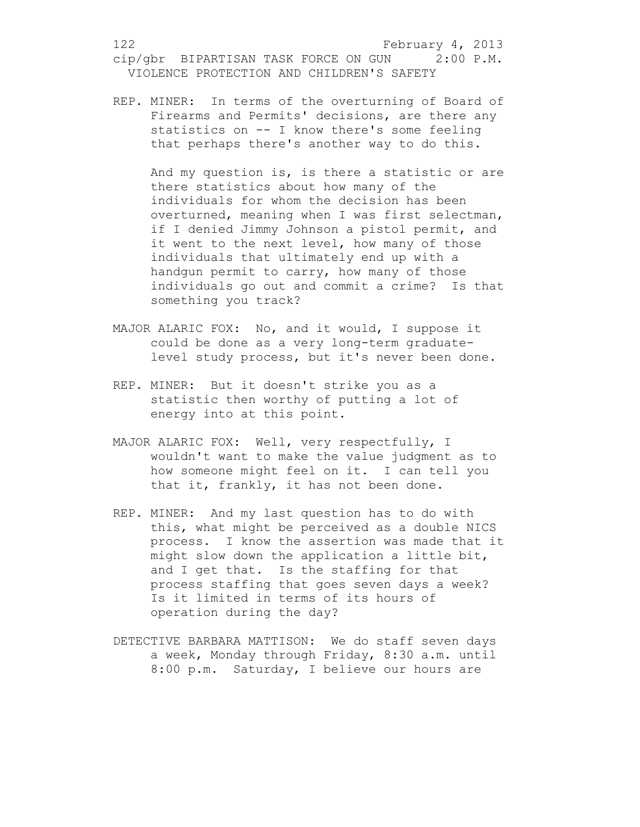REP. MINER: In terms of the overturning of Board of Firearms and Permits' decisions, are there any statistics on -- I know there's some feeling that perhaps there's another way to do this.

And my question is, is there a statistic or are there statistics about how many of the individuals for whom the decision has been overturned, meaning when I was first selectman, if I denied Jimmy Johnson a pistol permit, and it went to the next level, how many of those individuals that ultimately end up with a handgun permit to carry, how many of those individuals go out and commit a crime? Is that something you track?

- MAJOR ALARIC FOX: No, and it would, I suppose it could be done as a very long-term graduatelevel study process, but it's never been done.
- REP. MINER: But it doesn't strike you as a statistic then worthy of putting a lot of energy into at this point.
- MAJOR ALARIC FOX: Well, very respectfully, I wouldn't want to make the value judgment as to how someone might feel on it. I can tell you that it, frankly, it has not been done.
- REP. MINER: And my last question has to do with this, what might be perceived as a double NICS process. I know the assertion was made that it might slow down the application a little bit, and I get that. Is the staffing for that process staffing that goes seven days a week? Is it limited in terms of its hours of operation during the day?
- DETECTIVE BARBARA MATTISON: We do staff seven days a week, Monday through Friday, 8:30 a.m. until 8:00 p.m. Saturday, I believe our hours are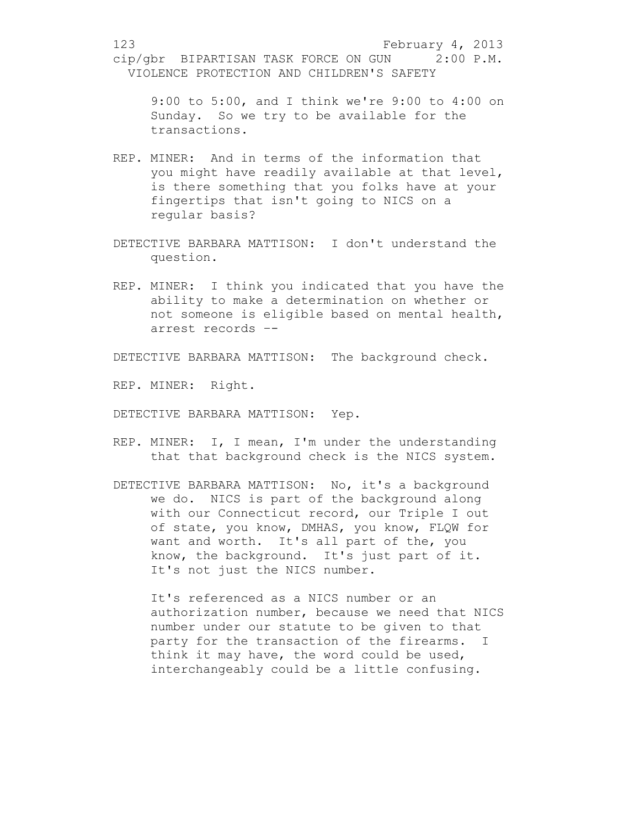9:00 to 5:00, and I think we're 9:00 to 4:00 on Sunday. So we try to be available for the transactions.

- REP. MINER: And in terms of the information that you might have readily available at that level, is there something that you folks have at your fingertips that isn't going to NICS on a regular basis?
- DETECTIVE BARBARA MATTISON: I don't understand the question.
- REP. MINER: I think you indicated that you have the ability to make a determination on whether or not someone is eligible based on mental health, arrest records –-

DETECTIVE BARBARA MATTISON: The background check.

REP. MINER: Right.

DETECTIVE BARBARA MATTISON: Yep.

- REP. MINER: I, I mean, I'm under the understanding that that background check is the NICS system.
- DETECTIVE BARBARA MATTISON: No, it's a background we do. NICS is part of the background along with our Connecticut record, our Triple I out of state, you know, DMHAS, you know, FLQW for want and worth. It's all part of the, you know, the background. It's just part of it. It's not just the NICS number.

It's referenced as a NICS number or an authorization number, because we need that NICS number under our statute to be given to that party for the transaction of the firearms. I think it may have, the word could be used, interchangeably could be a little confusing.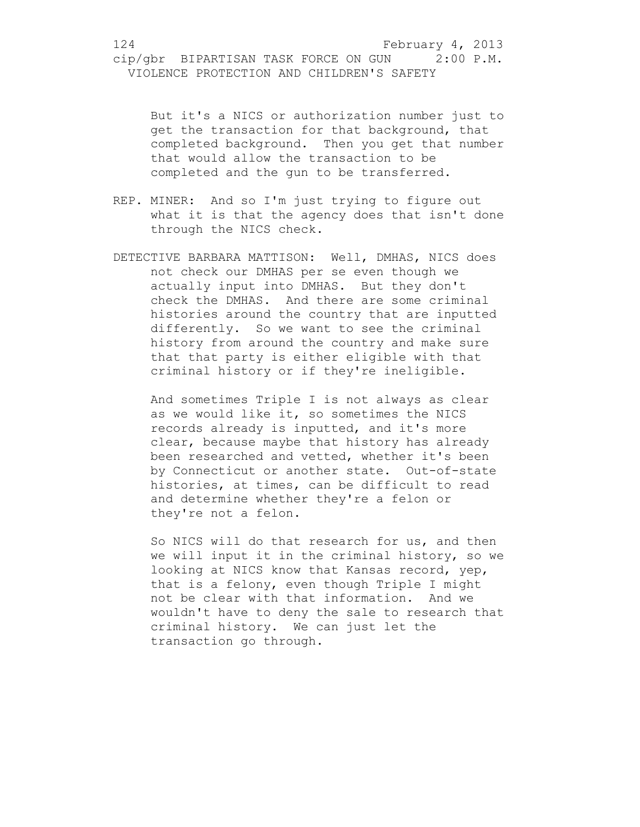But it's a NICS or authorization number just to get the transaction for that background, that completed background. Then you get that number that would allow the transaction to be completed and the gun to be transferred.

- REP. MINER: And so I'm just trying to figure out what it is that the agency does that isn't done through the NICS check.
- DETECTIVE BARBARA MATTISON: Well, DMHAS, NICS does not check our DMHAS per se even though we actually input into DMHAS. But they don't check the DMHAS. And there are some criminal histories around the country that are inputted differently. So we want to see the criminal history from around the country and make sure that that party is either eligible with that criminal history or if they're ineligible.

And sometimes Triple I is not always as clear as we would like it, so sometimes the NICS records already is inputted, and it's more clear, because maybe that history has already been researched and vetted, whether it's been by Connecticut or another state. Out-of-state histories, at times, can be difficult to read and determine whether they're a felon or they're not a felon.

So NICS will do that research for us, and then we will input it in the criminal history, so we looking at NICS know that Kansas record, yep, that is a felony, even though Triple I might not be clear with that information. And we wouldn't have to deny the sale to research that criminal history. We can just let the transaction go through.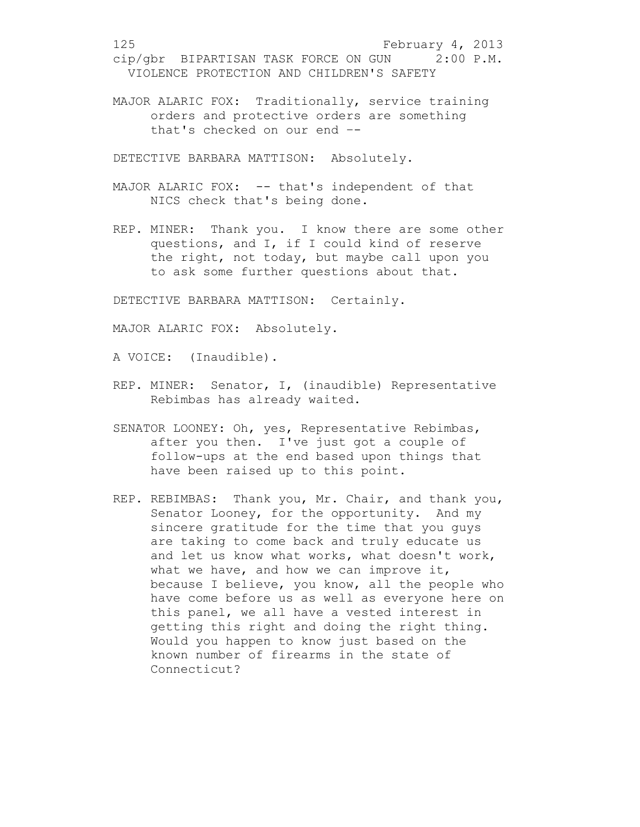MAJOR ALARIC FOX: Traditionally, service training orders and protective orders are something that's checked on our end –-

DETECTIVE BARBARA MATTISON: Absolutely.

- MAJOR ALARIC FOX: -- that's independent of that NICS check that's being done.
- REP. MINER: Thank you. I know there are some other questions, and I, if I could kind of reserve the right, not today, but maybe call upon you to ask some further questions about that.

DETECTIVE BARBARA MATTISON: Certainly.

MAJOR ALARIC FOX: Absolutely.

A VOICE: (Inaudible).

- REP. MINER: Senator, I, (inaudible) Representative Rebimbas has already waited.
- SENATOR LOONEY: Oh, yes, Representative Rebimbas, after you then. I've just got a couple of follow-ups at the end based upon things that have been raised up to this point.
- REP. REBIMBAS: Thank you, Mr. Chair, and thank you, Senator Looney, for the opportunity. And my sincere gratitude for the time that you guys are taking to come back and truly educate us and let us know what works, what doesn't work, what we have, and how we can improve it, because I believe, you know, all the people who have come before us as well as everyone here on this panel, we all have a vested interest in getting this right and doing the right thing. Would you happen to know just based on the known number of firearms in the state of Connecticut?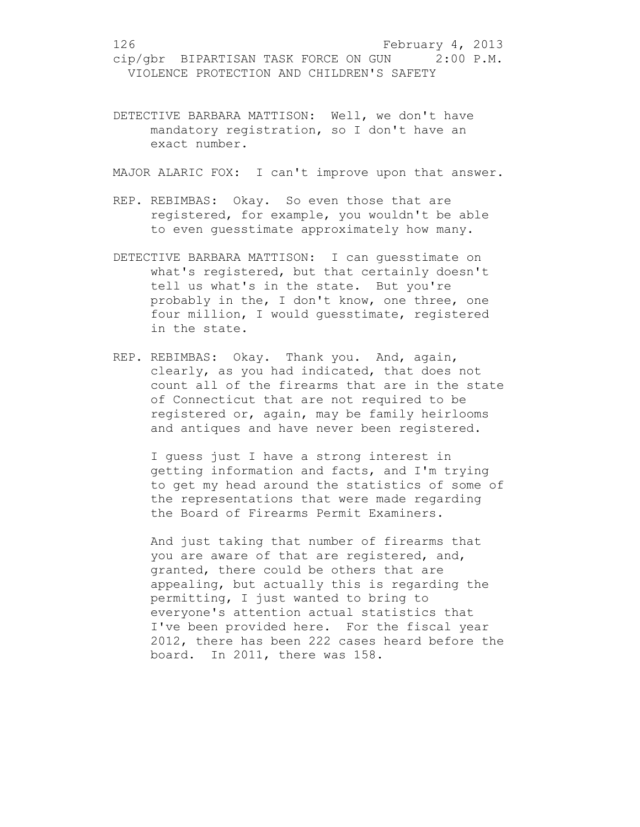DETECTIVE BARBARA MATTISON: Well, we don't have mandatory registration, so I don't have an exact number.

MAJOR ALARIC FOX: I can't improve upon that answer.

- REP. REBIMBAS: Okay. So even those that are registered, for example, you wouldn't be able to even guesstimate approximately how many.
- DETECTIVE BARBARA MATTISON: I can guesstimate on what's registered, but that certainly doesn't tell us what's in the state. But you're probably in the, I don't know, one three, one four million, I would guesstimate, registered in the state.
- REP. REBIMBAS: Okay. Thank you. And, again, clearly, as you had indicated, that does not count all of the firearms that are in the state of Connecticut that are not required to be registered or, again, may be family heirlooms and antiques and have never been registered.

I guess just I have a strong interest in getting information and facts, and I'm trying to get my head around the statistics of some of the representations that were made regarding the Board of Firearms Permit Examiners.

And just taking that number of firearms that you are aware of that are registered, and, granted, there could be others that are appealing, but actually this is regarding the permitting, I just wanted to bring to everyone's attention actual statistics that I've been provided here. For the fiscal year 2012, there has been 222 cases heard before the board. In 2011, there was 158.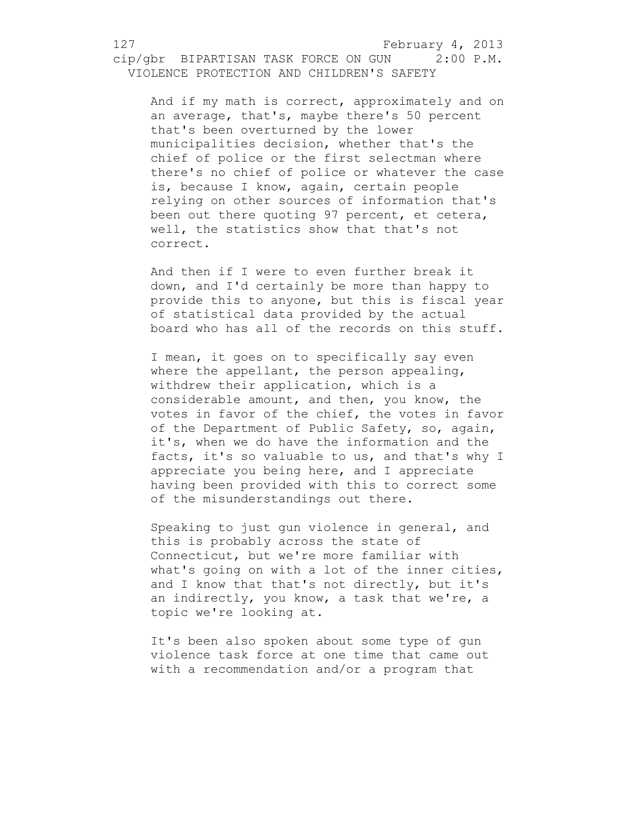And if my math is correct, approximately and on an average, that's, maybe there's 50 percent that's been overturned by the lower municipalities decision, whether that's the chief of police or the first selectman where there's no chief of police or whatever the case is, because I know, again, certain people relying on other sources of information that's been out there quoting 97 percent, et cetera, well, the statistics show that that's not correct.

And then if I were to even further break it down, and I'd certainly be more than happy to provide this to anyone, but this is fiscal year of statistical data provided by the actual board who has all of the records on this stuff.

I mean, it goes on to specifically say even where the appellant, the person appealing, withdrew their application, which is a considerable amount, and then, you know, the votes in favor of the chief, the votes in favor of the Department of Public Safety, so, again, it's, when we do have the information and the facts, it's so valuable to us, and that's why I appreciate you being here, and I appreciate having been provided with this to correct some of the misunderstandings out there.

Speaking to just gun violence in general, and this is probably across the state of Connecticut, but we're more familiar with what's going on with a lot of the inner cities, and I know that that's not directly, but it's an indirectly, you know, a task that we're, a topic we're looking at.

It's been also spoken about some type of gun violence task force at one time that came out with a recommendation and/or a program that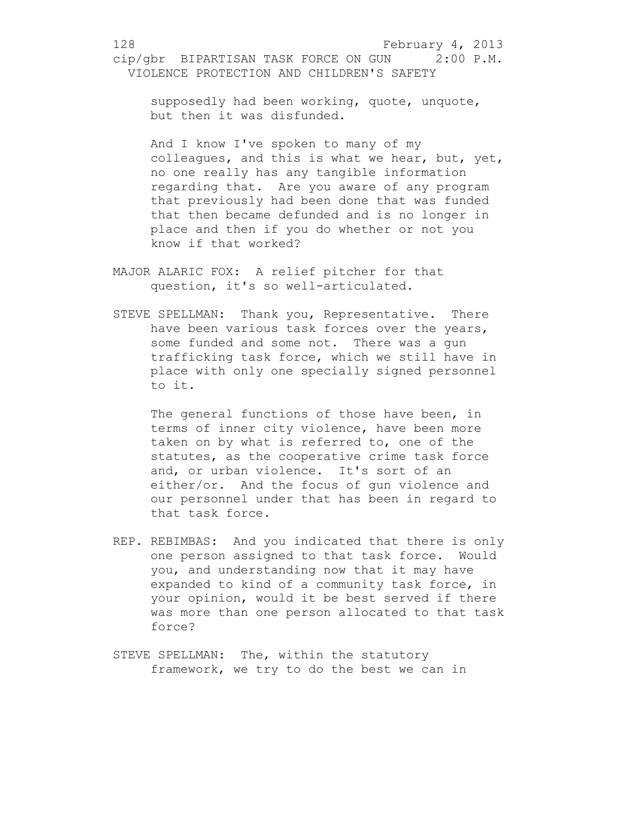supposedly had been working, quote, unquote, but then it was disfunded.

And I know I've spoken to many of my colleagues, and this is what we hear, but, yet, no one really has any tangible information regarding that. Are you aware of any program that previously had been done that was funded that then became defunded and is no longer in place and then if you do whether or not you know if that worked?

- MAJOR ALARIC FOX: A relief pitcher for that question, it's so well-articulated.
- STEVE SPELLMAN: Thank you, Representative. There have been various task forces over the years, some funded and some not. There was a gun trafficking task force, which we still have in place with only one specially signed personnel to it.

The general functions of those have been, in terms of inner city violence, have been more taken on by what is referred to, one of the statutes, as the cooperative crime task force and, or urban violence. It's sort of an either/or. And the focus of gun violence and our personnel under that has been in regard to that task force.

- REP. REBIMBAS: And you indicated that there is only one person assigned to that task force. Would you, and understanding now that it may have expanded to kind of a community task force, in your opinion, would it be best served if there was more than one person allocated to that task force?
- STEVE SPELLMAN: The, within the statutory framework, we try to do the best we can in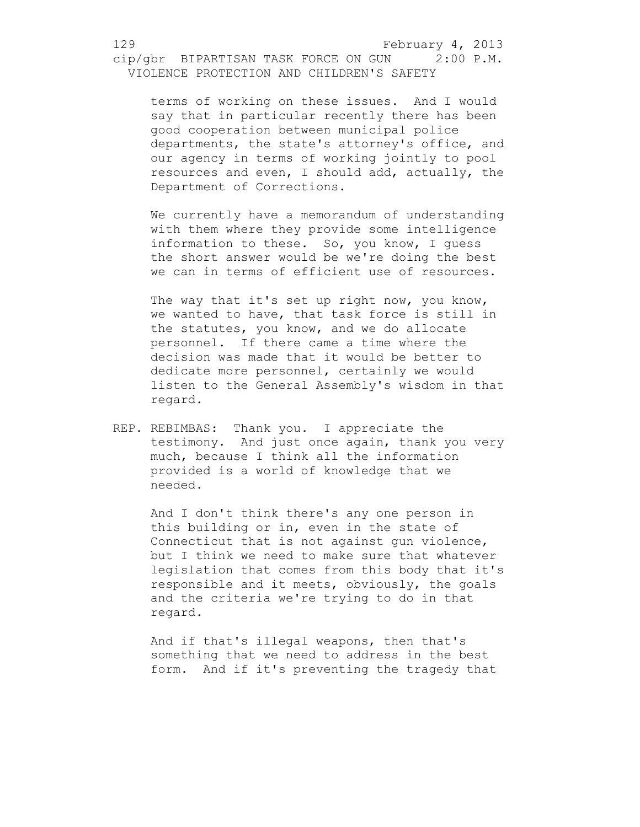terms of working on these issues. And I would say that in particular recently there has been good cooperation between municipal police departments, the state's attorney's office, and our agency in terms of working jointly to pool resources and even, I should add, actually, the Department of Corrections.

We currently have a memorandum of understanding with them where they provide some intelligence information to these. So, you know, I guess the short answer would be we're doing the best we can in terms of efficient use of resources.

The way that it's set up right now, you know, we wanted to have, that task force is still in the statutes, you know, and we do allocate personnel. If there came a time where the decision was made that it would be better to dedicate more personnel, certainly we would listen to the General Assembly's wisdom in that regard.

REP. REBIMBAS: Thank you. I appreciate the testimony. And just once again, thank you very much, because I think all the information provided is a world of knowledge that we needed.

And I don't think there's any one person in this building or in, even in the state of Connecticut that is not against gun violence, but I think we need to make sure that whatever legislation that comes from this body that it's responsible and it meets, obviously, the goals and the criteria we're trying to do in that regard.

And if that's illegal weapons, then that's something that we need to address in the best form. And if it's preventing the tragedy that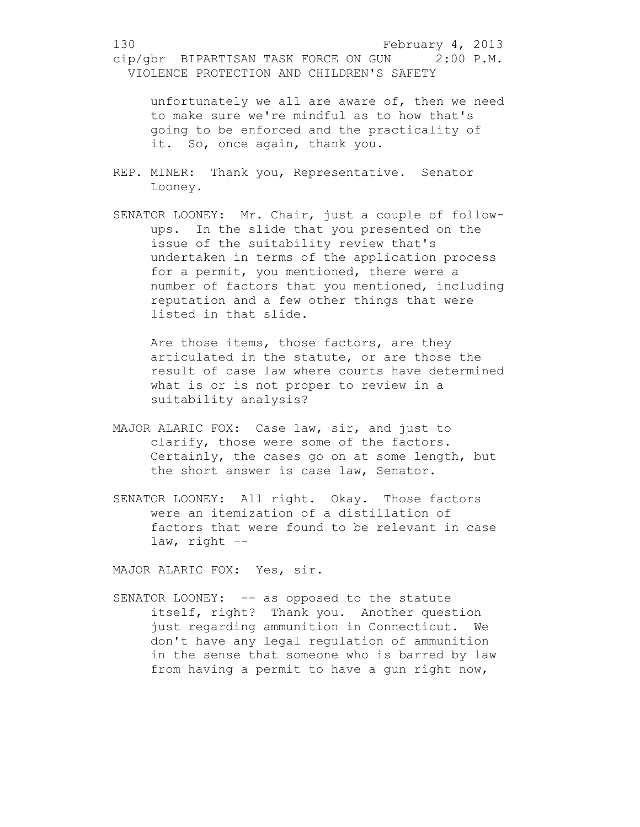unfortunately we all are aware of, then we need to make sure we're mindful as to how that's going to be enforced and the practicality of it. So, once again, thank you.

- REP. MINER: Thank you, Representative. Senator Looney.
- SENATOR LOONEY: Mr. Chair, just a couple of followups. In the slide that you presented on the issue of the suitability review that's undertaken in terms of the application process for a permit, you mentioned, there were a number of factors that you mentioned, including reputation and a few other things that were listed in that slide.

Are those items, those factors, are they articulated in the statute, or are those the result of case law where courts have determined what is or is not proper to review in a suitability analysis?

- MAJOR ALARIC FOX: Case law, sir, and just to clarify, those were some of the factors. Certainly, the cases go on at some length, but the short answer is case law, Senator.
- SENATOR LOONEY: All right. Okay. Those factors were an itemization of a distillation of factors that were found to be relevant in case law, right –-

MAJOR ALARIC FOX: Yes, sir.

SENATOR LOONEY: -- as opposed to the statute itself, right? Thank you. Another question just regarding ammunition in Connecticut. We don't have any legal regulation of ammunition in the sense that someone who is barred by law from having a permit to have a gun right now,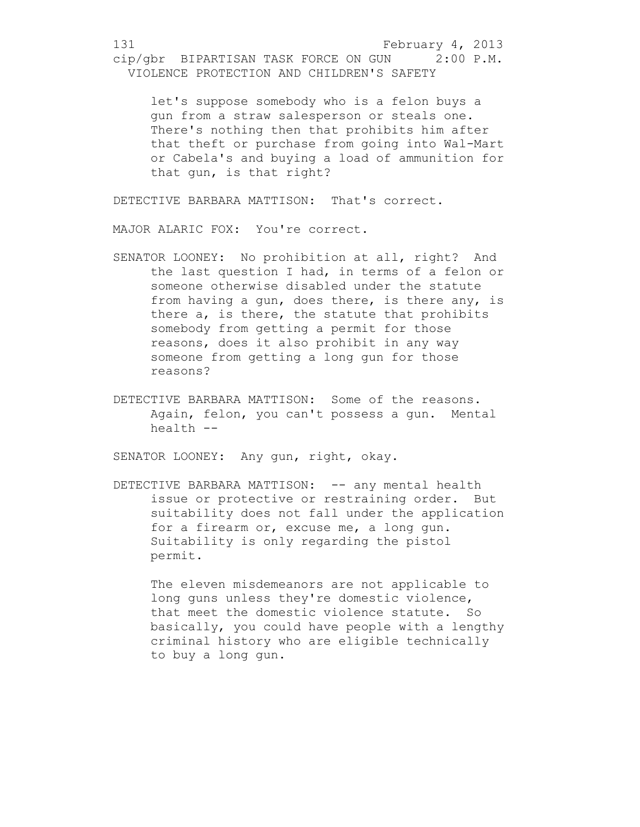let's suppose somebody who is a felon buys a gun from a straw salesperson or steals one. There's nothing then that prohibits him after that theft or purchase from going into Wal-Mart or Cabela's and buying a load of ammunition for that gun, is that right?

DETECTIVE BARBARA MATTISON: That's correct.

MAJOR ALARIC FOX: You're correct.

- SENATOR LOONEY: No prohibition at all, right? And the last question I had, in terms of a felon or someone otherwise disabled under the statute from having a gun, does there, is there any, is there a, is there, the statute that prohibits somebody from getting a permit for those reasons, does it also prohibit in any way someone from getting a long gun for those reasons?
- DETECTIVE BARBARA MATTISON: Some of the reasons. Again, felon, you can't possess a gun. Mental health --

SENATOR LOONEY: Any gun, right, okay.

DETECTIVE BARBARA MATTISON: -- any mental health issue or protective or restraining order. But suitability does not fall under the application for a firearm or, excuse me, a long gun. Suitability is only regarding the pistol permit.

The eleven misdemeanors are not applicable to long guns unless they're domestic violence, that meet the domestic violence statute. So basically, you could have people with a lengthy criminal history who are eligible technically to buy a long gun.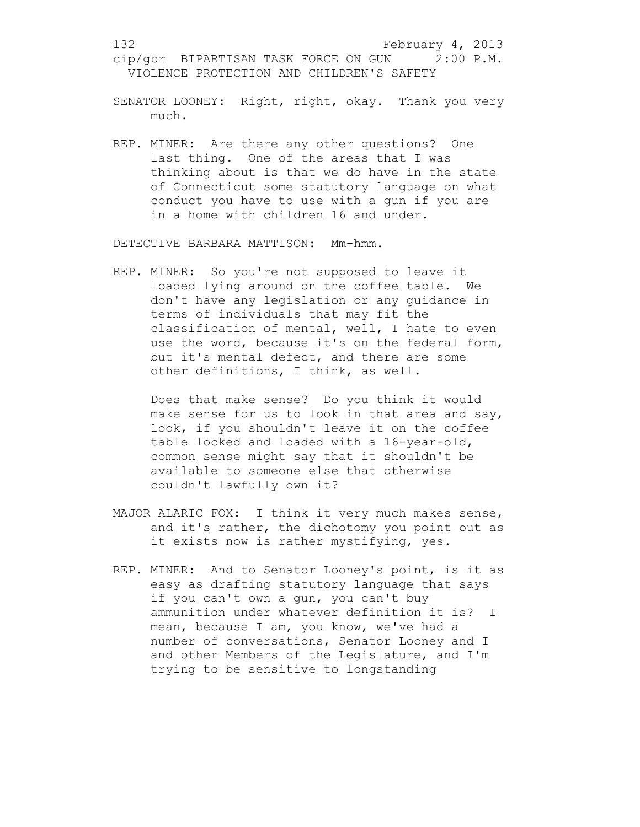- SENATOR LOONEY: Right, right, okay. Thank you very much.
- REP. MINER: Are there any other questions? One last thing. One of the areas that I was thinking about is that we do have in the state of Connecticut some statutory language on what conduct you have to use with a gun if you are in a home with children 16 and under.

DETECTIVE BARBARA MATTISON: Mm-hmm.

REP. MINER: So you're not supposed to leave it loaded lying around on the coffee table. We don't have any legislation or any guidance in terms of individuals that may fit the classification of mental, well, I hate to even use the word, because it's on the federal form, but it's mental defect, and there are some other definitions, I think, as well.

Does that make sense? Do you think it would make sense for us to look in that area and say, look, if you shouldn't leave it on the coffee table locked and loaded with a 16-year-old, common sense might say that it shouldn't be available to someone else that otherwise couldn't lawfully own it?

- MAJOR ALARIC FOX: I think it very much makes sense, and it's rather, the dichotomy you point out as it exists now is rather mystifying, yes.
- REP. MINER: And to Senator Looney's point, is it as easy as drafting statutory language that says if you can't own a gun, you can't buy ammunition under whatever definition it is? I mean, because I am, you know, we've had a number of conversations, Senator Looney and I and other Members of the Legislature, and I'm trying to be sensitive to longstanding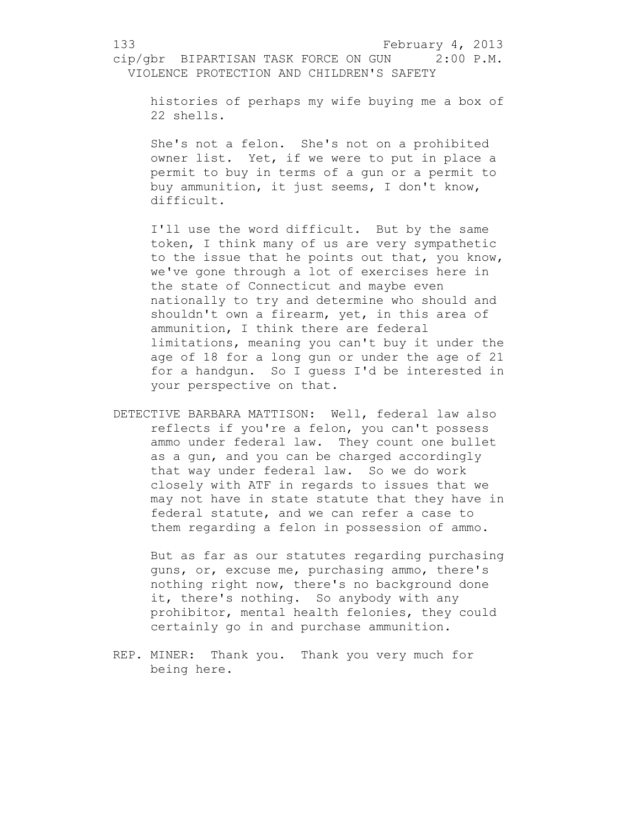histories of perhaps my wife buying me a box of 22 shells.

She's not a felon. She's not on a prohibited owner list. Yet, if we were to put in place a permit to buy in terms of a gun or a permit to buy ammunition, it just seems, I don't know, difficult.

I'll use the word difficult. But by the same token, I think many of us are very sympathetic to the issue that he points out that, you know, we've gone through a lot of exercises here in the state of Connecticut and maybe even nationally to try and determine who should and shouldn't own a firearm, yet, in this area of ammunition, I think there are federal limitations, meaning you can't buy it under the age of 18 for a long gun or under the age of 21 for a handgun. So I guess I'd be interested in your perspective on that.

DETECTIVE BARBARA MATTISON: Well, federal law also reflects if you're a felon, you can't possess ammo under federal law. They count one bullet as a gun, and you can be charged accordingly that way under federal law. So we do work closely with ATF in regards to issues that we may not have in state statute that they have in federal statute, and we can refer a case to them regarding a felon in possession of ammo.

But as far as our statutes regarding purchasing guns, or, excuse me, purchasing ammo, there's nothing right now, there's no background done it, there's nothing. So anybody with any prohibitor, mental health felonies, they could certainly go in and purchase ammunition.

REP. MINER: Thank you. Thank you very much for being here.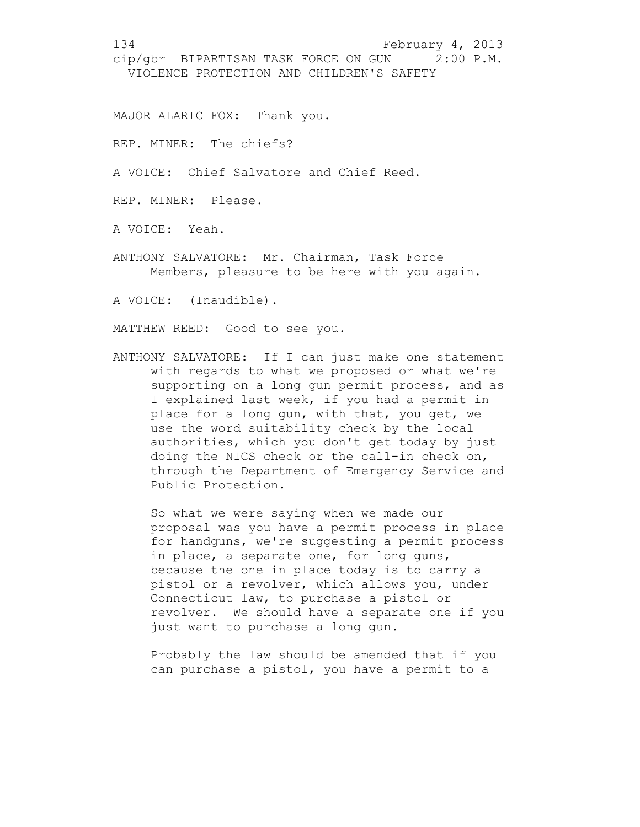MAJOR ALARIC FOX: Thank you.

REP. MINER: The chiefs?

A VOICE: Chief Salvatore and Chief Reed.

REP. MINER: Please.

A VOICE: Yeah.

ANTHONY SALVATORE: Mr. Chairman, Task Force Members, pleasure to be here with you again.

A VOICE: (Inaudible).

MATTHEW REED: Good to see you.

ANTHONY SALVATORE: If I can just make one statement with regards to what we proposed or what we're supporting on a long gun permit process, and as I explained last week, if you had a permit in place for a long gun, with that, you get, we use the word suitability check by the local authorities, which you don't get today by just doing the NICS check or the call-in check on, through the Department of Emergency Service and Public Protection.

So what we were saying when we made our proposal was you have a permit process in place for handguns, we're suggesting a permit process in place, a separate one, for long guns, because the one in place today is to carry a pistol or a revolver, which allows you, under Connecticut law, to purchase a pistol or revolver. We should have a separate one if you just want to purchase a long gun.

Probably the law should be amended that if you can purchase a pistol, you have a permit to a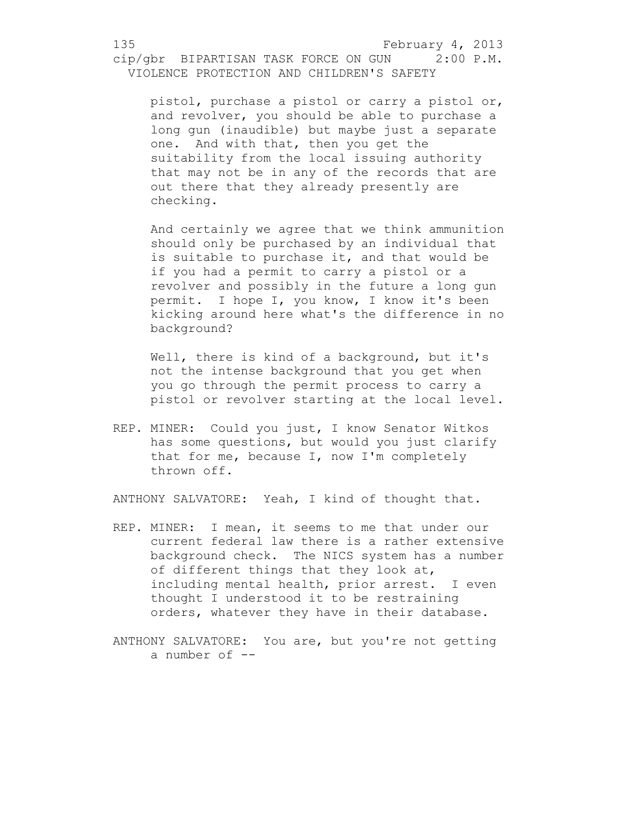pistol, purchase a pistol or carry a pistol or, and revolver, you should be able to purchase a long gun (inaudible) but maybe just a separate one. And with that, then you get the suitability from the local issuing authority that may not be in any of the records that are out there that they already presently are checking.

And certainly we agree that we think ammunition should only be purchased by an individual that is suitable to purchase it, and that would be if you had a permit to carry a pistol or a revolver and possibly in the future a long gun permit. I hope I, you know, I know it's been kicking around here what's the difference in no background?

Well, there is kind of a background, but it's not the intense background that you get when you go through the permit process to carry a pistol or revolver starting at the local level.

REP. MINER: Could you just, I know Senator Witkos has some questions, but would you just clarify that for me, because I, now I'm completely thrown off.

ANTHONY SALVATORE: Yeah, I kind of thought that.

- REP. MINER: I mean, it seems to me that under our current federal law there is a rather extensive background check. The NICS system has a number of different things that they look at, including mental health, prior arrest. I even thought I understood it to be restraining orders, whatever they have in their database.
- ANTHONY SALVATORE: You are, but you're not getting a number of --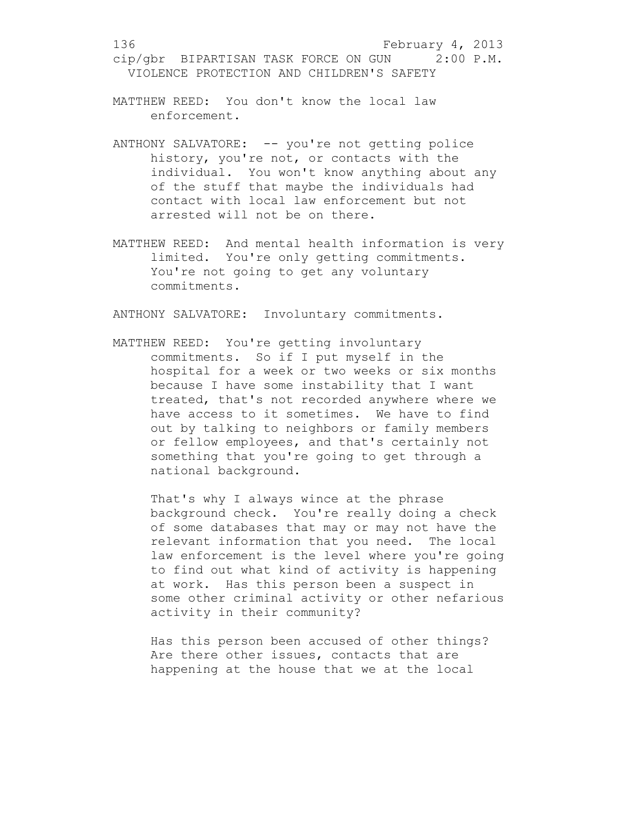MATTHEW REED: You don't know the local law enforcement.

- ANTHONY SALVATORE: -- you're not getting police history, you're not, or contacts with the individual. You won't know anything about any of the stuff that maybe the individuals had contact with local law enforcement but not arrested will not be on there.
- MATTHEW REED: And mental health information is very limited. You're only getting commitments. You're not going to get any voluntary commitments.

ANTHONY SALVATORE: Involuntary commitments.

MATTHEW REED: You're getting involuntary commitments. So if I put myself in the hospital for a week or two weeks or six months because I have some instability that I want treated, that's not recorded anywhere where we have access to it sometimes. We have to find out by talking to neighbors or family members or fellow employees, and that's certainly not something that you're going to get through a national background.

That's why I always wince at the phrase background check. You're really doing a check of some databases that may or may not have the relevant information that you need. The local law enforcement is the level where you're going to find out what kind of activity is happening at work. Has this person been a suspect in some other criminal activity or other nefarious activity in their community?

Has this person been accused of other things? Are there other issues, contacts that are happening at the house that we at the local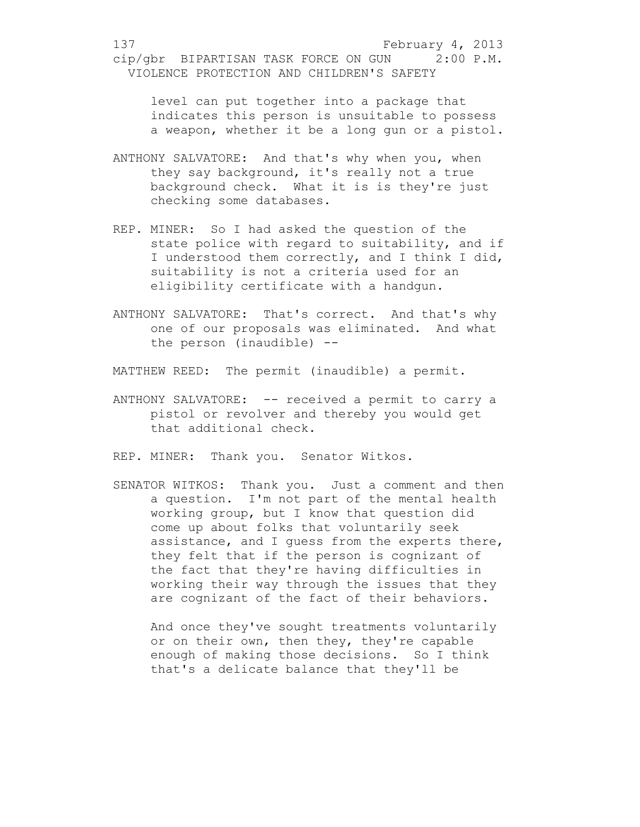level can put together into a package that indicates this person is unsuitable to possess a weapon, whether it be a long gun or a pistol.

- ANTHONY SALVATORE: And that's why when you, when they say background, it's really not a true background check. What it is is they're just checking some databases.
- REP. MINER: So I had asked the question of the state police with regard to suitability, and if I understood them correctly, and I think I did, suitability is not a criteria used for an eligibility certificate with a handgun.
- ANTHONY SALVATORE: That's correct. And that's why one of our proposals was eliminated. And what the person (inaudible) --

MATTHEW REED: The permit (inaudible) a permit.

ANTHONY SALVATORE: -- received a permit to carry a pistol or revolver and thereby you would get that additional check.

REP. MINER: Thank you. Senator Witkos.

SENATOR WITKOS: Thank you. Just a comment and then a question. I'm not part of the mental health working group, but I know that question did come up about folks that voluntarily seek assistance, and I guess from the experts there, they felt that if the person is cognizant of the fact that they're having difficulties in working their way through the issues that they are cognizant of the fact of their behaviors.

And once they've sought treatments voluntarily or on their own, then they, they're capable enough of making those decisions. So I think that's a delicate balance that they'll be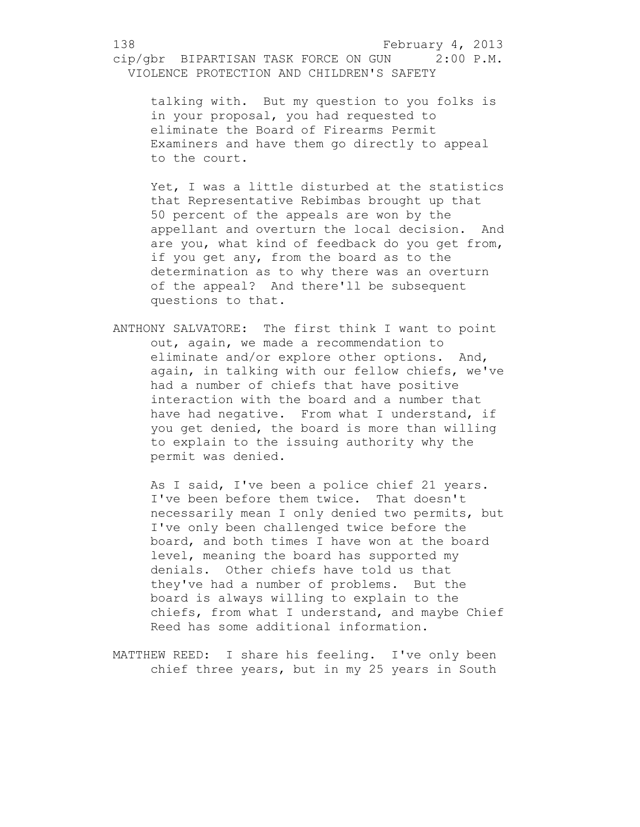talking with. But my question to you folks is in your proposal, you had requested to eliminate the Board of Firearms Permit Examiners and have them go directly to appeal to the court.

Yet, I was a little disturbed at the statistics that Representative Rebimbas brought up that 50 percent of the appeals are won by the appellant and overturn the local decision. And are you, what kind of feedback do you get from, if you get any, from the board as to the determination as to why there was an overturn of the appeal? And there'll be subsequent questions to that.

ANTHONY SALVATORE: The first think I want to point out, again, we made a recommendation to eliminate and/or explore other options. And, again, in talking with our fellow chiefs, we've had a number of chiefs that have positive interaction with the board and a number that have had negative. From what I understand, if you get denied, the board is more than willing to explain to the issuing authority why the permit was denied.

As I said, I've been a police chief 21 years. I've been before them twice. That doesn't necessarily mean I only denied two permits, but I've only been challenged twice before the board, and both times I have won at the board level, meaning the board has supported my denials. Other chiefs have told us that they've had a number of problems. But the board is always willing to explain to the chiefs, from what I understand, and maybe Chief Reed has some additional information.

MATTHEW REED: I share his feeling. I've only been chief three years, but in my 25 years in South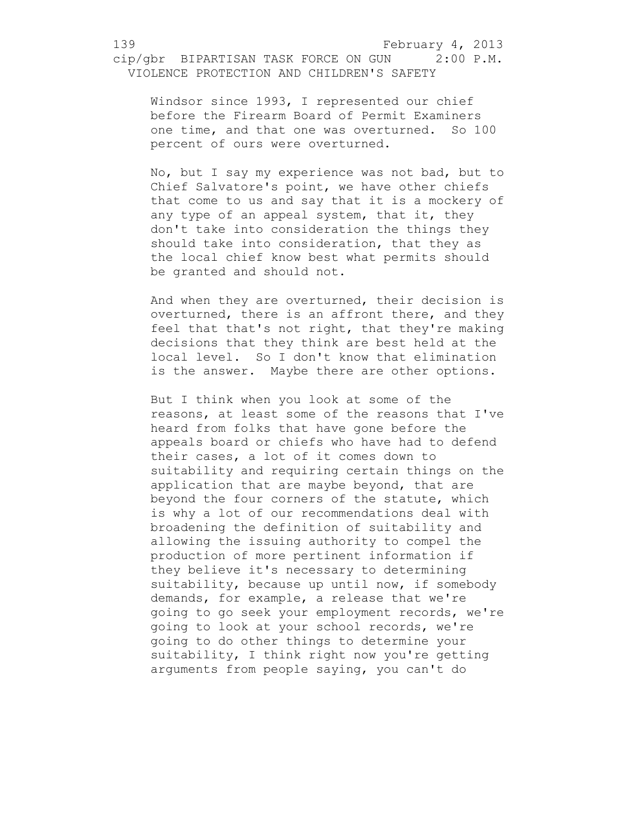Windsor since 1993, I represented our chief before the Firearm Board of Permit Examiners one time, and that one was overturned. So 100 percent of ours were overturned.

No, but I say my experience was not bad, but to Chief Salvatore's point, we have other chiefs that come to us and say that it is a mockery of any type of an appeal system, that it, they don't take into consideration the things they should take into consideration, that they as the local chief know best what permits should be granted and should not.

And when they are overturned, their decision is overturned, there is an affront there, and they feel that that's not right, that they're making decisions that they think are best held at the local level. So I don't know that elimination is the answer. Maybe there are other options.

But I think when you look at some of the reasons, at least some of the reasons that I've heard from folks that have gone before the appeals board or chiefs who have had to defend their cases, a lot of it comes down to suitability and requiring certain things on the application that are maybe beyond, that are beyond the four corners of the statute, which is why a lot of our recommendations deal with broadening the definition of suitability and allowing the issuing authority to compel the production of more pertinent information if they believe it's necessary to determining suitability, because up until now, if somebody demands, for example, a release that we're going to go seek your employment records, we're going to look at your school records, we're going to do other things to determine your suitability, I think right now you're getting arguments from people saying, you can't do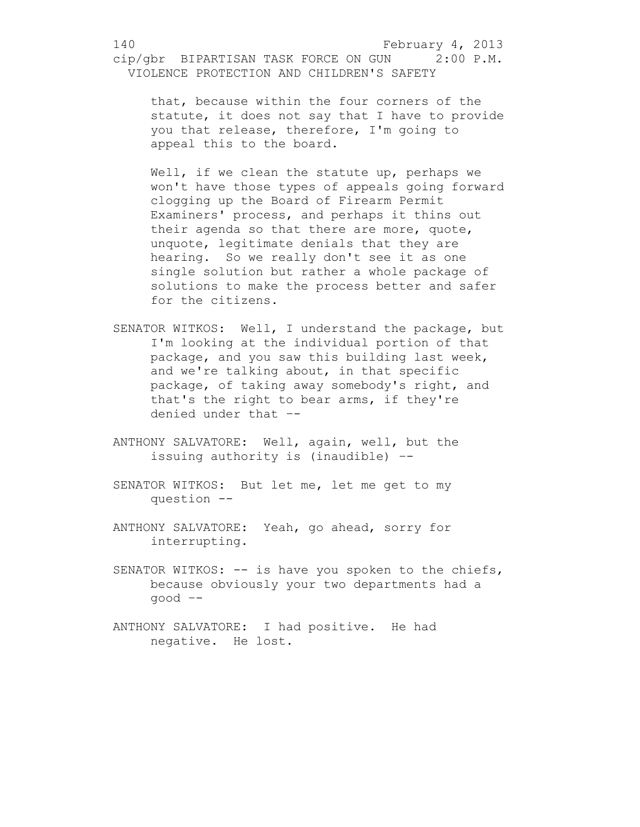that, because within the four corners of the statute, it does not say that I have to provide you that release, therefore, I'm going to appeal this to the board.

Well, if we clean the statute up, perhaps we won't have those types of appeals going forward clogging up the Board of Firearm Permit Examiners' process, and perhaps it thins out their agenda so that there are more, quote, unquote, legitimate denials that they are hearing. So we really don't see it as one single solution but rather a whole package of solutions to make the process better and safer for the citizens.

- SENATOR WITKOS: Well, I understand the package, but I'm looking at the individual portion of that package, and you saw this building last week, and we're talking about, in that specific package, of taking away somebody's right, and that's the right to bear arms, if they're denied under that –-
- ANTHONY SALVATORE: Well, again, well, but the issuing authority is (inaudible) –-
- SENATOR WITKOS: But let me, let me get to my question --
- ANTHONY SALVATORE: Yeah, go ahead, sorry for interrupting.
- SENATOR WITKOS: -- is have you spoken to the chiefs, because obviously your two departments had a good –-
- ANTHONY SALVATORE: I had positive. He had negative. He lost.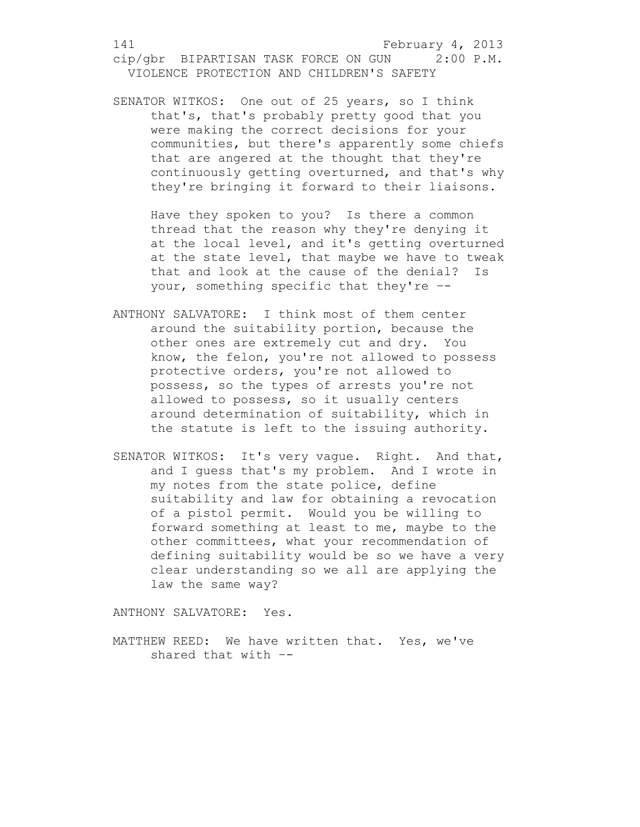SENATOR WITKOS: One out of 25 years, so I think that's, that's probably pretty good that you were making the correct decisions for your communities, but there's apparently some chiefs that are angered at the thought that they're continuously getting overturned, and that's why they're bringing it forward to their liaisons.

Have they spoken to you? Is there a common thread that the reason why they're denying it at the local level, and it's getting overturned at the state level, that maybe we have to tweak that and look at the cause of the denial? Is your, something specific that they're –-

- ANTHONY SALVATORE: I think most of them center around the suitability portion, because the other ones are extremely cut and dry. You know, the felon, you're not allowed to possess protective orders, you're not allowed to possess, so the types of arrests you're not allowed to possess, so it usually centers around determination of suitability, which in the statute is left to the issuing authority.
- SENATOR WITKOS: It's very vague. Right. And that, and I guess that's my problem. And I wrote in my notes from the state police, define suitability and law for obtaining a revocation of a pistol permit. Would you be willing to forward something at least to me, maybe to the other committees, what your recommendation of defining suitability would be so we have a very clear understanding so we all are applying the law the same way?

ANTHONY SALVATORE: Yes.

MATTHEW REED: We have written that. Yes, we've shared that with –-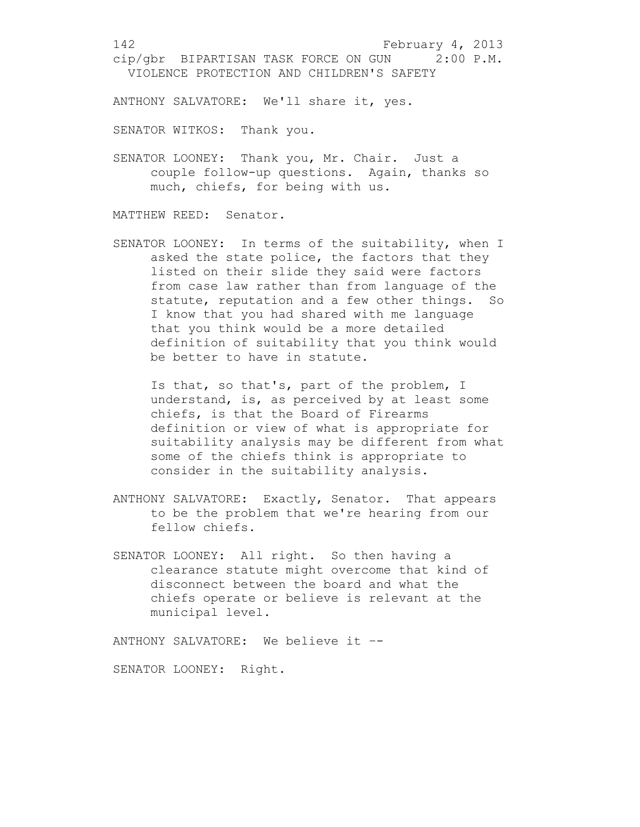ANTHONY SALVATORE: We'll share it, yes.

SENATOR WITKOS: Thank you.

SENATOR LOONEY: Thank you, Mr. Chair. Just a couple follow-up questions. Again, thanks so much, chiefs, for being with us.

MATTHEW REED: Senator.

SENATOR LOONEY: In terms of the suitability, when I asked the state police, the factors that they listed on their slide they said were factors from case law rather than from language of the statute, reputation and a few other things. So I know that you had shared with me language that you think would be a more detailed definition of suitability that you think would be better to have in statute.

Is that, so that's, part of the problem, I understand, is, as perceived by at least some chiefs, is that the Board of Firearms definition or view of what is appropriate for suitability analysis may be different from what some of the chiefs think is appropriate to consider in the suitability analysis.

- ANTHONY SALVATORE: Exactly, Senator. That appears to be the problem that we're hearing from our fellow chiefs.
- SENATOR LOONEY: All right. So then having a clearance statute might overcome that kind of disconnect between the board and what the chiefs operate or believe is relevant at the municipal level.

ANTHONY SALVATORE: We believe it –-

SENATOR LOONEY: Right.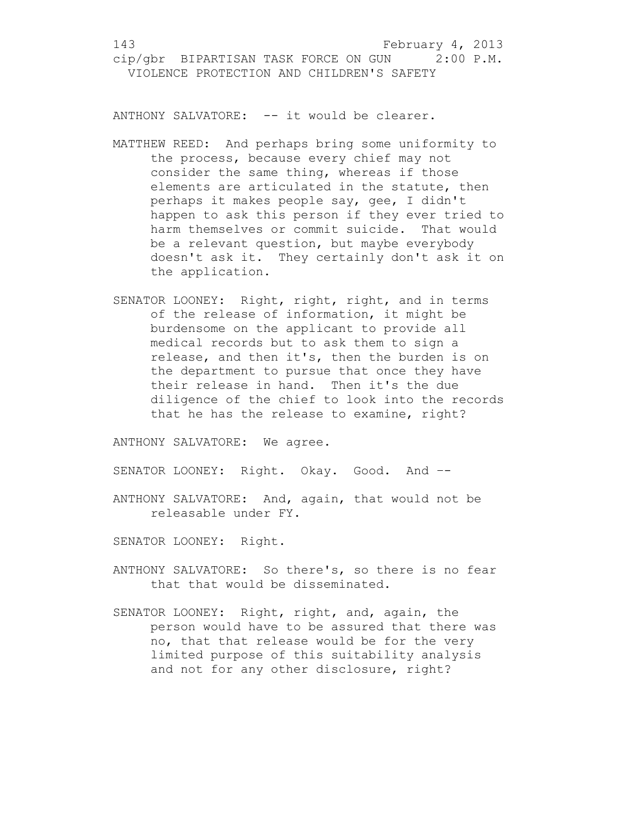ANTHONY SALVATORE: -- it would be clearer.

- MATTHEW REED: And perhaps bring some uniformity to the process, because every chief may not consider the same thing, whereas if those elements are articulated in the statute, then perhaps it makes people say, gee, I didn't happen to ask this person if they ever tried to harm themselves or commit suicide. That would be a relevant question, but maybe everybody doesn't ask it. They certainly don't ask it on the application.
- SENATOR LOONEY: Right, right, right, and in terms of the release of information, it might be burdensome on the applicant to provide all medical records but to ask them to sign a release, and then it's, then the burden is on the department to pursue that once they have their release in hand. Then it's the due diligence of the chief to look into the records that he has the release to examine, right?

ANTHONY SALVATORE: We agree.

SENATOR LOONEY: Right. Okay. Good. And --

ANTHONY SALVATORE: And, again, that would not be releasable under FY.

SENATOR LOONEY: Right.

- ANTHONY SALVATORE: So there's, so there is no fear that that would be disseminated.
- SENATOR LOONEY: Right, right, and, again, the person would have to be assured that there was no, that that release would be for the very limited purpose of this suitability analysis and not for any other disclosure, right?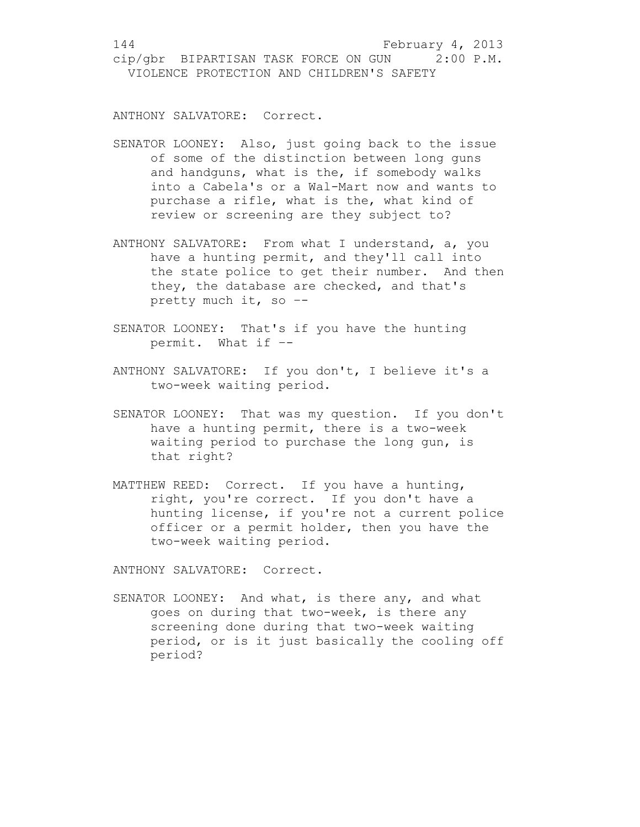ANTHONY SALVATORE: Correct.

- SENATOR LOONEY: Also, just going back to the issue of some of the distinction between long guns and handguns, what is the, if somebody walks into a Cabela's or a Wal-Mart now and wants to purchase a rifle, what is the, what kind of review or screening are they subject to?
- ANTHONY SALVATORE: From what I understand, a, you have a hunting permit, and they'll call into the state police to get their number. And then they, the database are checked, and that's pretty much it, so –-
- SENATOR LOONEY: That's if you have the hunting permit. What if –-
- ANTHONY SALVATORE: If you don't, I believe it's a two-week waiting period.
- SENATOR LOONEY: That was my question. If you don't have a hunting permit, there is a two-week waiting period to purchase the long gun, is that right?
- MATTHEW REED: Correct. If you have a hunting, right, you're correct. If you don't have a hunting license, if you're not a current police officer or a permit holder, then you have the two-week waiting period.

ANTHONY SALVATORE: Correct.

SENATOR LOONEY: And what, is there any, and what goes on during that two-week, is there any screening done during that two-week waiting period, or is it just basically the cooling off period?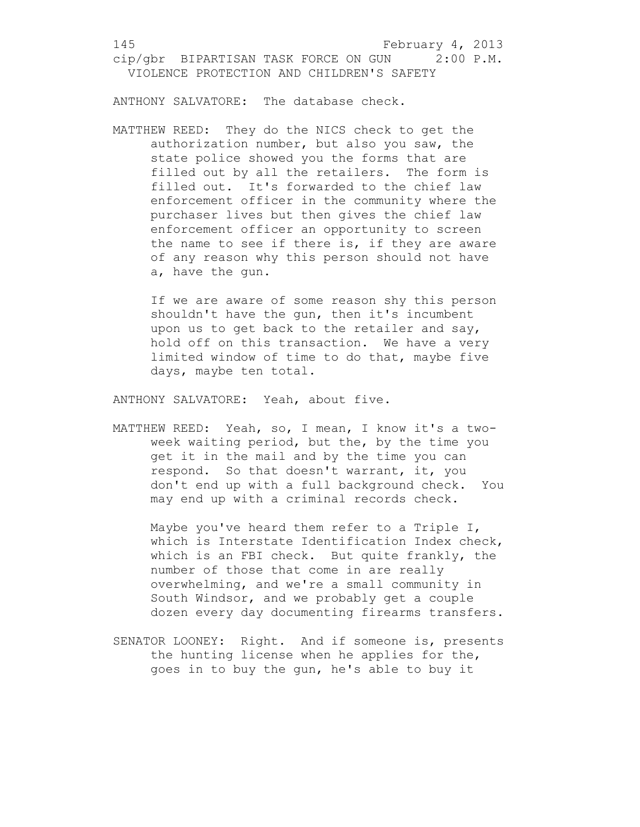ANTHONY SALVATORE: The database check.

MATTHEW REED: They do the NICS check to get the authorization number, but also you saw, the state police showed you the forms that are filled out by all the retailers. The form is filled out. It's forwarded to the chief law enforcement officer in the community where the purchaser lives but then gives the chief law enforcement officer an opportunity to screen the name to see if there is, if they are aware of any reason why this person should not have a, have the gun.

If we are aware of some reason shy this person shouldn't have the gun, then it's incumbent upon us to get back to the retailer and say, hold off on this transaction. We have a very limited window of time to do that, maybe five days, maybe ten total.

ANTHONY SALVATORE: Yeah, about five.

MATTHEW REED: Yeah, so, I mean, I know it's a twoweek waiting period, but the, by the time you get it in the mail and by the time you can respond. So that doesn't warrant, it, you don't end up with a full background check. You may end up with a criminal records check.

Maybe you've heard them refer to a Triple I, which is Interstate Identification Index check, which is an FBI check. But quite frankly, the number of those that come in are really overwhelming, and we're a small community in South Windsor, and we probably get a couple dozen every day documenting firearms transfers.

SENATOR LOONEY: Right. And if someone is, presents the hunting license when he applies for the, goes in to buy the gun, he's able to buy it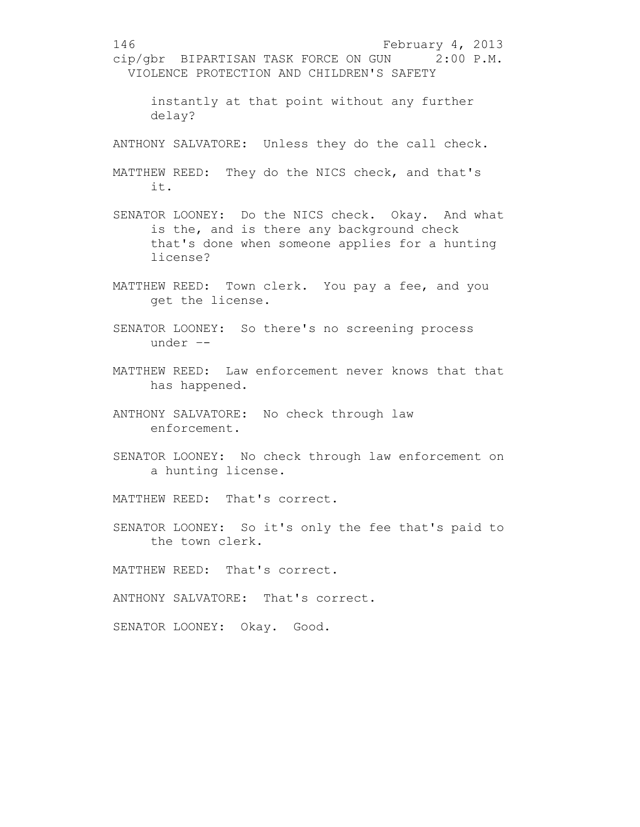146 February 4, 2013 cip/gbr BIPARTISAN TASK FORCE ON GUN 2:00 P.M. VIOLENCE PROTECTION AND CHILDREN'S SAFETY instantly at that point without any further delay? ANTHONY SALVATORE: Unless they do the call check. MATTHEW REED: They do the NICS check, and that's it. SENATOR LOONEY: Do the NICS check. Okay. And what is the, and is there any background check that's done when someone applies for a hunting license? MATTHEW REED: Town clerk. You pay a fee, and you get the license. SENATOR LOONEY: So there's no screening process under –- MATTHEW REED: Law enforcement never knows that that has happened. ANTHONY SALVATORE: No check through law enforcement. SENATOR LOONEY: No check through law enforcement on a hunting license. MATTHEW REED: That's correct. SENATOR LOONEY: So it's only the fee that's paid to the town clerk. MATTHEW REED: That's correct. ANTHONY SALVATORE: That's correct. SENATOR LOONEY: Okay. Good.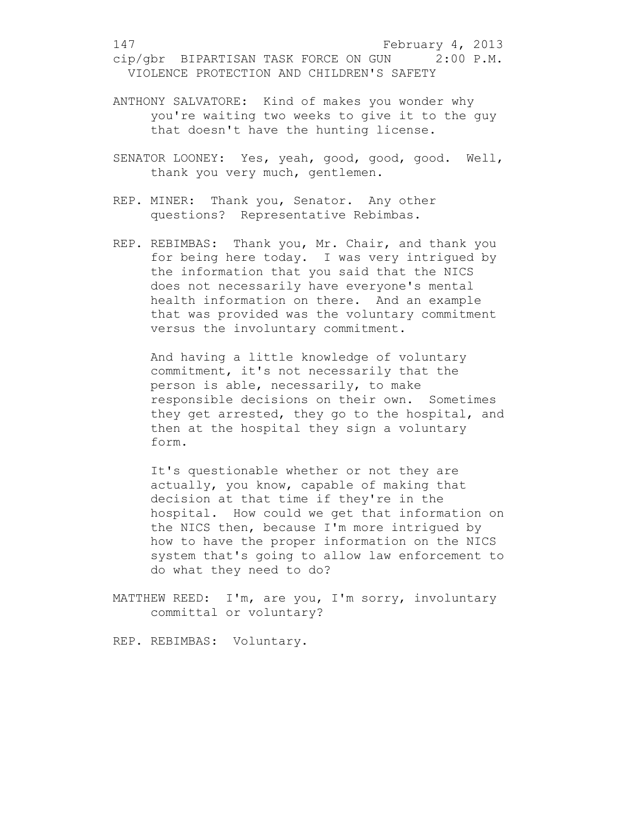- ANTHONY SALVATORE: Kind of makes you wonder why you're waiting two weeks to give it to the guy that doesn't have the hunting license.
- SENATOR LOONEY: Yes, yeah, good, good, good. Well, thank you very much, gentlemen.
- REP. MINER: Thank you, Senator. Any other questions? Representative Rebimbas.
- REP. REBIMBAS: Thank you, Mr. Chair, and thank you for being here today. I was very intrigued by the information that you said that the NICS does not necessarily have everyone's mental health information on there. And an example that was provided was the voluntary commitment versus the involuntary commitment.

And having a little knowledge of voluntary commitment, it's not necessarily that the person is able, necessarily, to make responsible decisions on their own. Sometimes they get arrested, they go to the hospital, and then at the hospital they sign a voluntary form.

It's questionable whether or not they are actually, you know, capable of making that decision at that time if they're in the hospital. How could we get that information on the NICS then, because I'm more intrigued by how to have the proper information on the NICS system that's going to allow law enforcement to do what they need to do?

MATTHEW REED: I'm, are you, I'm sorry, involuntary committal or voluntary?

REP. REBIMBAS: Voluntary.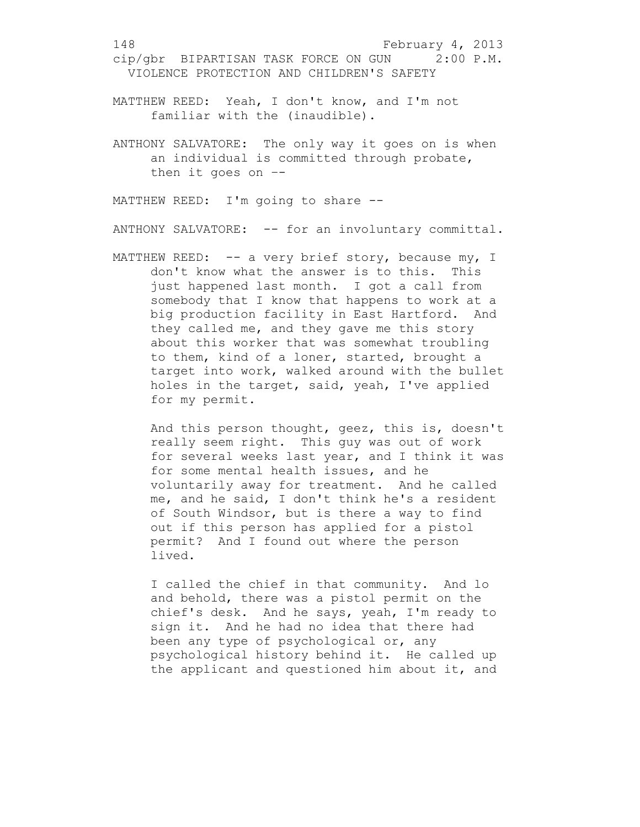- MATTHEW REED: Yeah, I don't know, and I'm not familiar with the (inaudible).
- ANTHONY SALVATORE: The only way it goes on is when an individual is committed through probate, then it goes on –-

MATTHEW REED: I'm going to share --

ANTHONY SALVATORE: -- for an involuntary committal.

MATTHEW REED: -- a very brief story, because my, I don't know what the answer is to this. This just happened last month. I got a call from somebody that I know that happens to work at a big production facility in East Hartford. And they called me, and they gave me this story about this worker that was somewhat troubling to them, kind of a loner, started, brought a target into work, walked around with the bullet holes in the target, said, yeah, I've applied for my permit.

And this person thought, geez, this is, doesn't really seem right. This guy was out of work for several weeks last year, and I think it was for some mental health issues, and he voluntarily away for treatment. And he called me, and he said, I don't think he's a resident of South Windsor, but is there a way to find out if this person has applied for a pistol permit? And I found out where the person lived.

I called the chief in that community. And lo and behold, there was a pistol permit on the chief's desk. And he says, yeah, I'm ready to sign it. And he had no idea that there had been any type of psychological or, any psychological history behind it. He called up the applicant and questioned him about it, and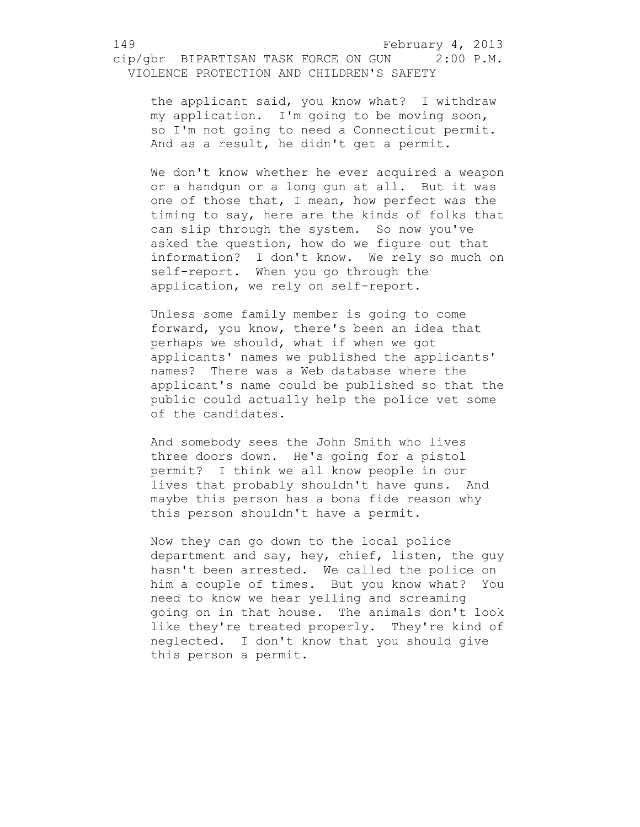the applicant said, you know what? I withdraw my application. I'm going to be moving soon, so I'm not going to need a Connecticut permit. And as a result, he didn't get a permit.

We don't know whether he ever acquired a weapon or a handgun or a long gun at all. But it was one of those that, I mean, how perfect was the timing to say, here are the kinds of folks that can slip through the system. So now you've asked the question, how do we figure out that information? I don't know. We rely so much on self-report. When you go through the application, we rely on self-report.

Unless some family member is going to come forward, you know, there's been an idea that perhaps we should, what if when we got applicants' names we published the applicants' names? There was a Web database where the applicant's name could be published so that the public could actually help the police vet some of the candidates.

And somebody sees the John Smith who lives three doors down. He's going for a pistol permit? I think we all know people in our lives that probably shouldn't have guns. And maybe this person has a bona fide reason why this person shouldn't have a permit.

Now they can go down to the local police department and say, hey, chief, listen, the guy hasn't been arrested. We called the police on him a couple of times. But you know what? You need to know we hear yelling and screaming going on in that house. The animals don't look like they're treated properly. They're kind of neglected. I don't know that you should give this person a permit.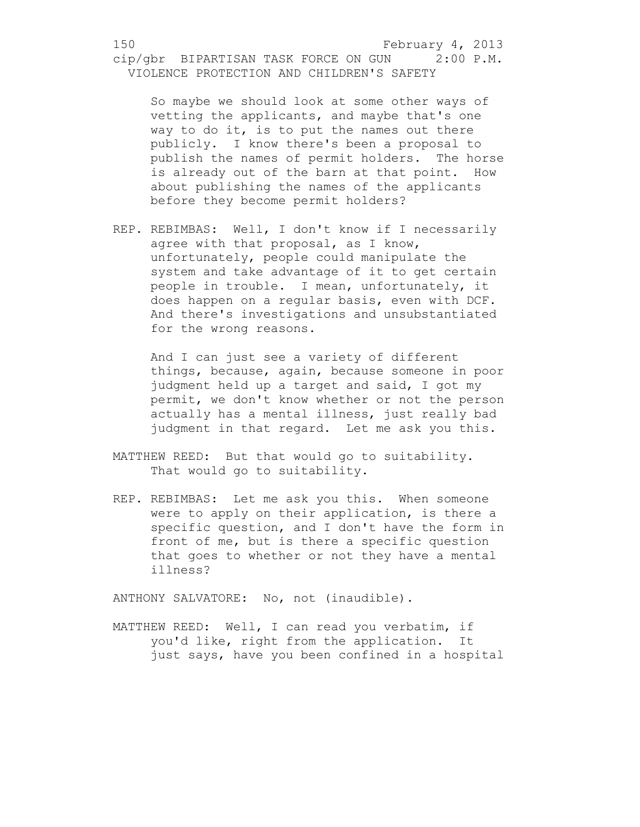So maybe we should look at some other ways of vetting the applicants, and maybe that's one way to do it, is to put the names out there publicly. I know there's been a proposal to publish the names of permit holders. The horse is already out of the barn at that point. How about publishing the names of the applicants before they become permit holders?

REP. REBIMBAS: Well, I don't know if I necessarily agree with that proposal, as I know, unfortunately, people could manipulate the system and take advantage of it to get certain people in trouble. I mean, unfortunately, it does happen on a regular basis, even with DCF. And there's investigations and unsubstantiated for the wrong reasons.

And I can just see a variety of different things, because, again, because someone in poor judgment held up a target and said, I got my permit, we don't know whether or not the person actually has a mental illness, just really bad judgment in that regard. Let me ask you this.

- MATTHEW REED: But that would go to suitability. That would go to suitability.
- REP. REBIMBAS: Let me ask you this. When someone were to apply on their application, is there a specific question, and I don't have the form in front of me, but is there a specific question that goes to whether or not they have a mental illness?

ANTHONY SALVATORE: No, not (inaudible).

MATTHEW REED: Well, I can read you verbatim, if you'd like, right from the application. It just says, have you been confined in a hospital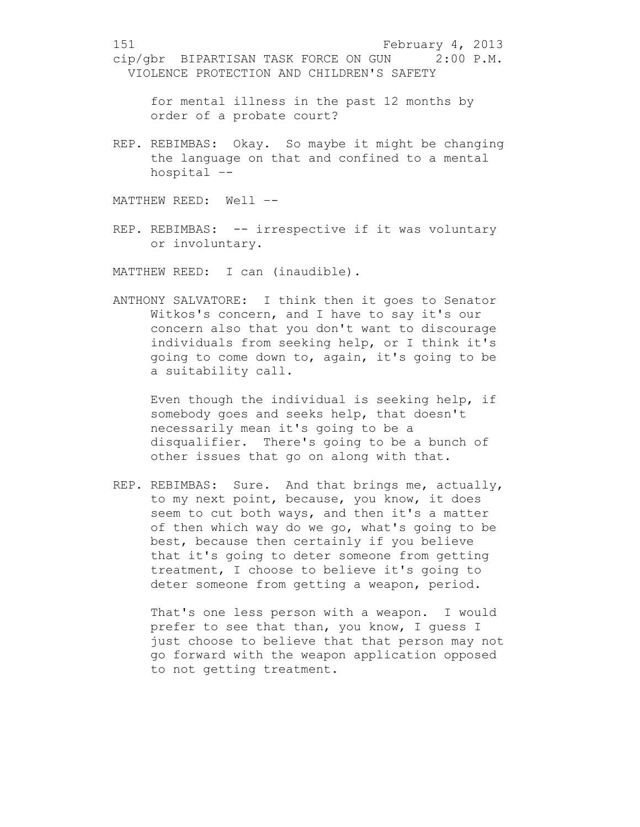for mental illness in the past 12 months by order of a probate court?

REP. REBIMBAS: Okay. So maybe it might be changing the language on that and confined to a mental hospital –-

MATTHEW REED: Well –-

REP. REBIMBAS: -- irrespective if it was voluntary or involuntary.

MATTHEW REED: I can (inaudible).

ANTHONY SALVATORE: I think then it goes to Senator Witkos's concern, and I have to say it's our concern also that you don't want to discourage individuals from seeking help, or I think it's going to come down to, again, it's going to be a suitability call.

Even though the individual is seeking help, if somebody goes and seeks help, that doesn't necessarily mean it's going to be a disqualifier. There's going to be a bunch of other issues that go on along with that.

REP. REBIMBAS: Sure. And that brings me, actually, to my next point, because, you know, it does seem to cut both ways, and then it's a matter of then which way do we go, what's going to be best, because then certainly if you believe that it's going to deter someone from getting treatment, I choose to believe it's going to deter someone from getting a weapon, period.

That's one less person with a weapon. I would prefer to see that than, you know, I guess I just choose to believe that that person may not go forward with the weapon application opposed to not getting treatment.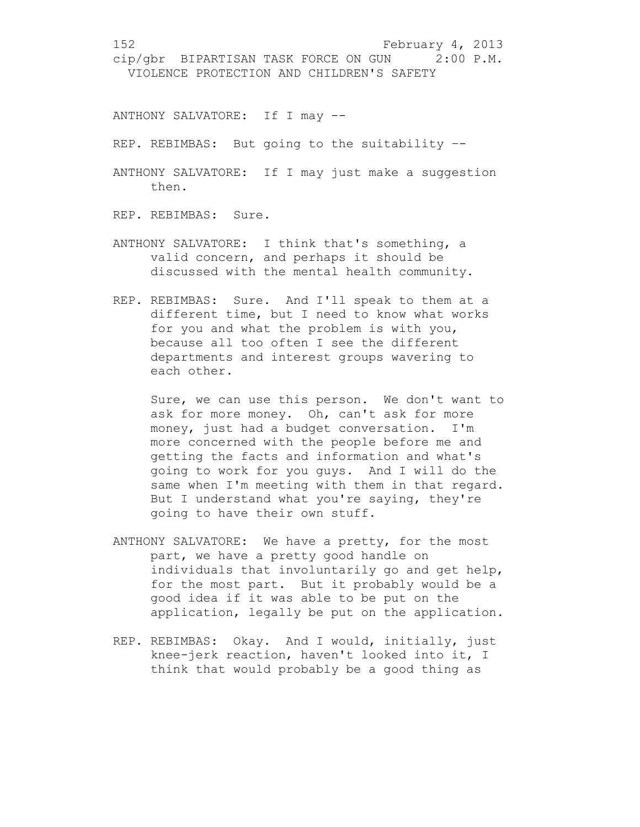ANTHONY SALVATORE: If I may --

REP. REBIMBAS: But going to the suitability --

ANTHONY SALVATORE: If I may just make a suggestion then.

REP. REBIMBAS: Sure.

- ANTHONY SALVATORE: I think that's something, a valid concern, and perhaps it should be discussed with the mental health community.
- REP. REBIMBAS: Sure. And I'll speak to them at a different time, but I need to know what works for you and what the problem is with you, because all too often I see the different departments and interest groups wavering to each other.

Sure, we can use this person. We don't want to ask for more money. Oh, can't ask for more money, just had a budget conversation. I'm more concerned with the people before me and getting the facts and information and what's going to work for you guys. And I will do the same when I'm meeting with them in that regard. But I understand what you're saying, they're going to have their own stuff.

- ANTHONY SALVATORE: We have a pretty, for the most part, we have a pretty good handle on individuals that involuntarily go and get help, for the most part. But it probably would be a good idea if it was able to be put on the application, legally be put on the application.
- REP. REBIMBAS: Okay. And I would, initially, just knee-jerk reaction, haven't looked into it, I think that would probably be a good thing as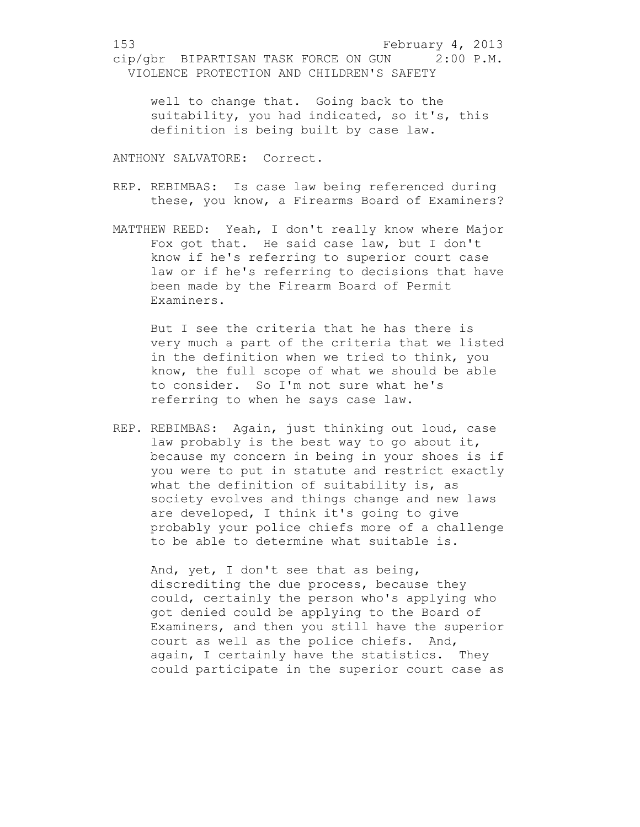well to change that. Going back to the suitability, you had indicated, so it's, this definition is being built by case law.

ANTHONY SALVATORE: Correct.

- REP. REBIMBAS: Is case law being referenced during these, you know, a Firearms Board of Examiners?
- MATTHEW REED: Yeah, I don't really know where Major Fox got that. He said case law, but I don't know if he's referring to superior court case law or if he's referring to decisions that have been made by the Firearm Board of Permit Examiners.

But I see the criteria that he has there is very much a part of the criteria that we listed in the definition when we tried to think, you know, the full scope of what we should be able to consider. So I'm not sure what he's referring to when he says case law.

REP. REBIMBAS: Again, just thinking out loud, case law probably is the best way to go about it, because my concern in being in your shoes is if you were to put in statute and restrict exactly what the definition of suitability is, as society evolves and things change and new laws are developed, I think it's going to give probably your police chiefs more of a challenge to be able to determine what suitable is.

And, yet, I don't see that as being, discrediting the due process, because they could, certainly the person who's applying who got denied could be applying to the Board of Examiners, and then you still have the superior court as well as the police chiefs. And, again, I certainly have the statistics. They could participate in the superior court case as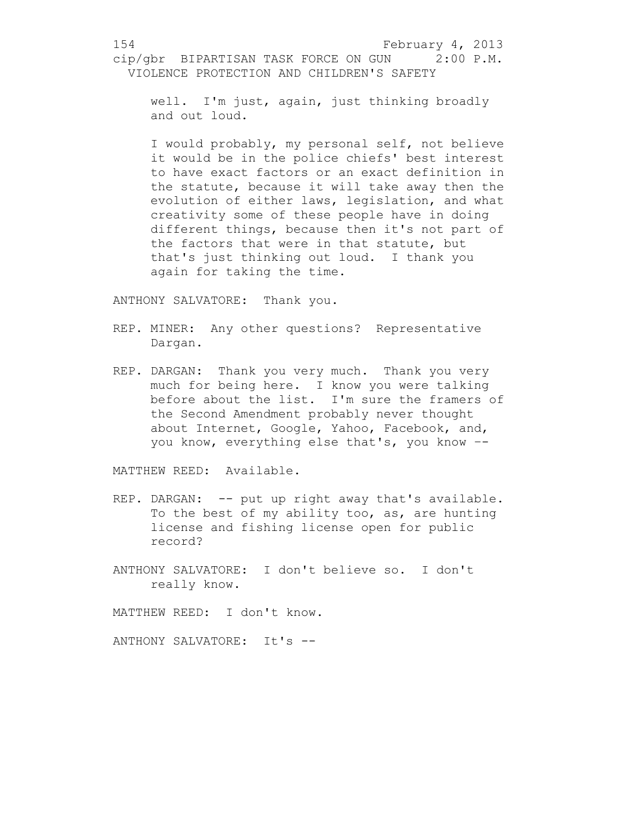well. I'm just, again, just thinking broadly and out loud.

I would probably, my personal self, not believe it would be in the police chiefs' best interest to have exact factors or an exact definition in the statute, because it will take away then the evolution of either laws, legislation, and what creativity some of these people have in doing different things, because then it's not part of the factors that were in that statute, but that's just thinking out loud. I thank you again for taking the time.

ANTHONY SALVATORE: Thank you.

- REP. MINER: Any other questions? Representative Dargan.
- REP. DARGAN: Thank you very much. Thank you very much for being here. I know you were talking before about the list. I'm sure the framers of the Second Amendment probably never thought about Internet, Google, Yahoo, Facebook, and, you know, everything else that's, you know –-

MATTHEW REED: Available.

- REP. DARGAN: -- put up right away that's available. To the best of my ability too, as, are hunting license and fishing license open for public record?
- ANTHONY SALVATORE: I don't believe so. I don't really know.

MATTHEW REED: I don't know.

ANTHONY SALVATORE: It's --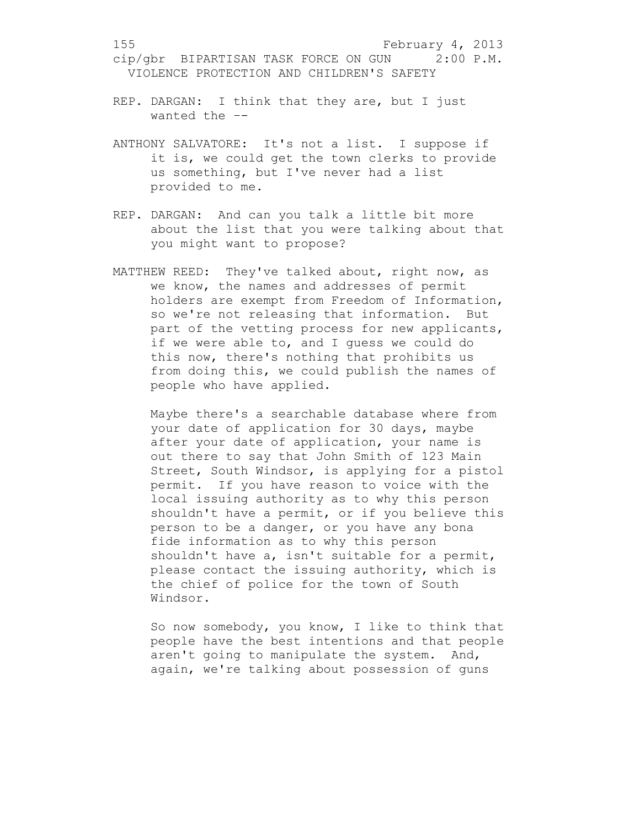- REP. DARGAN: I think that they are, but I just wanted the –-
- ANTHONY SALVATORE: It's not a list. I suppose if it is, we could get the town clerks to provide us something, but I've never had a list provided to me.
- REP. DARGAN: And can you talk a little bit more about the list that you were talking about that you might want to propose?
- MATTHEW REED: They've talked about, right now, as we know, the names and addresses of permit holders are exempt from Freedom of Information, so we're not releasing that information. But part of the vetting process for new applicants, if we were able to, and I guess we could do this now, there's nothing that prohibits us from doing this, we could publish the names of people who have applied.

Maybe there's a searchable database where from your date of application for 30 days, maybe after your date of application, your name is out there to say that John Smith of 123 Main Street, South Windsor, is applying for a pistol permit. If you have reason to voice with the local issuing authority as to why this person shouldn't have a permit, or if you believe this person to be a danger, or you have any bona fide information as to why this person shouldn't have a, isn't suitable for a permit, please contact the issuing authority, which is the chief of police for the town of South Windsor.

So now somebody, you know, I like to think that people have the best intentions and that people aren't going to manipulate the system. And, again, we're talking about possession of guns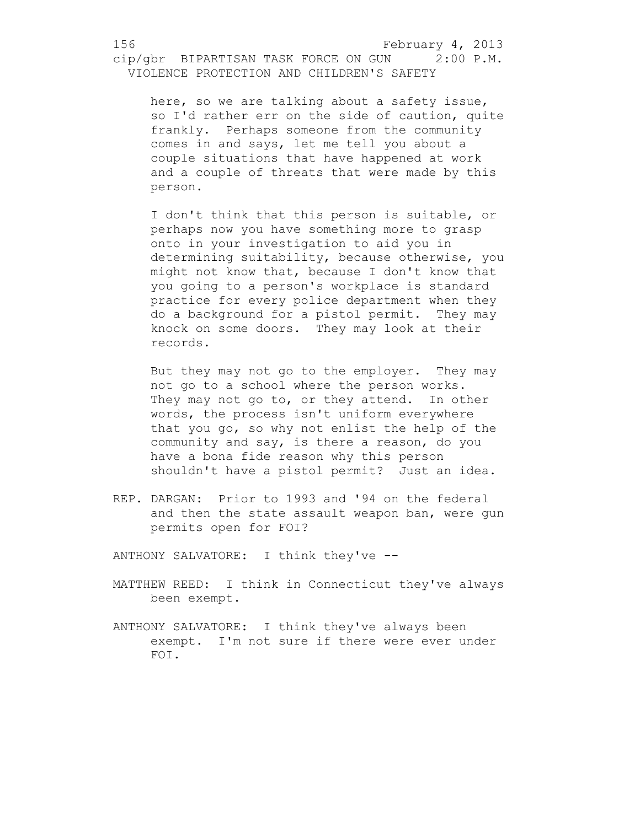here, so we are talking about a safety issue, so I'd rather err on the side of caution, quite frankly. Perhaps someone from the community comes in and says, let me tell you about a couple situations that have happened at work and a couple of threats that were made by this person.

I don't think that this person is suitable, or perhaps now you have something more to grasp onto in your investigation to aid you in determining suitability, because otherwise, you might not know that, because I don't know that you going to a person's workplace is standard practice for every police department when they do a background for a pistol permit. They may knock on some doors. They may look at their records.

But they may not go to the employer. They may not go to a school where the person works. They may not go to, or they attend. In other words, the process isn't uniform everywhere that you go, so why not enlist the help of the community and say, is there a reason, do you have a bona fide reason why this person shouldn't have a pistol permit? Just an idea.

REP. DARGAN: Prior to 1993 and '94 on the federal and then the state assault weapon ban, were gun permits open for FOI?

ANTHONY SALVATORE: I think they've --

- MATTHEW REED: I think in Connecticut they've always been exempt.
- ANTHONY SALVATORE: I think they've always been exempt. I'm not sure if there were ever under FOI.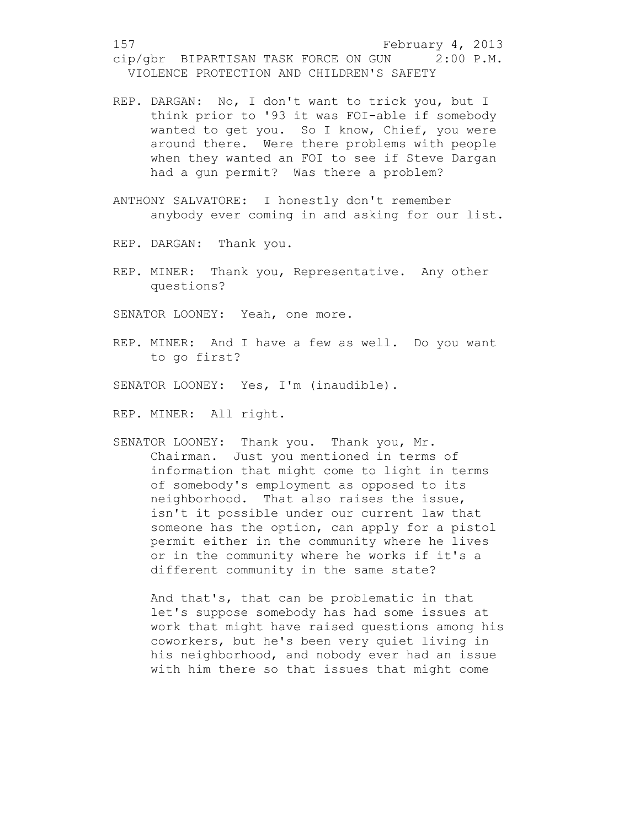- REP. DARGAN: No, I don't want to trick you, but I think prior to '93 it was FOI-able if somebody wanted to get you. So I know, Chief, you were around there. Were there problems with people when they wanted an FOI to see if Steve Dargan had a gun permit? Was there a problem?
- ANTHONY SALVATORE: I honestly don't remember anybody ever coming in and asking for our list.

REP. DARGAN: Thank you.

REP. MINER: Thank you, Representative. Any other questions?

SENATOR LOONEY: Yeah, one more.

REP. MINER: And I have a few as well. Do you want to go first?

SENATOR LOONEY: Yes, I'm (inaudible).

REP. MINER: All right.

SENATOR LOONEY: Thank you. Thank you, Mr. Chairman. Just you mentioned in terms of information that might come to light in terms of somebody's employment as opposed to its neighborhood. That also raises the issue, isn't it possible under our current law that someone has the option, can apply for a pistol permit either in the community where he lives or in the community where he works if it's a different community in the same state?

And that's, that can be problematic in that let's suppose somebody has had some issues at work that might have raised questions among his coworkers, but he's been very quiet living in his neighborhood, and nobody ever had an issue with him there so that issues that might come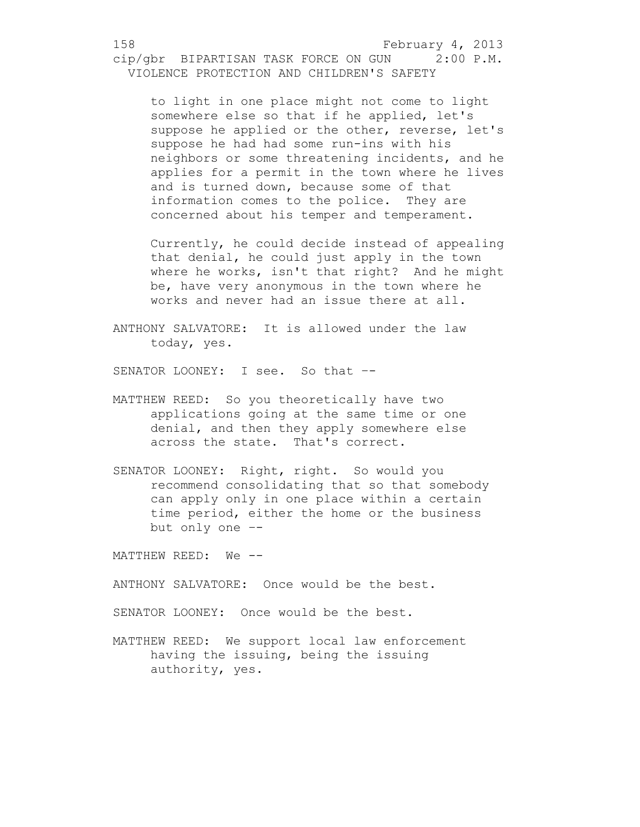to light in one place might not come to light somewhere else so that if he applied, let's suppose he applied or the other, reverse, let's suppose he had had some run-ins with his neighbors or some threatening incidents, and he applies for a permit in the town where he lives and is turned down, because some of that information comes to the police. They are concerned about his temper and temperament.

Currently, he could decide instead of appealing that denial, he could just apply in the town where he works, isn't that right? And he might be, have very anonymous in the town where he works and never had an issue there at all.

ANTHONY SALVATORE: It is allowed under the law today, yes.

SENATOR LOONEY: I see. So that –-

- MATTHEW REED: So you theoretically have two applications going at the same time or one denial, and then they apply somewhere else across the state. That's correct.
- SENATOR LOONEY: Right, right. So would you recommend consolidating that so that somebody can apply only in one place within a certain time period, either the home or the business but only one –-

MATTHEW REED: We --

ANTHONY SALVATORE: Once would be the best.

SENATOR LOONEY: Once would be the best.

MATTHEW REED: We support local law enforcement having the issuing, being the issuing authority, yes.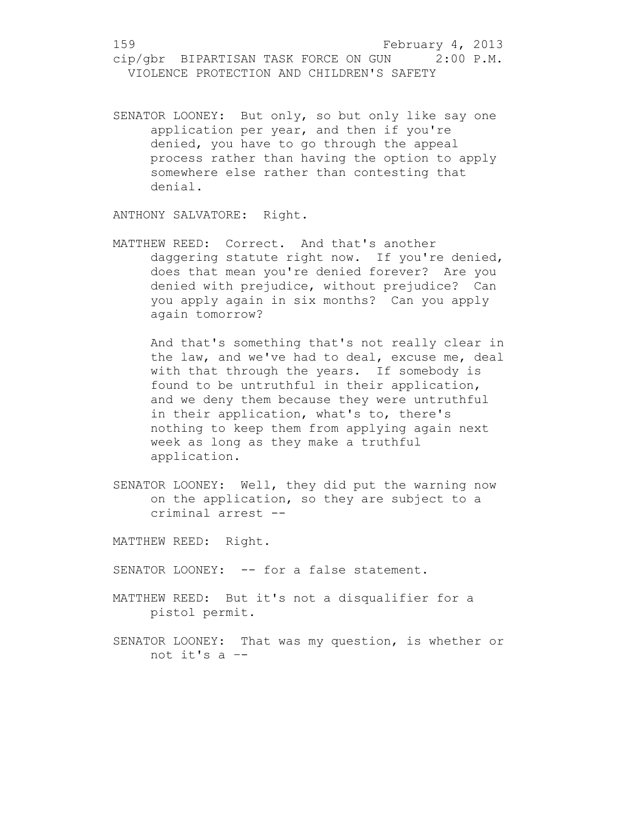SENATOR LOONEY: But only, so but only like say one application per year, and then if you're denied, you have to go through the appeal process rather than having the option to apply somewhere else rather than contesting that denial.

ANTHONY SALVATORE: Right.

MATTHEW REED: Correct. And that's another daggering statute right now. If you're denied, does that mean you're denied forever? Are you denied with prejudice, without prejudice? Can you apply again in six months? Can you apply again tomorrow?

And that's something that's not really clear in the law, and we've had to deal, excuse me, deal with that through the years. If somebody is found to be untruthful in their application, and we deny them because they were untruthful in their application, what's to, there's nothing to keep them from applying again next week as long as they make a truthful application.

SENATOR LOONEY: Well, they did put the warning now on the application, so they are subject to a criminal arrest --

MATTHEW REED: Right.

SENATOR LOONEY: -- for a false statement.

- MATTHEW REED: But it's not a disqualifier for a pistol permit.
- SENATOR LOONEY: That was my question, is whether or not it's a –-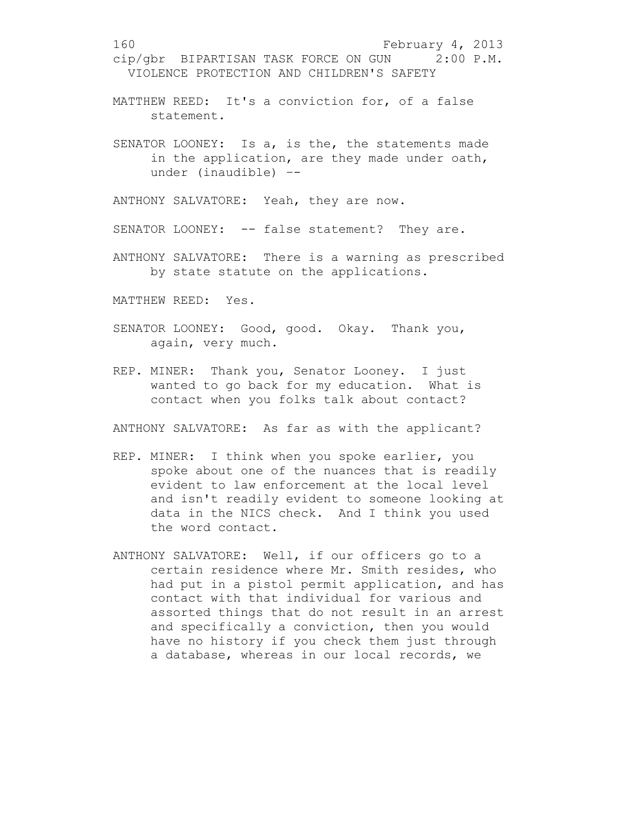160 February 4, 2013 cip/gbr BIPARTISAN TASK FORCE ON GUN 2:00 P.M. VIOLENCE PROTECTION AND CHILDREN'S SAFETY MATTHEW REED: It's a conviction for, of a false statement. SENATOR LOONEY: Is a, is the, the statements made in the application, are they made under oath, under (inaudible) –- ANTHONY SALVATORE: Yeah, they are now.

SENATOR LOONEY: -- false statement? They are.

ANTHONY SALVATORE: There is a warning as prescribed by state statute on the applications.

MATTHEW REED: Yes.

- SENATOR LOONEY: Good, good. Okay. Thank you, again, very much.
- REP. MINER: Thank you, Senator Looney. I just wanted to go back for my education. What is contact when you folks talk about contact?

ANTHONY SALVATORE: As far as with the applicant?

- REP. MINER: I think when you spoke earlier, you spoke about one of the nuances that is readily evident to law enforcement at the local level and isn't readily evident to someone looking at data in the NICS check. And I think you used the word contact.
- ANTHONY SALVATORE: Well, if our officers go to a certain residence where Mr. Smith resides, who had put in a pistol permit application, and has contact with that individual for various and assorted things that do not result in an arrest and specifically a conviction, then you would have no history if you check them just through a database, whereas in our local records, we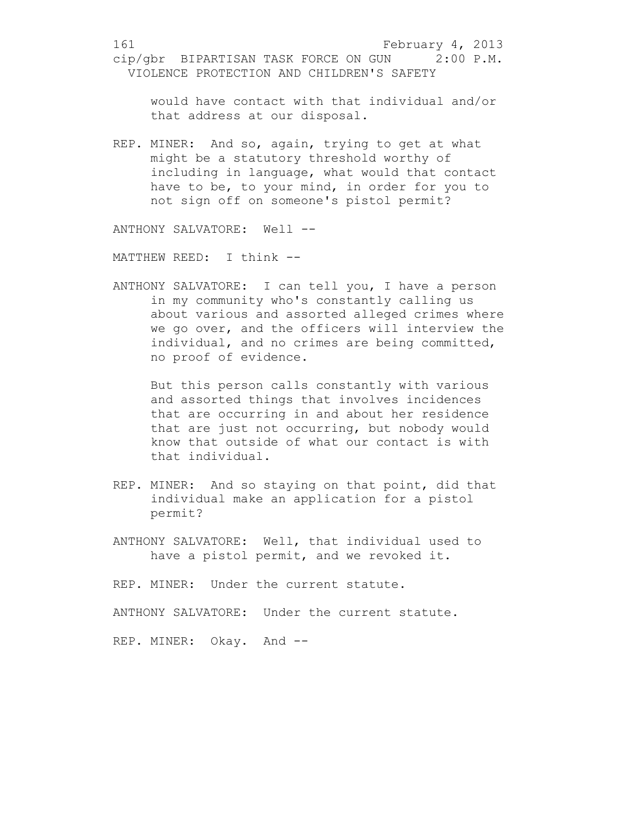would have contact with that individual and/or that address at our disposal.

REP. MINER: And so, again, trying to get at what might be a statutory threshold worthy of including in language, what would that contact have to be, to your mind, in order for you to not sign off on someone's pistol permit?

ANTHONY SALVATORE: Well --

MATTHEW REED: I think --

ANTHONY SALVATORE: I can tell you, I have a person in my community who's constantly calling us about various and assorted alleged crimes where we go over, and the officers will interview the individual, and no crimes are being committed, no proof of evidence.

But this person calls constantly with various and assorted things that involves incidences that are occurring in and about her residence that are just not occurring, but nobody would know that outside of what our contact is with that individual.

- REP. MINER: And so staying on that point, did that individual make an application for a pistol permit?
- ANTHONY SALVATORE: Well, that individual used to have a pistol permit, and we revoked it.

REP. MINER: Under the current statute.

ANTHONY SALVATORE: Under the current statute.

REP. MINER: Okay. And --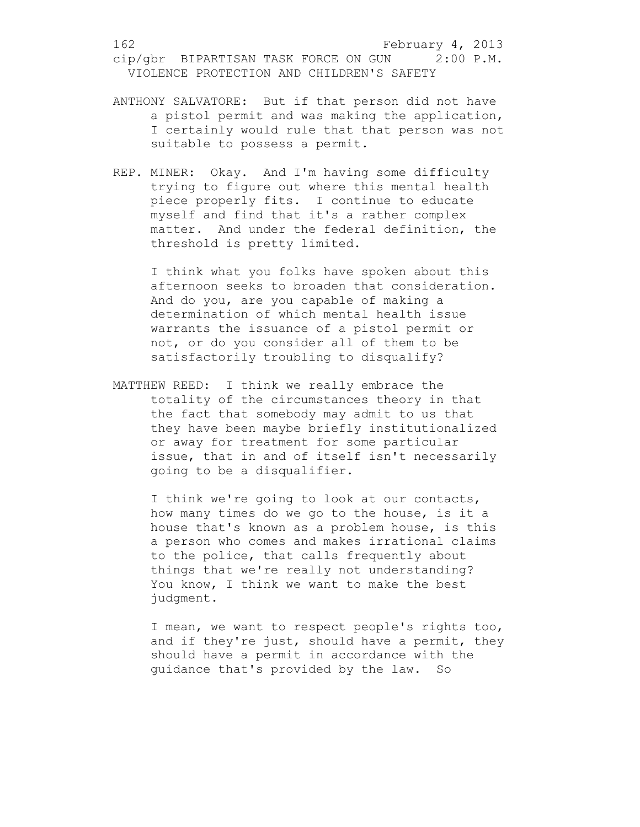- ANTHONY SALVATORE: But if that person did not have a pistol permit and was making the application, I certainly would rule that that person was not suitable to possess a permit.
- REP. MINER: Okay. And I'm having some difficulty trying to figure out where this mental health piece properly fits. I continue to educate myself and find that it's a rather complex matter. And under the federal definition, the threshold is pretty limited.

I think what you folks have spoken about this afternoon seeks to broaden that consideration. And do you, are you capable of making a determination of which mental health issue warrants the issuance of a pistol permit or not, or do you consider all of them to be satisfactorily troubling to disqualify?

MATTHEW REED: I think we really embrace the totality of the circumstances theory in that the fact that somebody may admit to us that they have been maybe briefly institutionalized or away for treatment for some particular issue, that in and of itself isn't necessarily going to be a disqualifier.

I think we're going to look at our contacts, how many times do we go to the house, is it a house that's known as a problem house, is this a person who comes and makes irrational claims to the police, that calls frequently about things that we're really not understanding? You know, I think we want to make the best judgment.

I mean, we want to respect people's rights too, and if they're just, should have a permit, they should have a permit in accordance with the guidance that's provided by the law. So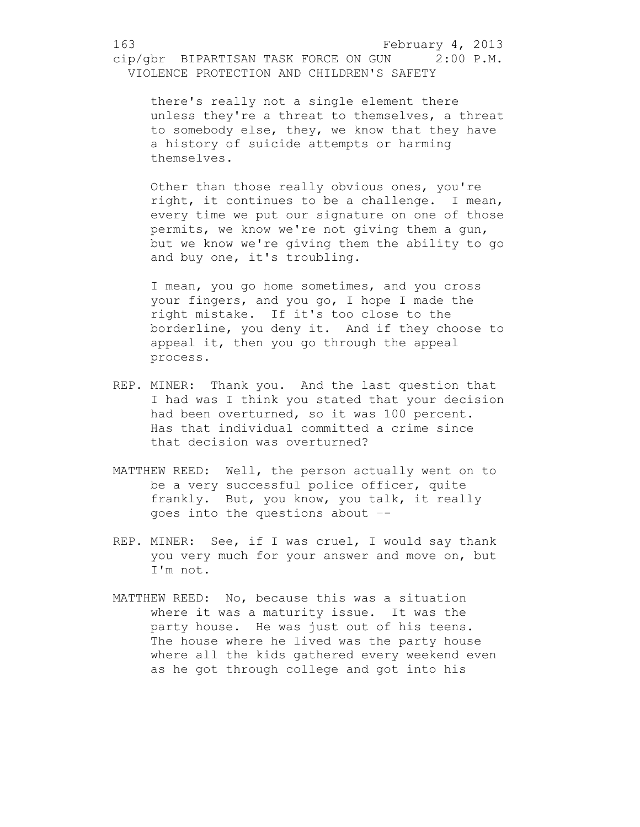there's really not a single element there unless they're a threat to themselves, a threat to somebody else, they, we know that they have a history of suicide attempts or harming themselves.

Other than those really obvious ones, you're right, it continues to be a challenge. I mean, every time we put our signature on one of those permits, we know we're not giving them a gun, but we know we're giving them the ability to go and buy one, it's troubling.

I mean, you go home sometimes, and you cross your fingers, and you go, I hope I made the right mistake. If it's too close to the borderline, you deny it. And if they choose to appeal it, then you go through the appeal process.

- REP. MINER: Thank you. And the last question that I had was I think you stated that your decision had been overturned, so it was 100 percent. Has that individual committed a crime since that decision was overturned?
- MATTHEW REED: Well, the person actually went on to be a very successful police officer, quite frankly. But, you know, you talk, it really goes into the questions about –-
- REP. MINER: See, if I was cruel, I would say thank you very much for your answer and move on, but I'm not.
- MATTHEW REED: No, because this was a situation where it was a maturity issue. It was the party house. He was just out of his teens. The house where he lived was the party house where all the kids gathered every weekend even as he got through college and got into his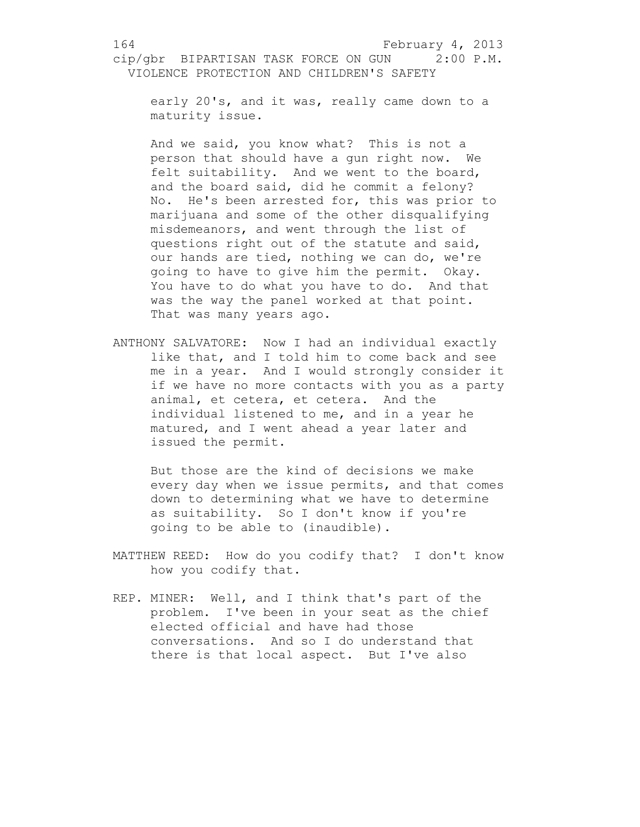early 20's, and it was, really came down to a maturity issue.

And we said, you know what? This is not a person that should have a gun right now. We felt suitability. And we went to the board, and the board said, did he commit a felony? No. He's been arrested for, this was prior to marijuana and some of the other disqualifying misdemeanors, and went through the list of questions right out of the statute and said, our hands are tied, nothing we can do, we're going to have to give him the permit. Okay. You have to do what you have to do. And that was the way the panel worked at that point. That was many years ago.

ANTHONY SALVATORE: Now I had an individual exactly like that, and I told him to come back and see me in a year. And I would strongly consider it if we have no more contacts with you as a party animal, et cetera, et cetera. And the individual listened to me, and in a year he matured, and I went ahead a year later and issued the permit.

But those are the kind of decisions we make every day when we issue permits, and that comes down to determining what we have to determine as suitability. So I don't know if you're going to be able to (inaudible).

- MATTHEW REED: How do you codify that? I don't know how you codify that.
- REP. MINER: Well, and I think that's part of the problem. I've been in your seat as the chief elected official and have had those conversations. And so I do understand that there is that local aspect. But I've also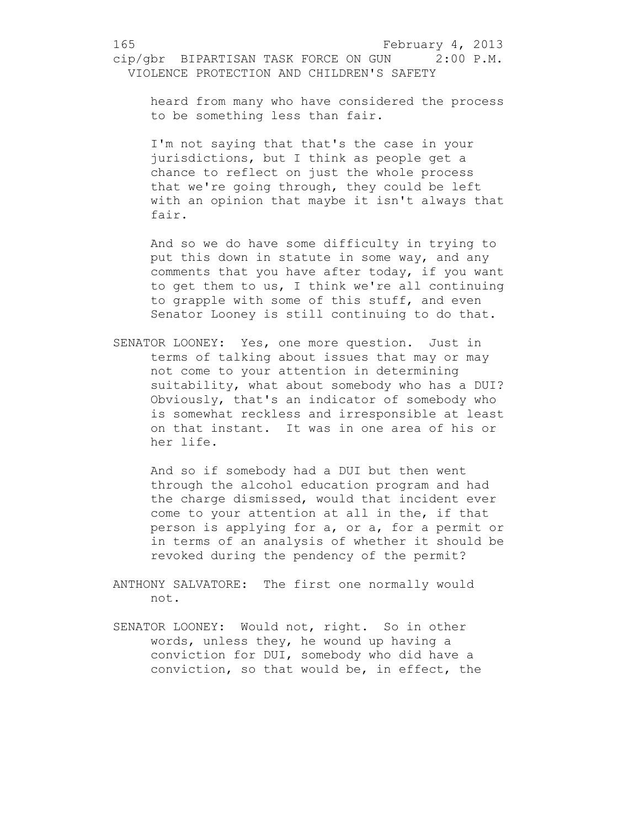heard from many who have considered the process to be something less than fair.

I'm not saying that that's the case in your jurisdictions, but I think as people get a chance to reflect on just the whole process that we're going through, they could be left with an opinion that maybe it isn't always that fair.

And so we do have some difficulty in trying to put this down in statute in some way, and any comments that you have after today, if you want to get them to us, I think we're all continuing to grapple with some of this stuff, and even Senator Looney is still continuing to do that.

SENATOR LOONEY: Yes, one more question. Just in terms of talking about issues that may or may not come to your attention in determining suitability, what about somebody who has a DUI? Obviously, that's an indicator of somebody who is somewhat reckless and irresponsible at least on that instant. It was in one area of his or her life.

And so if somebody had a DUI but then went through the alcohol education program and had the charge dismissed, would that incident ever come to your attention at all in the, if that person is applying for a, or a, for a permit or in terms of an analysis of whether it should be revoked during the pendency of the permit?

ANTHONY SALVATORE: The first one normally would not.

SENATOR LOONEY: Would not, right. So in other words, unless they, he wound up having a conviction for DUI, somebody who did have a conviction, so that would be, in effect, the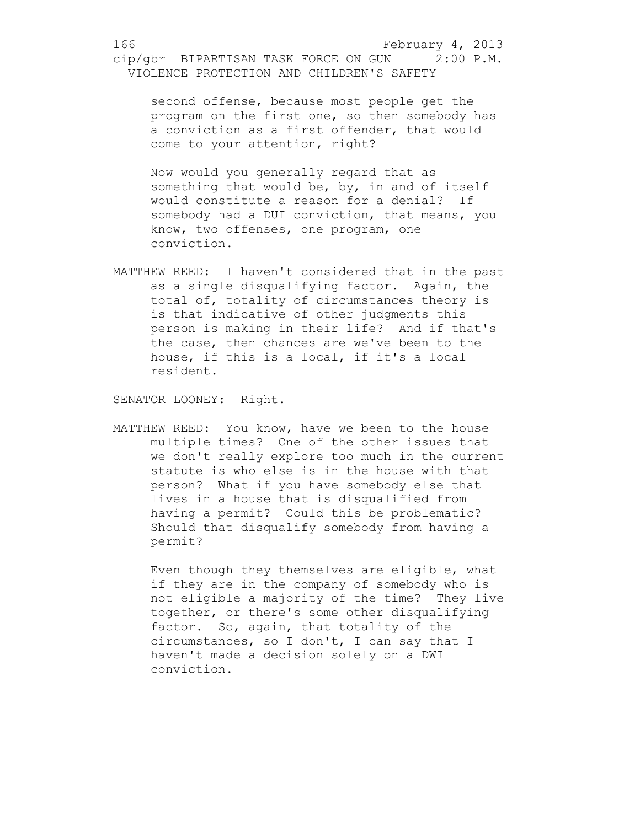second offense, because most people get the program on the first one, so then somebody has a conviction as a first offender, that would come to your attention, right?

Now would you generally regard that as something that would be, by, in and of itself would constitute a reason for a denial? If somebody had a DUI conviction, that means, you know, two offenses, one program, one conviction.

MATTHEW REED: I haven't considered that in the past as a single disqualifying factor. Again, the total of, totality of circumstances theory is is that indicative of other judgments this person is making in their life? And if that's the case, then chances are we've been to the house, if this is a local, if it's a local resident.

SENATOR LOONEY: Right.

MATTHEW REED: You know, have we been to the house multiple times? One of the other issues that we don't really explore too much in the current statute is who else is in the house with that person? What if you have somebody else that lives in a house that is disqualified from having a permit? Could this be problematic? Should that disqualify somebody from having a permit?

Even though they themselves are eligible, what if they are in the company of somebody who is not eligible a majority of the time? They live together, or there's some other disqualifying factor. So, again, that totality of the circumstances, so I don't, I can say that I haven't made a decision solely on a DWI conviction.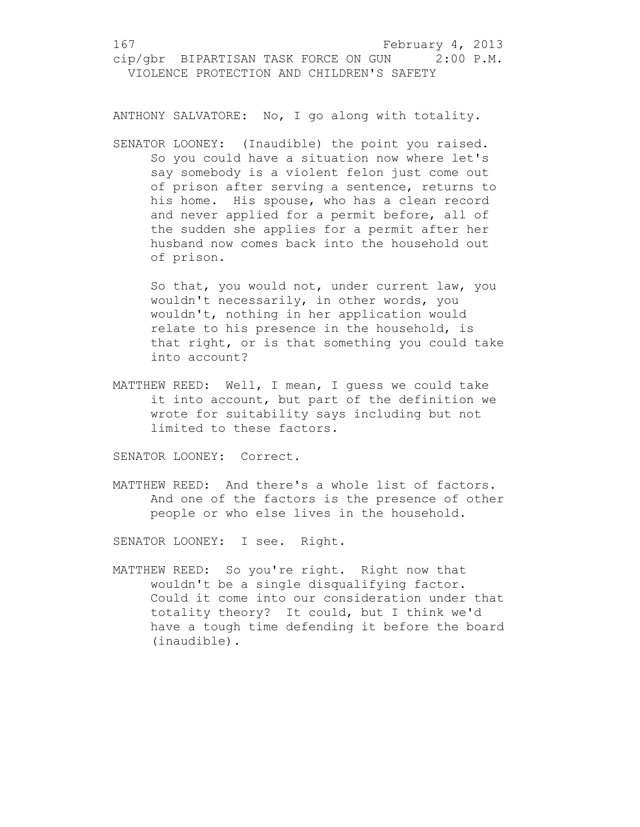ANTHONY SALVATORE: No, I go along with totality.

SENATOR LOONEY: (Inaudible) the point you raised. So you could have a situation now where let's say somebody is a violent felon just come out of prison after serving a sentence, returns to his home. His spouse, who has a clean record and never applied for a permit before, all of the sudden she applies for a permit after her husband now comes back into the household out of prison.

So that, you would not, under current law, you wouldn't necessarily, in other words, you wouldn't, nothing in her application would relate to his presence in the household, is that right, or is that something you could take into account?

MATTHEW REED: Well, I mean, I guess we could take it into account, but part of the definition we wrote for suitability says including but not limited to these factors.

SENATOR LOONEY: Correct.

MATTHEW REED: And there's a whole list of factors. And one of the factors is the presence of other people or who else lives in the household.

SENATOR LOONEY: I see. Right.

MATTHEW REED: So you're right. Right now that wouldn't be a single disqualifying factor. Could it come into our consideration under that totality theory? It could, but I think we'd have a tough time defending it before the board (inaudible).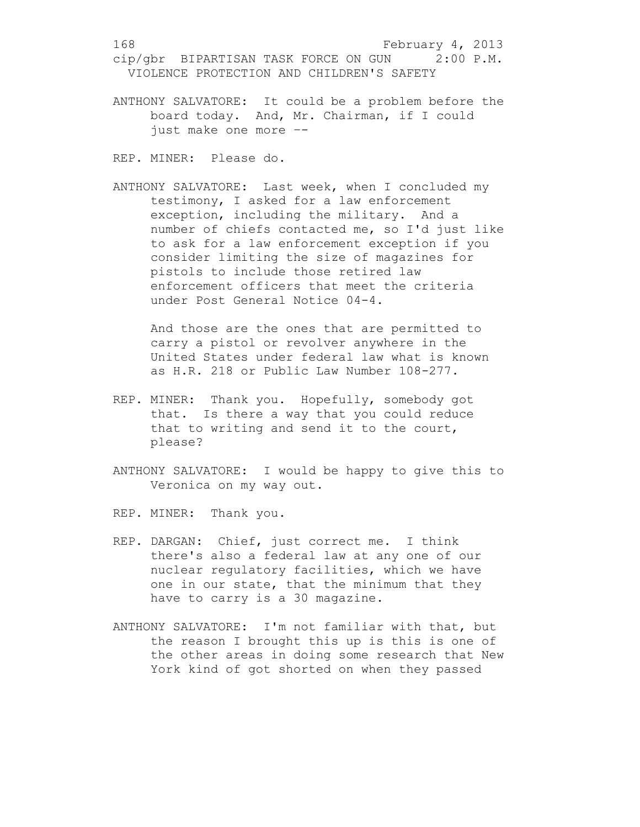ANTHONY SALVATORE: It could be a problem before the board today. And, Mr. Chairman, if I could just make one more –-

REP. MINER: Please do.

ANTHONY SALVATORE: Last week, when I concluded my testimony, I asked for a law enforcement exception, including the military. And a number of chiefs contacted me, so I'd just like to ask for a law enforcement exception if you consider limiting the size of magazines for pistols to include those retired law enforcement officers that meet the criteria under Post General Notice 04-4.

And those are the ones that are permitted to carry a pistol or revolver anywhere in the United States under federal law what is known as H.R. 218 or Public Law Number 108-277.

- REP. MINER: Thank you. Hopefully, somebody got that. Is there a way that you could reduce that to writing and send it to the court, please?
- ANTHONY SALVATORE: I would be happy to give this to Veronica on my way out.

REP. MINER: Thank you.

- REP. DARGAN: Chief, just correct me. I think there's also a federal law at any one of our nuclear regulatory facilities, which we have one in our state, that the minimum that they have to carry is a 30 magazine.
- ANTHONY SALVATORE: I'm not familiar with that, but the reason I brought this up is this is one of the other areas in doing some research that New York kind of got shorted on when they passed